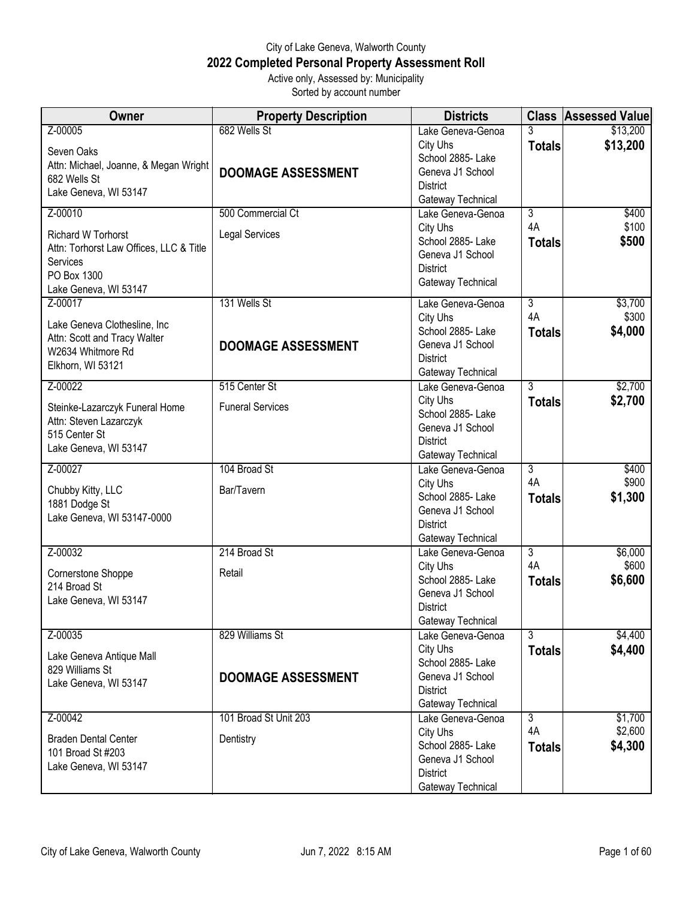## City of Lake Geneva, Walworth County **2022 Completed Personal Property Assessment Roll** Active only, Assessed by: Municipality

Sorted by account number

| 682 Wells St<br>Z-00005<br>\$13,200<br>Lake Geneva-Genoa<br>\$13,200<br>City Uhs<br><b>Totals</b><br>Seven Oaks<br>School 2885- Lake<br>Attn: Michael, Joanne, & Megan Wright<br>Geneva J1 School<br><b>DOOMAGE ASSESSMENT</b><br>682 Wells St<br><b>District</b><br>Lake Geneva, WI 53147<br>Gateway Technical<br>Z-00010<br>500 Commercial Ct<br>3<br>\$400<br>Lake Geneva-Genoa<br>\$100<br>4A<br>City Uhs<br><b>Legal Services</b><br><b>Richard W Torhorst</b><br>School 2885- Lake<br>\$500<br><b>Totals</b><br>Attn: Torhorst Law Offices, LLC & Title<br>Geneva J1 School<br>Services<br><b>District</b><br>PO Box 1300<br>Gateway Technical<br>Lake Geneva, WI 53147<br>131 Wells St<br>Z-00017<br>$\overline{3}$<br>\$3,700<br>Lake Geneva-Genoa<br>4A<br>\$300<br>City Uhs<br>Lake Geneva Clothesline, Inc<br>School 2885- Lake<br>\$4,000<br><b>Totals</b><br>Attn: Scott and Tracy Walter<br>Geneva J1 School<br><b>DOOMAGE ASSESSMENT</b><br>W2634 Whitmore Rd<br><b>District</b><br>Elkhorn, WI 53121<br>Gateway Technical<br>$\overline{3}$<br>Z-00022<br>515 Center St<br>Lake Geneva-Genoa<br>\$2,700<br>City Uhs<br>\$2,700<br><b>Totals</b><br><b>Funeral Services</b><br>Steinke-Lazarczyk Funeral Home<br>School 2885-Lake<br>Attn: Steven Lazarczyk<br>Geneva J1 School<br>515 Center St<br><b>District</b><br>Lake Geneva, WI 53147<br>Gateway Technical<br>104 Broad St<br>Z-00027<br>$\overline{3}$<br>\$400<br>Lake Geneva-Genoa<br>4A<br>\$900<br>City Uhs<br>Bar/Tavern<br>Chubby Kitty, LLC<br>School 2885- Lake<br>\$1,300<br><b>Totals</b><br>1881 Dodge St<br>Geneva J1 School<br>Lake Geneva, WI 53147-0000<br><b>District</b><br>Gateway Technical<br>Z-00032<br>214 Broad St<br>$\overline{3}$<br>\$6,000<br>Lake Geneva-Genoa<br>4A<br>\$600<br>City Uhs<br>Retail<br>Cornerstone Shoppe<br>\$6,600<br>School 2885- Lake<br><b>Totals</b><br>214 Broad St<br>Geneva J1 School<br>Lake Geneva, WI 53147<br><b>District</b><br>Gateway Technical<br>\$4,400<br>829 Williams St<br>$\overline{3}$<br>Z-00035<br>Lake Geneva-Genoa<br>\$4,400<br>City Uhs<br><b>Totals</b><br>Lake Geneva Antique Mall<br>School 2885- Lake<br>829 Williams St<br>Geneva J1 School<br><b>DOOMAGE ASSESSMENT</b><br>Lake Geneva, WI 53147<br><b>District</b><br>Gateway Technical<br>101 Broad St Unit 203<br>\$1,700<br>Z-00042<br>$\overline{3}$<br>Lake Geneva-Genoa | <b>Owner</b> | <b>Property Description</b> | <b>Districts</b> | <b>Class Assessed Value</b> |
|-----------------------------------------------------------------------------------------------------------------------------------------------------------------------------------------------------------------------------------------------------------------------------------------------------------------------------------------------------------------------------------------------------------------------------------------------------------------------------------------------------------------------------------------------------------------------------------------------------------------------------------------------------------------------------------------------------------------------------------------------------------------------------------------------------------------------------------------------------------------------------------------------------------------------------------------------------------------------------------------------------------------------------------------------------------------------------------------------------------------------------------------------------------------------------------------------------------------------------------------------------------------------------------------------------------------------------------------------------------------------------------------------------------------------------------------------------------------------------------------------------------------------------------------------------------------------------------------------------------------------------------------------------------------------------------------------------------------------------------------------------------------------------------------------------------------------------------------------------------------------------------------------------------------------------------------------------------------------------------------------------------------------------------------------------------------------------------------------------------------------------------------------------------------------------------------------------------------------------------------------------------------------------------------------------------------------------------------------------------------------------------------|--------------|-----------------------------|------------------|-----------------------------|
|                                                                                                                                                                                                                                                                                                                                                                                                                                                                                                                                                                                                                                                                                                                                                                                                                                                                                                                                                                                                                                                                                                                                                                                                                                                                                                                                                                                                                                                                                                                                                                                                                                                                                                                                                                                                                                                                                                                                                                                                                                                                                                                                                                                                                                                                                                                                                                                         |              |                             |                  |                             |
|                                                                                                                                                                                                                                                                                                                                                                                                                                                                                                                                                                                                                                                                                                                                                                                                                                                                                                                                                                                                                                                                                                                                                                                                                                                                                                                                                                                                                                                                                                                                                                                                                                                                                                                                                                                                                                                                                                                                                                                                                                                                                                                                                                                                                                                                                                                                                                                         |              |                             |                  |                             |
|                                                                                                                                                                                                                                                                                                                                                                                                                                                                                                                                                                                                                                                                                                                                                                                                                                                                                                                                                                                                                                                                                                                                                                                                                                                                                                                                                                                                                                                                                                                                                                                                                                                                                                                                                                                                                                                                                                                                                                                                                                                                                                                                                                                                                                                                                                                                                                                         |              |                             |                  |                             |
|                                                                                                                                                                                                                                                                                                                                                                                                                                                                                                                                                                                                                                                                                                                                                                                                                                                                                                                                                                                                                                                                                                                                                                                                                                                                                                                                                                                                                                                                                                                                                                                                                                                                                                                                                                                                                                                                                                                                                                                                                                                                                                                                                                                                                                                                                                                                                                                         |              |                             |                  |                             |
|                                                                                                                                                                                                                                                                                                                                                                                                                                                                                                                                                                                                                                                                                                                                                                                                                                                                                                                                                                                                                                                                                                                                                                                                                                                                                                                                                                                                                                                                                                                                                                                                                                                                                                                                                                                                                                                                                                                                                                                                                                                                                                                                                                                                                                                                                                                                                                                         |              |                             |                  |                             |
|                                                                                                                                                                                                                                                                                                                                                                                                                                                                                                                                                                                                                                                                                                                                                                                                                                                                                                                                                                                                                                                                                                                                                                                                                                                                                                                                                                                                                                                                                                                                                                                                                                                                                                                                                                                                                                                                                                                                                                                                                                                                                                                                                                                                                                                                                                                                                                                         |              |                             |                  |                             |
|                                                                                                                                                                                                                                                                                                                                                                                                                                                                                                                                                                                                                                                                                                                                                                                                                                                                                                                                                                                                                                                                                                                                                                                                                                                                                                                                                                                                                                                                                                                                                                                                                                                                                                                                                                                                                                                                                                                                                                                                                                                                                                                                                                                                                                                                                                                                                                                         |              |                             |                  |                             |
|                                                                                                                                                                                                                                                                                                                                                                                                                                                                                                                                                                                                                                                                                                                                                                                                                                                                                                                                                                                                                                                                                                                                                                                                                                                                                                                                                                                                                                                                                                                                                                                                                                                                                                                                                                                                                                                                                                                                                                                                                                                                                                                                                                                                                                                                                                                                                                                         |              |                             |                  |                             |
|                                                                                                                                                                                                                                                                                                                                                                                                                                                                                                                                                                                                                                                                                                                                                                                                                                                                                                                                                                                                                                                                                                                                                                                                                                                                                                                                                                                                                                                                                                                                                                                                                                                                                                                                                                                                                                                                                                                                                                                                                                                                                                                                                                                                                                                                                                                                                                                         |              |                             |                  |                             |
|                                                                                                                                                                                                                                                                                                                                                                                                                                                                                                                                                                                                                                                                                                                                                                                                                                                                                                                                                                                                                                                                                                                                                                                                                                                                                                                                                                                                                                                                                                                                                                                                                                                                                                                                                                                                                                                                                                                                                                                                                                                                                                                                                                                                                                                                                                                                                                                         |              |                             |                  |                             |
|                                                                                                                                                                                                                                                                                                                                                                                                                                                                                                                                                                                                                                                                                                                                                                                                                                                                                                                                                                                                                                                                                                                                                                                                                                                                                                                                                                                                                                                                                                                                                                                                                                                                                                                                                                                                                                                                                                                                                                                                                                                                                                                                                                                                                                                                                                                                                                                         |              |                             |                  |                             |
|                                                                                                                                                                                                                                                                                                                                                                                                                                                                                                                                                                                                                                                                                                                                                                                                                                                                                                                                                                                                                                                                                                                                                                                                                                                                                                                                                                                                                                                                                                                                                                                                                                                                                                                                                                                                                                                                                                                                                                                                                                                                                                                                                                                                                                                                                                                                                                                         |              |                             |                  |                             |
|                                                                                                                                                                                                                                                                                                                                                                                                                                                                                                                                                                                                                                                                                                                                                                                                                                                                                                                                                                                                                                                                                                                                                                                                                                                                                                                                                                                                                                                                                                                                                                                                                                                                                                                                                                                                                                                                                                                                                                                                                                                                                                                                                                                                                                                                                                                                                                                         |              |                             |                  |                             |
|                                                                                                                                                                                                                                                                                                                                                                                                                                                                                                                                                                                                                                                                                                                                                                                                                                                                                                                                                                                                                                                                                                                                                                                                                                                                                                                                                                                                                                                                                                                                                                                                                                                                                                                                                                                                                                                                                                                                                                                                                                                                                                                                                                                                                                                                                                                                                                                         |              |                             |                  |                             |
|                                                                                                                                                                                                                                                                                                                                                                                                                                                                                                                                                                                                                                                                                                                                                                                                                                                                                                                                                                                                                                                                                                                                                                                                                                                                                                                                                                                                                                                                                                                                                                                                                                                                                                                                                                                                                                                                                                                                                                                                                                                                                                                                                                                                                                                                                                                                                                                         |              |                             |                  |                             |
|                                                                                                                                                                                                                                                                                                                                                                                                                                                                                                                                                                                                                                                                                                                                                                                                                                                                                                                                                                                                                                                                                                                                                                                                                                                                                                                                                                                                                                                                                                                                                                                                                                                                                                                                                                                                                                                                                                                                                                                                                                                                                                                                                                                                                                                                                                                                                                                         |              |                             |                  |                             |
|                                                                                                                                                                                                                                                                                                                                                                                                                                                                                                                                                                                                                                                                                                                                                                                                                                                                                                                                                                                                                                                                                                                                                                                                                                                                                                                                                                                                                                                                                                                                                                                                                                                                                                                                                                                                                                                                                                                                                                                                                                                                                                                                                                                                                                                                                                                                                                                         |              |                             |                  |                             |
|                                                                                                                                                                                                                                                                                                                                                                                                                                                                                                                                                                                                                                                                                                                                                                                                                                                                                                                                                                                                                                                                                                                                                                                                                                                                                                                                                                                                                                                                                                                                                                                                                                                                                                                                                                                                                                                                                                                                                                                                                                                                                                                                                                                                                                                                                                                                                                                         |              |                             |                  |                             |
|                                                                                                                                                                                                                                                                                                                                                                                                                                                                                                                                                                                                                                                                                                                                                                                                                                                                                                                                                                                                                                                                                                                                                                                                                                                                                                                                                                                                                                                                                                                                                                                                                                                                                                                                                                                                                                                                                                                                                                                                                                                                                                                                                                                                                                                                                                                                                                                         |              |                             |                  |                             |
|                                                                                                                                                                                                                                                                                                                                                                                                                                                                                                                                                                                                                                                                                                                                                                                                                                                                                                                                                                                                                                                                                                                                                                                                                                                                                                                                                                                                                                                                                                                                                                                                                                                                                                                                                                                                                                                                                                                                                                                                                                                                                                                                                                                                                                                                                                                                                                                         |              |                             |                  |                             |
|                                                                                                                                                                                                                                                                                                                                                                                                                                                                                                                                                                                                                                                                                                                                                                                                                                                                                                                                                                                                                                                                                                                                                                                                                                                                                                                                                                                                                                                                                                                                                                                                                                                                                                                                                                                                                                                                                                                                                                                                                                                                                                                                                                                                                                                                                                                                                                                         |              |                             |                  |                             |
|                                                                                                                                                                                                                                                                                                                                                                                                                                                                                                                                                                                                                                                                                                                                                                                                                                                                                                                                                                                                                                                                                                                                                                                                                                                                                                                                                                                                                                                                                                                                                                                                                                                                                                                                                                                                                                                                                                                                                                                                                                                                                                                                                                                                                                                                                                                                                                                         |              |                             |                  |                             |
|                                                                                                                                                                                                                                                                                                                                                                                                                                                                                                                                                                                                                                                                                                                                                                                                                                                                                                                                                                                                                                                                                                                                                                                                                                                                                                                                                                                                                                                                                                                                                                                                                                                                                                                                                                                                                                                                                                                                                                                                                                                                                                                                                                                                                                                                                                                                                                                         |              |                             |                  |                             |
|                                                                                                                                                                                                                                                                                                                                                                                                                                                                                                                                                                                                                                                                                                                                                                                                                                                                                                                                                                                                                                                                                                                                                                                                                                                                                                                                                                                                                                                                                                                                                                                                                                                                                                                                                                                                                                                                                                                                                                                                                                                                                                                                                                                                                                                                                                                                                                                         |              |                             |                  |                             |
|                                                                                                                                                                                                                                                                                                                                                                                                                                                                                                                                                                                                                                                                                                                                                                                                                                                                                                                                                                                                                                                                                                                                                                                                                                                                                                                                                                                                                                                                                                                                                                                                                                                                                                                                                                                                                                                                                                                                                                                                                                                                                                                                                                                                                                                                                                                                                                                         |              |                             |                  |                             |
|                                                                                                                                                                                                                                                                                                                                                                                                                                                                                                                                                                                                                                                                                                                                                                                                                                                                                                                                                                                                                                                                                                                                                                                                                                                                                                                                                                                                                                                                                                                                                                                                                                                                                                                                                                                                                                                                                                                                                                                                                                                                                                                                                                                                                                                                                                                                                                                         |              |                             |                  |                             |
|                                                                                                                                                                                                                                                                                                                                                                                                                                                                                                                                                                                                                                                                                                                                                                                                                                                                                                                                                                                                                                                                                                                                                                                                                                                                                                                                                                                                                                                                                                                                                                                                                                                                                                                                                                                                                                                                                                                                                                                                                                                                                                                                                                                                                                                                                                                                                                                         |              |                             |                  |                             |
|                                                                                                                                                                                                                                                                                                                                                                                                                                                                                                                                                                                                                                                                                                                                                                                                                                                                                                                                                                                                                                                                                                                                                                                                                                                                                                                                                                                                                                                                                                                                                                                                                                                                                                                                                                                                                                                                                                                                                                                                                                                                                                                                                                                                                                                                                                                                                                                         |              |                             |                  |                             |
|                                                                                                                                                                                                                                                                                                                                                                                                                                                                                                                                                                                                                                                                                                                                                                                                                                                                                                                                                                                                                                                                                                                                                                                                                                                                                                                                                                                                                                                                                                                                                                                                                                                                                                                                                                                                                                                                                                                                                                                                                                                                                                                                                                                                                                                                                                                                                                                         |              |                             |                  |                             |
|                                                                                                                                                                                                                                                                                                                                                                                                                                                                                                                                                                                                                                                                                                                                                                                                                                                                                                                                                                                                                                                                                                                                                                                                                                                                                                                                                                                                                                                                                                                                                                                                                                                                                                                                                                                                                                                                                                                                                                                                                                                                                                                                                                                                                                                                                                                                                                                         |              |                             |                  |                             |
|                                                                                                                                                                                                                                                                                                                                                                                                                                                                                                                                                                                                                                                                                                                                                                                                                                                                                                                                                                                                                                                                                                                                                                                                                                                                                                                                                                                                                                                                                                                                                                                                                                                                                                                                                                                                                                                                                                                                                                                                                                                                                                                                                                                                                                                                                                                                                                                         |              |                             |                  |                             |
|                                                                                                                                                                                                                                                                                                                                                                                                                                                                                                                                                                                                                                                                                                                                                                                                                                                                                                                                                                                                                                                                                                                                                                                                                                                                                                                                                                                                                                                                                                                                                                                                                                                                                                                                                                                                                                                                                                                                                                                                                                                                                                                                                                                                                                                                                                                                                                                         |              |                             |                  |                             |
|                                                                                                                                                                                                                                                                                                                                                                                                                                                                                                                                                                                                                                                                                                                                                                                                                                                                                                                                                                                                                                                                                                                                                                                                                                                                                                                                                                                                                                                                                                                                                                                                                                                                                                                                                                                                                                                                                                                                                                                                                                                                                                                                                                                                                                                                                                                                                                                         |              |                             |                  |                             |
|                                                                                                                                                                                                                                                                                                                                                                                                                                                                                                                                                                                                                                                                                                                                                                                                                                                                                                                                                                                                                                                                                                                                                                                                                                                                                                                                                                                                                                                                                                                                                                                                                                                                                                                                                                                                                                                                                                                                                                                                                                                                                                                                                                                                                                                                                                                                                                                         |              |                             |                  |                             |
|                                                                                                                                                                                                                                                                                                                                                                                                                                                                                                                                                                                                                                                                                                                                                                                                                                                                                                                                                                                                                                                                                                                                                                                                                                                                                                                                                                                                                                                                                                                                                                                                                                                                                                                                                                                                                                                                                                                                                                                                                                                                                                                                                                                                                                                                                                                                                                                         |              |                             |                  |                             |
|                                                                                                                                                                                                                                                                                                                                                                                                                                                                                                                                                                                                                                                                                                                                                                                                                                                                                                                                                                                                                                                                                                                                                                                                                                                                                                                                                                                                                                                                                                                                                                                                                                                                                                                                                                                                                                                                                                                                                                                                                                                                                                                                                                                                                                                                                                                                                                                         |              |                             |                  |                             |
|                                                                                                                                                                                                                                                                                                                                                                                                                                                                                                                                                                                                                                                                                                                                                                                                                                                                                                                                                                                                                                                                                                                                                                                                                                                                                                                                                                                                                                                                                                                                                                                                                                                                                                                                                                                                                                                                                                                                                                                                                                                                                                                                                                                                                                                                                                                                                                                         |              |                             |                  |                             |
|                                                                                                                                                                                                                                                                                                                                                                                                                                                                                                                                                                                                                                                                                                                                                                                                                                                                                                                                                                                                                                                                                                                                                                                                                                                                                                                                                                                                                                                                                                                                                                                                                                                                                                                                                                                                                                                                                                                                                                                                                                                                                                                                                                                                                                                                                                                                                                                         |              |                             |                  |                             |
|                                                                                                                                                                                                                                                                                                                                                                                                                                                                                                                                                                                                                                                                                                                                                                                                                                                                                                                                                                                                                                                                                                                                                                                                                                                                                                                                                                                                                                                                                                                                                                                                                                                                                                                                                                                                                                                                                                                                                                                                                                                                                                                                                                                                                                                                                                                                                                                         |              |                             |                  |                             |
|                                                                                                                                                                                                                                                                                                                                                                                                                                                                                                                                                                                                                                                                                                                                                                                                                                                                                                                                                                                                                                                                                                                                                                                                                                                                                                                                                                                                                                                                                                                                                                                                                                                                                                                                                                                                                                                                                                                                                                                                                                                                                                                                                                                                                                                                                                                                                                                         |              |                             |                  |                             |
|                                                                                                                                                                                                                                                                                                                                                                                                                                                                                                                                                                                                                                                                                                                                                                                                                                                                                                                                                                                                                                                                                                                                                                                                                                                                                                                                                                                                                                                                                                                                                                                                                                                                                                                                                                                                                                                                                                                                                                                                                                                                                                                                                                                                                                                                                                                                                                                         |              |                             |                  |                             |
| 4A<br>\$2,600<br>City Uhs<br><b>Braden Dental Center</b><br>Dentistry                                                                                                                                                                                                                                                                                                                                                                                                                                                                                                                                                                                                                                                                                                                                                                                                                                                                                                                                                                                                                                                                                                                                                                                                                                                                                                                                                                                                                                                                                                                                                                                                                                                                                                                                                                                                                                                                                                                                                                                                                                                                                                                                                                                                                                                                                                                   |              |                             |                  |                             |
| School 2885- Lake<br>\$4,300<br><b>Totals</b><br>101 Broad St #203                                                                                                                                                                                                                                                                                                                                                                                                                                                                                                                                                                                                                                                                                                                                                                                                                                                                                                                                                                                                                                                                                                                                                                                                                                                                                                                                                                                                                                                                                                                                                                                                                                                                                                                                                                                                                                                                                                                                                                                                                                                                                                                                                                                                                                                                                                                      |              |                             |                  |                             |
| Geneva J1 School<br>Lake Geneva, WI 53147<br><b>District</b>                                                                                                                                                                                                                                                                                                                                                                                                                                                                                                                                                                                                                                                                                                                                                                                                                                                                                                                                                                                                                                                                                                                                                                                                                                                                                                                                                                                                                                                                                                                                                                                                                                                                                                                                                                                                                                                                                                                                                                                                                                                                                                                                                                                                                                                                                                                            |              |                             |                  |                             |
| Gateway Technical                                                                                                                                                                                                                                                                                                                                                                                                                                                                                                                                                                                                                                                                                                                                                                                                                                                                                                                                                                                                                                                                                                                                                                                                                                                                                                                                                                                                                                                                                                                                                                                                                                                                                                                                                                                                                                                                                                                                                                                                                                                                                                                                                                                                                                                                                                                                                                       |              |                             |                  |                             |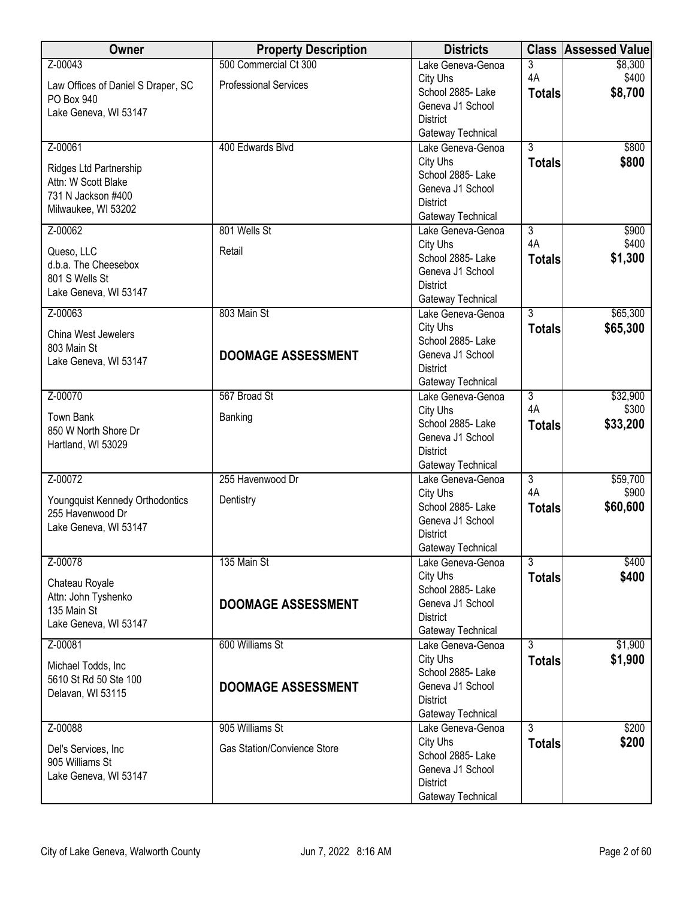| Owner                                       | <b>Property Description</b>        | <b>Districts</b>                       | <b>Class</b>   | <b>Assessed Value</b> |
|---------------------------------------------|------------------------------------|----------------------------------------|----------------|-----------------------|
| Z-00043                                     | 500 Commercial Ct 300              | Lake Geneva-Genoa                      | 3              | \$8,300               |
| Law Offices of Daniel S Draper, SC          | <b>Professional Services</b>       | City Uhs                               | 4A             | \$400                 |
| PO Box 940                                  |                                    | School 2885- Lake                      | <b>Totals</b>  | \$8,700               |
| Lake Geneva, WI 53147                       |                                    | Geneva J1 School                       |                |                       |
|                                             |                                    | <b>District</b>                        |                |                       |
| Z-00061                                     | 400 Edwards Blvd                   | Gateway Technical<br>Lake Geneva-Genoa | $\overline{3}$ | \$800                 |
|                                             |                                    | City Uhs                               | <b>Totals</b>  | \$800                 |
| Ridges Ltd Partnership                      |                                    | School 2885- Lake                      |                |                       |
| Attn: W Scott Blake                         |                                    | Geneva J1 School                       |                |                       |
| 731 N Jackson #400                          |                                    | <b>District</b>                        |                |                       |
| Milwaukee, WI 53202                         |                                    | Gateway Technical                      |                |                       |
| Z-00062                                     | 801 Wells St                       | Lake Geneva-Genoa                      | $\overline{3}$ | \$900                 |
| Queso, LLC                                  | Retail                             | City Uhs                               | 4A             | \$400                 |
| d.b.a. The Cheesebox                        |                                    | School 2885- Lake                      | <b>Totals</b>  | \$1,300               |
| 801 S Wells St                              |                                    | Geneva J1 School                       |                |                       |
| Lake Geneva, WI 53147                       |                                    | <b>District</b>                        |                |                       |
| Z-00063                                     | 803 Main St                        | Gateway Technical<br>Lake Geneva-Genoa | $\overline{3}$ | \$65,300              |
|                                             |                                    | City Uhs                               | <b>Totals</b>  | \$65,300              |
| China West Jewelers                         |                                    | School 2885-Lake                       |                |                       |
| 803 Main St                                 | <b>DOOMAGE ASSESSMENT</b>          | Geneva J1 School                       |                |                       |
| Lake Geneva, WI 53147                       |                                    | <b>District</b>                        |                |                       |
|                                             |                                    | Gateway Technical                      |                |                       |
| Z-00070                                     | 567 Broad St                       | Lake Geneva-Genoa                      | $\overline{3}$ | \$32,900              |
| <b>Town Bank</b>                            | Banking                            | City Uhs                               | 4A             | \$300                 |
| 850 W North Shore Dr                        |                                    | School 2885- Lake                      | <b>Totals</b>  | \$33,200              |
| Hartland, WI 53029                          |                                    | Geneva J1 School                       |                |                       |
|                                             |                                    | <b>District</b><br>Gateway Technical   |                |                       |
| Z-00072                                     | 255 Havenwood Dr                   | Lake Geneva-Genoa                      | $\overline{3}$ | \$59,700              |
|                                             |                                    | City Uhs                               | 4A             | \$900                 |
| Youngquist Kennedy Orthodontics             | Dentistry                          | School 2885- Lake                      | <b>Totals</b>  | \$60,600              |
| 255 Havenwood Dr                            |                                    | Geneva J1 School                       |                |                       |
| Lake Geneva, WI 53147                       |                                    | <b>District</b>                        |                |                       |
|                                             |                                    | Gateway Technical                      |                |                       |
| Z-00078                                     | 135 Main St                        | Lake Geneva-Genoa                      | $\overline{3}$ | \$400                 |
| Chateau Royale                              |                                    | City Uhs                               | <b>Totals</b>  | \$400                 |
| Attn: John Tyshenko                         | <b>DOOMAGE ASSESSMENT</b>          | School 2885- Lake<br>Geneva J1 School  |                |                       |
| 135 Main St                                 |                                    | <b>District</b>                        |                |                       |
| Lake Geneva, WI 53147                       |                                    | Gateway Technical                      |                |                       |
| Z-00081                                     | 600 Williams St                    | Lake Geneva-Genoa                      | $\overline{3}$ | \$1,900               |
|                                             |                                    | City Uhs                               | <b>Totals</b>  | \$1,900               |
| Michael Todds, Inc<br>5610 St Rd 50 Ste 100 |                                    | School 2885- Lake                      |                |                       |
| Delavan, WI 53115                           | <b>DOOMAGE ASSESSMENT</b>          | Geneva J1 School                       |                |                       |
|                                             |                                    | <b>District</b>                        |                |                       |
|                                             |                                    | Gateway Technical                      |                |                       |
| Z-00088                                     | 905 Williams St                    | Lake Geneva-Genoa                      | $\overline{3}$ | \$200                 |
| Del's Services, Inc                         | <b>Gas Station/Convience Store</b> | City Uhs<br>School 2885- Lake          | <b>Totals</b>  | \$200                 |
| 905 Williams St                             |                                    | Geneva J1 School                       |                |                       |
| Lake Geneva, WI 53147                       |                                    | <b>District</b>                        |                |                       |
|                                             |                                    | Gateway Technical                      |                |                       |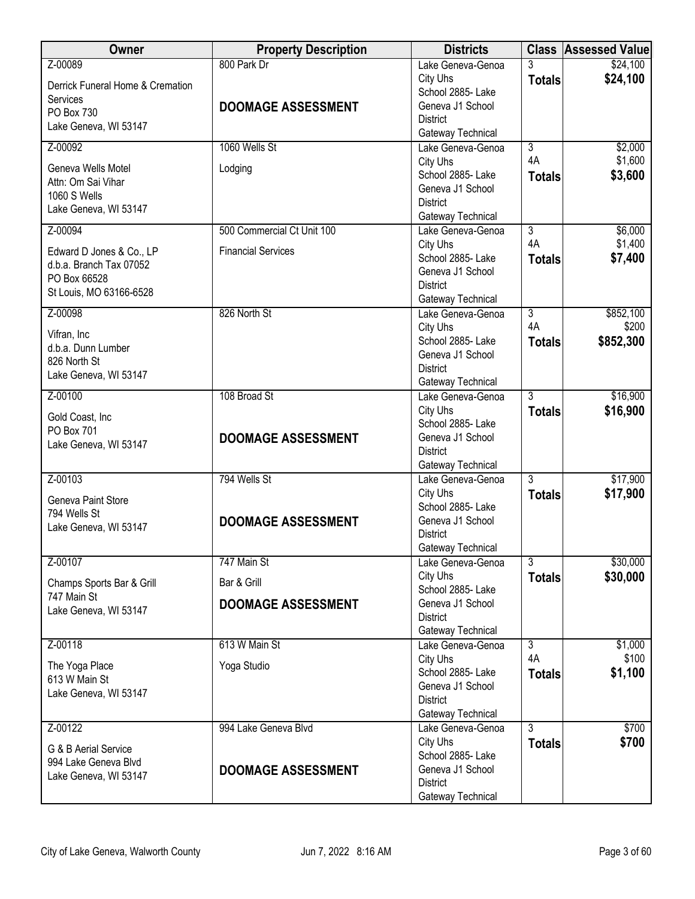| Owner                                                                                          | <b>Property Description</b> | <b>Districts</b>                                                                          |                     | <b>Class Assessed Value</b> |
|------------------------------------------------------------------------------------------------|-----------------------------|-------------------------------------------------------------------------------------------|---------------------|-----------------------------|
| Z-00089<br>Derrick Funeral Home & Cremation                                                    | 800 Park Dr                 | Lake Geneva-Genoa<br>City Uhs<br>School 2885- Lake                                        | 3<br><b>Totals</b>  | \$24,100<br>\$24,100        |
| Services<br>PO Box 730<br>Lake Geneva, WI 53147                                                | <b>DOOMAGE ASSESSMENT</b>   | Geneva J1 School<br><b>District</b>                                                       |                     |                             |
| Z-00092                                                                                        | 1060 Wells St               | Gateway Technical<br>Lake Geneva-Genoa                                                    | $\overline{3}$      | \$2,000                     |
| Geneva Wells Motel<br>Attn: Om Sai Vihar<br>1060 S Wells<br>Lake Geneva, WI 53147              | Lodging                     | City Uhs<br>School 2885- Lake<br>Geneva J1 School<br><b>District</b><br>Gateway Technical | 4A<br><b>Totals</b> | \$1,600<br>\$3,600          |
| Z-00094                                                                                        | 500 Commercial Ct Unit 100  | Lake Geneva-Genoa                                                                         | $\overline{3}$      | \$6,000                     |
| Edward D Jones & Co., LP<br>d.b.a. Branch Tax 07052<br>PO Box 66528<br>St Louis, MO 63166-6528 | <b>Financial Services</b>   | City Uhs<br>School 2885- Lake<br>Geneva J1 School<br><b>District</b><br>Gateway Technical | 4A<br><b>Totals</b> | \$1,400<br>\$7,400          |
| Z-00098                                                                                        | 826 North St                | Lake Geneva-Genoa                                                                         | $\overline{3}$      | \$852,100                   |
| Vifran, Inc<br>d.b.a. Dunn Lumber<br>826 North St<br>Lake Geneva, WI 53147                     |                             | City Uhs<br>School 2885- Lake<br>Geneva J1 School<br><b>District</b><br>Gateway Technical | 4A<br><b>Totals</b> | \$200<br>\$852,300          |
| Z-00100                                                                                        | 108 Broad St                | Lake Geneva-Genoa                                                                         | $\overline{3}$      | \$16,900                    |
| Gold Coast, Inc<br>PO Box 701<br>Lake Geneva, WI 53147                                         | <b>DOOMAGE ASSESSMENT</b>   | City Uhs<br>School 2885- Lake<br>Geneva J1 School<br><b>District</b><br>Gateway Technical | <b>Totals</b>       | \$16,900                    |
| Z-00103                                                                                        | 794 Wells St                | Lake Geneva-Genoa                                                                         | $\overline{3}$      | \$17,900                    |
| Geneva Paint Store<br>794 Wells St<br>Lake Geneva, WI 53147                                    | <b>DOOMAGE ASSESSMENT</b>   | City Uhs<br>School 2885- Lake<br>Geneva J1 School<br><b>District</b><br>Gateway Technical | <b>Totals</b>       | \$17,900                    |
| Z-00107                                                                                        | 747 Main St                 | Lake Geneva-Genoa                                                                         | $\overline{3}$      | \$30,000                    |
| Champs Sports Bar & Grill                                                                      | Bar & Grill                 | City Uhs<br>School 2885- Lake                                                             | <b>Totals</b>       | \$30,000                    |
| 747 Main St<br>Lake Geneva, WI 53147                                                           | <b>DOOMAGE ASSESSMENT</b>   | Geneva J1 School<br><b>District</b><br>Gateway Technical                                  |                     |                             |
| Z-00118                                                                                        | 613 W Main St               | Lake Geneva-Genoa                                                                         | $\overline{3}$      | \$1,000                     |
| The Yoga Place<br>613 W Main St<br>Lake Geneva, WI 53147                                       | Yoga Studio                 | City Uhs<br>School 2885- Lake<br>Geneva J1 School<br><b>District</b><br>Gateway Technical | 4A<br><b>Totals</b> | \$100<br>\$1,100            |
| Z-00122                                                                                        | 994 Lake Geneva Blvd        | Lake Geneva-Genoa                                                                         | $\overline{3}$      | \$700                       |
| G & B Aerial Service<br>994 Lake Geneva Blvd<br>Lake Geneva, WI 53147                          | <b>DOOMAGE ASSESSMENT</b>   | City Uhs<br>School 2885- Lake<br>Geneva J1 School<br><b>District</b><br>Gateway Technical | <b>Totals</b>       | \$700                       |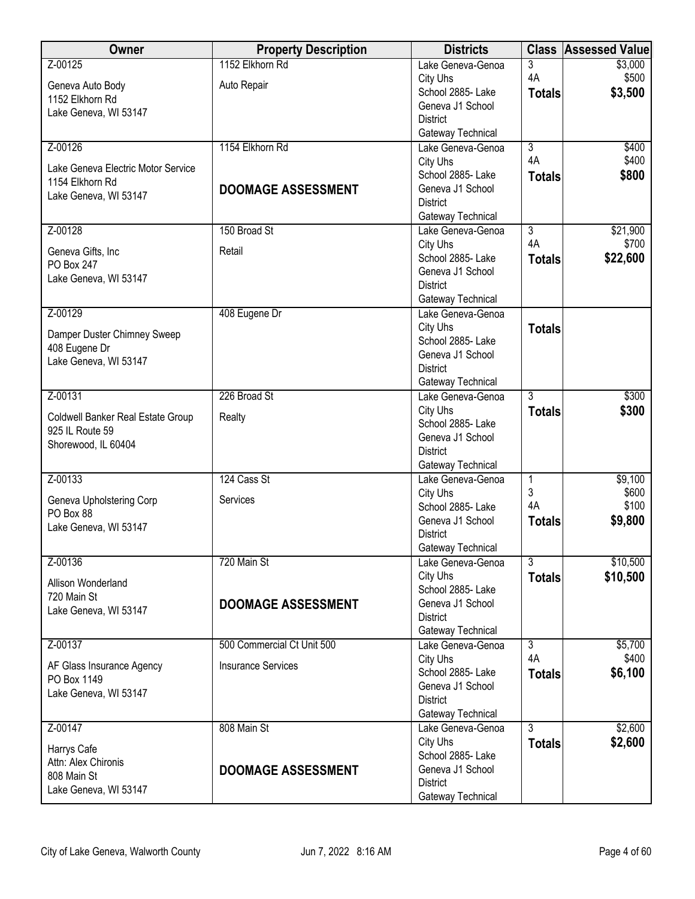| Z-00125<br>3<br>\$3,000<br>Lake Geneva-Genoa<br>4A<br>\$500<br>City Uhs<br>Auto Repair<br>Geneva Auto Body<br>School 2885- Lake<br>\$3,500<br><b>Totals</b><br>1152 Elkhorn Rd<br>Geneva J1 School<br>Lake Geneva, WI 53147<br><b>District</b><br>Gateway Technical<br>1154 Elkhorn Rd<br>Z-00126<br>Lake Geneva-Genoa<br>$\overline{3}$<br>\$400<br>4A<br>\$400<br>City Uhs<br>Lake Geneva Electric Motor Service<br>\$800<br>School 2885-Lake<br><b>Totals</b><br>1154 Elkhorn Rd<br>Geneva J1 School<br><b>DOOMAGE ASSESSMENT</b><br>Lake Geneva, WI 53147<br><b>District</b><br>Gateway Technical<br>150 Broad St<br>$\overline{3}$<br>Z-00128<br>\$21,900<br>Lake Geneva-Genoa<br>4A<br>\$700<br>City Uhs<br>Retail<br>Geneva Gifts, Inc<br>School 2885- Lake<br>\$22,600<br><b>Totals</b><br>PO Box 247<br>Geneva J1 School<br>Lake Geneva, WI 53147<br><b>District</b><br>Gateway Technical<br>Z-00129<br>408 Eugene Dr<br>Lake Geneva-Genoa<br>City Uhs<br><b>Totals</b><br>Damper Duster Chimney Sweep<br>School 2885- Lake<br>408 Eugene Dr<br>Geneva J1 School<br>Lake Geneva, WI 53147<br><b>District</b><br>Gateway Technical<br>$\overline{3}$<br>Z-00131<br>226 Broad St<br>\$300<br>Lake Geneva-Genoa<br>City Uhs<br>\$300<br><b>Totals</b><br>Coldwell Banker Real Estate Group<br>Realty<br>School 2885- Lake<br>925 IL Route 59<br>Geneva J1 School<br>Shorewood, IL 60404<br><b>District</b><br>Gateway Technical<br>Z-00133<br>124 Cass St<br>\$9,100<br>$\mathbf{1}$<br>Lake Geneva-Genoa<br>3<br>\$600<br>City Uhs<br>Geneva Upholstering Corp<br>Services<br>4A<br>\$100<br>School 2885-Lake<br>PO Box 88<br>\$9,800<br>Geneva J1 School<br><b>Totals</b><br>Lake Geneva, WI 53147<br><b>District</b><br>Gateway Technical<br>$\overline{3}$<br>\$10,500<br>Z-00136<br>720 Main St<br>Lake Geneva-Genoa<br>\$10,500<br>City Uhs<br><b>Totals</b><br>Allison Wonderland<br>School 2885- Lake<br>720 Main St<br>Geneva J1 School<br><b>DOOMAGE ASSESSMENT</b><br>Lake Geneva, WI 53147<br><b>District</b><br>Gateway Technical<br>500 Commercial Ct Unit 500<br>Z-00137<br>$\overline{3}$<br>\$5,700<br>Lake Geneva-Genoa<br>4A<br>\$400<br>City Uhs<br><b>Insurance Services</b><br>AF Glass Insurance Agency<br>\$6,100<br>School 2885-Lake<br><b>Totals</b><br>PO Box 1149<br>Geneva J1 School<br>Lake Geneva, WI 53147<br><b>District</b><br>Gateway Technical<br>$\overline{3}$<br>\$2,600<br>Z-00147<br>808 Main St<br>Lake Geneva-Genoa<br>\$2,600<br>City Uhs<br><b>Totals</b><br>Harrys Cafe<br>School 2885- Lake<br>Attn: Alex Chironis<br>Geneva J1 School<br><b>DOOMAGE ASSESSMENT</b><br>808 Main St<br><b>District</b><br>Lake Geneva, WI 53147<br>Gateway Technical | Owner | <b>Property Description</b> | <b>Districts</b> | <b>Class Assessed Value</b> |
|----------------------------------------------------------------------------------------------------------------------------------------------------------------------------------------------------------------------------------------------------------------------------------------------------------------------------------------------------------------------------------------------------------------------------------------------------------------------------------------------------------------------------------------------------------------------------------------------------------------------------------------------------------------------------------------------------------------------------------------------------------------------------------------------------------------------------------------------------------------------------------------------------------------------------------------------------------------------------------------------------------------------------------------------------------------------------------------------------------------------------------------------------------------------------------------------------------------------------------------------------------------------------------------------------------------------------------------------------------------------------------------------------------------------------------------------------------------------------------------------------------------------------------------------------------------------------------------------------------------------------------------------------------------------------------------------------------------------------------------------------------------------------------------------------------------------------------------------------------------------------------------------------------------------------------------------------------------------------------------------------------------------------------------------------------------------------------------------------------------------------------------------------------------------------------------------------------------------------------------------------------------------------------------------------------------------------------------------------------------------------------------------------------------------------------------------------------------------------------------------------------------------------------------------------------------------------------------------------------------------------------------------------------------------------------------------------------|-------|-----------------------------|------------------|-----------------------------|
|                                                                                                                                                                                                                                                                                                                                                                                                                                                                                                                                                                                                                                                                                                                                                                                                                                                                                                                                                                                                                                                                                                                                                                                                                                                                                                                                                                                                                                                                                                                                                                                                                                                                                                                                                                                                                                                                                                                                                                                                                                                                                                                                                                                                                                                                                                                                                                                                                                                                                                                                                                                                                                                                                                          |       | 1152 Elkhorn Rd             |                  |                             |
|                                                                                                                                                                                                                                                                                                                                                                                                                                                                                                                                                                                                                                                                                                                                                                                                                                                                                                                                                                                                                                                                                                                                                                                                                                                                                                                                                                                                                                                                                                                                                                                                                                                                                                                                                                                                                                                                                                                                                                                                                                                                                                                                                                                                                                                                                                                                                                                                                                                                                                                                                                                                                                                                                                          |       |                             |                  |                             |
|                                                                                                                                                                                                                                                                                                                                                                                                                                                                                                                                                                                                                                                                                                                                                                                                                                                                                                                                                                                                                                                                                                                                                                                                                                                                                                                                                                                                                                                                                                                                                                                                                                                                                                                                                                                                                                                                                                                                                                                                                                                                                                                                                                                                                                                                                                                                                                                                                                                                                                                                                                                                                                                                                                          |       |                             |                  |                             |
|                                                                                                                                                                                                                                                                                                                                                                                                                                                                                                                                                                                                                                                                                                                                                                                                                                                                                                                                                                                                                                                                                                                                                                                                                                                                                                                                                                                                                                                                                                                                                                                                                                                                                                                                                                                                                                                                                                                                                                                                                                                                                                                                                                                                                                                                                                                                                                                                                                                                                                                                                                                                                                                                                                          |       |                             |                  |                             |
|                                                                                                                                                                                                                                                                                                                                                                                                                                                                                                                                                                                                                                                                                                                                                                                                                                                                                                                                                                                                                                                                                                                                                                                                                                                                                                                                                                                                                                                                                                                                                                                                                                                                                                                                                                                                                                                                                                                                                                                                                                                                                                                                                                                                                                                                                                                                                                                                                                                                                                                                                                                                                                                                                                          |       |                             |                  |                             |
|                                                                                                                                                                                                                                                                                                                                                                                                                                                                                                                                                                                                                                                                                                                                                                                                                                                                                                                                                                                                                                                                                                                                                                                                                                                                                                                                                                                                                                                                                                                                                                                                                                                                                                                                                                                                                                                                                                                                                                                                                                                                                                                                                                                                                                                                                                                                                                                                                                                                                                                                                                                                                                                                                                          |       |                             |                  |                             |
|                                                                                                                                                                                                                                                                                                                                                                                                                                                                                                                                                                                                                                                                                                                                                                                                                                                                                                                                                                                                                                                                                                                                                                                                                                                                                                                                                                                                                                                                                                                                                                                                                                                                                                                                                                                                                                                                                                                                                                                                                                                                                                                                                                                                                                                                                                                                                                                                                                                                                                                                                                                                                                                                                                          |       |                             |                  |                             |
|                                                                                                                                                                                                                                                                                                                                                                                                                                                                                                                                                                                                                                                                                                                                                                                                                                                                                                                                                                                                                                                                                                                                                                                                                                                                                                                                                                                                                                                                                                                                                                                                                                                                                                                                                                                                                                                                                                                                                                                                                                                                                                                                                                                                                                                                                                                                                                                                                                                                                                                                                                                                                                                                                                          |       |                             |                  |                             |
|                                                                                                                                                                                                                                                                                                                                                                                                                                                                                                                                                                                                                                                                                                                                                                                                                                                                                                                                                                                                                                                                                                                                                                                                                                                                                                                                                                                                                                                                                                                                                                                                                                                                                                                                                                                                                                                                                                                                                                                                                                                                                                                                                                                                                                                                                                                                                                                                                                                                                                                                                                                                                                                                                                          |       |                             |                  |                             |
|                                                                                                                                                                                                                                                                                                                                                                                                                                                                                                                                                                                                                                                                                                                                                                                                                                                                                                                                                                                                                                                                                                                                                                                                                                                                                                                                                                                                                                                                                                                                                                                                                                                                                                                                                                                                                                                                                                                                                                                                                                                                                                                                                                                                                                                                                                                                                                                                                                                                                                                                                                                                                                                                                                          |       |                             |                  |                             |
|                                                                                                                                                                                                                                                                                                                                                                                                                                                                                                                                                                                                                                                                                                                                                                                                                                                                                                                                                                                                                                                                                                                                                                                                                                                                                                                                                                                                                                                                                                                                                                                                                                                                                                                                                                                                                                                                                                                                                                                                                                                                                                                                                                                                                                                                                                                                                                                                                                                                                                                                                                                                                                                                                                          |       |                             |                  |                             |
|                                                                                                                                                                                                                                                                                                                                                                                                                                                                                                                                                                                                                                                                                                                                                                                                                                                                                                                                                                                                                                                                                                                                                                                                                                                                                                                                                                                                                                                                                                                                                                                                                                                                                                                                                                                                                                                                                                                                                                                                                                                                                                                                                                                                                                                                                                                                                                                                                                                                                                                                                                                                                                                                                                          |       |                             |                  |                             |
|                                                                                                                                                                                                                                                                                                                                                                                                                                                                                                                                                                                                                                                                                                                                                                                                                                                                                                                                                                                                                                                                                                                                                                                                                                                                                                                                                                                                                                                                                                                                                                                                                                                                                                                                                                                                                                                                                                                                                                                                                                                                                                                                                                                                                                                                                                                                                                                                                                                                                                                                                                                                                                                                                                          |       |                             |                  |                             |
|                                                                                                                                                                                                                                                                                                                                                                                                                                                                                                                                                                                                                                                                                                                                                                                                                                                                                                                                                                                                                                                                                                                                                                                                                                                                                                                                                                                                                                                                                                                                                                                                                                                                                                                                                                                                                                                                                                                                                                                                                                                                                                                                                                                                                                                                                                                                                                                                                                                                                                                                                                                                                                                                                                          |       |                             |                  |                             |
|                                                                                                                                                                                                                                                                                                                                                                                                                                                                                                                                                                                                                                                                                                                                                                                                                                                                                                                                                                                                                                                                                                                                                                                                                                                                                                                                                                                                                                                                                                                                                                                                                                                                                                                                                                                                                                                                                                                                                                                                                                                                                                                                                                                                                                                                                                                                                                                                                                                                                                                                                                                                                                                                                                          |       |                             |                  |                             |
|                                                                                                                                                                                                                                                                                                                                                                                                                                                                                                                                                                                                                                                                                                                                                                                                                                                                                                                                                                                                                                                                                                                                                                                                                                                                                                                                                                                                                                                                                                                                                                                                                                                                                                                                                                                                                                                                                                                                                                                                                                                                                                                                                                                                                                                                                                                                                                                                                                                                                                                                                                                                                                                                                                          |       |                             |                  |                             |
|                                                                                                                                                                                                                                                                                                                                                                                                                                                                                                                                                                                                                                                                                                                                                                                                                                                                                                                                                                                                                                                                                                                                                                                                                                                                                                                                                                                                                                                                                                                                                                                                                                                                                                                                                                                                                                                                                                                                                                                                                                                                                                                                                                                                                                                                                                                                                                                                                                                                                                                                                                                                                                                                                                          |       |                             |                  |                             |
|                                                                                                                                                                                                                                                                                                                                                                                                                                                                                                                                                                                                                                                                                                                                                                                                                                                                                                                                                                                                                                                                                                                                                                                                                                                                                                                                                                                                                                                                                                                                                                                                                                                                                                                                                                                                                                                                                                                                                                                                                                                                                                                                                                                                                                                                                                                                                                                                                                                                                                                                                                                                                                                                                                          |       |                             |                  |                             |
|                                                                                                                                                                                                                                                                                                                                                                                                                                                                                                                                                                                                                                                                                                                                                                                                                                                                                                                                                                                                                                                                                                                                                                                                                                                                                                                                                                                                                                                                                                                                                                                                                                                                                                                                                                                                                                                                                                                                                                                                                                                                                                                                                                                                                                                                                                                                                                                                                                                                                                                                                                                                                                                                                                          |       |                             |                  |                             |
|                                                                                                                                                                                                                                                                                                                                                                                                                                                                                                                                                                                                                                                                                                                                                                                                                                                                                                                                                                                                                                                                                                                                                                                                                                                                                                                                                                                                                                                                                                                                                                                                                                                                                                                                                                                                                                                                                                                                                                                                                                                                                                                                                                                                                                                                                                                                                                                                                                                                                                                                                                                                                                                                                                          |       |                             |                  |                             |
|                                                                                                                                                                                                                                                                                                                                                                                                                                                                                                                                                                                                                                                                                                                                                                                                                                                                                                                                                                                                                                                                                                                                                                                                                                                                                                                                                                                                                                                                                                                                                                                                                                                                                                                                                                                                                                                                                                                                                                                                                                                                                                                                                                                                                                                                                                                                                                                                                                                                                                                                                                                                                                                                                                          |       |                             |                  |                             |
|                                                                                                                                                                                                                                                                                                                                                                                                                                                                                                                                                                                                                                                                                                                                                                                                                                                                                                                                                                                                                                                                                                                                                                                                                                                                                                                                                                                                                                                                                                                                                                                                                                                                                                                                                                                                                                                                                                                                                                                                                                                                                                                                                                                                                                                                                                                                                                                                                                                                                                                                                                                                                                                                                                          |       |                             |                  |                             |
|                                                                                                                                                                                                                                                                                                                                                                                                                                                                                                                                                                                                                                                                                                                                                                                                                                                                                                                                                                                                                                                                                                                                                                                                                                                                                                                                                                                                                                                                                                                                                                                                                                                                                                                                                                                                                                                                                                                                                                                                                                                                                                                                                                                                                                                                                                                                                                                                                                                                                                                                                                                                                                                                                                          |       |                             |                  |                             |
|                                                                                                                                                                                                                                                                                                                                                                                                                                                                                                                                                                                                                                                                                                                                                                                                                                                                                                                                                                                                                                                                                                                                                                                                                                                                                                                                                                                                                                                                                                                                                                                                                                                                                                                                                                                                                                                                                                                                                                                                                                                                                                                                                                                                                                                                                                                                                                                                                                                                                                                                                                                                                                                                                                          |       |                             |                  |                             |
|                                                                                                                                                                                                                                                                                                                                                                                                                                                                                                                                                                                                                                                                                                                                                                                                                                                                                                                                                                                                                                                                                                                                                                                                                                                                                                                                                                                                                                                                                                                                                                                                                                                                                                                                                                                                                                                                                                                                                                                                                                                                                                                                                                                                                                                                                                                                                                                                                                                                                                                                                                                                                                                                                                          |       |                             |                  |                             |
|                                                                                                                                                                                                                                                                                                                                                                                                                                                                                                                                                                                                                                                                                                                                                                                                                                                                                                                                                                                                                                                                                                                                                                                                                                                                                                                                                                                                                                                                                                                                                                                                                                                                                                                                                                                                                                                                                                                                                                                                                                                                                                                                                                                                                                                                                                                                                                                                                                                                                                                                                                                                                                                                                                          |       |                             |                  |                             |
|                                                                                                                                                                                                                                                                                                                                                                                                                                                                                                                                                                                                                                                                                                                                                                                                                                                                                                                                                                                                                                                                                                                                                                                                                                                                                                                                                                                                                                                                                                                                                                                                                                                                                                                                                                                                                                                                                                                                                                                                                                                                                                                                                                                                                                                                                                                                                                                                                                                                                                                                                                                                                                                                                                          |       |                             |                  |                             |
|                                                                                                                                                                                                                                                                                                                                                                                                                                                                                                                                                                                                                                                                                                                                                                                                                                                                                                                                                                                                                                                                                                                                                                                                                                                                                                                                                                                                                                                                                                                                                                                                                                                                                                                                                                                                                                                                                                                                                                                                                                                                                                                                                                                                                                                                                                                                                                                                                                                                                                                                                                                                                                                                                                          |       |                             |                  |                             |
|                                                                                                                                                                                                                                                                                                                                                                                                                                                                                                                                                                                                                                                                                                                                                                                                                                                                                                                                                                                                                                                                                                                                                                                                                                                                                                                                                                                                                                                                                                                                                                                                                                                                                                                                                                                                                                                                                                                                                                                                                                                                                                                                                                                                                                                                                                                                                                                                                                                                                                                                                                                                                                                                                                          |       |                             |                  |                             |
|                                                                                                                                                                                                                                                                                                                                                                                                                                                                                                                                                                                                                                                                                                                                                                                                                                                                                                                                                                                                                                                                                                                                                                                                                                                                                                                                                                                                                                                                                                                                                                                                                                                                                                                                                                                                                                                                                                                                                                                                                                                                                                                                                                                                                                                                                                                                                                                                                                                                                                                                                                                                                                                                                                          |       |                             |                  |                             |
|                                                                                                                                                                                                                                                                                                                                                                                                                                                                                                                                                                                                                                                                                                                                                                                                                                                                                                                                                                                                                                                                                                                                                                                                                                                                                                                                                                                                                                                                                                                                                                                                                                                                                                                                                                                                                                                                                                                                                                                                                                                                                                                                                                                                                                                                                                                                                                                                                                                                                                                                                                                                                                                                                                          |       |                             |                  |                             |
|                                                                                                                                                                                                                                                                                                                                                                                                                                                                                                                                                                                                                                                                                                                                                                                                                                                                                                                                                                                                                                                                                                                                                                                                                                                                                                                                                                                                                                                                                                                                                                                                                                                                                                                                                                                                                                                                                                                                                                                                                                                                                                                                                                                                                                                                                                                                                                                                                                                                                                                                                                                                                                                                                                          |       |                             |                  |                             |
|                                                                                                                                                                                                                                                                                                                                                                                                                                                                                                                                                                                                                                                                                                                                                                                                                                                                                                                                                                                                                                                                                                                                                                                                                                                                                                                                                                                                                                                                                                                                                                                                                                                                                                                                                                                                                                                                                                                                                                                                                                                                                                                                                                                                                                                                                                                                                                                                                                                                                                                                                                                                                                                                                                          |       |                             |                  |                             |
|                                                                                                                                                                                                                                                                                                                                                                                                                                                                                                                                                                                                                                                                                                                                                                                                                                                                                                                                                                                                                                                                                                                                                                                                                                                                                                                                                                                                                                                                                                                                                                                                                                                                                                                                                                                                                                                                                                                                                                                                                                                                                                                                                                                                                                                                                                                                                                                                                                                                                                                                                                                                                                                                                                          |       |                             |                  |                             |
|                                                                                                                                                                                                                                                                                                                                                                                                                                                                                                                                                                                                                                                                                                                                                                                                                                                                                                                                                                                                                                                                                                                                                                                                                                                                                                                                                                                                                                                                                                                                                                                                                                                                                                                                                                                                                                                                                                                                                                                                                                                                                                                                                                                                                                                                                                                                                                                                                                                                                                                                                                                                                                                                                                          |       |                             |                  |                             |
|                                                                                                                                                                                                                                                                                                                                                                                                                                                                                                                                                                                                                                                                                                                                                                                                                                                                                                                                                                                                                                                                                                                                                                                                                                                                                                                                                                                                                                                                                                                                                                                                                                                                                                                                                                                                                                                                                                                                                                                                                                                                                                                                                                                                                                                                                                                                                                                                                                                                                                                                                                                                                                                                                                          |       |                             |                  |                             |
|                                                                                                                                                                                                                                                                                                                                                                                                                                                                                                                                                                                                                                                                                                                                                                                                                                                                                                                                                                                                                                                                                                                                                                                                                                                                                                                                                                                                                                                                                                                                                                                                                                                                                                                                                                                                                                                                                                                                                                                                                                                                                                                                                                                                                                                                                                                                                                                                                                                                                                                                                                                                                                                                                                          |       |                             |                  |                             |
|                                                                                                                                                                                                                                                                                                                                                                                                                                                                                                                                                                                                                                                                                                                                                                                                                                                                                                                                                                                                                                                                                                                                                                                                                                                                                                                                                                                                                                                                                                                                                                                                                                                                                                                                                                                                                                                                                                                                                                                                                                                                                                                                                                                                                                                                                                                                                                                                                                                                                                                                                                                                                                                                                                          |       |                             |                  |                             |
|                                                                                                                                                                                                                                                                                                                                                                                                                                                                                                                                                                                                                                                                                                                                                                                                                                                                                                                                                                                                                                                                                                                                                                                                                                                                                                                                                                                                                                                                                                                                                                                                                                                                                                                                                                                                                                                                                                                                                                                                                                                                                                                                                                                                                                                                                                                                                                                                                                                                                                                                                                                                                                                                                                          |       |                             |                  |                             |
|                                                                                                                                                                                                                                                                                                                                                                                                                                                                                                                                                                                                                                                                                                                                                                                                                                                                                                                                                                                                                                                                                                                                                                                                                                                                                                                                                                                                                                                                                                                                                                                                                                                                                                                                                                                                                                                                                                                                                                                                                                                                                                                                                                                                                                                                                                                                                                                                                                                                                                                                                                                                                                                                                                          |       |                             |                  |                             |
|                                                                                                                                                                                                                                                                                                                                                                                                                                                                                                                                                                                                                                                                                                                                                                                                                                                                                                                                                                                                                                                                                                                                                                                                                                                                                                                                                                                                                                                                                                                                                                                                                                                                                                                                                                                                                                                                                                                                                                                                                                                                                                                                                                                                                                                                                                                                                                                                                                                                                                                                                                                                                                                                                                          |       |                             |                  |                             |
|                                                                                                                                                                                                                                                                                                                                                                                                                                                                                                                                                                                                                                                                                                                                                                                                                                                                                                                                                                                                                                                                                                                                                                                                                                                                                                                                                                                                                                                                                                                                                                                                                                                                                                                                                                                                                                                                                                                                                                                                                                                                                                                                                                                                                                                                                                                                                                                                                                                                                                                                                                                                                                                                                                          |       |                             |                  |                             |
|                                                                                                                                                                                                                                                                                                                                                                                                                                                                                                                                                                                                                                                                                                                                                                                                                                                                                                                                                                                                                                                                                                                                                                                                                                                                                                                                                                                                                                                                                                                                                                                                                                                                                                                                                                                                                                                                                                                                                                                                                                                                                                                                                                                                                                                                                                                                                                                                                                                                                                                                                                                                                                                                                                          |       |                             |                  |                             |
|                                                                                                                                                                                                                                                                                                                                                                                                                                                                                                                                                                                                                                                                                                                                                                                                                                                                                                                                                                                                                                                                                                                                                                                                                                                                                                                                                                                                                                                                                                                                                                                                                                                                                                                                                                                                                                                                                                                                                                                                                                                                                                                                                                                                                                                                                                                                                                                                                                                                                                                                                                                                                                                                                                          |       |                             |                  |                             |
|                                                                                                                                                                                                                                                                                                                                                                                                                                                                                                                                                                                                                                                                                                                                                                                                                                                                                                                                                                                                                                                                                                                                                                                                                                                                                                                                                                                                                                                                                                                                                                                                                                                                                                                                                                                                                                                                                                                                                                                                                                                                                                                                                                                                                                                                                                                                                                                                                                                                                                                                                                                                                                                                                                          |       |                             |                  |                             |
|                                                                                                                                                                                                                                                                                                                                                                                                                                                                                                                                                                                                                                                                                                                                                                                                                                                                                                                                                                                                                                                                                                                                                                                                                                                                                                                                                                                                                                                                                                                                                                                                                                                                                                                                                                                                                                                                                                                                                                                                                                                                                                                                                                                                                                                                                                                                                                                                                                                                                                                                                                                                                                                                                                          |       |                             |                  |                             |
|                                                                                                                                                                                                                                                                                                                                                                                                                                                                                                                                                                                                                                                                                                                                                                                                                                                                                                                                                                                                                                                                                                                                                                                                                                                                                                                                                                                                                                                                                                                                                                                                                                                                                                                                                                                                                                                                                                                                                                                                                                                                                                                                                                                                                                                                                                                                                                                                                                                                                                                                                                                                                                                                                                          |       |                             |                  |                             |
|                                                                                                                                                                                                                                                                                                                                                                                                                                                                                                                                                                                                                                                                                                                                                                                                                                                                                                                                                                                                                                                                                                                                                                                                                                                                                                                                                                                                                                                                                                                                                                                                                                                                                                                                                                                                                                                                                                                                                                                                                                                                                                                                                                                                                                                                                                                                                                                                                                                                                                                                                                                                                                                                                                          |       |                             |                  |                             |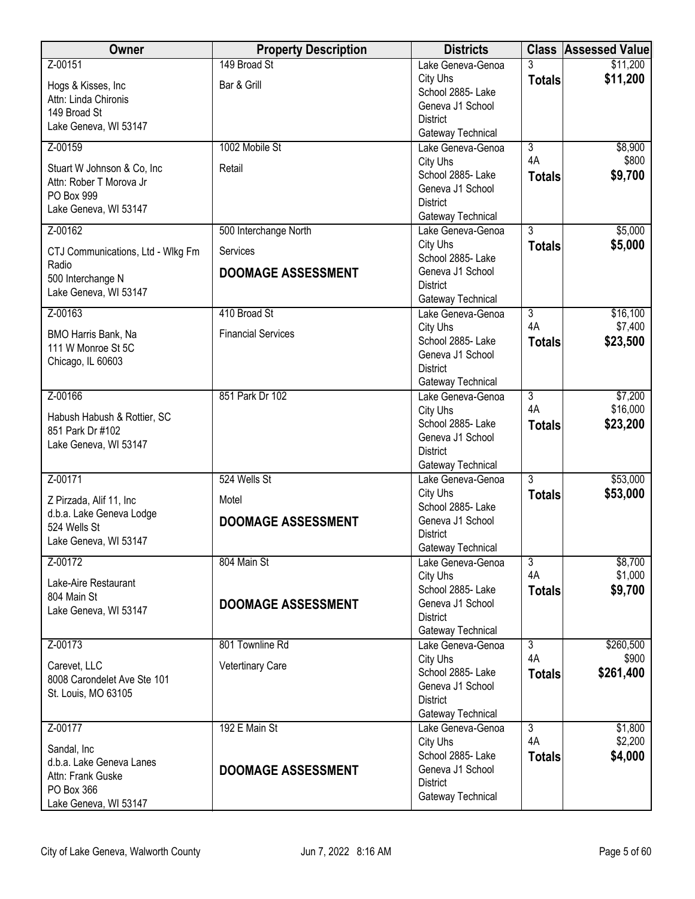| Owner                                         | <b>Property Description</b> | <b>Districts</b>                       |                      | <b>Class Assessed Value</b> |
|-----------------------------------------------|-----------------------------|----------------------------------------|----------------------|-----------------------------|
| Z-00151                                       | 149 Broad St                | Lake Geneva-Genoa                      | 3                    | \$11,200                    |
| Hogs & Kisses, Inc.                           | Bar & Grill                 | City Uhs                               | <b>Totals</b>        | \$11,200                    |
| Attn: Linda Chironis                          |                             | School 2885- Lake<br>Geneva J1 School  |                      |                             |
| 149 Broad St                                  |                             | <b>District</b>                        |                      |                             |
| Lake Geneva, WI 53147                         |                             | Gateway Technical                      |                      |                             |
| Z-00159                                       | 1002 Mobile St              | Lake Geneva-Genoa                      | $\overline{3}$       | \$8,900                     |
| Stuart W Johnson & Co, Inc                    | Retail                      | City Uhs                               | 4A                   | \$800                       |
| Attn: Rober T Morova Jr                       |                             | School 2885- Lake                      | <b>Totals</b>        | \$9,700                     |
| PO Box 999                                    |                             | Geneva J1 School<br><b>District</b>    |                      |                             |
| Lake Geneva, WI 53147                         |                             | Gateway Technical                      |                      |                             |
| Z-00162                                       | 500 Interchange North       | Lake Geneva-Genoa                      | $\overline{3}$       | \$5,000                     |
|                                               | Services                    | City Uhs                               | <b>Totals</b>        | \$5,000                     |
| CTJ Communications, Ltd - Wlkg Fm<br>Radio    |                             | School 2885- Lake                      |                      |                             |
| 500 Interchange N                             | <b>DOOMAGE ASSESSMENT</b>   | Geneva J1 School                       |                      |                             |
| Lake Geneva, WI 53147                         |                             | <b>District</b>                        |                      |                             |
| Z-00163                                       | 410 Broad St                | Gateway Technical<br>Lake Geneva-Genoa | 3                    | \$16,100                    |
|                                               |                             | City Uhs                               | 4A                   | \$7,400                     |
| BMO Harris Bank, Na                           | <b>Financial Services</b>   | School 2885- Lake                      | <b>Totals</b>        | \$23,500                    |
| 111 W Monroe St 5C                            |                             | Geneva J1 School                       |                      |                             |
| Chicago, IL 60603                             |                             | <b>District</b>                        |                      |                             |
|                                               |                             | Gateway Technical                      |                      |                             |
| Z-00166                                       | 851 Park Dr 102             | Lake Geneva-Genoa<br>City Uhs          | $\overline{3}$<br>4A | \$7,200<br>\$16,000         |
| Habush Habush & Rottier, SC                   |                             | School 2885- Lake                      | <b>Totals</b>        | \$23,200                    |
| 851 Park Dr #102                              |                             | Geneva J1 School                       |                      |                             |
| Lake Geneva, WI 53147                         |                             | <b>District</b>                        |                      |                             |
|                                               |                             | Gateway Technical                      |                      |                             |
| Z-00171                                       | 524 Wells St                | Lake Geneva-Genoa                      | $\overline{3}$       | \$53,000                    |
| Z Pirzada, Alif 11, Inc                       | Motel                       | City Uhs                               | <b>Totals</b>        | \$53,000                    |
| d.b.a. Lake Geneva Lodge                      |                             | School 2885- Lake<br>Geneva J1 School  |                      |                             |
| 524 Wells St                                  | <b>DOOMAGE ASSESSMENT</b>   | <b>District</b>                        |                      |                             |
| Lake Geneva, WI 53147                         |                             | Gateway Technical                      |                      |                             |
| Z-00172                                       | 804 Main St                 | Lake Geneva-Genoa                      | 3                    | \$8,700                     |
| Lake-Aire Restaurant                          |                             | City Uhs                               | 4A                   | \$1,000                     |
| 804 Main St                                   |                             | School 2885- Lake                      | <b>Totals</b>        | \$9,700                     |
| Lake Geneva, WI 53147                         | <b>DOOMAGE ASSESSMENT</b>   | Geneva J1 School<br><b>District</b>    |                      |                             |
|                                               |                             | Gateway Technical                      |                      |                             |
| Z-00173                                       | 801 Townline Rd             | Lake Geneva-Genoa                      | $\overline{3}$       | \$260,500                   |
|                                               | <b>Vetertinary Care</b>     | City Uhs                               | 4A                   | \$900                       |
| Carevet, LLC<br>8008 Carondelet Ave Ste 101   |                             | School 2885- Lake                      | <b>Totals</b>        | \$261,400                   |
| St. Louis, MO 63105                           |                             | Geneva J1 School                       |                      |                             |
|                                               |                             | <b>District</b>                        |                      |                             |
| Z-00177                                       | 192 E Main St               | Gateway Technical<br>Lake Geneva-Genoa | $\overline{3}$       | \$1,800                     |
|                                               |                             | City Uhs                               | 4A                   | \$2,200                     |
| Sandal, Inc                                   |                             | School 2885- Lake                      | <b>Totals</b>        | \$4,000                     |
| d.b.a. Lake Geneva Lanes<br>Attn: Frank Guske | <b>DOOMAGE ASSESSMENT</b>   | Geneva J1 School                       |                      |                             |
| PO Box 366                                    |                             | <b>District</b>                        |                      |                             |
| Lake Geneva, WI 53147                         |                             | Gateway Technical                      |                      |                             |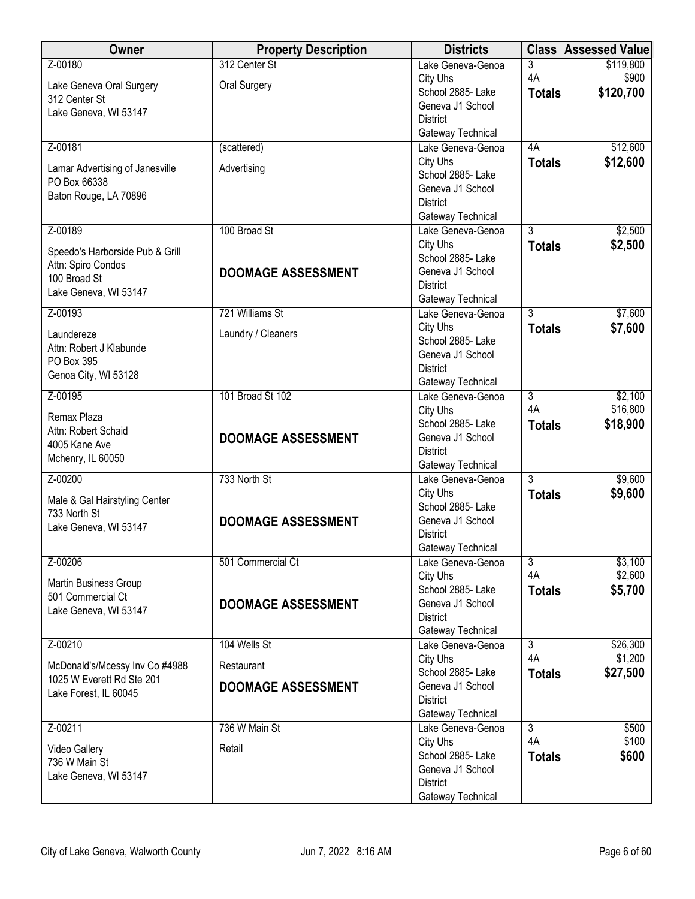| Owner                                      | <b>Property Description</b> | <b>Districts</b>                      |                      | <b>Class Assessed Value</b> |
|--------------------------------------------|-----------------------------|---------------------------------------|----------------------|-----------------------------|
| Z-00180                                    | 312 Center St               | Lake Geneva-Genoa                     | $\overline{3}$       | \$119,800                   |
| Lake Geneva Oral Surgery                   | Oral Surgery                | City Uhs                              | 4A                   | \$900                       |
| 312 Center St                              |                             | School 2885- Lake                     | <b>Totals</b>        | \$120,700                   |
| Lake Geneva, WI 53147                      |                             | Geneva J1 School                      |                      |                             |
|                                            |                             | <b>District</b><br>Gateway Technical  |                      |                             |
| Z-00181                                    | (scattered)                 | Lake Geneva-Genoa                     | 4A                   | \$12,600                    |
|                                            |                             | City Uhs                              | <b>Totals</b>        | \$12,600                    |
| Lamar Advertising of Janesville            | Advertising                 | School 2885-Lake                      |                      |                             |
| PO Box 66338                               |                             | Geneva J1 School                      |                      |                             |
| Baton Rouge, LA 70896                      |                             | <b>District</b>                       |                      |                             |
|                                            |                             | Gateway Technical                     |                      |                             |
| Z-00189                                    | 100 Broad St                | Lake Geneva-Genoa                     | $\overline{3}$       | \$2,500                     |
| Speedo's Harborside Pub & Grill            |                             | City Uhs                              | <b>Totals</b>        | \$2,500                     |
| Attn: Spiro Condos                         | <b>DOOMAGE ASSESSMENT</b>   | School 2885- Lake<br>Geneva J1 School |                      |                             |
| 100 Broad St                               |                             | <b>District</b>                       |                      |                             |
| Lake Geneva, WI 53147                      |                             | Gateway Technical                     |                      |                             |
| Z-00193                                    | 721 Williams St             | Lake Geneva-Genoa                     | $\overline{3}$       | \$7,600                     |
|                                            | Laundry / Cleaners          | City Uhs                              | <b>Totals</b>        | \$7,600                     |
| Laundereze<br>Attn: Robert J Klabunde      |                             | School 2885- Lake                     |                      |                             |
| PO Box 395                                 |                             | Geneva J1 School                      |                      |                             |
| Genoa City, WI 53128                       |                             | <b>District</b>                       |                      |                             |
| Z-00195                                    |                             | Gateway Technical                     |                      |                             |
|                                            | 101 Broad St 102            | Lake Geneva-Genoa<br>City Uhs         | $\overline{3}$<br>4A | \$2,100<br>\$16,800         |
| Remax Plaza                                |                             | School 2885- Lake                     | <b>Totals</b>        | \$18,900                    |
| Attn: Robert Schaid                        | <b>DOOMAGE ASSESSMENT</b>   | Geneva J1 School                      |                      |                             |
| 4005 Kane Ave                              |                             | <b>District</b>                       |                      |                             |
| Mchenry, IL 60050                          |                             | Gateway Technical                     |                      |                             |
| Z-00200                                    | 733 North St                | Lake Geneva-Genoa                     | $\overline{3}$       | \$9,600                     |
| Male & Gal Hairstyling Center              |                             | City Uhs                              | <b>Totals</b>        | \$9,600                     |
| 733 North St                               |                             | School 2885- Lake                     |                      |                             |
| Lake Geneva, WI 53147                      | <b>DOOMAGE ASSESSMENT</b>   | Geneva J1 School                      |                      |                             |
|                                            |                             | <b>District</b><br>Gateway Technical  |                      |                             |
| Z-00206                                    | 501 Commercial Ct           | Lake Geneva-Genoa                     | $\overline{3}$       | \$3,100                     |
|                                            |                             | City Uhs                              | 4A                   | \$2,600                     |
| Martin Business Group                      |                             | School 2885- Lake                     | <b>Totals</b>        | \$5,700                     |
| 501 Commercial Ct<br>Lake Geneva, WI 53147 | <b>DOOMAGE ASSESSMENT</b>   | Geneva J1 School                      |                      |                             |
|                                            |                             | <b>District</b>                       |                      |                             |
|                                            |                             | Gateway Technical                     |                      |                             |
| Z-00210                                    | 104 Wells St                | Lake Geneva-Genoa                     | $\overline{3}$       | \$26,300                    |
| McDonald's/Mcessy Inv Co #4988             | Restaurant                  | City Uhs<br>School 2885- Lake         | 4A                   | \$1,200<br>\$27,500         |
| 1025 W Everett Rd Ste 201                  | <b>DOOMAGE ASSESSMENT</b>   | Geneva J1 School                      | <b>Totals</b>        |                             |
| Lake Forest, IL 60045                      |                             | <b>District</b>                       |                      |                             |
|                                            |                             | Gateway Technical                     |                      |                             |
| Z-00211                                    | 736 W Main St               | Lake Geneva-Genoa                     | $\overline{3}$       | \$500                       |
| Video Gallery                              | Retail                      | City Uhs                              | 4A                   | \$100                       |
| 736 W Main St                              |                             | School 2885- Lake                     | <b>Totals</b>        | \$600                       |
| Lake Geneva, WI 53147                      |                             | Geneva J1 School                      |                      |                             |
|                                            |                             | <b>District</b>                       |                      |                             |
|                                            |                             | Gateway Technical                     |                      |                             |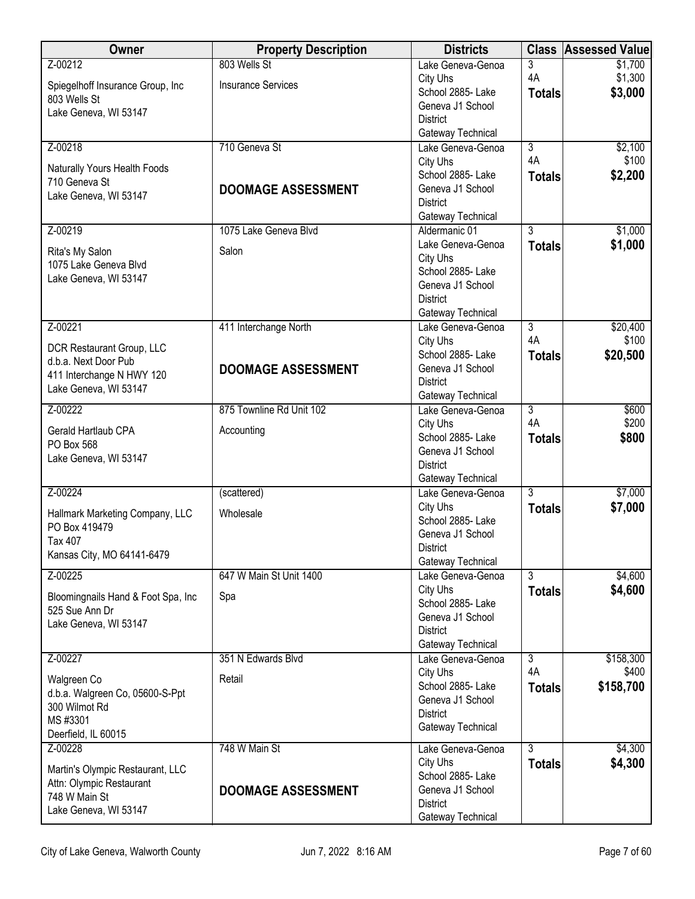| Owner                                                | <b>Property Description</b> | <b>Districts</b>                       |                | <b>Class Assessed Value</b> |
|------------------------------------------------------|-----------------------------|----------------------------------------|----------------|-----------------------------|
| Z-00212                                              | 803 Wells St                | Lake Geneva-Genoa                      | 3              | \$1,700                     |
| Spiegelhoff Insurance Group, Inc                     | <b>Insurance Services</b>   | City Uhs                               | 4A             | \$1,300                     |
| 803 Wells St                                         |                             | School 2885- Lake<br>Geneva J1 School  | <b>Totals</b>  | \$3,000                     |
| Lake Geneva, WI 53147                                |                             | <b>District</b>                        |                |                             |
|                                                      |                             | Gateway Technical                      |                |                             |
| Z-00218                                              | 710 Geneva St               | Lake Geneva-Genoa                      | 3              | \$2,100                     |
| Naturally Yours Health Foods                         |                             | City Uhs                               | 4A             | \$100                       |
| 710 Geneva St                                        |                             | School 2885- Lake                      | <b>Totals</b>  | \$2,200                     |
| Lake Geneva, WI 53147                                | <b>DOOMAGE ASSESSMENT</b>   | Geneva J1 School<br><b>District</b>    |                |                             |
|                                                      |                             | Gateway Technical                      |                |                             |
| Z-00219                                              | 1075 Lake Geneva Blvd       | Aldermanic 01                          | $\overline{3}$ | \$1,000                     |
| Rita's My Salon                                      | Salon                       | Lake Geneva-Genoa                      | <b>Totals</b>  | \$1,000                     |
| 1075 Lake Geneva Blvd                                |                             | City Uhs                               |                |                             |
| Lake Geneva, WI 53147                                |                             | School 2885- Lake                      |                |                             |
|                                                      |                             | Geneva J1 School<br><b>District</b>    |                |                             |
|                                                      |                             | Gateway Technical                      |                |                             |
| Z-00221                                              | 411 Interchange North       | Lake Geneva-Genoa                      | $\overline{3}$ | \$20,400                    |
| DCR Restaurant Group, LLC                            |                             | City Uhs                               | 4A             | \$100                       |
| d.b.a. Next Door Pub                                 |                             | School 2885- Lake                      | <b>Totals</b>  | \$20,500                    |
| 411 Interchange N HWY 120                            | <b>DOOMAGE ASSESSMENT</b>   | Geneva J1 School                       |                |                             |
| Lake Geneva, WI 53147                                |                             | <b>District</b><br>Gateway Technical   |                |                             |
| Z-00222                                              | 875 Townline Rd Unit 102    | Lake Geneva-Genoa                      | $\overline{3}$ | \$600                       |
| Gerald Hartlaub CPA                                  | Accounting                  | City Uhs                               | 4A             | \$200                       |
| PO Box 568                                           |                             | School 2885- Lake                      | <b>Totals</b>  | \$800                       |
| Lake Geneva, WI 53147                                |                             | Geneva J1 School                       |                |                             |
|                                                      |                             | <b>District</b><br>Gateway Technical   |                |                             |
| Z-00224                                              | (scattered)                 | Lake Geneva-Genoa                      | $\overline{3}$ | \$7,000                     |
|                                                      |                             | City Uhs                               | <b>Totals</b>  | \$7,000                     |
| Hallmark Marketing Company, LLC<br>PO Box 419479     | Wholesale                   | School 2885- Lake                      |                |                             |
| Tax 407                                              |                             | Geneva J1 School                       |                |                             |
| Kansas City, MO 64141-6479                           |                             | District                               |                |                             |
| Z-00225                                              | 647 W Main St Unit 1400     | Gateway Technical<br>Lake Geneva-Genoa | $\overline{3}$ | \$4,600                     |
|                                                      |                             | City Uhs                               | <b>Totals</b>  | \$4,600                     |
| Bloomingnails Hand & Foot Spa, Inc<br>525 Sue Ann Dr | Spa                         | School 2885- Lake                      |                |                             |
| Lake Geneva, WI 53147                                |                             | Geneva J1 School                       |                |                             |
|                                                      |                             | <b>District</b>                        |                |                             |
| Z-00227                                              | 351 N Edwards Blvd          | Gateway Technical<br>Lake Geneva-Genoa | $\overline{3}$ | \$158,300                   |
|                                                      |                             | City Uhs                               | 4A             | \$400                       |
| Walgreen Co                                          | Retail                      | School 2885- Lake                      | <b>Totals</b>  | \$158,700                   |
| d.b.a. Walgreen Co, 05600-S-Ppt<br>300 Wilmot Rd     |                             | Geneva J1 School                       |                |                             |
| MS #3301                                             |                             | <b>District</b>                        |                |                             |
| Deerfield, IL 60015                                  |                             | Gateway Technical                      |                |                             |
| Z-00228                                              | 748 W Main St               | Lake Geneva-Genoa                      | $\overline{3}$ | \$4,300                     |
| Martin's Olympic Restaurant, LLC                     |                             | City Uhs                               | <b>Totals</b>  | \$4,300                     |
| Attn: Olympic Restaurant                             |                             | School 2885- Lake<br>Geneva J1 School  |                |                             |
| 748 W Main St                                        | <b>DOOMAGE ASSESSMENT</b>   | <b>District</b>                        |                |                             |
| Lake Geneva, WI 53147                                |                             | Gateway Technical                      |                |                             |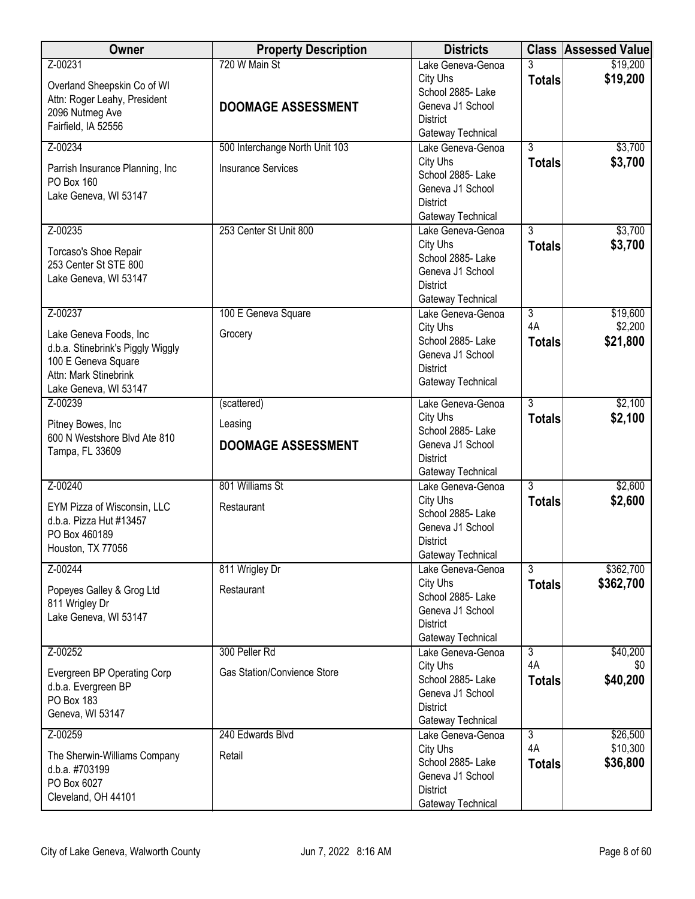| Owner                                                  | <b>Property Description</b>        | <b>Districts</b>                       |                      | <b>Class Assessed Value</b> |
|--------------------------------------------------------|------------------------------------|----------------------------------------|----------------------|-----------------------------|
| Z-00231                                                | 720 W Main St                      | Lake Geneva-Genoa                      | 3                    | \$19,200                    |
| Overland Sheepskin Co of WI                            |                                    | City Uhs                               | <b>Totals</b>        | \$19,200                    |
| Attn: Roger Leahy, President                           | <b>DOOMAGE ASSESSMENT</b>          | School 2885- Lake<br>Geneva J1 School  |                      |                             |
| 2096 Nutmeg Ave                                        |                                    | <b>District</b>                        |                      |                             |
| Fairfield, IA 52556                                    |                                    | Gateway Technical                      |                      |                             |
| Z-00234                                                | 500 Interchange North Unit 103     | Lake Geneva-Genoa                      | $\overline{3}$       | \$3,700                     |
| Parrish Insurance Planning, Inc                        | <b>Insurance Services</b>          | City Uhs                               | <b>Totals</b>        | \$3,700                     |
| PO Box 160                                             |                                    | School 2885-Lake                       |                      |                             |
| Lake Geneva, WI 53147                                  |                                    | Geneva J1 School<br><b>District</b>    |                      |                             |
|                                                        |                                    | Gateway Technical                      |                      |                             |
| Z-00235                                                | 253 Center St Unit 800             | Lake Geneva-Genoa                      | $\overline{3}$       | \$3,700                     |
|                                                        |                                    | City Uhs                               | <b>Totals</b>        | \$3,700                     |
| Torcaso's Shoe Repair<br>253 Center St STE 800         |                                    | School 2885- Lake                      |                      |                             |
| Lake Geneva, WI 53147                                  |                                    | Geneva J1 School                       |                      |                             |
|                                                        |                                    | <b>District</b>                        |                      |                             |
| Z-00237                                                |                                    | Gateway Technical<br>Lake Geneva-Genoa | $\overline{3}$       | \$19,600                    |
|                                                        | 100 E Geneva Square                | City Uhs                               | 4A                   | \$2,200                     |
| Lake Geneva Foods, Inc                                 | Grocery                            | School 2885- Lake                      | <b>Totals</b>        | \$21,800                    |
| d.b.a. Stinebrink's Piggly Wiggly                      |                                    | Geneva J1 School                       |                      |                             |
| 100 E Geneva Square<br>Attn: Mark Stinebrink           |                                    | <b>District</b>                        |                      |                             |
| Lake Geneva, WI 53147                                  |                                    | Gateway Technical                      |                      |                             |
| Z-00239                                                | (scattered)                        | Lake Geneva-Genoa                      | $\overline{3}$       | \$2,100                     |
| Pitney Bowes, Inc                                      | Leasing                            | City Uhs                               | <b>Totals</b>        | \$2,100                     |
| 600 N Westshore Blvd Ate 810                           |                                    | School 2885- Lake                      |                      |                             |
| Tampa, FL 33609                                        | <b>DOOMAGE ASSESSMENT</b>          | Geneva J1 School                       |                      |                             |
|                                                        |                                    | <b>District</b><br>Gateway Technical   |                      |                             |
| Z-00240                                                | 801 Williams St                    | Lake Geneva-Genoa                      | 3                    | \$2,600                     |
|                                                        |                                    | City Uhs                               | <b>Totals</b>        | \$2,600                     |
| EYM Pizza of Wisconsin, LLC<br>d.b.a. Pizza Hut #13457 | Restaurant                         | School 2885-Lake                       |                      |                             |
| PO Box 460189                                          |                                    | Geneva J1 School                       |                      |                             |
| Houston, TX 77056                                      |                                    | <b>District</b>                        |                      |                             |
| Z-00244                                                | 811 Wrigley Dr                     | Gateway Technical<br>Lake Geneva-Genoa | $\overline{3}$       | \$362,700                   |
|                                                        |                                    | City Uhs                               | <b>Totals</b>        | \$362,700                   |
| Popeyes Galley & Grog Ltd                              | Restaurant                         | School 2885- Lake                      |                      |                             |
| 811 Wrigley Dr<br>Lake Geneva, WI 53147                |                                    | Geneva J1 School                       |                      |                             |
|                                                        |                                    | <b>District</b>                        |                      |                             |
|                                                        |                                    | Gateway Technical                      |                      |                             |
| Z-00252                                                | 300 Peller Rd                      | Lake Geneva-Genoa<br>City Uhs          | $\overline{3}$<br>4A | \$40,200<br>\$0             |
| Evergreen BP Operating Corp                            | <b>Gas Station/Convience Store</b> | School 2885- Lake                      | <b>Totals</b>        | \$40,200                    |
| d.b.a. Evergreen BP                                    |                                    | Geneva J1 School                       |                      |                             |
| PO Box 183<br>Geneva, WI 53147                         |                                    | <b>District</b>                        |                      |                             |
|                                                        |                                    | Gateway Technical                      |                      |                             |
| Z-00259                                                | 240 Edwards Blvd                   | Lake Geneva-Genoa                      | $\overline{3}$<br>4A | \$26,500                    |
| The Sherwin-Williams Company                           | Retail                             | City Uhs<br>School 2885- Lake          |                      | \$10,300<br>\$36,800        |
| d.b.a. #703199                                         |                                    | Geneva J1 School                       | <b>Totals</b>        |                             |
| PO Box 6027                                            |                                    | <b>District</b>                        |                      |                             |
| Cleveland, OH 44101                                    |                                    | Gateway Technical                      |                      |                             |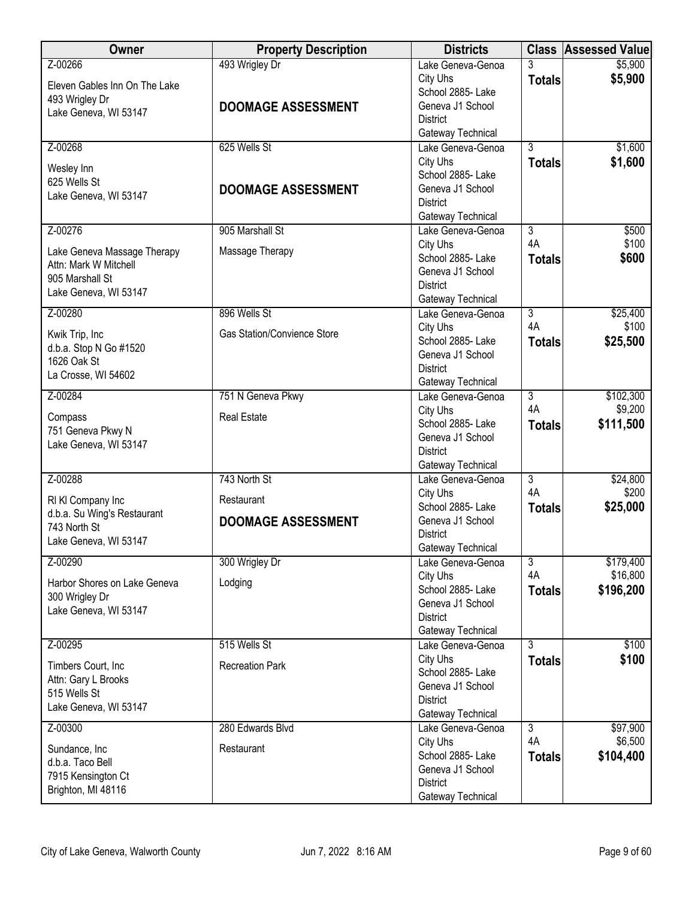| Owner                                    | <b>Property Description</b> | <b>Districts</b>                                         |                      | <b>Class Assessed Value</b> |
|------------------------------------------|-----------------------------|----------------------------------------------------------|----------------------|-----------------------------|
| Z-00266<br>Eleven Gables Inn On The Lake | 493 Wrigley Dr              | Lake Geneva-Genoa<br>City Uhs                            | 3<br><b>Totals</b>   | \$5,900<br>\$5,900          |
| 493 Wrigley Dr<br>Lake Geneva, WI 53147  | <b>DOOMAGE ASSESSMENT</b>   | School 2885- Lake<br>Geneva J1 School<br><b>District</b> |                      |                             |
|                                          |                             | Gateway Technical                                        |                      |                             |
| Z-00268                                  | 625 Wells St                | Lake Geneva-Genoa                                        | $\overline{3}$       | \$1,600                     |
| Wesley Inn                               |                             | City Uhs                                                 | <b>Totals</b>        | \$1,600                     |
| 625 Wells St                             |                             | School 2885- Lake                                        |                      |                             |
| Lake Geneva, WI 53147                    | <b>DOOMAGE ASSESSMENT</b>   | Geneva J1 School<br><b>District</b>                      |                      |                             |
|                                          |                             | Gateway Technical                                        |                      |                             |
| Z-00276                                  | 905 Marshall St             | Lake Geneva-Genoa                                        | $\overline{3}$       | \$500                       |
| Lake Geneva Massage Therapy              | Massage Therapy             | City Uhs                                                 | 4A                   | \$100                       |
| Attn: Mark W Mitchell                    |                             | School 2885- Lake                                        | <b>Totals</b>        | \$600                       |
| 905 Marshall St                          |                             | Geneva J1 School                                         |                      |                             |
| Lake Geneva, WI 53147                    |                             | <b>District</b><br>Gateway Technical                     |                      |                             |
| Z-00280                                  | 896 Wells St                | Lake Geneva-Genoa                                        | $\overline{3}$       | \$25,400                    |
|                                          |                             | City Uhs                                                 | 4A                   | \$100                       |
| Kwik Trip, Inc<br>d.b.a. Stop N Go #1520 | Gas Station/Convience Store | School 2885- Lake                                        | <b>Totals</b>        | \$25,500                    |
| 1626 Oak St                              |                             | Geneva J1 School                                         |                      |                             |
| La Crosse, WI 54602                      |                             | <b>District</b>                                          |                      |                             |
|                                          |                             | Gateway Technical                                        |                      |                             |
| Z-00284                                  | 751 N Geneva Pkwy           | Lake Geneva-Genoa<br>City Uhs                            | $\overline{3}$<br>4A | \$102,300<br>\$9,200        |
| Compass                                  | <b>Real Estate</b>          | School 2885- Lake                                        | <b>Totals</b>        | \$111,500                   |
| 751 Geneva Pkwy N                        |                             | Geneva J1 School                                         |                      |                             |
| Lake Geneva, WI 53147                    |                             | <b>District</b>                                          |                      |                             |
|                                          |                             | Gateway Technical                                        |                      |                             |
| Z-00288                                  | 743 North St                | Lake Geneva-Genoa                                        | $\overline{3}$<br>4A | \$24,800                    |
| RI KI Company Inc                        | Restaurant                  | City Uhs<br>School 2885- Lake                            |                      | \$200<br>\$25,000           |
| d.b.a. Su Wing's Restaurant              | <b>DOOMAGE ASSESSMENT</b>   | Geneva J1 School                                         | <b>Totals</b>        |                             |
| 743 North St                             |                             | <b>District</b>                                          |                      |                             |
| Lake Geneva, WI 53147                    |                             | Gateway Technical                                        |                      |                             |
| Z-00290                                  | 300 Wrigley Dr              | Lake Geneva-Genoa                                        | $\overline{3}$       | \$179,400                   |
| Harbor Shores on Lake Geneva             | Lodging                     | City Uhs                                                 | 4A                   | \$16,800                    |
| 300 Wrigley Dr                           |                             | School 2885- Lake                                        | <b>Totals</b>        | \$196,200                   |
| Lake Geneva, WI 53147                    |                             | Geneva J1 School<br><b>District</b>                      |                      |                             |
|                                          |                             | Gateway Technical                                        |                      |                             |
| Z-00295                                  | 515 Wells St                | Lake Geneva-Genoa                                        | $\overline{3}$       | \$100                       |
| Timbers Court, Inc.                      | <b>Recreation Park</b>      | City Uhs                                                 | <b>Totals</b>        | \$100                       |
| Attn: Gary L Brooks                      |                             | School 2885- Lake                                        |                      |                             |
| 515 Wells St                             |                             | Geneva J1 School                                         |                      |                             |
| Lake Geneva, WI 53147                    |                             | <b>District</b><br>Gateway Technical                     |                      |                             |
| Z-00300                                  | 280 Edwards Blvd            | Lake Geneva-Genoa                                        | $\overline{3}$       | \$97,900                    |
|                                          |                             | City Uhs                                                 | 4A                   | \$6,500                     |
| Sundance, Inc<br>d.b.a. Taco Bell        | Restaurant                  | School 2885- Lake                                        | <b>Totals</b>        | \$104,400                   |
| 7915 Kensington Ct                       |                             | Geneva J1 School                                         |                      |                             |
| Brighton, MI 48116                       |                             | <b>District</b>                                          |                      |                             |
|                                          |                             | Gateway Technical                                        |                      |                             |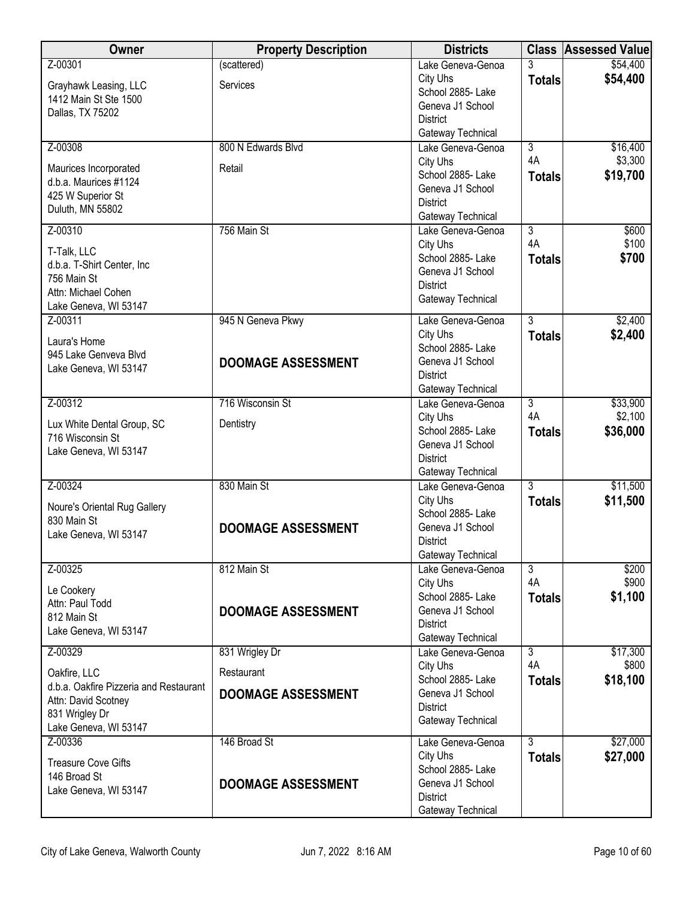| Owner                                                  | <b>Property Description</b> | <b>Districts</b>                       |                | <b>Class Assessed Value</b> |
|--------------------------------------------------------|-----------------------------|----------------------------------------|----------------|-----------------------------|
| Z-00301                                                | (scattered)                 | Lake Geneva-Genoa                      | 3              | \$54,400                    |
| Grayhawk Leasing, LLC                                  | Services                    | City Uhs                               | <b>Totals</b>  | \$54,400                    |
| 1412 Main St Ste 1500                                  |                             | School 2885- Lake<br>Geneva J1 School  |                |                             |
| Dallas, TX 75202                                       |                             | <b>District</b>                        |                |                             |
|                                                        |                             | Gateway Technical                      |                |                             |
| Z-00308                                                | 800 N Edwards Blvd          | Lake Geneva-Genoa                      | $\overline{3}$ | \$16,400                    |
| Maurices Incorporated                                  | Retail                      | City Uhs                               | 4A             | \$3,300                     |
| d.b.a. Maurices #1124                                  |                             | School 2885- Lake                      | <b>Totals</b>  | \$19,700                    |
| 425 W Superior St                                      |                             | Geneva J1 School<br><b>District</b>    |                |                             |
| Duluth, MN 55802                                       |                             | Gateway Technical                      |                |                             |
| Z-00310                                                | 756 Main St                 | Lake Geneva-Genoa                      | $\overline{3}$ | \$600                       |
| T-Talk, LLC                                            |                             | City Uhs                               | 4A             | \$100                       |
| d.b.a. T-Shirt Center, Inc                             |                             | School 2885- Lake                      | <b>Totals</b>  | \$700                       |
| 756 Main St                                            |                             | Geneva J1 School<br><b>District</b>    |                |                             |
| Attn: Michael Cohen                                    |                             | Gateway Technical                      |                |                             |
| Lake Geneva, WI 53147<br>Z-00311                       | 945 N Geneva Pkwy           | Lake Geneva-Genoa                      | $\overline{3}$ | \$2,400                     |
|                                                        |                             | City Uhs                               | <b>Totals</b>  | \$2,400                     |
| Laura's Home<br>945 Lake Genveva Blvd                  |                             | School 2885- Lake                      |                |                             |
| Lake Geneva, WI 53147                                  | <b>DOOMAGE ASSESSMENT</b>   | Geneva J1 School                       |                |                             |
|                                                        |                             | <b>District</b>                        |                |                             |
| Z-00312                                                | 716 Wisconsin St            | Gateway Technical<br>Lake Geneva-Genoa | $\overline{3}$ | \$33,900                    |
|                                                        |                             | City Uhs                               | 4A             | \$2,100                     |
| Lux White Dental Group, SC<br>716 Wisconsin St         | Dentistry                   | School 2885- Lake                      | <b>Totals</b>  | \$36,000                    |
| Lake Geneva, WI 53147                                  |                             | Geneva J1 School                       |                |                             |
|                                                        |                             | <b>District</b>                        |                |                             |
| Z-00324                                                | 830 Main St                 | Gateway Technical<br>Lake Geneva-Genoa | $\overline{3}$ | \$11,500                    |
|                                                        |                             | City Uhs                               | <b>Totals</b>  | \$11,500                    |
| Noure's Oriental Rug Gallery<br>830 Main St            |                             | School 2885- Lake                      |                |                             |
| Lake Geneva, WI 53147                                  | <b>DOOMAGE ASSESSMENT</b>   | Geneva J1 School                       |                |                             |
|                                                        |                             | <b>District</b>                        |                |                             |
| Z-00325                                                | 812 Main St                 | Gateway Technical<br>Lake Geneva-Genoa | $\overline{3}$ | \$200                       |
|                                                        |                             | City Uhs                               | 4A             | \$900                       |
| Le Cookery<br>Attn: Paul Todd                          |                             | School 2885- Lake                      | <b>Totals</b>  | \$1,100                     |
| 812 Main St                                            | <b>DOOMAGE ASSESSMENT</b>   | Geneva J1 School                       |                |                             |
| Lake Geneva, WI 53147                                  |                             | <b>District</b>                        |                |                             |
| Z-00329                                                | 831 Wrigley Dr              | Gateway Technical<br>Lake Geneva-Genoa | $\overline{3}$ | \$17,300                    |
|                                                        |                             | City Uhs                               | 4A             | \$800                       |
| Oakfire, LLC<br>d.b.a. Oakfire Pizzeria and Restaurant | Restaurant                  | School 2885- Lake                      | <b>Totals</b>  | \$18,100                    |
| Attn: David Scotney                                    | <b>DOOMAGE ASSESSMENT</b>   | Geneva J1 School                       |                |                             |
| 831 Wrigley Dr                                         |                             | <b>District</b><br>Gateway Technical   |                |                             |
| Lake Geneva, WI 53147                                  |                             |                                        |                |                             |
| Z-00336                                                | 146 Broad St                | Lake Geneva-Genoa                      | $\overline{3}$ | \$27,000                    |
| <b>Treasure Cove Gifts</b>                             |                             | City Uhs<br>School 2885-Lake           | <b>Totals</b>  | \$27,000                    |
| 146 Broad St                                           | <b>DOOMAGE ASSESSMENT</b>   | Geneva J1 School                       |                |                             |
| Lake Geneva, WI 53147                                  |                             | <b>District</b>                        |                |                             |
|                                                        |                             | Gateway Technical                      |                |                             |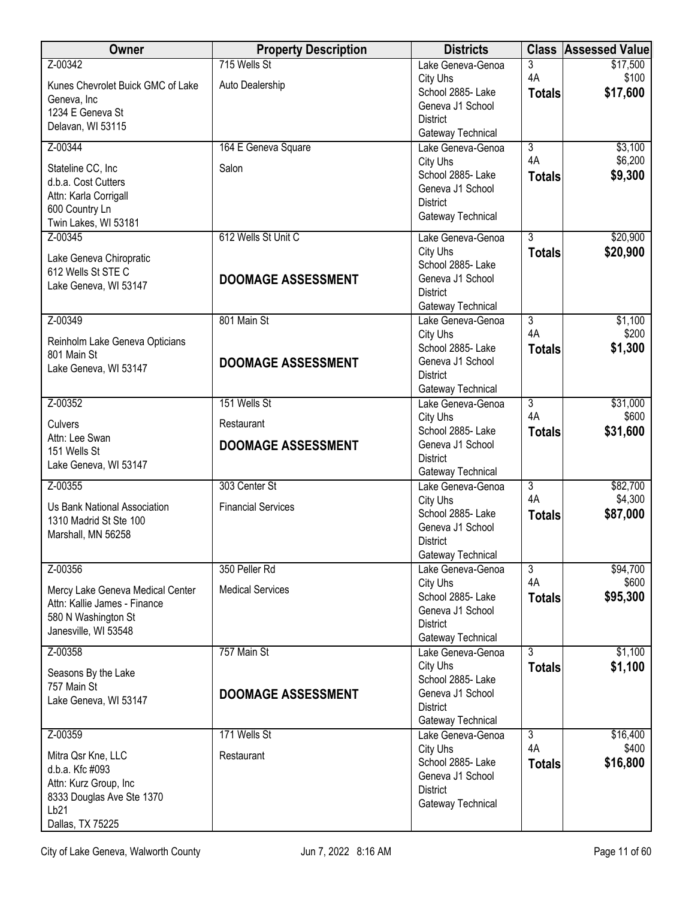| Owner                                                                                                                              | <b>Property Description</b>                             | <b>Districts</b>                                                                                                                    |                                       | <b>Class Assessed Value</b>     |
|------------------------------------------------------------------------------------------------------------------------------------|---------------------------------------------------------|-------------------------------------------------------------------------------------------------------------------------------------|---------------------------------------|---------------------------------|
| Z-00342<br>Kunes Chevrolet Buick GMC of Lake<br>Geneva, Inc<br>1234 E Geneva St                                                    | 715 Wells St<br>Auto Dealership                         | Lake Geneva-Genoa<br>City Uhs<br>School 2885- Lake<br>Geneva J1 School<br><b>District</b>                                           | 3<br>4A<br><b>Totals</b>              | \$17,500<br>\$100<br>\$17,600   |
| Delavan, WI 53115                                                                                                                  |                                                         | Gateway Technical                                                                                                                   |                                       |                                 |
| Z-00344<br>Stateline CC, Inc<br>d.b.a. Cost Cutters<br>Attn: Karla Corrigall<br>600 Country Ln<br>Twin Lakes, WI 53181             | 164 E Geneva Square<br>Salon                            | Lake Geneva-Genoa<br>City Uhs<br>School 2885-Lake<br>Geneva J1 School<br><b>District</b><br>Gateway Technical                       | $\overline{3}$<br>4A<br><b>Totals</b> | \$3,100<br>\$6,200<br>\$9,300   |
| Z-00345<br>Lake Geneva Chiropratic<br>612 Wells St STE C<br>Lake Geneva, WI 53147                                                  | 612 Wells St Unit C<br><b>DOOMAGE ASSESSMENT</b>        | Lake Geneva-Genoa<br>City Uhs<br>School 2885- Lake<br>Geneva J1 School<br><b>District</b><br>Gateway Technical                      | $\overline{3}$<br><b>Totals</b>       | \$20,900<br>\$20,900            |
| Z-00349<br>Reinholm Lake Geneva Opticians<br>801 Main St<br>Lake Geneva, WI 53147                                                  | 801 Main St<br><b>DOOMAGE ASSESSMENT</b>                | Lake Geneva-Genoa<br>City Uhs<br>School 2885- Lake<br>Geneva J1 School<br><b>District</b><br>Gateway Technical                      | $\overline{3}$<br>4A<br><b>Totals</b> | \$1,100<br>\$200<br>\$1,300     |
| Z-00352<br>Culvers<br>Attn: Lee Swan<br>151 Wells St<br>Lake Geneva, WI 53147                                                      | 151 Wells St<br>Restaurant<br><b>DOOMAGE ASSESSMENT</b> | Lake Geneva-Genoa<br>City Uhs<br>School 2885-Lake<br>Geneva J1 School<br><b>District</b>                                            | $\overline{3}$<br>4A<br><b>Totals</b> | \$31,000<br>\$600<br>\$31,600   |
| Z-00355<br>Us Bank National Association<br>1310 Madrid St Ste 100<br>Marshall, MN 56258                                            | 303 Center St<br><b>Financial Services</b>              | Gateway Technical<br>Lake Geneva-Genoa<br>City Uhs<br>School 2885- Lake<br>Geneva J1 School<br><b>District</b><br>Gateway Technical | $\overline{3}$<br>4A<br><b>Totals</b> | \$82,700<br>\$4,300<br>\$87,000 |
| Z-00356<br>Mercy Lake Geneva Medical Center<br>Attn: Kallie James - Finance<br>580 N Washington St<br>Janesville, WI 53548         | 350 Peller Rd<br><b>Medical Services</b>                | Lake Geneva-Genoa<br>City Uhs<br>School 2885- Lake<br>Geneva J1 School<br><b>District</b><br>Gateway Technical                      | $\overline{3}$<br>4A<br><b>Totals</b> | \$94,700<br>\$600<br>\$95,300   |
| Z-00358<br>Seasons By the Lake<br>757 Main St<br>Lake Geneva, WI 53147                                                             | 757 Main St<br><b>DOOMAGE ASSESSMENT</b>                | Lake Geneva-Genoa<br>City Uhs<br>School 2885- Lake<br>Geneva J1 School<br><b>District</b><br>Gateway Technical                      | $\overline{3}$<br><b>Totals</b>       | \$1,100<br>\$1,100              |
| Z-00359<br>Mitra Qsr Kne, LLC<br>d.b.a. Kfc #093<br>Attn: Kurz Group, Inc<br>8333 Douglas Ave Ste 1370<br>Lb21<br>Dallas, TX 75225 | 171 Wells St<br>Restaurant                              | Lake Geneva-Genoa<br>City Uhs<br>School 2885- Lake<br>Geneva J1 School<br><b>District</b><br>Gateway Technical                      | $\overline{3}$<br>4A<br><b>Totals</b> | \$16,400<br>\$400<br>\$16,800   |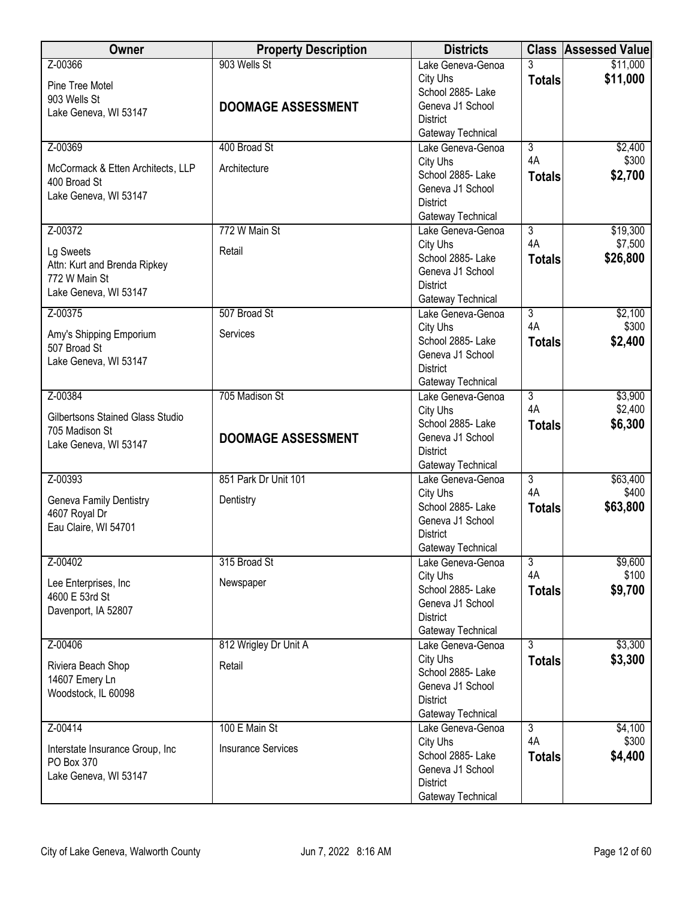| <b>Owner</b>                             | <b>Property Description</b> | <b>Districts</b>                      |                      | <b>Class Assessed Value</b> |
|------------------------------------------|-----------------------------|---------------------------------------|----------------------|-----------------------------|
| Z-00366                                  | 903 Wells St                | Lake Geneva-Genoa                     | 3                    | \$11,000                    |
| Pine Tree Motel                          |                             | City Uhs                              | <b>Totals</b>        | \$11,000                    |
| 903 Wells St                             |                             | School 2885- Lake                     |                      |                             |
| Lake Geneva, WI 53147                    | <b>DOOMAGE ASSESSMENT</b>   | Geneva J1 School                      |                      |                             |
|                                          |                             | <b>District</b><br>Gateway Technical  |                      |                             |
| Z-00369                                  | 400 Broad St                | Lake Geneva-Genoa                     | $\overline{3}$       | \$2,400                     |
|                                          |                             | City Uhs                              | 4A                   | \$300                       |
| McCormack & Etten Architects, LLP        | Architecture                | School 2885- Lake                     | <b>Totals</b>        | \$2,700                     |
| 400 Broad St                             |                             | Geneva J1 School                      |                      |                             |
| Lake Geneva, WI 53147                    |                             | <b>District</b>                       |                      |                             |
|                                          |                             | Gateway Technical                     |                      |                             |
| Z-00372                                  | 772 W Main St               | Lake Geneva-Genoa                     | $\overline{3}$       | \$19,300                    |
| Lg Sweets                                | Retail                      | City Uhs                              | 4A                   | \$7,500                     |
| Attn: Kurt and Brenda Ripkey             |                             | School 2885- Lake                     | <b>Totals</b>        | \$26,800                    |
| 772 W Main St                            |                             | Geneva J1 School                      |                      |                             |
| Lake Geneva, WI 53147                    |                             | <b>District</b><br>Gateway Technical  |                      |                             |
| Z-00375                                  | 507 Broad St                | Lake Geneva-Genoa                     | $\overline{3}$       | \$2,100                     |
|                                          |                             | City Uhs                              | 4A                   | \$300                       |
| Amy's Shipping Emporium                  | Services                    | School 2885- Lake                     | <b>Totals</b>        | \$2,400                     |
| 507 Broad St                             |                             | Geneva J1 School                      |                      |                             |
| Lake Geneva, WI 53147                    |                             | <b>District</b>                       |                      |                             |
|                                          |                             | Gateway Technical                     |                      |                             |
| Z-00384                                  | 705 Madison St              | Lake Geneva-Genoa                     | $\overline{3}$       | \$3,900                     |
| Gilbertsons Stained Glass Studio         |                             | City Uhs                              | 4A                   | \$2,400                     |
| 705 Madison St                           |                             | School 2885- Lake<br>Geneva J1 School | <b>Totals</b>        | \$6,300                     |
| Lake Geneva, WI 53147                    | <b>DOOMAGE ASSESSMENT</b>   | <b>District</b>                       |                      |                             |
|                                          |                             | Gateway Technical                     |                      |                             |
| Z-00393                                  | 851 Park Dr Unit 101        | Lake Geneva-Genoa                     | $\overline{3}$       | \$63,400                    |
|                                          |                             | City Uhs                              | 4A                   | \$400                       |
| Geneva Family Dentistry<br>4607 Royal Dr | Dentistry                   | School 2885- Lake                     | <b>Totals</b>        | \$63,800                    |
| Eau Claire, WI 54701                     |                             | Geneva J1 School                      |                      |                             |
|                                          |                             | <b>District</b>                       |                      |                             |
|                                          |                             | Gateway Technical                     |                      |                             |
| Z-00402                                  | 315 Broad St                | Lake Geneva-Genoa<br>City Uhs         | $\overline{3}$<br>4A | \$9,600<br>\$100            |
| Lee Enterprises, Inc                     | Newspaper                   | School 2885- Lake                     | <b>Totals</b>        | \$9,700                     |
| 4600 E 53rd St                           |                             | Geneva J1 School                      |                      |                             |
| Davenport, IA 52807                      |                             | <b>District</b>                       |                      |                             |
|                                          |                             | Gateway Technical                     |                      |                             |
| Z-00406                                  | 812 Wrigley Dr Unit A       | Lake Geneva-Genoa                     | $\overline{3}$       | \$3,300                     |
| Riviera Beach Shop                       | Retail                      | City Uhs                              | <b>Totals</b>        | \$3,300                     |
| 14607 Emery Ln                           |                             | School 2885- Lake                     |                      |                             |
| Woodstock, IL 60098                      |                             | Geneva J1 School                      |                      |                             |
|                                          |                             | <b>District</b><br>Gateway Technical  |                      |                             |
| Z-00414                                  | 100 E Main St               | Lake Geneva-Genoa                     | $\overline{3}$       | \$4,100                     |
|                                          |                             | City Uhs                              | 4A                   | \$300                       |
| Interstate Insurance Group, Inc          | <b>Insurance Services</b>   | School 2885- Lake                     | <b>Totals</b>        | \$4,400                     |
| PO Box 370                               |                             | Geneva J1 School                      |                      |                             |
| Lake Geneva, WI 53147                    |                             | <b>District</b>                       |                      |                             |
|                                          |                             | Gateway Technical                     |                      |                             |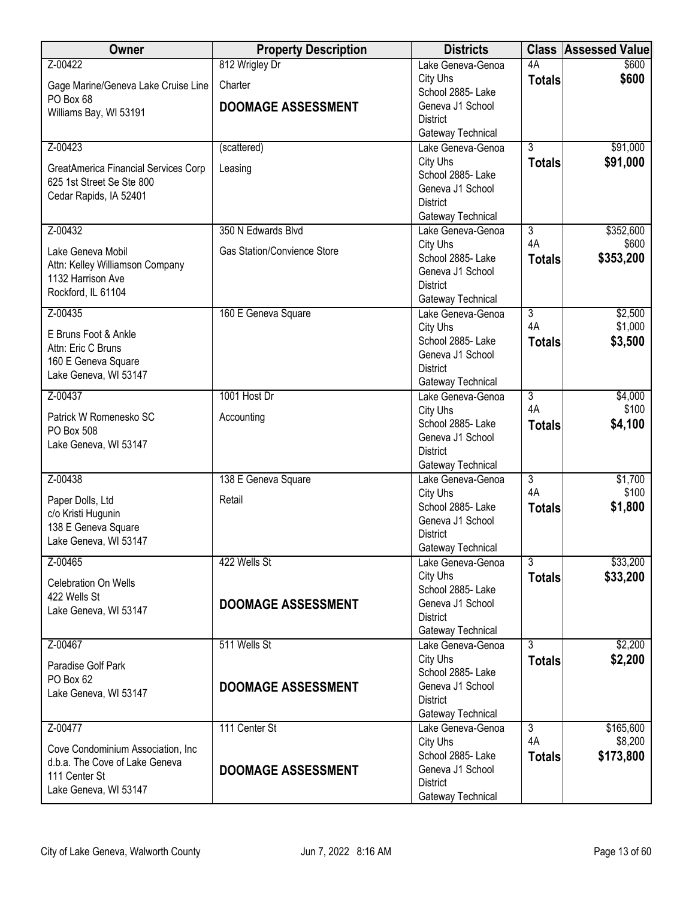| Owner                                        | <b>Property Description</b> | <b>Districts</b>                       | <b>Class</b>         | <b>Assessed Value</b> |
|----------------------------------------------|-----------------------------|----------------------------------------|----------------------|-----------------------|
| Z-00422                                      | 812 Wrigley Dr              | Lake Geneva-Genoa                      | 4A                   | \$600                 |
| Gage Marine/Geneva Lake Cruise Line          | Charter                     | City Uhs                               | <b>Totals</b>        | \$600                 |
| PO Box 68                                    | <b>DOOMAGE ASSESSMENT</b>   | School 2885- Lake<br>Geneva J1 School  |                      |                       |
| Williams Bay, WI 53191                       |                             | <b>District</b>                        |                      |                       |
|                                              |                             | Gateway Technical                      |                      |                       |
| Z-00423                                      | (scattered)                 | Lake Geneva-Genoa                      | $\overline{3}$       | \$91,000              |
| GreatAmerica Financial Services Corp         | Leasing                     | City Uhs                               | <b>Totals</b>        | \$91,000              |
| 625 1st Street Se Ste 800                    |                             | School 2885- Lake                      |                      |                       |
| Cedar Rapids, IA 52401                       |                             | Geneva J1 School<br><b>District</b>    |                      |                       |
|                                              |                             | Gateway Technical                      |                      |                       |
| Z-00432                                      | 350 N Edwards Blvd          | Lake Geneva-Genoa                      | $\overline{3}$       | \$352,600             |
| Lake Geneva Mobil                            | Gas Station/Convience Store | City Uhs                               | 4A                   | \$600                 |
| Attn: Kelley Williamson Company              |                             | School 2885- Lake                      | <b>Totals</b>        | \$353,200             |
| 1132 Harrison Ave                            |                             | Geneva J1 School                       |                      |                       |
| Rockford, IL 61104                           |                             | <b>District</b><br>Gateway Technical   |                      |                       |
| Z-00435                                      | 160 E Geneva Square         | Lake Geneva-Genoa                      | $\overline{3}$       | \$2,500               |
|                                              |                             | City Uhs                               | 4A                   | \$1,000               |
| E Bruns Foot & Ankle<br>Attn: Eric C Bruns   |                             | School 2885- Lake                      | <b>Totals</b>        | \$3,500               |
| 160 E Geneva Square                          |                             | Geneva J1 School                       |                      |                       |
| Lake Geneva, WI 53147                        |                             | <b>District</b>                        |                      |                       |
| Z-00437                                      | 1001 Host Dr                | Gateway Technical<br>Lake Geneva-Genoa | $\overline{3}$       | \$4,000               |
|                                              |                             | City Uhs                               | 4A                   | \$100                 |
| Patrick W Romenesko SC                       | Accounting                  | School 2885- Lake                      | <b>Totals</b>        | \$4,100               |
| PO Box 508<br>Lake Geneva, WI 53147          |                             | Geneva J1 School                       |                      |                       |
|                                              |                             | <b>District</b>                        |                      |                       |
|                                              |                             | Gateway Technical                      |                      |                       |
| Z-00438                                      | 138 E Geneva Square         | Lake Geneva-Genoa<br>City Uhs          | $\overline{3}$<br>4A | \$1,700<br>\$100      |
| Paper Dolls, Ltd                             | Retail                      | School 2885- Lake                      | <b>Totals</b>        | \$1,800               |
| c/o Kristi Hugunin                           |                             | Geneva J1 School                       |                      |                       |
| 138 E Geneva Square<br>Lake Geneva, WI 53147 |                             | <b>District</b>                        |                      |                       |
|                                              |                             | Gateway Technical                      |                      |                       |
| Z-00465                                      | 422 Wells St                | Lake Geneva-Genoa                      | $\overline{3}$       | \$33,200              |
| Celebration On Wells                         |                             | City Uhs<br>School 2885- Lake          | <b>Totals</b>        | \$33,200              |
| 422 Wells St                                 | <b>DOOMAGE ASSESSMENT</b>   | Geneva J1 School                       |                      |                       |
| Lake Geneva, WI 53147                        |                             | <b>District</b>                        |                      |                       |
|                                              |                             | Gateway Technical                      |                      |                       |
| Z-00467                                      | 511 Wells St                | Lake Geneva-Genoa                      | $\overline{3}$       | \$2,200               |
| Paradise Golf Park                           |                             | City Uhs<br>School 2885- Lake          | <b>Totals</b>        | \$2,200               |
| PO Box 62                                    | <b>DOOMAGE ASSESSMENT</b>   | Geneva J1 School                       |                      |                       |
| Lake Geneva, WI 53147                        |                             | <b>District</b>                        |                      |                       |
|                                              |                             | Gateway Technical                      |                      |                       |
| Z-00477                                      | 111 Center St               | Lake Geneva-Genoa                      | $\overline{3}$       | \$165,600             |
| Cove Condominium Association, Inc.           |                             | City Uhs                               | 4A                   | \$8,200               |
| d.b.a. The Cove of Lake Geneva               | <b>DOOMAGE ASSESSMENT</b>   | School 2885- Lake<br>Geneva J1 School  | <b>Totals</b>        | \$173,800             |
| 111 Center St                                |                             | <b>District</b>                        |                      |                       |
| Lake Geneva, WI 53147                        |                             | Gateway Technical                      |                      |                       |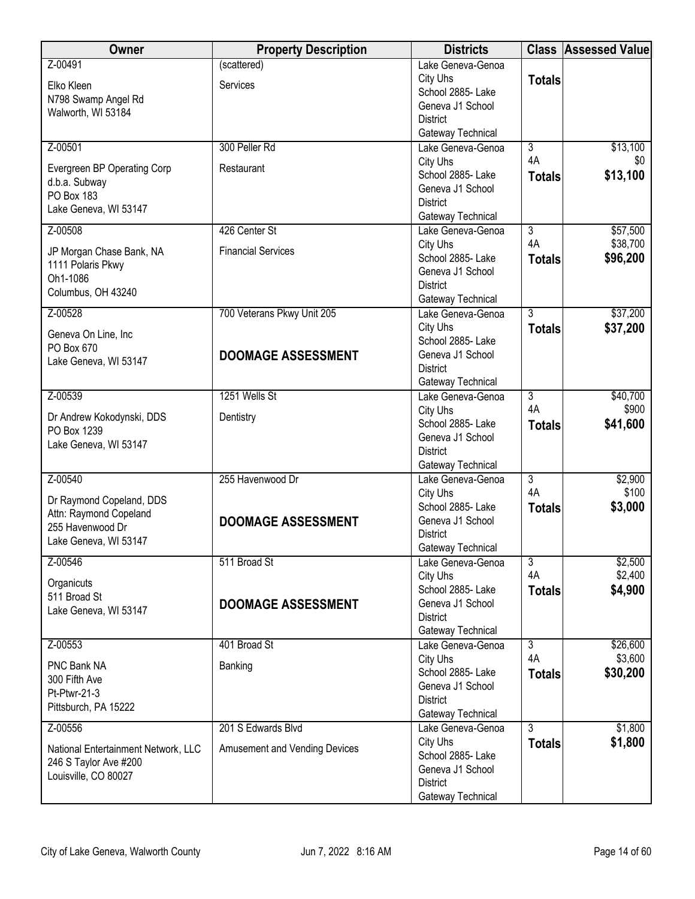| Z-00491<br>Lake Geneva-Genoa<br>City Uhs<br><b>Totals</b><br>Services<br>Elko Kleen<br>School 2885- Lake<br>N798 Swamp Angel Rd<br>Geneva J1 School<br>Walworth, WI 53184<br><b>District</b><br>Gateway Technical<br>300 Peller Rd<br>\$13,100<br>Z-00501<br>$\overline{3}$<br>Lake Geneva-Genoa<br>4A<br>\$0<br>City Uhs<br>Evergreen BP Operating Corp<br>Restaurant<br>\$13,100<br>School 2885-Lake<br><b>Totals</b><br>d.b.a. Subway<br>Geneva J1 School<br>PO Box 183<br><b>District</b><br>Lake Geneva, WI 53147<br>Gateway Technical<br>426 Center St<br>Lake Geneva-Genoa<br>$\overline{3}$<br>\$57,500<br>Z-00508<br>4A<br>\$38,700<br>City Uhs<br><b>Financial Services</b><br>JP Morgan Chase Bank, NA<br>\$96,200<br>School 2885- Lake<br><b>Totals</b><br>1111 Polaris Pkwy<br>Geneva J1 School<br>Oh1-1086 | <b>Owner</b> | <b>Property Description</b> | <b>Districts</b> | <b>Class Assessed Value</b> |
|--------------------------------------------------------------------------------------------------------------------------------------------------------------------------------------------------------------------------------------------------------------------------------------------------------------------------------------------------------------------------------------------------------------------------------------------------------------------------------------------------------------------------------------------------------------------------------------------------------------------------------------------------------------------------------------------------------------------------------------------------------------------------------------------------------------------------|--------------|-----------------------------|------------------|-----------------------------|
|                                                                                                                                                                                                                                                                                                                                                                                                                                                                                                                                                                                                                                                                                                                                                                                                                          |              | (scattered)                 |                  |                             |
|                                                                                                                                                                                                                                                                                                                                                                                                                                                                                                                                                                                                                                                                                                                                                                                                                          |              |                             |                  |                             |
|                                                                                                                                                                                                                                                                                                                                                                                                                                                                                                                                                                                                                                                                                                                                                                                                                          |              |                             |                  |                             |
|                                                                                                                                                                                                                                                                                                                                                                                                                                                                                                                                                                                                                                                                                                                                                                                                                          |              |                             |                  |                             |
|                                                                                                                                                                                                                                                                                                                                                                                                                                                                                                                                                                                                                                                                                                                                                                                                                          |              |                             |                  |                             |
|                                                                                                                                                                                                                                                                                                                                                                                                                                                                                                                                                                                                                                                                                                                                                                                                                          |              |                             |                  |                             |
|                                                                                                                                                                                                                                                                                                                                                                                                                                                                                                                                                                                                                                                                                                                                                                                                                          |              |                             |                  |                             |
|                                                                                                                                                                                                                                                                                                                                                                                                                                                                                                                                                                                                                                                                                                                                                                                                                          |              |                             |                  |                             |
|                                                                                                                                                                                                                                                                                                                                                                                                                                                                                                                                                                                                                                                                                                                                                                                                                          |              |                             |                  |                             |
|                                                                                                                                                                                                                                                                                                                                                                                                                                                                                                                                                                                                                                                                                                                                                                                                                          |              |                             |                  |                             |
|                                                                                                                                                                                                                                                                                                                                                                                                                                                                                                                                                                                                                                                                                                                                                                                                                          |              |                             |                  |                             |
|                                                                                                                                                                                                                                                                                                                                                                                                                                                                                                                                                                                                                                                                                                                                                                                                                          |              |                             |                  |                             |
|                                                                                                                                                                                                                                                                                                                                                                                                                                                                                                                                                                                                                                                                                                                                                                                                                          |              |                             |                  |                             |
|                                                                                                                                                                                                                                                                                                                                                                                                                                                                                                                                                                                                                                                                                                                                                                                                                          |              |                             |                  |                             |
| Columbus, OH 43240                                                                                                                                                                                                                                                                                                                                                                                                                                                                                                                                                                                                                                                                                                                                                                                                       |              |                             | <b>District</b>  |                             |
| Gateway Technical                                                                                                                                                                                                                                                                                                                                                                                                                                                                                                                                                                                                                                                                                                                                                                                                        |              |                             |                  |                             |
| \$37,200<br>Z-00528<br>700 Veterans Pkwy Unit 205<br>$\overline{3}$<br>Lake Geneva-Genoa                                                                                                                                                                                                                                                                                                                                                                                                                                                                                                                                                                                                                                                                                                                                 |              |                             |                  |                             |
| City Uhs<br>\$37,200<br><b>Totals</b><br>Geneva On Line, Inc<br>School 2885- Lake                                                                                                                                                                                                                                                                                                                                                                                                                                                                                                                                                                                                                                                                                                                                        |              |                             |                  |                             |
| PO Box 670<br>Geneva J1 School<br><b>DOOMAGE ASSESSMENT</b>                                                                                                                                                                                                                                                                                                                                                                                                                                                                                                                                                                                                                                                                                                                                                              |              |                             |                  |                             |
| Lake Geneva, WI 53147<br><b>District</b>                                                                                                                                                                                                                                                                                                                                                                                                                                                                                                                                                                                                                                                                                                                                                                                 |              |                             |                  |                             |
| Gateway Technical                                                                                                                                                                                                                                                                                                                                                                                                                                                                                                                                                                                                                                                                                                                                                                                                        |              |                             |                  |                             |
| 1251 Wells St<br>Z-00539<br>$\overline{3}$<br>\$40,700<br>Lake Geneva-Genoa                                                                                                                                                                                                                                                                                                                                                                                                                                                                                                                                                                                                                                                                                                                                              |              |                             |                  |                             |
| 4A<br>\$900<br>City Uhs<br>Dr Andrew Kokodynski, DDS<br>Dentistry                                                                                                                                                                                                                                                                                                                                                                                                                                                                                                                                                                                                                                                                                                                                                        |              |                             |                  |                             |
| School 2885- Lake<br>\$41,600<br><b>Totals</b><br>PO Box 1239                                                                                                                                                                                                                                                                                                                                                                                                                                                                                                                                                                                                                                                                                                                                                            |              |                             |                  |                             |
| Geneva J1 School<br>Lake Geneva, WI 53147                                                                                                                                                                                                                                                                                                                                                                                                                                                                                                                                                                                                                                                                                                                                                                                |              |                             |                  |                             |
| <b>District</b><br>Gateway Technical                                                                                                                                                                                                                                                                                                                                                                                                                                                                                                                                                                                                                                                                                                                                                                                     |              |                             |                  |                             |
| 255 Havenwood Dr<br>$\overline{3}$<br>Z-00540<br>\$2,900<br>Lake Geneva-Genoa                                                                                                                                                                                                                                                                                                                                                                                                                                                                                                                                                                                                                                                                                                                                            |              |                             |                  |                             |
| 4A<br>\$100<br>City Uhs                                                                                                                                                                                                                                                                                                                                                                                                                                                                                                                                                                                                                                                                                                                                                                                                  |              |                             |                  |                             |
| Dr Raymond Copeland, DDS<br>School 2885- Lake<br>\$3,000<br><b>Totals</b>                                                                                                                                                                                                                                                                                                                                                                                                                                                                                                                                                                                                                                                                                                                                                |              |                             |                  |                             |
| Attn: Raymond Copeland<br>Geneva J1 School<br><b>DOOMAGE ASSESSMENT</b><br>255 Havenwood Dr                                                                                                                                                                                                                                                                                                                                                                                                                                                                                                                                                                                                                                                                                                                              |              |                             |                  |                             |
| <b>District</b><br>Lake Geneva, WI 53147                                                                                                                                                                                                                                                                                                                                                                                                                                                                                                                                                                                                                                                                                                                                                                                 |              |                             |                  |                             |
| Gateway Technical                                                                                                                                                                                                                                                                                                                                                                                                                                                                                                                                                                                                                                                                                                                                                                                                        |              |                             |                  |                             |
| \$2,500<br>Z-00546<br>511 Broad St<br>$\overline{3}$<br>Lake Geneva-Genoa<br>4A<br>\$2,400<br>City Uhs                                                                                                                                                                                                                                                                                                                                                                                                                                                                                                                                                                                                                                                                                                                   |              |                             |                  |                             |
| Organicuts<br>\$4,900<br>School 2885- Lake<br><b>Totals</b>                                                                                                                                                                                                                                                                                                                                                                                                                                                                                                                                                                                                                                                                                                                                                              |              |                             |                  |                             |
| 511 Broad St<br>Geneva J1 School<br><b>DOOMAGE ASSESSMENT</b>                                                                                                                                                                                                                                                                                                                                                                                                                                                                                                                                                                                                                                                                                                                                                            |              |                             |                  |                             |
| Lake Geneva, WI 53147<br><b>District</b>                                                                                                                                                                                                                                                                                                                                                                                                                                                                                                                                                                                                                                                                                                                                                                                 |              |                             |                  |                             |
| Gateway Technical                                                                                                                                                                                                                                                                                                                                                                                                                                                                                                                                                                                                                                                                                                                                                                                                        |              |                             |                  |                             |
| 401 Broad St<br>\$26,600<br>$Z - 00553$<br>$\overline{3}$<br>Lake Geneva-Genoa                                                                                                                                                                                                                                                                                                                                                                                                                                                                                                                                                                                                                                                                                                                                           |              |                             |                  |                             |
| 4A<br>\$3,600<br>City Uhs<br>PNC Bank NA<br>Banking                                                                                                                                                                                                                                                                                                                                                                                                                                                                                                                                                                                                                                                                                                                                                                      |              |                             |                  |                             |
| \$30,200<br>School 2885- Lake<br><b>Totals</b><br>300 Fifth Ave<br>Geneva J1 School                                                                                                                                                                                                                                                                                                                                                                                                                                                                                                                                                                                                                                                                                                                                      |              |                             |                  |                             |
| Pt-Ptwr-21-3<br><b>District</b>                                                                                                                                                                                                                                                                                                                                                                                                                                                                                                                                                                                                                                                                                                                                                                                          |              |                             |                  |                             |
| Pittsburch, PA 15222<br>Gateway Technical                                                                                                                                                                                                                                                                                                                                                                                                                                                                                                                                                                                                                                                                                                                                                                                |              |                             |                  |                             |
| Z-00556<br>201 S Edwards Blvd<br>$\overline{3}$<br>\$1,800<br>Lake Geneva-Genoa                                                                                                                                                                                                                                                                                                                                                                                                                                                                                                                                                                                                                                                                                                                                          |              |                             |                  |                             |
| City Uhs<br>\$1,800<br><b>Totals</b><br><b>Amusement and Vending Devices</b><br>National Entertainment Network, LLC                                                                                                                                                                                                                                                                                                                                                                                                                                                                                                                                                                                                                                                                                                      |              |                             |                  |                             |
| School 2885- Lake<br>246 S Taylor Ave #200                                                                                                                                                                                                                                                                                                                                                                                                                                                                                                                                                                                                                                                                                                                                                                               |              |                             |                  |                             |
| Geneva J1 School<br>Louisville, CO 80027                                                                                                                                                                                                                                                                                                                                                                                                                                                                                                                                                                                                                                                                                                                                                                                 |              |                             |                  |                             |
| <b>District</b><br>Gateway Technical                                                                                                                                                                                                                                                                                                                                                                                                                                                                                                                                                                                                                                                                                                                                                                                     |              |                             |                  |                             |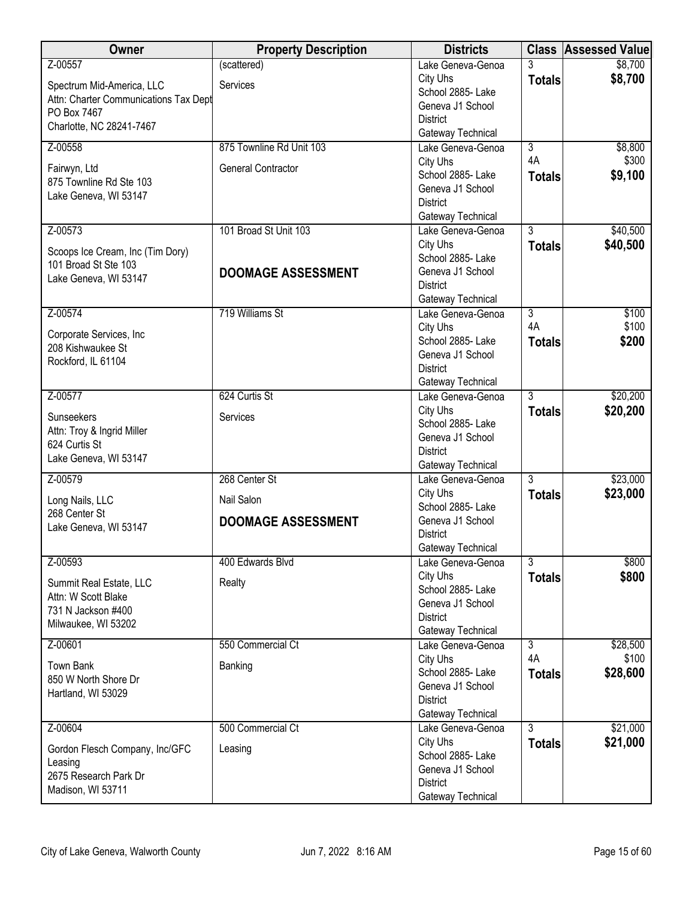| Owner                                     | <b>Property Description</b> | <b>Districts</b>                    |                | <b>Class Assessed Value</b> |
|-------------------------------------------|-----------------------------|-------------------------------------|----------------|-----------------------------|
| Z-00557                                   | (scattered)                 | Lake Geneva-Genoa                   | 3              | \$8,700                     |
| Spectrum Mid-America, LLC                 | Services                    | City Uhs                            | <b>Totals</b>  | \$8,700                     |
| Attn: Charter Communications Tax Dept     |                             | School 2885- Lake                   |                |                             |
| PO Box 7467                               |                             | Geneva J1 School<br><b>District</b> |                |                             |
| Charlotte, NC 28241-7467                  |                             | Gateway Technical                   |                |                             |
| Z-00558                                   | 875 Townline Rd Unit 103    | Lake Geneva-Genoa                   | $\overline{3}$ | \$8,800                     |
|                                           |                             | City Uhs                            | 4A             | \$300                       |
| Fairwyn, Ltd<br>875 Townline Rd Ste 103   | <b>General Contractor</b>   | School 2885- Lake                   | <b>Totals</b>  | \$9,100                     |
| Lake Geneva, WI 53147                     |                             | Geneva J1 School                    |                |                             |
|                                           |                             | <b>District</b>                     |                |                             |
|                                           |                             | Gateway Technical                   |                |                             |
| Z-00573                                   | 101 Broad St Unit 103       | Lake Geneva-Genoa<br>City Uhs       | $\overline{3}$ | \$40,500                    |
| Scoops Ice Cream, Inc (Tim Dory)          |                             | School 2885- Lake                   | <b>Totals</b>  | \$40,500                    |
| 101 Broad St Ste 103                      | <b>DOOMAGE ASSESSMENT</b>   | Geneva J1 School                    |                |                             |
| Lake Geneva, WI 53147                     |                             | <b>District</b>                     |                |                             |
|                                           |                             | Gateway Technical                   |                |                             |
| Z-00574                                   | 719 Williams St             | Lake Geneva-Genoa                   | 3              | \$100                       |
| Corporate Services, Inc                   |                             | City Uhs                            | 4A             | \$100                       |
| 208 Kishwaukee St                         |                             | School 2885- Lake                   | <b>Totals</b>  | \$200                       |
| Rockford, IL 61104                        |                             | Geneva J1 School<br><b>District</b> |                |                             |
|                                           |                             | Gateway Technical                   |                |                             |
| Z-00577                                   | 624 Curtis St               | Lake Geneva-Genoa                   | $\overline{3}$ | \$20,200                    |
|                                           |                             | City Uhs                            | <b>Totals</b>  | \$20,200                    |
| Sunseekers<br>Attn: Troy & Ingrid Miller  | Services                    | School 2885- Lake                   |                |                             |
| 624 Curtis St                             |                             | Geneva J1 School                    |                |                             |
| Lake Geneva, WI 53147                     |                             | <b>District</b>                     |                |                             |
| Z-00579                                   | 268 Center St               | Gateway Technical                   | $\overline{3}$ | \$23,000                    |
|                                           |                             | Lake Geneva-Genoa<br>City Uhs       | <b>Totals</b>  | \$23,000                    |
| Long Nails, LLC                           | Nail Salon                  | School 2885- Lake                   |                |                             |
| 268 Center St                             | <b>DOOMAGE ASSESSMENT</b>   | Geneva J1 School                    |                |                             |
| Lake Geneva, WI 53147                     |                             | <b>District</b>                     |                |                             |
|                                           |                             | Gateway Technical                   |                |                             |
| Z-00593                                   | 400 Edwards Blvd            | Lake Geneva-Genoa                   | 3              | \$800                       |
| Summit Real Estate, LLC                   | Realty                      | City Uhs<br>School 2885- Lake       | <b>Totals</b>  | \$800                       |
| Attn: W Scott Blake                       |                             | Geneva J1 School                    |                |                             |
| 731 N Jackson #400                        |                             | <b>District</b>                     |                |                             |
| Milwaukee, WI 53202                       |                             | Gateway Technical                   |                |                             |
| Z-00601                                   | 550 Commercial Ct           | Lake Geneva-Genoa                   | $\overline{3}$ | \$28,500                    |
| <b>Town Bank</b>                          | Banking                     | City Uhs                            | 4A             | \$100                       |
| 850 W North Shore Dr                      |                             | School 2885- Lake                   | <b>Totals</b>  | \$28,600                    |
| Hartland, WI 53029                        |                             | Geneva J1 School<br><b>District</b> |                |                             |
|                                           |                             | Gateway Technical                   |                |                             |
| Z-00604                                   | 500 Commercial Ct           | Lake Geneva-Genoa                   | $\overline{3}$ | \$21,000                    |
|                                           |                             | City Uhs                            | <b>Totals</b>  | \$21,000                    |
| Gordon Flesch Company, Inc/GFC<br>Leasing | Leasing                     | School 2885- Lake                   |                |                             |
| 2675 Research Park Dr                     |                             | Geneva J1 School                    |                |                             |
| Madison, WI 53711                         |                             | <b>District</b>                     |                |                             |
|                                           |                             | Gateway Technical                   |                |                             |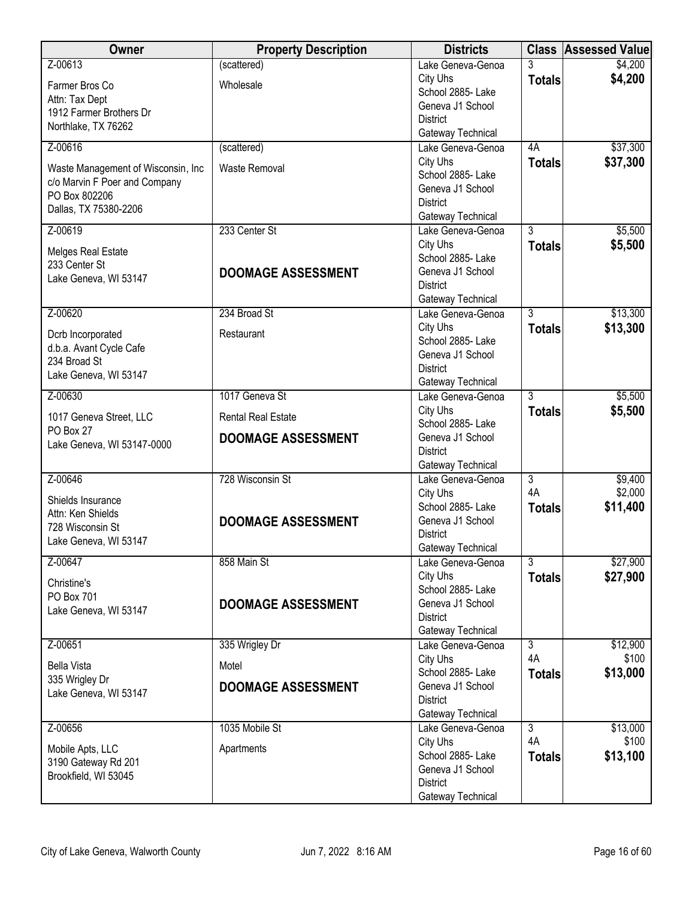| Owner                                        | <b>Property Description</b> | <b>Districts</b>                       |                | <b>Class Assessed Value</b> |
|----------------------------------------------|-----------------------------|----------------------------------------|----------------|-----------------------------|
| Z-00613                                      | (scattered)                 | Lake Geneva-Genoa                      | 3              | \$4,200                     |
| Farmer Bros Co                               | Wholesale                   | City Uhs                               | <b>Totals</b>  | \$4,200                     |
| Attn: Tax Dept                               |                             | School 2885- Lake<br>Geneva J1 School  |                |                             |
| 1912 Farmer Brothers Dr                      |                             | <b>District</b>                        |                |                             |
| Northlake, TX 76262                          |                             | Gateway Technical                      |                |                             |
| Z-00616                                      | (scattered)                 | Lake Geneva-Genoa                      | 4A             | \$37,300                    |
| Waste Management of Wisconsin, Inc.          | <b>Waste Removal</b>        | City Uhs                               | <b>Totals</b>  | \$37,300                    |
| c/o Marvin F Poer and Company                |                             | School 2885- Lake                      |                |                             |
| PO Box 802206                                |                             | Geneva J1 School<br><b>District</b>    |                |                             |
| Dallas, TX 75380-2206                        |                             | Gateway Technical                      |                |                             |
| Z-00619                                      | 233 Center St               | Lake Geneva-Genoa                      | $\overline{3}$ | \$5,500                     |
| Melges Real Estate                           |                             | City Uhs                               | <b>Totals</b>  | \$5,500                     |
| 233 Center St                                |                             | School 2885- Lake                      |                |                             |
| Lake Geneva, WI 53147                        | <b>DOOMAGE ASSESSMENT</b>   | Geneva J1 School                       |                |                             |
|                                              |                             | <b>District</b><br>Gateway Technical   |                |                             |
| Z-00620                                      | 234 Broad St                | Lake Geneva-Genoa                      | $\overline{3}$ | \$13,300                    |
|                                              |                             | City Uhs                               | <b>Totals</b>  | \$13,300                    |
| Dcrb Incorporated<br>d.b.a. Avant Cycle Cafe | Restaurant                  | School 2885- Lake                      |                |                             |
| 234 Broad St                                 |                             | Geneva J1 School                       |                |                             |
| Lake Geneva, WI 53147                        |                             | <b>District</b>                        |                |                             |
| Z-00630                                      | 1017 Geneva St              | Gateway Technical<br>Lake Geneva-Genoa | $\overline{3}$ | \$5,500                     |
|                                              |                             | City Uhs                               | <b>Totals</b>  | \$5,500                     |
| 1017 Geneva Street, LLC                      | <b>Rental Real Estate</b>   | School 2885- Lake                      |                |                             |
| PO Box 27<br>Lake Geneva, WI 53147-0000      | <b>DOOMAGE ASSESSMENT</b>   | Geneva J1 School                       |                |                             |
|                                              |                             | <b>District</b>                        |                |                             |
| Z-00646                                      | 728 Wisconsin St            | Gateway Technical                      | $\overline{3}$ |                             |
|                                              |                             | Lake Geneva-Genoa<br>City Uhs          | 4A             | \$9,400<br>\$2,000          |
| Shields Insurance                            |                             | School 2885- Lake                      | <b>Totals</b>  | \$11,400                    |
| Attn: Ken Shields<br>728 Wisconsin St        | <b>DOOMAGE ASSESSMENT</b>   | Geneva J1 School                       |                |                             |
| Lake Geneva, WI 53147                        |                             | <b>District</b>                        |                |                             |
|                                              |                             | Gateway Technical                      |                |                             |
| Z-00647                                      | 858 Main St                 | Lake Geneva-Genoa<br>City Uhs          | $\overline{3}$ | \$27,900                    |
| Christine's                                  |                             | School 2885-Lake                       | <b>Totals</b>  | \$27,900                    |
| PO Box 701                                   | <b>DOOMAGE ASSESSMENT</b>   | Geneva J1 School                       |                |                             |
| Lake Geneva, WI 53147                        |                             | <b>District</b>                        |                |                             |
|                                              |                             | Gateway Technical                      |                |                             |
| Z-00651                                      | 335 Wrigley Dr              | Lake Geneva-Genoa                      | $\overline{3}$ | \$12,900                    |
| <b>Bella Vista</b>                           | Motel                       | City Uhs<br>School 2885-Lake           | 4A             | \$100<br>\$13,000           |
| 335 Wrigley Dr                               | <b>DOOMAGE ASSESSMENT</b>   | Geneva J1 School                       | <b>Totals</b>  |                             |
| Lake Geneva, WI 53147                        |                             | <b>District</b>                        |                |                             |
|                                              |                             | Gateway Technical                      |                |                             |
| Z-00656                                      | 1035 Mobile St              | Lake Geneva-Genoa                      | $\overline{3}$ | \$13,000                    |
| Mobile Apts, LLC                             | Apartments                  | City Uhs<br>School 2885- Lake          | 4A             | \$100                       |
| 3190 Gateway Rd 201                          |                             | Geneva J1 School                       | <b>Totals</b>  | \$13,100                    |
| Brookfield, WI 53045                         |                             | <b>District</b>                        |                |                             |
|                                              |                             | Gateway Technical                      |                |                             |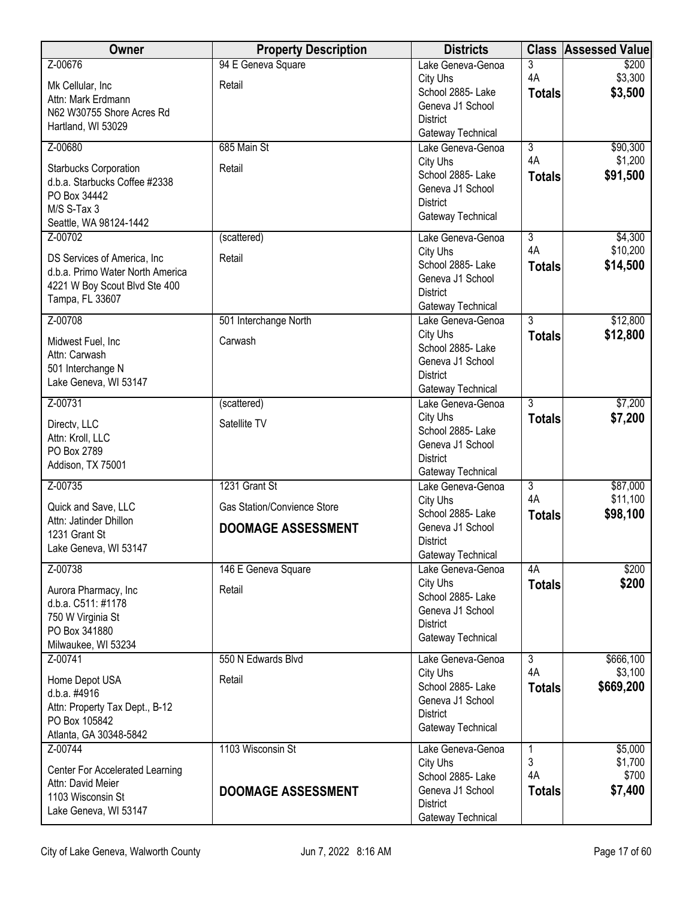| <b>Owner</b>                                     | <b>Property Description</b> | <b>Districts</b>                      |                     | <b>Class Assessed Value</b> |
|--------------------------------------------------|-----------------------------|---------------------------------------|---------------------|-----------------------------|
| Z-00676                                          | 94 E Geneva Square          | Lake Geneva-Genoa                     | 3                   | \$200                       |
| Mk Cellular, Inc                                 | Retail                      | City Uhs<br>School 2885- Lake         | 4A                  | \$3,300<br>\$3,500          |
| Attn: Mark Erdmann                               |                             | Geneva J1 School                      | <b>Totals</b>       |                             |
| N62 W30755 Shore Acres Rd                        |                             | <b>District</b>                       |                     |                             |
| Hartland, WI 53029                               |                             | Gateway Technical                     |                     |                             |
| Z-00680                                          | 685 Main St                 | Lake Geneva-Genoa                     | $\overline{3}$      | \$90,300                    |
| Starbucks Corporation                            | Retail                      | City Uhs                              | 4A                  | \$1,200                     |
| d.b.a. Starbucks Coffee #2338                    |                             | School 2885- Lake<br>Geneva J1 School | <b>Totals</b>       | \$91,500                    |
| PO Box 34442                                     |                             | <b>District</b>                       |                     |                             |
| M/S S-Tax 3                                      |                             | Gateway Technical                     |                     |                             |
| Seattle, WA 98124-1442<br>Z-00702                |                             |                                       | $\overline{3}$      | \$4,300                     |
|                                                  | (scattered)                 | Lake Geneva-Genoa<br>City Uhs         | 4A                  | \$10,200                    |
| DS Services of America, Inc.                     | Retail                      | School 2885- Lake                     | <b>Totals</b>       | \$14,500                    |
| d.b.a. Primo Water North America                 |                             | Geneva J1 School                      |                     |                             |
| 4221 W Boy Scout Blvd Ste 400<br>Tampa, FL 33607 |                             | <b>District</b>                       |                     |                             |
|                                                  |                             | Gateway Technical                     |                     |                             |
| Z-00708                                          | 501 Interchange North       | Lake Geneva-Genoa<br>City Uhs         | $\overline{3}$      | \$12,800                    |
| Midwest Fuel, Inc                                | Carwash                     | School 2885- Lake                     | <b>Totals</b>       | \$12,800                    |
| Attn: Carwash                                    |                             | Geneva J1 School                      |                     |                             |
| 501 Interchange N<br>Lake Geneva, WI 53147       |                             | <b>District</b>                       |                     |                             |
|                                                  |                             | Gateway Technical                     |                     |                             |
| Z-00731                                          | (scattered)                 | Lake Geneva-Genoa                     | $\overline{3}$      | \$7,200                     |
| Directv, LLC                                     | Satellite TV                | City Uhs<br>School 2885- Lake         | <b>Totals</b>       | \$7,200                     |
| Attn: Kroll, LLC                                 |                             | Geneva J1 School                      |                     |                             |
| PO Box 2789                                      |                             | <b>District</b>                       |                     |                             |
| Addison, TX 75001                                |                             | Gateway Technical                     |                     |                             |
| Z-00735                                          | 1231 Grant St               | Lake Geneva-Genoa                     | $\overline{3}$      | \$87,000                    |
| Quick and Save, LLC                              | Gas Station/Convience Store | City Uhs<br>School 2885-Lake          | 4A<br><b>Totals</b> | \$11,100<br>\$98,100        |
| Attn: Jatinder Dhillon                           | <b>DOOMAGE ASSESSMENT</b>   | Geneva J1 School                      |                     |                             |
| 1231 Grant St<br>Lake Geneva, WI 53147           |                             | <b>District</b>                       |                     |                             |
|                                                  |                             | Gateway Technical                     |                     |                             |
| Z-00738                                          | 146 E Geneva Square         | Lake Geneva-Genoa                     | 4A                  | \$200                       |
| Aurora Pharmacy, Inc                             | Retail                      | City Uhs<br>School 2885- Lake         | <b>Totals</b>       | \$200                       |
| d.b.a. C511: #1178                               |                             | Geneva J1 School                      |                     |                             |
| 750 W Virginia St<br>PO Box 341880               |                             | <b>District</b>                       |                     |                             |
| Milwaukee, WI 53234                              |                             | Gateway Technical                     |                     |                             |
| Z-00741                                          | 550 N Edwards Blvd          | Lake Geneva-Genoa                     | $\overline{3}$      | \$666,100                   |
| Home Depot USA                                   | Retail                      | City Uhs                              | 4A                  | \$3,100                     |
| d.b.a. #4916                                     |                             | School 2885-Lake                      | <b>Totals</b>       | \$669,200                   |
| Attn: Property Tax Dept., B-12                   |                             | Geneva J1 School                      |                     |                             |
| PO Box 105842                                    |                             | <b>District</b><br>Gateway Technical  |                     |                             |
| Atlanta, GA 30348-5842                           |                             |                                       |                     |                             |
| Z-00744                                          | 1103 Wisconsin St           | Lake Geneva-Genoa                     | 1<br>3              | \$5,000<br>\$1,700          |
| Center For Accelerated Learning                  |                             | City Uhs<br>School 2885- Lake         | 4A                  | \$700                       |
| Attn: David Meier                                | <b>DOOMAGE ASSESSMENT</b>   | Geneva J1 School                      | <b>Totals</b>       | \$7,400                     |
| 1103 Wisconsin St                                |                             | <b>District</b>                       |                     |                             |
| Lake Geneva, WI 53147                            |                             | Gateway Technical                     |                     |                             |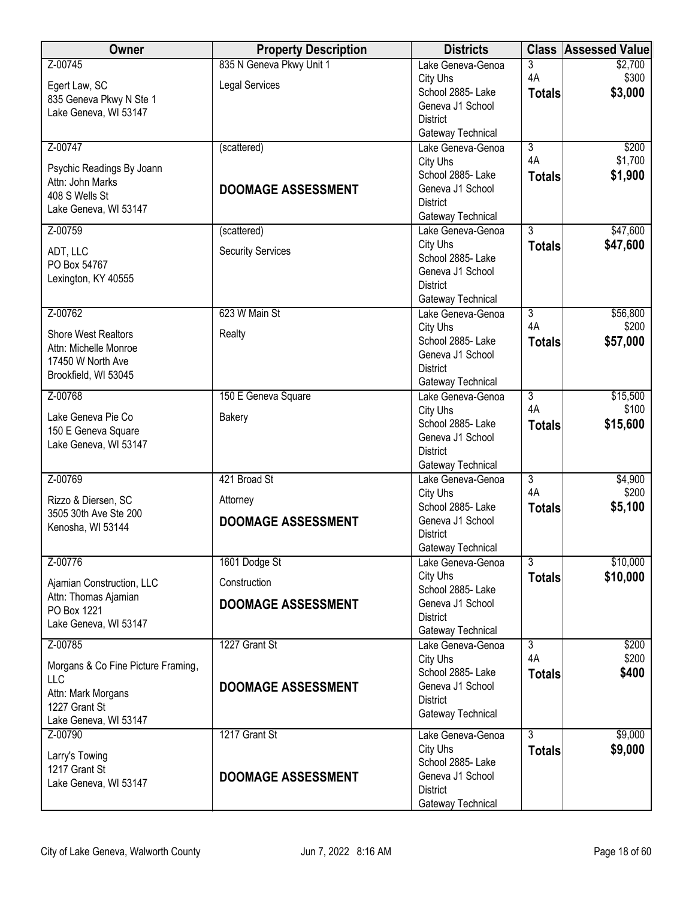| <b>Owner</b>                              | <b>Property Description</b> | <b>Districts</b>                       | <b>Class</b>         | <b>Assessed Value</b> |
|-------------------------------------------|-----------------------------|----------------------------------------|----------------------|-----------------------|
| Z-00745                                   | 835 N Geneva Pkwy Unit 1    | Lake Geneva-Genoa                      | 3                    | \$2,700               |
| Egert Law, SC                             | <b>Legal Services</b>       | City Uhs                               | 4A                   | \$300                 |
| 835 Geneva Pkwy N Ste 1                   |                             | School 2885- Lake<br>Geneva J1 School  | <b>Totals</b>        | \$3,000               |
| Lake Geneva, WI 53147                     |                             | <b>District</b>                        |                      |                       |
|                                           |                             | Gateway Technical                      |                      |                       |
| Z-00747                                   | (scattered)                 | Lake Geneva-Genoa                      | $\overline{3}$       | \$200                 |
| Psychic Readings By Joann                 |                             | City Uhs                               | 4A                   | \$1,700               |
| Attn: John Marks                          |                             | School 2885- Lake                      | <b>Totals</b>        | \$1,900               |
| 408 S Wells St                            | <b>DOOMAGE ASSESSMENT</b>   | Geneva J1 School                       |                      |                       |
| Lake Geneva, WI 53147                     |                             | <b>District</b><br>Gateway Technical   |                      |                       |
| Z-00759                                   | (scattered)                 | Lake Geneva-Genoa                      | $\overline{3}$       | \$47,600              |
|                                           |                             | City Uhs                               | <b>Totals</b>        | \$47,600              |
| ADT, LLC<br>PO Box 54767                  | <b>Security Services</b>    | School 2885- Lake                      |                      |                       |
| Lexington, KY 40555                       |                             | Geneva J1 School                       |                      |                       |
|                                           |                             | <b>District</b>                        |                      |                       |
| Z-00762                                   | 623 W Main St               | Gateway Technical<br>Lake Geneva-Genoa | $\overline{3}$       | \$56,800              |
|                                           |                             | City Uhs                               | 4A                   | \$200                 |
| <b>Shore West Realtors</b>                | Realty                      | School 2885- Lake                      | <b>Totals</b>        | \$57,000              |
| Attn: Michelle Monroe                     |                             | Geneva J1 School                       |                      |                       |
| 17450 W North Ave<br>Brookfield, WI 53045 |                             | <b>District</b>                        |                      |                       |
|                                           |                             | Gateway Technical                      |                      |                       |
| Z-00768                                   | 150 E Geneva Square         | Lake Geneva-Genoa                      | $\overline{3}$<br>4A | \$15,500              |
| Lake Geneva Pie Co                        | Bakery                      | City Uhs<br>School 2885- Lake          |                      | \$100                 |
| 150 E Geneva Square                       |                             | Geneva J1 School                       | <b>Totals</b>        | \$15,600              |
| Lake Geneva, WI 53147                     |                             | <b>District</b>                        |                      |                       |
|                                           |                             | Gateway Technical                      |                      |                       |
| Z-00769                                   | 421 Broad St                | Lake Geneva-Genoa                      | $\overline{3}$       | \$4,900               |
| Rizzo & Diersen, SC                       | Attorney                    | City Uhs                               | 4A                   | \$200                 |
| 3505 30th Ave Ste 200                     |                             | School 2885-Lake<br>Geneva J1 School   | <b>Totals</b>        | \$5,100               |
| Kenosha, WI 53144                         | <b>DOOMAGE ASSESSMENT</b>   | <b>District</b>                        |                      |                       |
|                                           |                             | Gateway Technical                      |                      |                       |
| Z-00776                                   | 1601 Dodge St               | Lake Geneva-Genoa                      | $\overline{3}$       | \$10,000              |
| Ajamian Construction, LLC                 | Construction                | City Uhs                               | <b>Totals</b>        | \$10,000              |
| Attn: Thomas Ajamian                      |                             | School 2885- Lake                      |                      |                       |
| PO Box 1221                               | <b>DOOMAGE ASSESSMENT</b>   | Geneva J1 School<br><b>District</b>    |                      |                       |
| Lake Geneva, WI 53147                     |                             | Gateway Technical                      |                      |                       |
| Z-00785                                   | 1227 Grant St               | Lake Geneva-Genoa                      | $\overline{3}$       | \$200                 |
| Morgans & Co Fine Picture Framing,        |                             | City Uhs                               | 4A                   | \$200                 |
| LLC                                       |                             | School 2885- Lake                      | <b>Totals</b>        | \$400                 |
| Attn: Mark Morgans                        | <b>DOOMAGE ASSESSMENT</b>   | Geneva J1 School                       |                      |                       |
| 1227 Grant St                             |                             | <b>District</b><br>Gateway Technical   |                      |                       |
| Lake Geneva, WI 53147                     |                             |                                        |                      |                       |
| Z-00790                                   | 1217 Grant St               | Lake Geneva-Genoa                      | $\overline{3}$       | \$9,000               |
| Larry's Towing                            |                             | City Uhs<br>School 2885- Lake          | <b>Totals</b>        | \$9,000               |
| 1217 Grant St                             | <b>DOOMAGE ASSESSMENT</b>   | Geneva J1 School                       |                      |                       |
| Lake Geneva, WI 53147                     |                             | <b>District</b>                        |                      |                       |
|                                           |                             | Gateway Technical                      |                      |                       |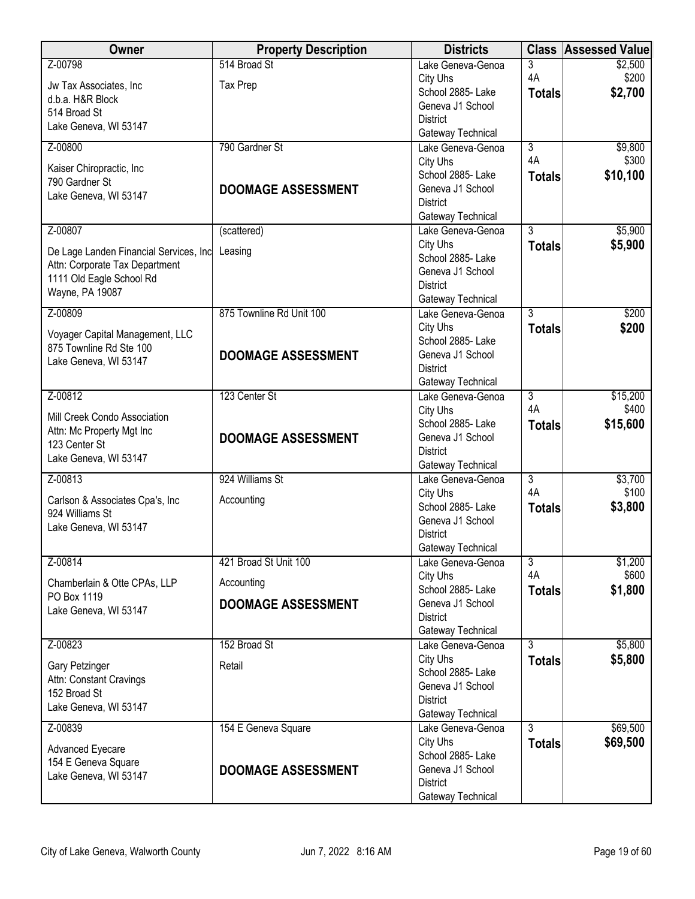| Owner                                              | <b>Property Description</b> | <b>Districts</b>                       | <b>Class</b>   | <b>Assessed Value</b> |
|----------------------------------------------------|-----------------------------|----------------------------------------|----------------|-----------------------|
| Z-00798                                            | 514 Broad St                | Lake Geneva-Genoa                      | 3              | \$2,500               |
| Jw Tax Associates, Inc                             | <b>Tax Prep</b>             | City Uhs                               | 4A             | \$200                 |
| d.b.a. H&R Block                                   |                             | School 2885- Lake                      | <b>Totals</b>  | \$2,700               |
| 514 Broad St                                       |                             | Geneva J1 School<br><b>District</b>    |                |                       |
| Lake Geneva, WI 53147                              |                             | Gateway Technical                      |                |                       |
| Z-00800                                            | 790 Gardner St              | Lake Geneva-Genoa                      | 3              | \$9,800               |
| Kaiser Chiropractic, Inc                           |                             | City Uhs                               | 4A             | \$300                 |
| 790 Gardner St                                     |                             | School 2885-Lake                       | <b>Totals</b>  | \$10,100              |
| Lake Geneva, WI 53147                              | <b>DOOMAGE ASSESSMENT</b>   | Geneva J1 School                       |                |                       |
|                                                    |                             | <b>District</b>                        |                |                       |
| Z-00807                                            | (scattered)                 | Gateway Technical<br>Lake Geneva-Genoa | $\overline{3}$ | \$5,900               |
|                                                    |                             | City Uhs                               | <b>Totals</b>  | \$5,900               |
| De Lage Landen Financial Services, Inc             | Leasing                     | School 2885- Lake                      |                |                       |
| Attn: Corporate Tax Department                     |                             | Geneva J1 School                       |                |                       |
| 1111 Old Eagle School Rd<br>Wayne, PA 19087        |                             | <b>District</b>                        |                |                       |
|                                                    |                             | Gateway Technical                      |                |                       |
| Z-00809                                            | 875 Townline Rd Unit 100    | Lake Geneva-Genoa                      | 3              | \$200                 |
| Voyager Capital Management, LLC                    |                             | City Uhs<br>School 2885- Lake          | <b>Totals</b>  | \$200                 |
| 875 Townline Rd Ste 100                            | <b>DOOMAGE ASSESSMENT</b>   | Geneva J1 School                       |                |                       |
| Lake Geneva, WI 53147                              |                             | <b>District</b>                        |                |                       |
|                                                    |                             | Gateway Technical                      |                |                       |
| Z-00812                                            | 123 Center St               | Lake Geneva-Genoa                      | $\overline{3}$ | \$15,200              |
| Mill Creek Condo Association                       |                             | City Uhs                               | 4A             | \$400                 |
| Attn: Mc Property Mgt Inc                          |                             | School 2885- Lake                      | <b>Totals</b>  | \$15,600              |
| 123 Center St                                      | <b>DOOMAGE ASSESSMENT</b>   | Geneva J1 School                       |                |                       |
| Lake Geneva, WI 53147                              |                             | <b>District</b><br>Gateway Technical   |                |                       |
| Z-00813                                            | 924 Williams St             | Lake Geneva-Genoa                      | $\overline{3}$ | \$3,700               |
|                                                    |                             | City Uhs                               | 4A             | \$100                 |
| Carlson & Associates Cpa's, Inc<br>924 Williams St | Accounting                  | School 2885- Lake                      | <b>Totals</b>  | \$3,800               |
| Lake Geneva, WI 53147                              |                             | Geneva J1 School                       |                |                       |
|                                                    |                             | <b>District</b>                        |                |                       |
| Z-00814                                            | 421 Broad St Unit 100       | Gateway Technical<br>Lake Geneva-Genoa | 3              | \$1,200               |
|                                                    |                             | City Uhs                               | 4A             | \$600                 |
| Chamberlain & Otte CPAs, LLP<br>PO Box 1119        | Accounting                  | School 2885- Lake                      | <b>Totals</b>  | \$1,800               |
| Lake Geneva, WI 53147                              | <b>DOOMAGE ASSESSMENT</b>   | Geneva J1 School                       |                |                       |
|                                                    |                             | <b>District</b>                        |                |                       |
|                                                    |                             | Gateway Technical                      |                |                       |
| Z-00823                                            | 152 Broad St                | Lake Geneva-Genoa<br>City Uhs          | 3              | \$5,800<br>\$5,800    |
| Gary Petzinger                                     | Retail                      | School 2885- Lake                      | <b>Totals</b>  |                       |
| Attn: Constant Cravings                            |                             | Geneva J1 School                       |                |                       |
| 152 Broad St                                       |                             | <b>District</b>                        |                |                       |
| Lake Geneva, WI 53147                              |                             | Gateway Technical                      |                |                       |
| Z-00839                                            | 154 E Geneva Square         | Lake Geneva-Genoa                      | $\overline{3}$ | \$69,500              |
| Advanced Eyecare                                   |                             | City Uhs                               | <b>Totals</b>  | \$69,500              |
| 154 E Geneva Square                                |                             | School 2885- Lake<br>Geneva J1 School  |                |                       |
| Lake Geneva, WI 53147                              | <b>DOOMAGE ASSESSMENT</b>   | <b>District</b>                        |                |                       |
|                                                    |                             | Gateway Technical                      |                |                       |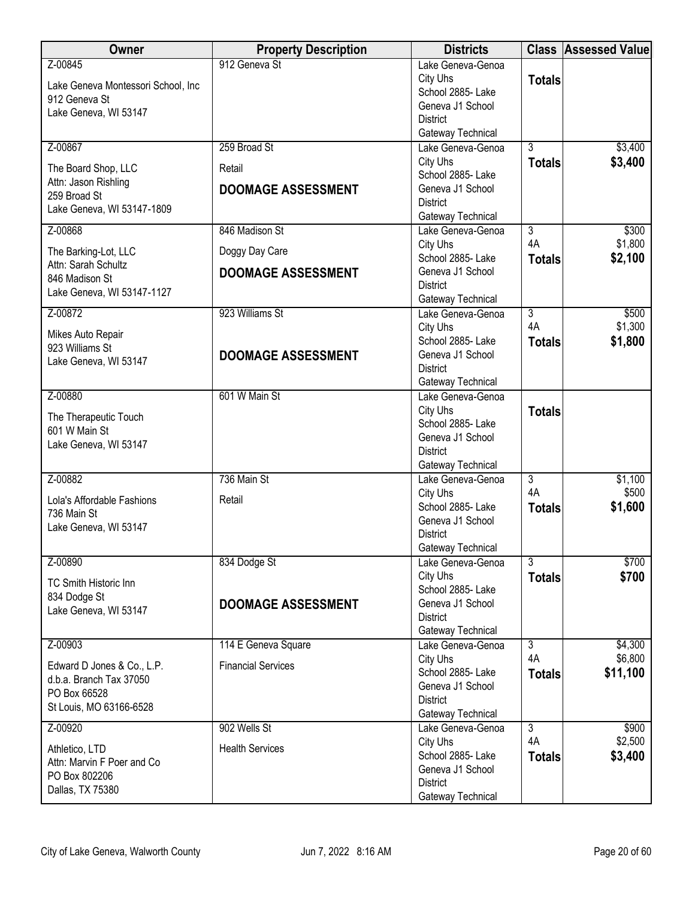| <b>Owner</b>                                        | <b>Property Description</b> | <b>Districts</b>                       |                      | <b>Class Assessed Value</b> |
|-----------------------------------------------------|-----------------------------|----------------------------------------|----------------------|-----------------------------|
| Z-00845                                             | 912 Geneva St               | Lake Geneva-Genoa<br>City Uhs          | <b>Totals</b>        |                             |
| Lake Geneva Montessori School, Inc<br>912 Geneva St |                             | School 2885- Lake                      |                      |                             |
| Lake Geneva, WI 53147                               |                             | Geneva J1 School                       |                      |                             |
|                                                     |                             | <b>District</b><br>Gateway Technical   |                      |                             |
| Z-00867                                             | 259 Broad St                | Lake Geneva-Genoa                      | $\overline{3}$       | \$3,400                     |
|                                                     |                             | City Uhs                               | <b>Totals</b>        | \$3,400                     |
| The Board Shop, LLC<br>Attn: Jason Rishling         | Retail                      | School 2885-Lake                       |                      |                             |
| 259 Broad St                                        | <b>DOOMAGE ASSESSMENT</b>   | Geneva J1 School                       |                      |                             |
| Lake Geneva, WI 53147-1809                          |                             | <b>District</b><br>Gateway Technical   |                      |                             |
| Z-00868                                             | 846 Madison St              | Lake Geneva-Genoa                      | $\overline{3}$       | \$300                       |
|                                                     |                             | City Uhs                               | 4A                   | \$1,800                     |
| The Barking-Lot, LLC<br>Attn: Sarah Schultz         | Doggy Day Care              | School 2885- Lake                      | <b>Totals</b>        | \$2,100                     |
| 846 Madison St                                      | <b>DOOMAGE ASSESSMENT</b>   | Geneva J1 School                       |                      |                             |
| Lake Geneva, WI 53147-1127                          |                             | <b>District</b>                        |                      |                             |
| Z-00872                                             | 923 Williams St             | Gateway Technical<br>Lake Geneva-Genoa | $\overline{3}$       | \$500                       |
|                                                     |                             | City Uhs                               | 4A                   | \$1,300                     |
| Mikes Auto Repair<br>923 Williams St                |                             | School 2885- Lake                      | <b>Totals</b>        | \$1,800                     |
| Lake Geneva, WI 53147                               | <b>DOOMAGE ASSESSMENT</b>   | Geneva J1 School                       |                      |                             |
|                                                     |                             | <b>District</b>                        |                      |                             |
|                                                     | 601 W Main St               | Gateway Technical                      |                      |                             |
| Z-00880                                             |                             | Lake Geneva-Genoa<br>City Uhs          | <b>Totals</b>        |                             |
| The Therapeutic Touch                               |                             | School 2885- Lake                      |                      |                             |
| 601 W Main St                                       |                             | Geneva J1 School                       |                      |                             |
| Lake Geneva, WI 53147                               |                             | <b>District</b>                        |                      |                             |
|                                                     |                             | Gateway Technical                      |                      |                             |
| Z-00882                                             | 736 Main St                 | Lake Geneva-Genoa<br>City Uhs          | $\overline{3}$<br>4A | \$1,100<br>\$500            |
| Lola's Affordable Fashions                          | Retail                      | School 2885- Lake                      | <b>Totals</b>        | \$1,600                     |
| 736 Main St                                         |                             | Geneva J1 School                       |                      |                             |
| Lake Geneva, WI 53147                               |                             | <b>District</b>                        |                      |                             |
|                                                     |                             | Gateway Technical                      |                      |                             |
| Z-00890                                             | 834 Dodge St                | Lake Geneva-Genoa                      | $\overline{3}$       | \$700                       |
| <b>TC Smith Historic Inn</b>                        |                             | City Uhs<br>School 2885- Lake          | <b>Totals</b>        | \$700                       |
| 834 Dodge St                                        | <b>DOOMAGE ASSESSMENT</b>   | Geneva J1 School                       |                      |                             |
| Lake Geneva, WI 53147                               |                             | <b>District</b>                        |                      |                             |
|                                                     |                             | Gateway Technical                      |                      |                             |
| Z-00903                                             | 114 E Geneva Square         | Lake Geneva-Genoa                      | $\overline{3}$       | \$4,300                     |
| Edward D Jones & Co., L.P.                          | <b>Financial Services</b>   | City Uhs<br>School 2885-Lake           | 4A                   | \$6,800<br>\$11,100         |
| d.b.a. Branch Tax 37050                             |                             | Geneva J1 School                       | <b>Totals</b>        |                             |
| PO Box 66528                                        |                             | <b>District</b>                        |                      |                             |
| St Louis, MO 63166-6528                             |                             | Gateway Technical                      |                      |                             |
| Z-00920                                             | 902 Wells St                | Lake Geneva-Genoa                      | 3                    | \$900                       |
| Athletico, LTD                                      | <b>Health Services</b>      | City Uhs<br>School 2885- Lake          | 4A                   | \$2,500                     |
| Attn: Marvin F Poer and Co                          |                             | Geneva J1 School                       | <b>Totals</b>        | \$3,400                     |
| PO Box 802206                                       |                             | <b>District</b>                        |                      |                             |
| Dallas, TX 75380                                    |                             | Gateway Technical                      |                      |                             |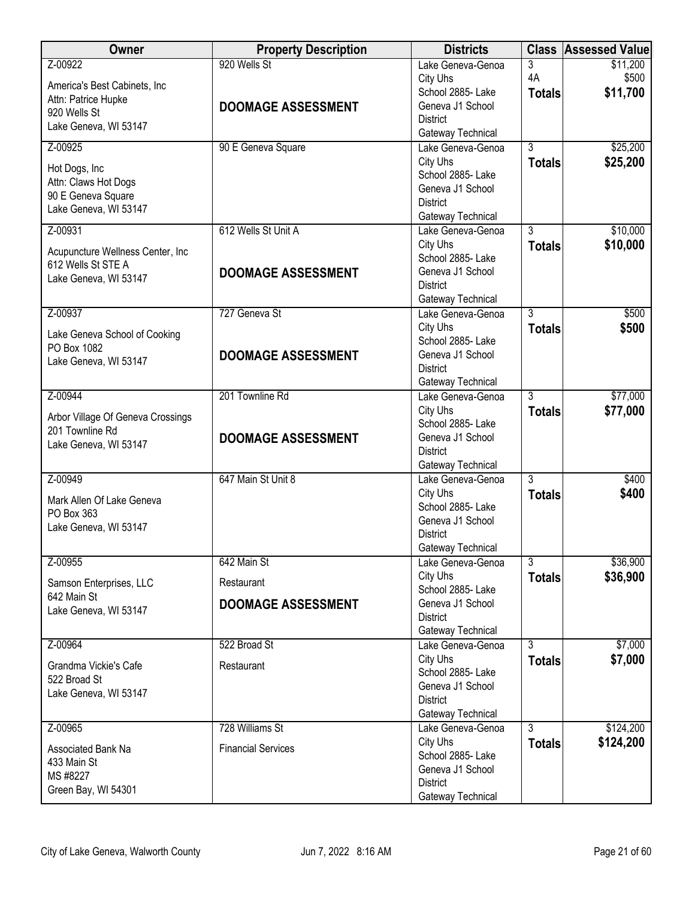| <b>Owner</b>                                           | <b>Property Description</b> | <b>Districts</b>                       |                | <b>Class Assessed Value</b> |
|--------------------------------------------------------|-----------------------------|----------------------------------------|----------------|-----------------------------|
| Z-00922                                                | 920 Wells St                | Lake Geneva-Genoa                      | 3              | \$11,200                    |
| America's Best Cabinets, Inc                           |                             | City Uhs                               | 4A             | \$500                       |
| Attn: Patrice Hupke                                    | <b>DOOMAGE ASSESSMENT</b>   | School 2885- Lake<br>Geneva J1 School  | <b>Totals</b>  | \$11,700                    |
| 920 Wells St                                           |                             | <b>District</b>                        |                |                             |
| Lake Geneva, WI 53147                                  |                             | Gateway Technical                      |                |                             |
| Z-00925                                                | 90 E Geneva Square          | Lake Geneva-Genoa                      | $\overline{3}$ | \$25,200                    |
| Hot Dogs, Inc                                          |                             | City Uhs                               | <b>Totals</b>  | \$25,200                    |
| Attn: Claws Hot Dogs                                   |                             | School 2885- Lake                      |                |                             |
| 90 E Geneva Square                                     |                             | Geneva J1 School<br><b>District</b>    |                |                             |
| Lake Geneva, WI 53147                                  |                             | Gateway Technical                      |                |                             |
| Z-00931                                                | 612 Wells St Unit A         | Lake Geneva-Genoa                      | $\overline{3}$ | \$10,000                    |
|                                                        |                             | City Uhs                               | <b>Totals</b>  | \$10,000                    |
| Acupuncture Wellness Center, Inc<br>612 Wells St STE A |                             | School 2885-Lake                       |                |                             |
| Lake Geneva, WI 53147                                  | <b>DOOMAGE ASSESSMENT</b>   | Geneva J1 School                       |                |                             |
|                                                        |                             | <b>District</b>                        |                |                             |
| Z-00937                                                | 727 Geneva St               | Gateway Technical<br>Lake Geneva-Genoa | $\overline{3}$ | \$500                       |
|                                                        |                             | City Uhs                               | <b>Totals</b>  | \$500                       |
| Lake Geneva School of Cooking                          |                             | School 2885-Lake                       |                |                             |
| PO Box 1082                                            | <b>DOOMAGE ASSESSMENT</b>   | Geneva J1 School                       |                |                             |
| Lake Geneva, WI 53147                                  |                             | <b>District</b>                        |                |                             |
|                                                        |                             | Gateway Technical                      |                |                             |
| Z-00944                                                | 201 Townline Rd             | Lake Geneva-Genoa                      | $\overline{3}$ | \$77,000                    |
| Arbor Village Of Geneva Crossings                      |                             | City Uhs<br>School 2885- Lake          | <b>Totals</b>  | \$77,000                    |
| 201 Townline Rd                                        | <b>DOOMAGE ASSESSMENT</b>   | Geneva J1 School                       |                |                             |
| Lake Geneva, WI 53147                                  |                             | <b>District</b>                        |                |                             |
|                                                        |                             | Gateway Technical                      |                |                             |
| Z-00949                                                | 647 Main St Unit 8          | Lake Geneva-Genoa                      | $\overline{3}$ | \$400                       |
| Mark Allen Of Lake Geneva                              |                             | City Uhs<br>School 2885- Lake          | <b>Totals</b>  | \$400                       |
| PO Box 363                                             |                             | Geneva J1 School                       |                |                             |
| Lake Geneva, WI 53147                                  |                             | <b>District</b>                        |                |                             |
|                                                        |                             | Gateway Technical                      |                |                             |
| Z-00955                                                | 642 Main St                 | Lake Geneva-Genoa                      | $\overline{3}$ | \$36,900                    |
| Samson Enterprises, LLC                                | Restaurant                  | City Uhs                               | <b>Totals</b>  | \$36,900                    |
| 642 Main St                                            |                             | School 2885- Lake                      |                |                             |
| Lake Geneva, WI 53147                                  | <b>DOOMAGE ASSESSMENT</b>   | Geneva J1 School<br><b>District</b>    |                |                             |
|                                                        |                             | Gateway Technical                      |                |                             |
| Z-00964                                                | 522 Broad St                | Lake Geneva-Genoa                      | $\overline{3}$ | \$7,000                     |
| Grandma Vickie's Cafe                                  | Restaurant                  | City Uhs                               | <b>Totals</b>  | \$7,000                     |
| 522 Broad St                                           |                             | School 2885-Lake                       |                |                             |
| Lake Geneva, WI 53147                                  |                             | Geneva J1 School                       |                |                             |
|                                                        |                             | <b>District</b><br>Gateway Technical   |                |                             |
| Z-00965                                                | 728 Williams St             | Lake Geneva-Genoa                      | $\overline{3}$ | \$124,200                   |
|                                                        |                             | City Uhs                               | <b>Totals</b>  | \$124,200                   |
| <b>Associated Bank Na</b><br>433 Main St               | <b>Financial Services</b>   | School 2885- Lake                      |                |                             |
| MS #8227                                               |                             | Geneva J1 School                       |                |                             |
| Green Bay, WI 54301                                    |                             | <b>District</b>                        |                |                             |
|                                                        |                             | Gateway Technical                      |                |                             |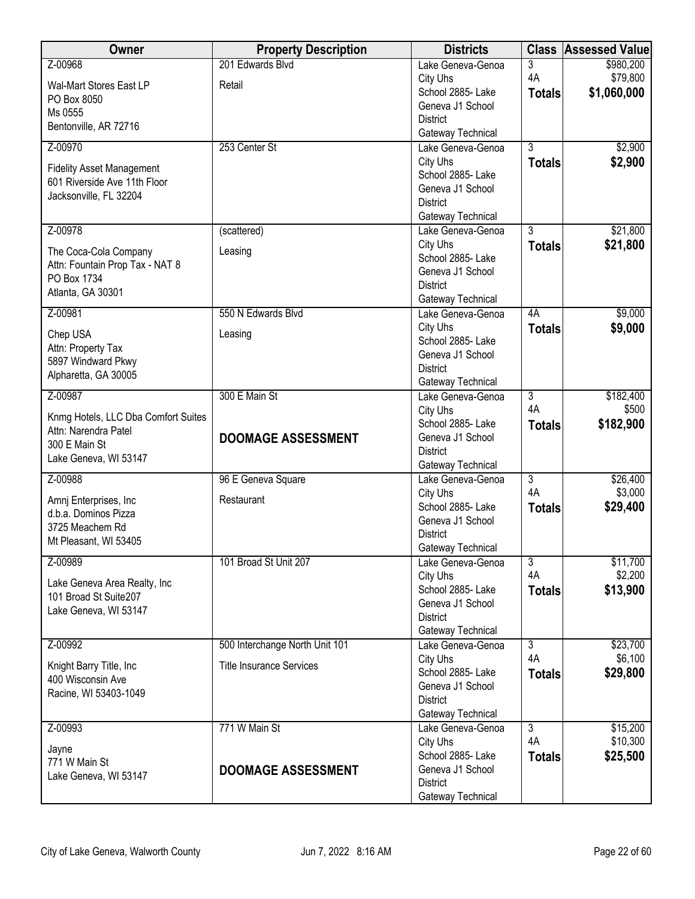| Owner                                                            | <b>Property Description</b>     | <b>Districts</b>                       |                           | <b>Class Assessed Value</b> |
|------------------------------------------------------------------|---------------------------------|----------------------------------------|---------------------------|-----------------------------|
| Z-00968                                                          | 201 Edwards Blvd                | Lake Geneva-Genoa                      | $\overline{3}$            | \$980,200                   |
| Wal-Mart Stores East LP                                          | Retail                          | City Uhs                               | 4A                        | \$79,800                    |
| PO Box 8050                                                      |                                 | School 2885- Lake                      | <b>Totals</b>             | \$1,060,000                 |
| Ms 0555                                                          |                                 | Geneva J1 School                       |                           |                             |
| Bentonville, AR 72716                                            |                                 | <b>District</b><br>Gateway Technical   |                           |                             |
| Z-00970                                                          | 253 Center St                   | Lake Geneva-Genoa                      | $\overline{3}$            | \$2,900                     |
|                                                                  |                                 | City Uhs                               | <b>Totals</b>             | \$2,900                     |
| <b>Fidelity Asset Management</b><br>601 Riverside Ave 11th Floor |                                 | School 2885-Lake                       |                           |                             |
| Jacksonville, FL 32204                                           |                                 | Geneva J1 School                       |                           |                             |
|                                                                  |                                 | <b>District</b>                        |                           |                             |
| Z-00978                                                          | (scattered)                     | Gateway Technical<br>Lake Geneva-Genoa | $\overline{3}$            | \$21,800                    |
|                                                                  |                                 | City Uhs                               | <b>Totals</b>             | \$21,800                    |
| The Coca-Cola Company                                            | Leasing                         | School 2885- Lake                      |                           |                             |
| Attn: Fountain Prop Tax - NAT 8                                  |                                 | Geneva J1 School                       |                           |                             |
| PO Box 1734<br>Atlanta, GA 30301                                 |                                 | <b>District</b>                        |                           |                             |
|                                                                  |                                 | Gateway Technical                      |                           |                             |
| Z-00981                                                          | 550 N Edwards Blvd              | Lake Geneva-Genoa                      | 4A                        | \$9,000                     |
| Chep USA                                                         | Leasing                         | City Uhs<br>School 2885- Lake          | <b>Totals</b>             | \$9,000                     |
| Attn: Property Tax                                               |                                 | Geneva J1 School                       |                           |                             |
| 5897 Windward Pkwy                                               |                                 | <b>District</b>                        |                           |                             |
| Alpharetta, GA 30005                                             |                                 | Gateway Technical                      |                           |                             |
| Z-00987                                                          | 300 E Main St                   | Lake Geneva-Genoa                      | $\overline{\overline{3}}$ | \$182,400                   |
| Knmg Hotels, LLC Dba Comfort Suites                              |                                 | City Uhs                               | 4A                        | \$500                       |
| Attn: Narendra Patel                                             |                                 | School 2885- Lake                      | <b>Totals</b>             | \$182,900                   |
| 300 E Main St                                                    | <b>DOOMAGE ASSESSMENT</b>       | Geneva J1 School                       |                           |                             |
| Lake Geneva, WI 53147                                            |                                 | <b>District</b><br>Gateway Technical   |                           |                             |
| Z-00988                                                          | 96 E Geneva Square              | Lake Geneva-Genoa                      | $\overline{3}$            | \$26,400                    |
|                                                                  |                                 | City Uhs                               | 4A                        | \$3,000                     |
| Amnj Enterprises, Inc<br>d.b.a. Dominos Pizza                    | Restaurant                      | School 2885-Lake                       | <b>Totals</b>             | \$29,400                    |
| 3725 Meachem Rd                                                  |                                 | Geneva J1 School                       |                           |                             |
| Mt Pleasant, WI 53405                                            |                                 | <b>District</b>                        |                           |                             |
| Z-00989                                                          | 101 Broad St Unit 207           | Gateway Technical<br>Lake Geneva-Genoa | $\overline{3}$            | \$11,700                    |
|                                                                  |                                 | City Uhs                               | 4A                        | \$2,200                     |
| Lake Geneva Area Realty, Inc                                     |                                 | School 2885- Lake                      | <b>Totals</b>             | \$13,900                    |
| 101 Broad St Suite207                                            |                                 | Geneva J1 School                       |                           |                             |
| Lake Geneva, WI 53147                                            |                                 | <b>District</b>                        |                           |                             |
|                                                                  |                                 | Gateway Technical                      |                           |                             |
| Z-00992                                                          | 500 Interchange North Unit 101  | Lake Geneva-Genoa                      | $\overline{3}$            | \$23,700                    |
| Knight Barry Title, Inc                                          | <b>Title Insurance Services</b> | City Uhs                               | 4A                        | \$6,100                     |
| 400 Wisconsin Ave                                                |                                 | School 2885- Lake<br>Geneva J1 School  | <b>Totals</b>             | \$29,800                    |
| Racine, WI 53403-1049                                            |                                 | <b>District</b>                        |                           |                             |
|                                                                  |                                 | Gateway Technical                      |                           |                             |
| Z-00993                                                          | 771 W Main St                   | Lake Geneva-Genoa                      | $\overline{3}$            | \$15,200                    |
| Jayne                                                            |                                 | City Uhs                               | 4A                        | \$10,300                    |
| 771 W Main St                                                    |                                 | School 2885- Lake                      | <b>Totals</b>             | \$25,500                    |
| Lake Geneva, WI 53147                                            | <b>DOOMAGE ASSESSMENT</b>       | Geneva J1 School                       |                           |                             |
|                                                                  |                                 | <b>District</b><br>Gateway Technical   |                           |                             |
|                                                                  |                                 |                                        |                           |                             |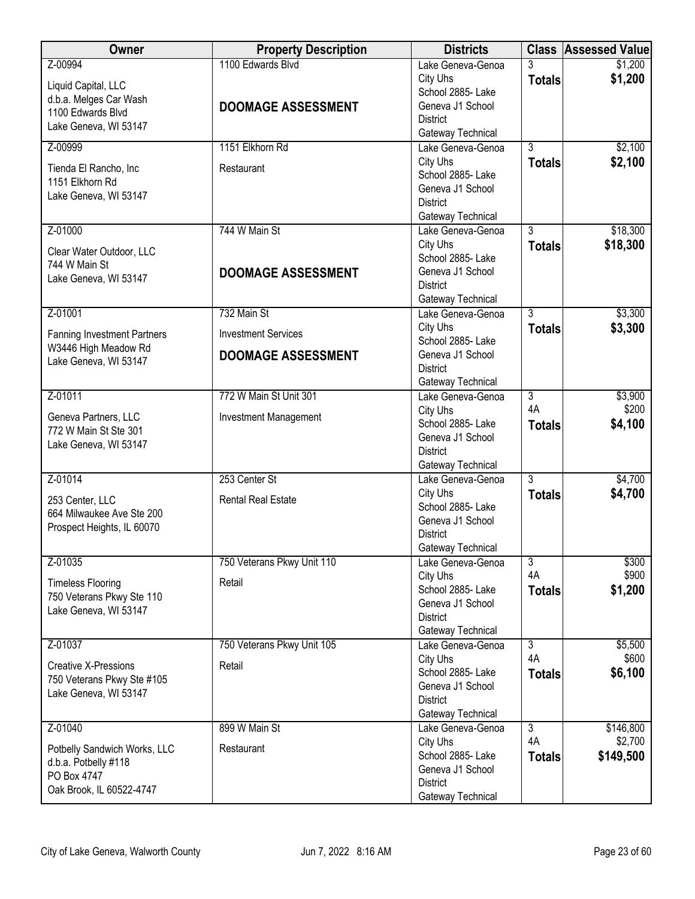| Owner                                                     | <b>Property Description</b> | <b>Districts</b>                      |                | <b>Class Assessed Value</b> |
|-----------------------------------------------------------|-----------------------------|---------------------------------------|----------------|-----------------------------|
| Z-00994                                                   | 1100 Edwards Blvd           | Lake Geneva-Genoa                     | 3              | \$1,200                     |
| Liquid Capital, LLC                                       |                             | City Uhs                              | <b>Totals</b>  | \$1,200                     |
| d.b.a. Melges Car Wash                                    |                             | School 2885- Lake                     |                |                             |
| 1100 Edwards Blvd                                         | <b>DOOMAGE ASSESSMENT</b>   | Geneva J1 School                      |                |                             |
| Lake Geneva, WI 53147                                     |                             | <b>District</b><br>Gateway Technical  |                |                             |
| Z-00999                                                   | 1151 Elkhorn Rd             | Lake Geneva-Genoa                     | $\overline{3}$ | \$2,100                     |
|                                                           |                             | City Uhs                              | <b>Totals</b>  | \$2,100                     |
| Tienda El Rancho, Inc                                     | Restaurant                  | School 2885- Lake                     |                |                             |
| 1151 Elkhorn Rd<br>Lake Geneva, WI 53147                  |                             | Geneva J1 School                      |                |                             |
|                                                           |                             | <b>District</b>                       |                |                             |
|                                                           |                             | Gateway Technical                     |                |                             |
| Z-01000                                                   | 744 W Main St               | Lake Geneva-Genoa                     | $\overline{3}$ | \$18,300                    |
| Clear Water Outdoor, LLC                                  |                             | City Uhs                              | <b>Totals</b>  | \$18,300                    |
| 744 W Main St                                             |                             | School 2885- Lake                     |                |                             |
| Lake Geneva, WI 53147                                     | <b>DOOMAGE ASSESSMENT</b>   | Geneva J1 School                      |                |                             |
|                                                           |                             | <b>District</b><br>Gateway Technical  |                |                             |
| Z-01001                                                   | 732 Main St                 | Lake Geneva-Genoa                     | $\overline{3}$ | \$3,300                     |
|                                                           |                             | City Uhs                              | <b>Totals</b>  | \$3,300                     |
| <b>Fanning Investment Partners</b>                        | <b>Investment Services</b>  | School 2885-Lake                      |                |                             |
| W3446 High Meadow Rd                                      | <b>DOOMAGE ASSESSMENT</b>   | Geneva J1 School                      |                |                             |
| Lake Geneva, WI 53147                                     |                             | <b>District</b>                       |                |                             |
|                                                           |                             | Gateway Technical                     |                |                             |
| Z-01011                                                   | 772 W Main St Unit 301      | Lake Geneva-Genoa                     | $\overline{3}$ | \$3,900                     |
| Geneva Partners, LLC                                      | Investment Management       | City Uhs                              | 4A             | \$200                       |
| 772 W Main St Ste 301                                     |                             | School 2885- Lake                     | <b>Totals</b>  | \$4,100                     |
| Lake Geneva, WI 53147                                     |                             | Geneva J1 School<br><b>District</b>   |                |                             |
|                                                           |                             | Gateway Technical                     |                |                             |
| Z-01014                                                   | 253 Center St               | Lake Geneva-Genoa                     | $\overline{3}$ | \$4,700                     |
|                                                           |                             | City Uhs                              | <b>Totals</b>  | \$4,700                     |
| 253 Center, LLC                                           | <b>Rental Real Estate</b>   | School 2885- Lake                     |                |                             |
| 664 Milwaukee Ave Ste 200<br>Prospect Heights, IL 60070   |                             | Geneva J1 School                      |                |                             |
|                                                           |                             | <b>District</b>                       |                |                             |
|                                                           |                             | Gateway Technical                     |                |                             |
| Z-01035                                                   | 750 Veterans Pkwy Unit 110  | Lake Geneva-Genoa                     | $\overline{3}$ | \$300                       |
| <b>Timeless Flooring</b>                                  | Retail                      | City Uhs                              | 4A             | \$900                       |
| 750 Veterans Pkwy Ste 110                                 |                             | School 2885- Lake<br>Geneva J1 School | <b>Totals</b>  | \$1,200                     |
| Lake Geneva, WI 53147                                     |                             | <b>District</b>                       |                |                             |
|                                                           |                             | Gateway Technical                     |                |                             |
| Z-01037                                                   | 750 Veterans Pkwy Unit 105  | Lake Geneva-Genoa                     | $\overline{3}$ | \$5,500                     |
|                                                           |                             | City Uhs                              | 4A             | \$600                       |
| <b>Creative X-Pressions</b><br>750 Veterans Pkwy Ste #105 | Retail                      | School 2885- Lake                     | <b>Totals</b>  | \$6,100                     |
| Lake Geneva, WI 53147                                     |                             | Geneva J1 School                      |                |                             |
|                                                           |                             | <b>District</b>                       |                |                             |
|                                                           |                             | Gateway Technical                     |                |                             |
| Z-01040                                                   | 899 W Main St               | Lake Geneva-Genoa                     | $\overline{3}$ | \$146,800                   |
| Potbelly Sandwich Works, LLC                              | Restaurant                  | City Uhs<br>School 2885- Lake         | 4A             | \$2,700                     |
| d.b.a. Potbelly #118                                      |                             | Geneva J1 School                      | <b>Totals</b>  | \$149,500                   |
| PO Box 4747                                               |                             | <b>District</b>                       |                |                             |
| Oak Brook, IL 60522-4747                                  |                             | Gateway Technical                     |                |                             |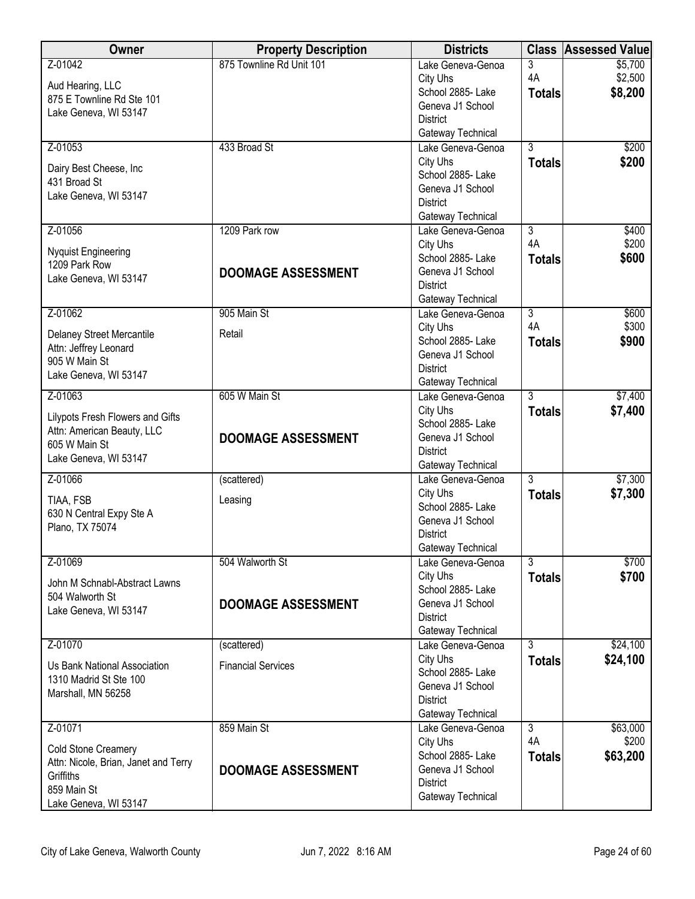| Owner                                             | <b>Property Description</b> | <b>Districts</b>                       |                | <b>Class Assessed Value</b> |
|---------------------------------------------------|-----------------------------|----------------------------------------|----------------|-----------------------------|
| Z-01042                                           | 875 Townline Rd Unit 101    | Lake Geneva-Genoa                      | 3              | \$5,700                     |
| Aud Hearing, LLC                                  |                             | City Uhs<br>School 2885- Lake          | 4A             | \$2,500                     |
| 875 E Townline Rd Ste 101                         |                             | Geneva J1 School                       | <b>Totals</b>  | \$8,200                     |
| Lake Geneva, WI 53147                             |                             | <b>District</b>                        |                |                             |
|                                                   |                             | Gateway Technical                      |                |                             |
| Z-01053                                           | 433 Broad St                | Lake Geneva-Genoa                      | $\overline{3}$ | \$200                       |
| Dairy Best Cheese, Inc                            |                             | City Uhs                               | <b>Totals</b>  | \$200                       |
| 431 Broad St                                      |                             | School 2885-Lake                       |                |                             |
| Lake Geneva, WI 53147                             |                             | Geneva J1 School<br><b>District</b>    |                |                             |
|                                                   |                             | Gateway Technical                      |                |                             |
| Z-01056                                           | 1209 Park row               | Lake Geneva-Genoa                      | $\overline{3}$ | \$400                       |
|                                                   |                             | City Uhs                               | 4A             | \$200                       |
| <b>Nyquist Engineering</b><br>1209 Park Row       |                             | School 2885- Lake                      | <b>Totals</b>  | \$600                       |
| Lake Geneva, WI 53147                             | <b>DOOMAGE ASSESSMENT</b>   | Geneva J1 School                       |                |                             |
|                                                   |                             | <b>District</b>                        |                |                             |
| Z-01062                                           | 905 Main St                 | Gateway Technical<br>Lake Geneva-Genoa | $\overline{3}$ | \$600                       |
|                                                   |                             | City Uhs                               | 4A             | \$300                       |
| Delaney Street Mercantile                         | Retail                      | School 2885-Lake                       | <b>Totals</b>  | \$900                       |
| Attn: Jeffrey Leonard<br>905 W Main St            |                             | Geneva J1 School                       |                |                             |
| Lake Geneva, WI 53147                             |                             | <b>District</b>                        |                |                             |
|                                                   |                             | Gateway Technical                      |                |                             |
| Z-01063                                           | 605 W Main St               | Lake Geneva-Genoa                      | $\overline{3}$ | \$7,400                     |
| Lilypots Fresh Flowers and Gifts                  |                             | City Uhs<br>School 2885- Lake          | <b>Totals</b>  | \$7,400                     |
| Attn: American Beauty, LLC                        | <b>DOOMAGE ASSESSMENT</b>   | Geneva J1 School                       |                |                             |
| 605 W Main St                                     |                             | <b>District</b>                        |                |                             |
| Lake Geneva, WI 53147                             |                             | Gateway Technical                      |                |                             |
| Z-01066                                           | (scattered)                 | Lake Geneva-Genoa                      | $\overline{3}$ | \$7,300                     |
| TIAA, FSB                                         | Leasing                     | City Uhs                               | <b>Totals</b>  | \$7,300                     |
| 630 N Central Expy Ste A                          |                             | School 2885- Lake<br>Geneva J1 School  |                |                             |
| Plano, TX 75074                                   |                             | <b>District</b>                        |                |                             |
|                                                   |                             | Gateway Technical                      |                |                             |
| Z-01069                                           | 504 Walworth St             | Lake Geneva-Genoa                      | $\overline{3}$ | \$700                       |
| John M Schnabl-Abstract Lawns                     |                             | City Uhs                               | <b>Totals</b>  | \$700                       |
| 504 Walworth St                                   |                             | School 2885- Lake                      |                |                             |
| Lake Geneva, WI 53147                             | <b>DOOMAGE ASSESSMENT</b>   | Geneva J1 School<br><b>District</b>    |                |                             |
|                                                   |                             | Gateway Technical                      |                |                             |
| Z-01070                                           | (scattered)                 | Lake Geneva-Genoa                      | $\overline{3}$ | \$24,100                    |
| Us Bank National Association                      | <b>Financial Services</b>   | City Uhs                               | <b>Totals</b>  | \$24,100                    |
| 1310 Madrid St Ste 100                            |                             | School 2885- Lake                      |                |                             |
| Marshall, MN 56258                                |                             | Geneva J1 School                       |                |                             |
|                                                   |                             | <b>District</b>                        |                |                             |
| Z-01071                                           | 859 Main St                 | Gateway Technical<br>Lake Geneva-Genoa | $\overline{3}$ | \$63,000                    |
|                                                   |                             | City Uhs                               | 4A             | \$200                       |
| Cold Stone Creamery                               |                             | School 2885- Lake                      | <b>Totals</b>  | \$63,200                    |
| Attn: Nicole, Brian, Janet and Terry<br>Griffiths | <b>DOOMAGE ASSESSMENT</b>   | Geneva J1 School                       |                |                             |
| 859 Main St                                       |                             | <b>District</b>                        |                |                             |
| Lake Geneva, WI 53147                             |                             | Gateway Technical                      |                |                             |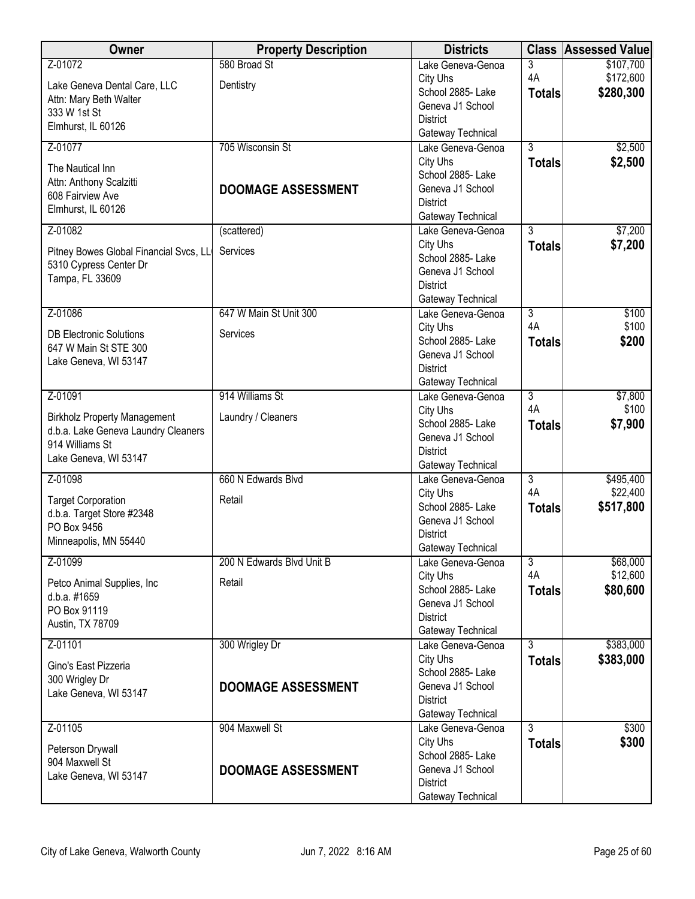| Owner                                       | <b>Property Description</b> | <b>Districts</b>                       |                | <b>Class Assessed Value</b> |
|---------------------------------------------|-----------------------------|----------------------------------------|----------------|-----------------------------|
| Z-01072                                     | 580 Broad St                | Lake Geneva-Genoa                      | 3              | \$107,700                   |
| Lake Geneva Dental Care, LLC                | Dentistry                   | City Uhs                               | 4A             | \$172,600                   |
| Attn: Mary Beth Walter                      |                             | School 2885- Lake                      | <b>Totals</b>  | \$280,300                   |
| 333 W 1st St                                |                             | Geneva J1 School                       |                |                             |
| Elmhurst, IL 60126                          |                             | <b>District</b><br>Gateway Technical   |                |                             |
| Z-01077                                     | 705 Wisconsin St            | Lake Geneva-Genoa                      | $\overline{3}$ | \$2,500                     |
|                                             |                             | City Uhs                               | <b>Totals</b>  | \$2,500                     |
| The Nautical Inn                            |                             | School 2885-Lake                       |                |                             |
| Attn: Anthony Scalzitti<br>608 Fairview Ave | <b>DOOMAGE ASSESSMENT</b>   | Geneva J1 School                       |                |                             |
| Elmhurst, IL 60126                          |                             | <b>District</b>                        |                |                             |
|                                             |                             | Gateway Technical                      |                |                             |
| Z-01082                                     | (scattered)                 | Lake Geneva-Genoa                      | $\overline{3}$ | \$7,200                     |
| Pitney Bowes Global Financial Svcs, LL      | Services                    | City Uhs                               | <b>Totals</b>  | \$7,200                     |
| 5310 Cypress Center Dr                      |                             | School 2885- Lake                      |                |                             |
| Tampa, FL 33609                             |                             | Geneva J1 School                       |                |                             |
|                                             |                             | <b>District</b>                        |                |                             |
| Z-01086                                     | 647 W Main St Unit 300      | Gateway Technical<br>Lake Geneva-Genoa | $\overline{3}$ | \$100                       |
|                                             |                             | City Uhs                               | 4A             | \$100                       |
| <b>DB Electronic Solutions</b>              | Services                    | School 2885- Lake                      | <b>Totals</b>  | \$200                       |
| 647 W Main St STE 300                       |                             | Geneva J1 School                       |                |                             |
| Lake Geneva, WI 53147                       |                             | <b>District</b>                        |                |                             |
|                                             |                             | Gateway Technical                      |                |                             |
| Z-01091                                     | 914 Williams St             | Lake Geneva-Genoa                      | $\overline{3}$ | \$7,800                     |
| <b>Birkholz Property Management</b>         | Laundry / Cleaners          | City Uhs                               | 4A             | \$100                       |
| d.b.a. Lake Geneva Laundry Cleaners         |                             | School 2885- Lake                      | <b>Totals</b>  | \$7,900                     |
| 914 Williams St                             |                             | Geneva J1 School                       |                |                             |
| Lake Geneva, WI 53147                       |                             | <b>District</b>                        |                |                             |
| Z-01098                                     | 660 N Edwards Blvd          | Gateway Technical<br>Lake Geneva-Genoa | $\overline{3}$ | \$495,400                   |
|                                             |                             | City Uhs                               | 4A             | \$22,400                    |
| <b>Target Corporation</b>                   | Retail                      | School 2885- Lake                      | <b>Totals</b>  | \$517,800                   |
| d.b.a. Target Store #2348                   |                             | Geneva J1 School                       |                |                             |
| PO Box 9456                                 |                             | <b>District</b>                        |                |                             |
| Minneapolis, MN 55440                       |                             | Gateway Technical                      |                |                             |
| Z-01099                                     | 200 N Edwards Blvd Unit B   | Lake Geneva-Genoa                      | $\overline{3}$ | \$68,000                    |
| Petco Animal Supplies, Inc                  | Retail                      | City Uhs                               | 4A             | \$12,600                    |
| d.b.a. #1659                                |                             | School 2885- Lake                      | <b>Totals</b>  | \$80,600                    |
| PO Box 91119                                |                             | Geneva J1 School                       |                |                             |
| Austin, TX 78709                            |                             | <b>District</b><br>Gateway Technical   |                |                             |
| Z-01101                                     | 300 Wrigley Dr              | Lake Geneva-Genoa                      | 3              | \$383,000                   |
|                                             |                             | City Uhs                               | <b>Totals</b>  | \$383,000                   |
| Gino's East Pizzeria                        |                             | School 2885-Lake                       |                |                             |
| 300 Wrigley Dr                              | <b>DOOMAGE ASSESSMENT</b>   | Geneva J1 School                       |                |                             |
| Lake Geneva, WI 53147                       |                             | <b>District</b>                        |                |                             |
|                                             |                             | Gateway Technical                      |                |                             |
| Z-01105                                     | 904 Maxwell St              | Lake Geneva-Genoa                      | $\overline{3}$ | \$300                       |
| Peterson Drywall                            |                             | City Uhs                               | <b>Totals</b>  | \$300                       |
| 904 Maxwell St                              |                             | School 2885- Lake                      |                |                             |
| Lake Geneva, WI 53147                       | <b>DOOMAGE ASSESSMENT</b>   | Geneva J1 School                       |                |                             |
|                                             |                             | <b>District</b>                        |                |                             |
|                                             |                             | Gateway Technical                      |                |                             |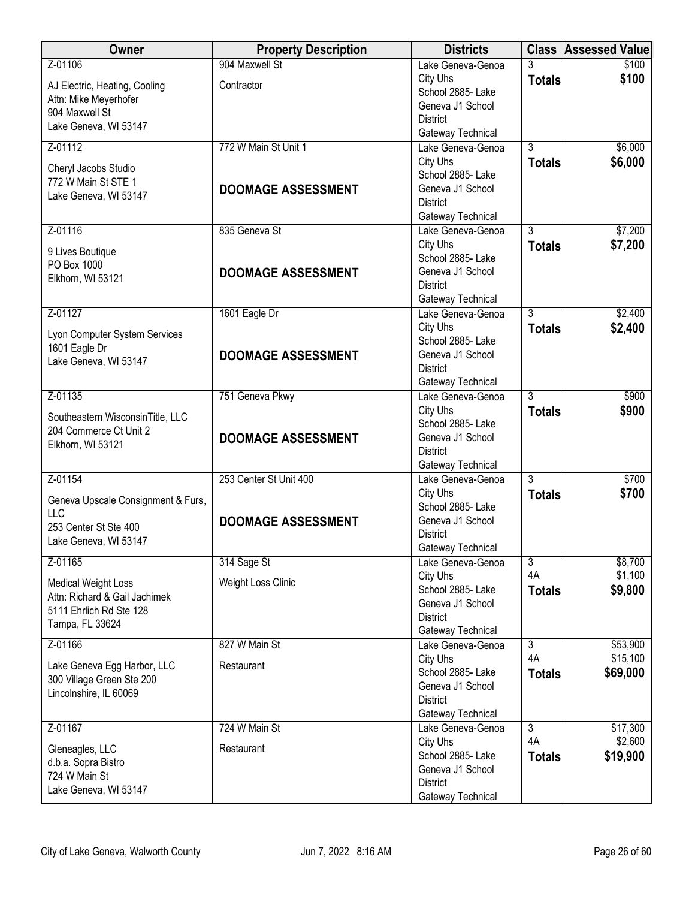| Owner                                                    | <b>Property Description</b> | <b>Districts</b>                       |                | <b>Class Assessed Value</b> |
|----------------------------------------------------------|-----------------------------|----------------------------------------|----------------|-----------------------------|
| Z-01106                                                  | 904 Maxwell St              | Lake Geneva-Genoa                      |                | \$100                       |
| AJ Electric, Heating, Cooling                            | Contractor                  | City Uhs                               | <b>Totals</b>  | \$100                       |
| Attn: Mike Meyerhofer                                    |                             | School 2885- Lake<br>Geneva J1 School  |                |                             |
| 904 Maxwell St                                           |                             | <b>District</b>                        |                |                             |
| Lake Geneva, WI 53147                                    |                             | Gateway Technical                      |                |                             |
| Z-01112                                                  | 772 W Main St Unit 1        | Lake Geneva-Genoa                      | $\overline{3}$ | \$6,000                     |
|                                                          |                             | City Uhs                               | <b>Totals</b>  | \$6,000                     |
| Cheryl Jacobs Studio<br>772 W Main St STE 1              |                             | School 2885- Lake                      |                |                             |
| Lake Geneva, WI 53147                                    | <b>DOOMAGE ASSESSMENT</b>   | Geneva J1 School                       |                |                             |
|                                                          |                             | <b>District</b>                        |                |                             |
|                                                          |                             | Gateway Technical                      | $\overline{3}$ |                             |
| Z-01116                                                  | 835 Geneva St               | Lake Geneva-Genoa<br>City Uhs          |                | \$7,200                     |
| 9 Lives Boutique                                         |                             | School 2885- Lake                      | <b>Totals</b>  | \$7,200                     |
| PO Box 1000                                              | <b>DOOMAGE ASSESSMENT</b>   | Geneva J1 School                       |                |                             |
| Elkhorn, WI 53121                                        |                             | <b>District</b>                        |                |                             |
|                                                          |                             | Gateway Technical                      |                |                             |
| Z-01127                                                  | 1601 Eagle Dr               | Lake Geneva-Genoa                      | $\overline{3}$ | \$2,400                     |
| Lyon Computer System Services                            |                             | City Uhs                               | <b>Totals</b>  | \$2,400                     |
| 1601 Eagle Dr                                            |                             | School 2885- Lake                      |                |                             |
| Lake Geneva, WI 53147                                    | <b>DOOMAGE ASSESSMENT</b>   | Geneva J1 School                       |                |                             |
|                                                          |                             | <b>District</b><br>Gateway Technical   |                |                             |
| Z-01135                                                  | 751 Geneva Pkwy             | Lake Geneva-Genoa                      | $\overline{3}$ | \$900                       |
|                                                          |                             | City Uhs                               | <b>Totals</b>  | \$900                       |
| Southeastern WisconsinTitle, LLC                         |                             | School 2885- Lake                      |                |                             |
| 204 Commerce Ct Unit 2                                   | <b>DOOMAGE ASSESSMENT</b>   | Geneva J1 School                       |                |                             |
| Elkhorn, WI 53121                                        |                             | <b>District</b>                        |                |                             |
|                                                          |                             | Gateway Technical                      |                |                             |
| Z-01154                                                  | 253 Center St Unit 400      | Lake Geneva-Genoa                      | $\overline{3}$ | \$700                       |
| Geneva Upscale Consignment & Furs,                       |                             | City Uhs<br>School 2885- Lake          | <b>Totals</b>  | \$700                       |
| <b>LLC</b>                                               | <b>DOOMAGE ASSESSMENT</b>   | Geneva J1 School                       |                |                             |
| 253 Center St Ste 400                                    |                             | <b>District</b>                        |                |                             |
| Lake Geneva, WI 53147                                    |                             | Gateway Technical                      |                |                             |
| Z-01165                                                  | 314 Sage St                 | Lake Geneva-Genoa                      | $\overline{3}$ | \$8,700                     |
| <b>Medical Weight Loss</b>                               | Weight Loss Clinic          | City Uhs                               | 4A             | \$1,100                     |
| Attn: Richard & Gail Jachimek                            |                             | School 2885- Lake                      | <b>Totals</b>  | \$9,800                     |
| 5111 Ehrlich Rd Ste 128                                  |                             | Geneva J1 School<br><b>District</b>    |                |                             |
| Tampa, FL 33624                                          |                             | Gateway Technical                      |                |                             |
| Z-01166                                                  | 827 W Main St               | Lake Geneva-Genoa                      | $\overline{3}$ | \$53,900                    |
|                                                          |                             | City Uhs                               | 4A             | \$15,100                    |
| Lake Geneva Egg Harbor, LLC<br>300 Village Green Ste 200 | Restaurant                  | School 2885- Lake                      | <b>Totals</b>  | \$69,000                    |
| Lincolnshire, IL 60069                                   |                             | Geneva J1 School                       |                |                             |
|                                                          |                             | <b>District</b>                        |                |                             |
|                                                          | 724 W Main St               | Gateway Technical<br>Lake Geneva-Genoa | $\overline{3}$ | \$17,300                    |
| Z-01167                                                  |                             | City Uhs                               | 4A             | \$2,600                     |
| Gleneagles, LLC                                          | Restaurant                  | School 2885- Lake                      | <b>Totals</b>  | \$19,900                    |
| d.b.a. Sopra Bistro                                      |                             | Geneva J1 School                       |                |                             |
| 724 W Main St                                            |                             | <b>District</b>                        |                |                             |
| Lake Geneva, WI 53147                                    |                             | Gateway Technical                      |                |                             |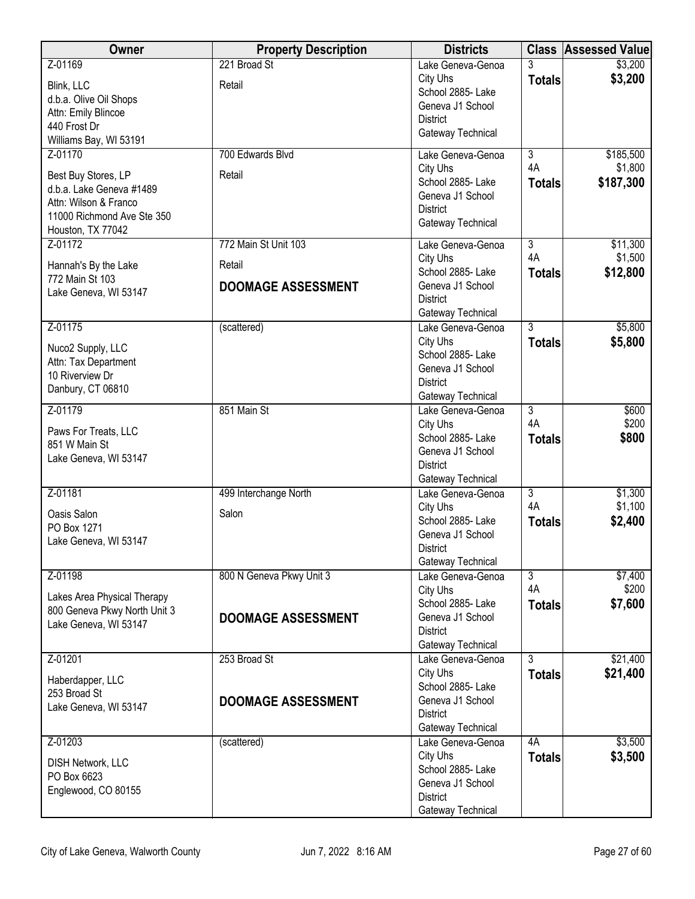| Owner                                                                                                                                  | <b>Property Description</b>                                 | <b>Districts</b>                                                                                               |                                       | <b>Class Assessed Value</b>       |
|----------------------------------------------------------------------------------------------------------------------------------------|-------------------------------------------------------------|----------------------------------------------------------------------------------------------------------------|---------------------------------------|-----------------------------------|
| Z-01169<br>Blink, LLC<br>d.b.a. Olive Oil Shops<br>Attn: Emily Blincoe                                                                 | 221 Broad St<br>Retail                                      | Lake Geneva-Genoa<br>City Uhs<br>School 2885- Lake<br>Geneva J1 School<br><b>District</b>                      | 3<br><b>Totals</b>                    | \$3,200<br>\$3,200                |
| 440 Frost Dr<br>Williams Bay, WI 53191                                                                                                 |                                                             | Gateway Technical                                                                                              |                                       |                                   |
| Z-01170<br>Best Buy Stores, LP<br>d.b.a. Lake Geneva #1489<br>Attn: Wilson & Franco<br>11000 Richmond Ave Ste 350<br>Houston, TX 77042 | 700 Edwards Blvd<br>Retail                                  | Lake Geneva-Genoa<br>City Uhs<br>School 2885- Lake<br>Geneva J1 School<br><b>District</b><br>Gateway Technical | $\overline{3}$<br>4A<br><b>Totals</b> | \$185,500<br>\$1,800<br>\$187,300 |
| Z-01172<br>Hannah's By the Lake<br>772 Main St 103<br>Lake Geneva, WI 53147                                                            | 772 Main St Unit 103<br>Retail<br><b>DOOMAGE ASSESSMENT</b> | Lake Geneva-Genoa<br>City Uhs<br>School 2885- Lake<br>Geneva J1 School<br><b>District</b><br>Gateway Technical | $\overline{3}$<br>4A<br><b>Totals</b> | \$11,300<br>\$1,500<br>\$12,800   |
| Z-01175<br>Nuco2 Supply, LLC<br>Attn: Tax Department<br>10 Riverview Dr<br>Danbury, CT 06810                                           | (scattered)                                                 | Lake Geneva-Genoa<br>City Uhs<br>School 2885- Lake<br>Geneva J1 School<br><b>District</b><br>Gateway Technical | $\overline{3}$<br><b>Totals</b>       | \$5,800<br>\$5,800                |
| Z-01179<br>Paws For Treats, LLC<br>851 W Main St<br>Lake Geneva, WI 53147                                                              | 851 Main St                                                 | Lake Geneva-Genoa<br>City Uhs<br>School 2885- Lake<br>Geneva J1 School<br><b>District</b><br>Gateway Technical | $\overline{3}$<br>4A<br><b>Totals</b> | \$600<br>\$200<br>\$800           |
| $Z - 01181$<br>Oasis Salon<br>PO Box 1271<br>Lake Geneva, WI 53147                                                                     | 499 Interchange North<br>Salon                              | Lake Geneva-Genoa<br>City Uhs<br>School 2885- Lake<br>Geneva J1 School<br>District<br>Gateway Technical        | $\overline{3}$<br>4A<br><b>Totals</b> | \$1,300<br>\$1,100<br>\$2,400     |
| Z-01198<br>Lakes Area Physical Therapy<br>800 Geneva Pkwy North Unit 3<br>Lake Geneva, WI 53147                                        | 800 N Geneva Pkwy Unit 3<br><b>DOOMAGE ASSESSMENT</b>       | Lake Geneva-Genoa<br>City Uhs<br>School 2885- Lake<br>Geneva J1 School<br><b>District</b><br>Gateway Technical | $\overline{3}$<br>4A<br><b>Totals</b> | \$7,400<br>\$200<br>\$7,600       |
| Z-01201<br>Haberdapper, LLC<br>253 Broad St<br>Lake Geneva, WI 53147                                                                   | 253 Broad St<br><b>DOOMAGE ASSESSMENT</b>                   | Lake Geneva-Genoa<br>City Uhs<br>School 2885- Lake<br>Geneva J1 School<br><b>District</b><br>Gateway Technical | $\overline{3}$<br><b>Totals</b>       | \$21,400<br>\$21,400              |
| Z-01203<br><b>DISH Network, LLC</b><br>PO Box 6623<br>Englewood, CO 80155                                                              | (scattered)                                                 | Lake Geneva-Genoa<br>City Uhs<br>School 2885- Lake<br>Geneva J1 School<br><b>District</b><br>Gateway Technical | 4A<br><b>Totals</b>                   | \$3,500<br>\$3,500                |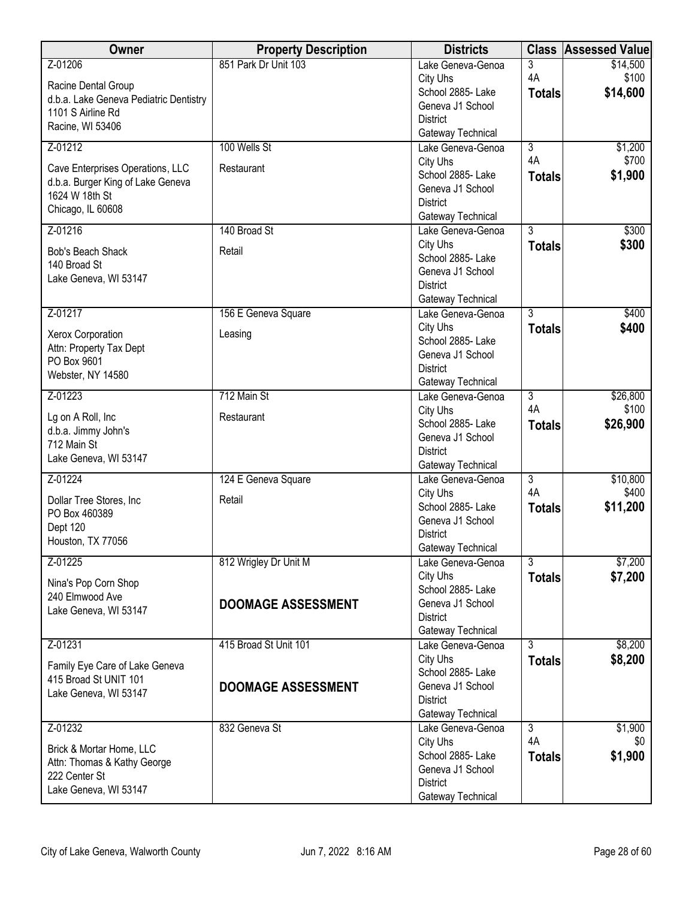| 851 Park Dr Unit 103<br>Z-01206<br>\$14,500<br>3<br>Lake Geneva-Genoa<br>4A<br>\$100<br>City Uhs<br>Racine Dental Group<br>\$14,600<br>School 2885- Lake<br><b>Totals</b><br>d.b.a. Lake Geneva Pediatric Dentistry<br>Geneva J1 School<br>1101 S Airline Rd<br><b>District</b><br>Racine, WI 53406<br>Gateway Technical<br>Z-01212<br>100 Wells St<br>$\overline{3}$<br>\$1,200<br>Lake Geneva-Genoa<br>4A<br>\$700<br>City Uhs<br>Cave Enterprises Operations, LLC<br>Restaurant<br>\$1,900<br>School 2885- Lake<br><b>Totals</b><br>d.b.a. Burger King of Lake Geneva<br>Geneva J1 School<br>1624 W 18th St<br><b>District</b><br>Chicago, IL 60608<br>Gateway Technical<br>140 Broad St<br>$\overline{3}$<br>Z-01216<br>Lake Geneva-Genoa<br>\$300<br>City Uhs<br>\$300<br><b>Totals</b><br>Bob's Beach Shack<br>Retail<br>School 2885- Lake<br>140 Broad St | Owner | <b>Property Description</b> | <b>Districts</b> | <b>Class Assessed Value</b> |
|------------------------------------------------------------------------------------------------------------------------------------------------------------------------------------------------------------------------------------------------------------------------------------------------------------------------------------------------------------------------------------------------------------------------------------------------------------------------------------------------------------------------------------------------------------------------------------------------------------------------------------------------------------------------------------------------------------------------------------------------------------------------------------------------------------------------------------------------------------------|-------|-----------------------------|------------------|-----------------------------|
|                                                                                                                                                                                                                                                                                                                                                                                                                                                                                                                                                                                                                                                                                                                                                                                                                                                                  |       |                             |                  |                             |
|                                                                                                                                                                                                                                                                                                                                                                                                                                                                                                                                                                                                                                                                                                                                                                                                                                                                  |       |                             |                  |                             |
|                                                                                                                                                                                                                                                                                                                                                                                                                                                                                                                                                                                                                                                                                                                                                                                                                                                                  |       |                             |                  |                             |
|                                                                                                                                                                                                                                                                                                                                                                                                                                                                                                                                                                                                                                                                                                                                                                                                                                                                  |       |                             |                  |                             |
|                                                                                                                                                                                                                                                                                                                                                                                                                                                                                                                                                                                                                                                                                                                                                                                                                                                                  |       |                             |                  |                             |
|                                                                                                                                                                                                                                                                                                                                                                                                                                                                                                                                                                                                                                                                                                                                                                                                                                                                  |       |                             |                  |                             |
|                                                                                                                                                                                                                                                                                                                                                                                                                                                                                                                                                                                                                                                                                                                                                                                                                                                                  |       |                             |                  |                             |
|                                                                                                                                                                                                                                                                                                                                                                                                                                                                                                                                                                                                                                                                                                                                                                                                                                                                  |       |                             |                  |                             |
|                                                                                                                                                                                                                                                                                                                                                                                                                                                                                                                                                                                                                                                                                                                                                                                                                                                                  |       |                             |                  |                             |
|                                                                                                                                                                                                                                                                                                                                                                                                                                                                                                                                                                                                                                                                                                                                                                                                                                                                  |       |                             |                  |                             |
|                                                                                                                                                                                                                                                                                                                                                                                                                                                                                                                                                                                                                                                                                                                                                                                                                                                                  |       |                             |                  |                             |
|                                                                                                                                                                                                                                                                                                                                                                                                                                                                                                                                                                                                                                                                                                                                                                                                                                                                  |       |                             |                  |                             |
|                                                                                                                                                                                                                                                                                                                                                                                                                                                                                                                                                                                                                                                                                                                                                                                                                                                                  |       |                             |                  |                             |
|                                                                                                                                                                                                                                                                                                                                                                                                                                                                                                                                                                                                                                                                                                                                                                                                                                                                  |       |                             |                  |                             |
|                                                                                                                                                                                                                                                                                                                                                                                                                                                                                                                                                                                                                                                                                                                                                                                                                                                                  |       |                             | Geneva J1 School |                             |
| Lake Geneva, WI 53147<br><b>District</b>                                                                                                                                                                                                                                                                                                                                                                                                                                                                                                                                                                                                                                                                                                                                                                                                                         |       |                             |                  |                             |
| Gateway Technical                                                                                                                                                                                                                                                                                                                                                                                                                                                                                                                                                                                                                                                                                                                                                                                                                                                |       |                             |                  |                             |
| Z-01217<br>$\overline{3}$<br>\$400<br>156 E Geneva Square<br>Lake Geneva-Genoa                                                                                                                                                                                                                                                                                                                                                                                                                                                                                                                                                                                                                                                                                                                                                                                   |       |                             |                  |                             |
| City Uhs<br>\$400<br><b>Totals</b><br>Xerox Corporation<br>Leasing                                                                                                                                                                                                                                                                                                                                                                                                                                                                                                                                                                                                                                                                                                                                                                                               |       |                             |                  |                             |
| School 2885-Lake<br>Attn: Property Tax Dept                                                                                                                                                                                                                                                                                                                                                                                                                                                                                                                                                                                                                                                                                                                                                                                                                      |       |                             |                  |                             |
| Geneva J1 School<br>PO Box 9601                                                                                                                                                                                                                                                                                                                                                                                                                                                                                                                                                                                                                                                                                                                                                                                                                                  |       |                             |                  |                             |
| <b>District</b><br>Webster, NY 14580                                                                                                                                                                                                                                                                                                                                                                                                                                                                                                                                                                                                                                                                                                                                                                                                                             |       |                             |                  |                             |
| Gateway Technical                                                                                                                                                                                                                                                                                                                                                                                                                                                                                                                                                                                                                                                                                                                                                                                                                                                |       |                             |                  |                             |
| Z-01223<br>712 Main St<br>$\overline{3}$<br>\$26,800<br>Lake Geneva-Genoa<br>4A<br>\$100<br>City Uhs                                                                                                                                                                                                                                                                                                                                                                                                                                                                                                                                                                                                                                                                                                                                                             |       |                             |                  |                             |
| Restaurant<br>Lg on A Roll, Inc<br>School 2885- Lake<br>\$26,900                                                                                                                                                                                                                                                                                                                                                                                                                                                                                                                                                                                                                                                                                                                                                                                                 |       |                             |                  |                             |
| <b>Totals</b><br>d.b.a. Jimmy John's<br>Geneva J1 School                                                                                                                                                                                                                                                                                                                                                                                                                                                                                                                                                                                                                                                                                                                                                                                                         |       |                             |                  |                             |
| 712 Main St<br><b>District</b>                                                                                                                                                                                                                                                                                                                                                                                                                                                                                                                                                                                                                                                                                                                                                                                                                                   |       |                             |                  |                             |
| Lake Geneva, WI 53147<br>Gateway Technical                                                                                                                                                                                                                                                                                                                                                                                                                                                                                                                                                                                                                                                                                                                                                                                                                       |       |                             |                  |                             |
| Z-01224<br>$\overline{3}$<br>\$10,800<br>124 E Geneva Square<br>Lake Geneva-Genoa                                                                                                                                                                                                                                                                                                                                                                                                                                                                                                                                                                                                                                                                                                                                                                                |       |                             |                  |                             |
| 4A<br>\$400<br>City Uhs<br>Dollar Tree Stores, Inc<br>Retail                                                                                                                                                                                                                                                                                                                                                                                                                                                                                                                                                                                                                                                                                                                                                                                                     |       |                             |                  |                             |
| School 2885- Lake<br>\$11,200<br><b>Totals</b><br>PO Box 460389                                                                                                                                                                                                                                                                                                                                                                                                                                                                                                                                                                                                                                                                                                                                                                                                  |       |                             |                  |                             |
| Geneva J1 School<br>Dept 120                                                                                                                                                                                                                                                                                                                                                                                                                                                                                                                                                                                                                                                                                                                                                                                                                                     |       |                             |                  |                             |
| <b>District</b><br>Houston, TX 77056                                                                                                                                                                                                                                                                                                                                                                                                                                                                                                                                                                                                                                                                                                                                                                                                                             |       |                             |                  |                             |
| Gateway Technical                                                                                                                                                                                                                                                                                                                                                                                                                                                                                                                                                                                                                                                                                                                                                                                                                                                |       |                             |                  |                             |
| 812 Wrigley Dr Unit M<br>$\overline{3}$<br>\$7,200<br>Z-01225<br>Lake Geneva-Genoa                                                                                                                                                                                                                                                                                                                                                                                                                                                                                                                                                                                                                                                                                                                                                                               |       |                             |                  |                             |
| City Uhs<br>\$7,200<br><b>Totals</b><br>Nina's Pop Corn Shop<br>School 2885- Lake                                                                                                                                                                                                                                                                                                                                                                                                                                                                                                                                                                                                                                                                                                                                                                                |       |                             |                  |                             |
| 240 Elmwood Ave<br>Geneva J1 School<br><b>DOOMAGE ASSESSMENT</b>                                                                                                                                                                                                                                                                                                                                                                                                                                                                                                                                                                                                                                                                                                                                                                                                 |       |                             |                  |                             |
| Lake Geneva, WI 53147<br><b>District</b>                                                                                                                                                                                                                                                                                                                                                                                                                                                                                                                                                                                                                                                                                                                                                                                                                         |       |                             |                  |                             |
| Gateway Technical                                                                                                                                                                                                                                                                                                                                                                                                                                                                                                                                                                                                                                                                                                                                                                                                                                                |       |                             |                  |                             |
| \$8,200<br>Z-01231<br>415 Broad St Unit 101<br>$\overline{3}$<br>Lake Geneva-Genoa                                                                                                                                                                                                                                                                                                                                                                                                                                                                                                                                                                                                                                                                                                                                                                               |       |                             |                  |                             |
| City Uhs<br>\$8,200<br><b>Totals</b>                                                                                                                                                                                                                                                                                                                                                                                                                                                                                                                                                                                                                                                                                                                                                                                                                             |       |                             |                  |                             |
| Family Eye Care of Lake Geneva<br>School 2885- Lake<br>415 Broad St UNIT 101                                                                                                                                                                                                                                                                                                                                                                                                                                                                                                                                                                                                                                                                                                                                                                                     |       |                             |                  |                             |
| Geneva J1 School<br><b>DOOMAGE ASSESSMENT</b><br>Lake Geneva, WI 53147                                                                                                                                                                                                                                                                                                                                                                                                                                                                                                                                                                                                                                                                                                                                                                                           |       |                             |                  |                             |
| <b>District</b>                                                                                                                                                                                                                                                                                                                                                                                                                                                                                                                                                                                                                                                                                                                                                                                                                                                  |       |                             |                  |                             |
| Gateway Technical                                                                                                                                                                                                                                                                                                                                                                                                                                                                                                                                                                                                                                                                                                                                                                                                                                                |       |                             |                  |                             |
| 832 Geneva St<br>\$1,900<br>Z-01232<br>Lake Geneva-Genoa<br>$\overline{3}$                                                                                                                                                                                                                                                                                                                                                                                                                                                                                                                                                                                                                                                                                                                                                                                       |       |                             |                  |                             |
| 4A<br>City Uhs<br>\$0<br>Brick & Mortar Home, LLC                                                                                                                                                                                                                                                                                                                                                                                                                                                                                                                                                                                                                                                                                                                                                                                                                |       |                             |                  |                             |
| \$1,900<br>School 2885- Lake<br><b>Totals</b><br>Attn: Thomas & Kathy George                                                                                                                                                                                                                                                                                                                                                                                                                                                                                                                                                                                                                                                                                                                                                                                     |       |                             |                  |                             |
| Geneva J1 School<br>222 Center St<br><b>District</b>                                                                                                                                                                                                                                                                                                                                                                                                                                                                                                                                                                                                                                                                                                                                                                                                             |       |                             |                  |                             |
| Lake Geneva, WI 53147<br>Gateway Technical                                                                                                                                                                                                                                                                                                                                                                                                                                                                                                                                                                                                                                                                                                                                                                                                                       |       |                             |                  |                             |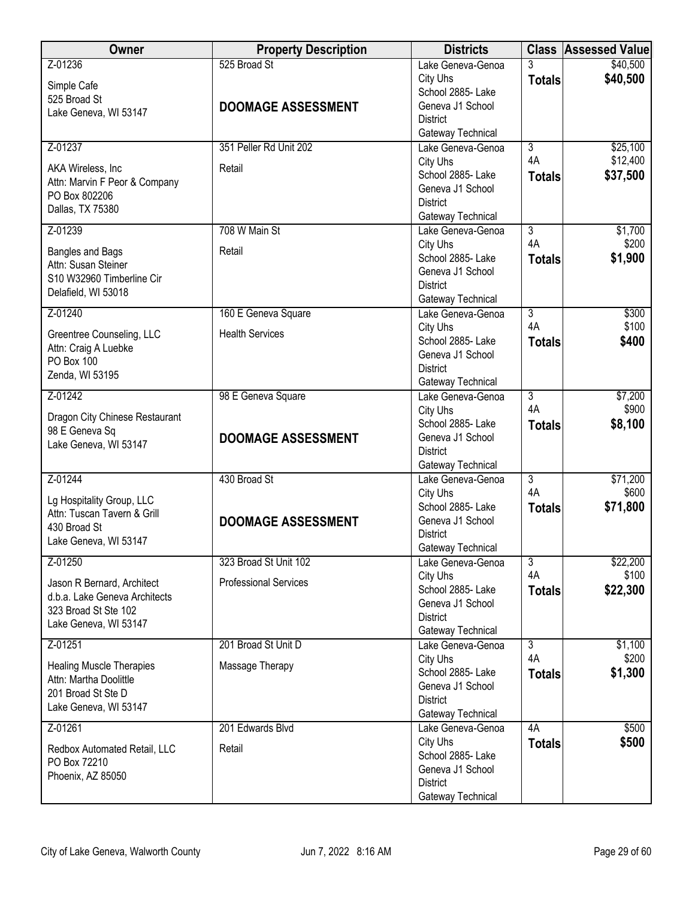| Owner                                                                                                        | <b>Property Description</b>               | <b>Districts</b>                                                                          |                                 | <b>Class Assessed Value</b> |
|--------------------------------------------------------------------------------------------------------------|-------------------------------------------|-------------------------------------------------------------------------------------------|---------------------------------|-----------------------------|
| Z-01236<br>Simple Cafe<br>525 Broad St<br>Lake Geneva, WI 53147                                              | 525 Broad St<br><b>DOOMAGE ASSESSMENT</b> | Lake Geneva-Genoa<br>City Uhs<br>School 2885- Lake<br>Geneva J1 School                    | $\overline{3}$<br><b>Totals</b> | \$40,500<br>\$40,500        |
|                                                                                                              |                                           | <b>District</b><br>Gateway Technical                                                      |                                 |                             |
| Z-01237                                                                                                      | 351 Peller Rd Unit 202                    | Lake Geneva-Genoa                                                                         | $\overline{3}$                  | \$25,100                    |
| AKA Wireless, Inc.<br>Attn: Marvin F Peor & Company<br>PO Box 802206<br>Dallas, TX 75380                     | Retail                                    | City Uhs<br>School 2885-Lake<br>Geneva J1 School<br><b>District</b><br>Gateway Technical  | 4A<br><b>Totals</b>             | \$12,400<br>\$37,500        |
| Z-01239                                                                                                      | 708 W Main St                             | Lake Geneva-Genoa                                                                         | $\overline{3}$                  | \$1,700                     |
| Bangles and Bags<br>Attn: Susan Steiner<br>S10 W32960 Timberline Cir<br>Delafield, WI 53018                  | Retail                                    | City Uhs<br>School 2885- Lake<br>Geneva J1 School<br><b>District</b><br>Gateway Technical | 4A<br><b>Totals</b>             | \$200<br>\$1,900            |
| Z-01240                                                                                                      | 160 E Geneva Square                       | Lake Geneva-Genoa                                                                         | $\overline{3}$                  | \$300                       |
| Greentree Counseling, LLC<br>Attn: Craig A Luebke<br>PO Box 100<br>Zenda, WI 53195                           | <b>Health Services</b>                    | City Uhs<br>School 2885-Lake<br>Geneva J1 School<br><b>District</b><br>Gateway Technical  | 4A<br><b>Totals</b>             | \$100<br>\$400              |
| Z-01242                                                                                                      | 98 E Geneva Square                        | Lake Geneva-Genoa                                                                         | $\overline{3}$                  | \$7,200                     |
| Dragon City Chinese Restaurant<br>98 E Geneva Sq<br>Lake Geneva, WI 53147                                    | <b>DOOMAGE ASSESSMENT</b>                 | City Uhs<br>School 2885- Lake<br>Geneva J1 School<br><b>District</b><br>Gateway Technical | 4A<br><b>Totals</b>             | \$900<br>\$8,100            |
| Z-01244                                                                                                      | 430 Broad St                              | Lake Geneva-Genoa                                                                         | $\overline{3}$                  | \$71,200                    |
| Lg Hospitality Group, LLC<br>Attn: Tuscan Tavern & Grill<br>430 Broad St<br>Lake Geneva, WI 53147            | <b>DOOMAGE ASSESSMENT</b>                 | City Uhs<br>School 2885-Lake<br>Geneva J1 School<br><b>District</b><br>Gateway Technical  | 4A<br><b>Totals</b>             | \$600<br>\$71,800           |
| Z-01250                                                                                                      | 323 Broad St Unit 102                     | Lake Geneva-Genoa                                                                         | $\overline{3}$                  | \$22,200                    |
| Jason R Bernard, Architect<br>d.b.a. Lake Geneva Architects<br>323 Broad St Ste 102<br>Lake Geneva, WI 53147 | <b>Professional Services</b>              | City Uhs<br>School 2885- Lake<br>Geneva J1 School<br><b>District</b><br>Gateway Technical | 4A<br><b>Totals</b>             | \$100<br>\$22,300           |
| Z-01251                                                                                                      | 201 Broad St Unit D                       | Lake Geneva-Genoa                                                                         | $\overline{3}$                  | \$1,100                     |
| <b>Healing Muscle Therapies</b><br>Attn: Martha Doolittle<br>201 Broad St Ste D<br>Lake Geneva, WI 53147     | Massage Therapy                           | City Uhs<br>School 2885- Lake<br>Geneva J1 School<br><b>District</b><br>Gateway Technical | 4A<br><b>Totals</b>             | \$200<br>\$1,300            |
| Z-01261                                                                                                      | 201 Edwards Blvd                          | Lake Geneva-Genoa                                                                         | 4A                              | \$500                       |
| Redbox Automated Retail, LLC<br>PO Box 72210<br>Phoenix, AZ 85050                                            | Retail                                    | City Uhs<br>School 2885- Lake<br>Geneva J1 School<br><b>District</b><br>Gateway Technical | <b>Totals</b>                   | \$500                       |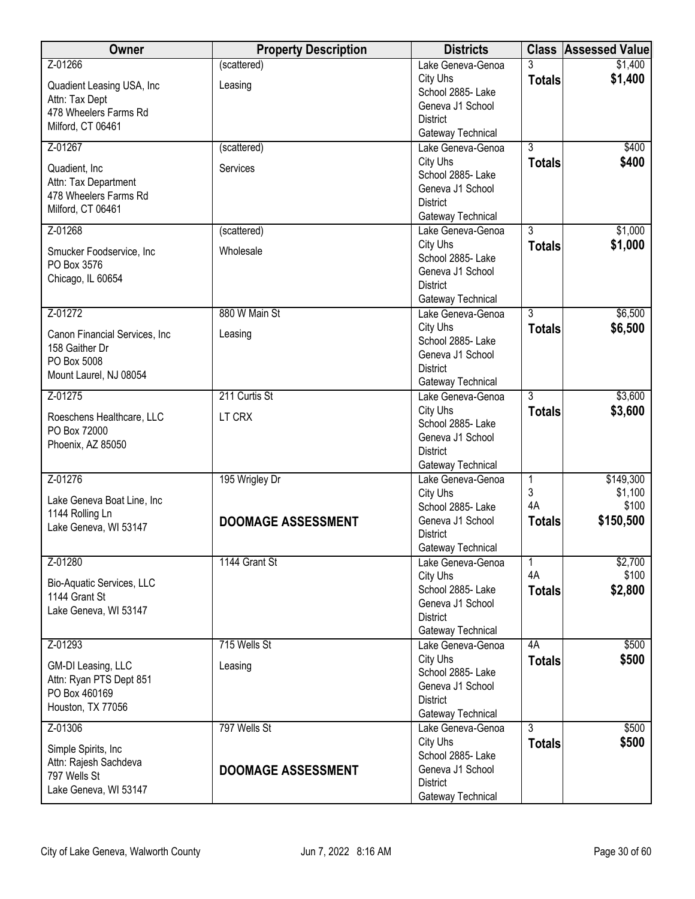| Owner                         | <b>Property Description</b> | <b>Districts</b>                       |                | <b>Class Assessed Value</b> |
|-------------------------------|-----------------------------|----------------------------------------|----------------|-----------------------------|
| Z-01266                       | (scattered)                 | Lake Geneva-Genoa                      | 3              | \$1,400                     |
| Quadient Leasing USA, Inc     | Leasing                     | City Uhs                               | <b>Totals</b>  | \$1,400                     |
| Attn: Tax Dept                |                             | School 2885- Lake                      |                |                             |
| 478 Wheelers Farms Rd         |                             | Geneva J1 School                       |                |                             |
| Milford, CT 06461             |                             | <b>District</b><br>Gateway Technical   |                |                             |
| Z-01267                       | (scattered)                 | Lake Geneva-Genoa                      | $\overline{3}$ | \$400                       |
|                               |                             | City Uhs                               | <b>Totals</b>  | \$400                       |
| Quadient, Inc.                | Services                    | School 2885- Lake                      |                |                             |
| Attn: Tax Department          |                             | Geneva J1 School                       |                |                             |
| 478 Wheelers Farms Rd         |                             | <b>District</b>                        |                |                             |
| Milford, CT 06461             |                             | Gateway Technical                      |                |                             |
| Z-01268                       | (scattered)                 | Lake Geneva-Genoa                      | $\overline{3}$ | \$1,000                     |
| Smucker Foodservice, Inc      | Wholesale                   | City Uhs                               | <b>Totals</b>  | \$1,000                     |
| PO Box 3576                   |                             | School 2885- Lake                      |                |                             |
| Chicago, IL 60654             |                             | Geneva J1 School                       |                |                             |
|                               |                             | <b>District</b>                        |                |                             |
| Z-01272                       | 880 W Main St               | Gateway Technical<br>Lake Geneva-Genoa | $\overline{3}$ | \$6,500                     |
|                               |                             | City Uhs                               | <b>Totals</b>  | \$6,500                     |
| Canon Financial Services, Inc | Leasing                     | School 2885-Lake                       |                |                             |
| 158 Gaither Dr                |                             | Geneva J1 School                       |                |                             |
| PO Box 5008                   |                             | <b>District</b>                        |                |                             |
| Mount Laurel, NJ 08054        |                             | Gateway Technical                      |                |                             |
| Z-01275                       | 211 Curtis St               | Lake Geneva-Genoa                      | $\overline{3}$ | \$3,600                     |
| Roeschens Healthcare, LLC     | LT CRX                      | City Uhs                               | <b>Totals</b>  | \$3,600                     |
| PO Box 72000                  |                             | School 2885- Lake                      |                |                             |
| Phoenix, AZ 85050             |                             | Geneva J1 School                       |                |                             |
|                               |                             | <b>District</b>                        |                |                             |
| Z-01276                       | 195 Wrigley Dr              | Gateway Technical<br>Lake Geneva-Genoa | 1              | \$149,300                   |
|                               |                             | City Uhs                               | 3              | \$1,100                     |
| Lake Geneva Boat Line, Inc    |                             | School 2885- Lake                      | 4A             | \$100                       |
| 1144 Rolling Ln               | <b>DOOMAGE ASSESSMENT</b>   | Geneva J1 School                       | <b>Totals</b>  | \$150,500                   |
| Lake Geneva, WI 53147         |                             | <b>District</b>                        |                |                             |
|                               |                             | Gateway Technical                      |                |                             |
| Z-01280                       | 1144 Grant St               | Lake Geneva-Genoa                      | 1              | \$2,700                     |
| Bio-Aquatic Services, LLC     |                             | City Uhs                               | 4A             | \$100                       |
| 1144 Grant St                 |                             | School 2885- Lake                      | <b>Totals</b>  | \$2,800                     |
| Lake Geneva, WI 53147         |                             | Geneva J1 School                       |                |                             |
|                               |                             | <b>District</b>                        |                |                             |
| Z-01293                       | 715 Wells St                | Gateway Technical<br>Lake Geneva-Genoa | 4A             | \$500                       |
|                               |                             | City Uhs                               | <b>Totals</b>  | \$500                       |
| GM-DI Leasing, LLC            | Leasing                     | School 2885- Lake                      |                |                             |
| Attn: Ryan PTS Dept 851       |                             | Geneva J1 School                       |                |                             |
| PO Box 460169                 |                             | <b>District</b>                        |                |                             |
| Houston, TX 77056             |                             | Gateway Technical                      |                |                             |
| Z-01306                       | 797 Wells St                | Lake Geneva-Genoa                      | $\overline{3}$ | \$500                       |
| Simple Spirits, Inc.          |                             | City Uhs                               | <b>Totals</b>  | \$500                       |
| Attn: Rajesh Sachdeva         |                             | School 2885- Lake                      |                |                             |
| 797 Wells St                  | <b>DOOMAGE ASSESSMENT</b>   | Geneva J1 School                       |                |                             |
| Lake Geneva, WI 53147         |                             | <b>District</b>                        |                |                             |
|                               |                             | Gateway Technical                      |                |                             |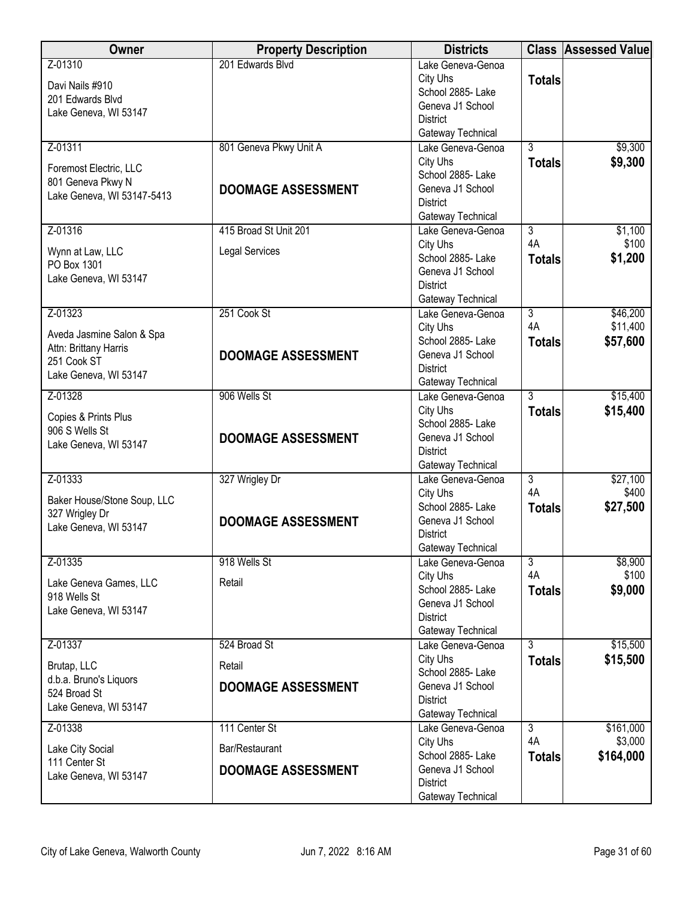| <b>Owner</b>                            | <b>Property Description</b> | <b>Districts</b>                       |                      | <b>Class Assessed Value</b> |
|-----------------------------------------|-----------------------------|----------------------------------------|----------------------|-----------------------------|
| Z-01310                                 | 201 Edwards Blvd            | Lake Geneva-Genoa                      |                      |                             |
| Davi Nails #910                         |                             | City Uhs                               | <b>Totals</b>        |                             |
| 201 Edwards Blvd                        |                             | School 2885- Lake<br>Geneva J1 School  |                      |                             |
| Lake Geneva, WI 53147                   |                             | <b>District</b>                        |                      |                             |
|                                         |                             | Gateway Technical                      |                      |                             |
| Z-01311                                 | 801 Geneva Pkwy Unit A      | Lake Geneva-Genoa                      | $\overline{3}$       | \$9,300                     |
| Foremost Electric, LLC                  |                             | City Uhs                               | <b>Totals</b>        | \$9,300                     |
| 801 Geneva Pkwy N                       |                             | School 2885- Lake                      |                      |                             |
| Lake Geneva, WI 53147-5413              | <b>DOOMAGE ASSESSMENT</b>   | Geneva J1 School                       |                      |                             |
|                                         |                             | <b>District</b><br>Gateway Technical   |                      |                             |
| Z-01316                                 | 415 Broad St Unit 201       | Lake Geneva-Genoa                      | $\overline{3}$       | \$1,100                     |
|                                         |                             | City Uhs                               | 4A                   | \$100                       |
| Wynn at Law, LLC                        | <b>Legal Services</b>       | School 2885- Lake                      | <b>Totals</b>        | \$1,200                     |
| PO Box 1301<br>Lake Geneva, WI 53147    |                             | Geneva J1 School                       |                      |                             |
|                                         |                             | <b>District</b>                        |                      |                             |
|                                         |                             | Gateway Technical                      |                      |                             |
| Z-01323                                 | 251 Cook St                 | Lake Geneva-Genoa                      | $\overline{3}$<br>4A | \$46,200                    |
| Aveda Jasmine Salon & Spa               |                             | City Uhs<br>School 2885- Lake          |                      | \$11,400                    |
| Attn: Brittany Harris                   | <b>DOOMAGE ASSESSMENT</b>   | Geneva J1 School                       | <b>Totals</b>        | \$57,600                    |
| 251 Cook ST                             |                             | <b>District</b>                        |                      |                             |
| Lake Geneva, WI 53147                   |                             | Gateway Technical                      |                      |                             |
| Z-01328                                 | 906 Wells St                | Lake Geneva-Genoa                      | $\overline{3}$       | \$15,400                    |
| Copies & Prints Plus                    |                             | City Uhs                               | <b>Totals</b>        | \$15,400                    |
| 906 S Wells St                          |                             | School 2885- Lake                      |                      |                             |
| Lake Geneva, WI 53147                   | <b>DOOMAGE ASSESSMENT</b>   | Geneva J1 School                       |                      |                             |
|                                         |                             | <b>District</b><br>Gateway Technical   |                      |                             |
| Z-01333                                 | 327 Wrigley Dr              | Lake Geneva-Genoa                      | $\overline{3}$       | \$27,100                    |
|                                         |                             | City Uhs                               | 4A                   | \$400                       |
| Baker House/Stone Soup, LLC             |                             | School 2885-Lake                       | <b>Totals</b>        | \$27,500                    |
| 327 Wrigley Dr<br>Lake Geneva, WI 53147 | <b>DOOMAGE ASSESSMENT</b>   | Geneva J1 School                       |                      |                             |
|                                         |                             | <b>District</b>                        |                      |                             |
| Z-01335                                 | 918 Wells St                | Gateway Technical<br>Lake Geneva-Genoa | $\overline{3}$       | \$8,900                     |
|                                         |                             | City Uhs                               | 4A                   | \$100                       |
| Lake Geneva Games, LLC                  | Retail                      | School 2885- Lake                      | <b>Totals</b>        | \$9,000                     |
| 918 Wells St                            |                             | Geneva J1 School                       |                      |                             |
| Lake Geneva, WI 53147                   |                             | <b>District</b>                        |                      |                             |
|                                         |                             | Gateway Technical                      |                      |                             |
| Z-01337                                 | 524 Broad St                | Lake Geneva-Genoa                      | 3                    | \$15,500                    |
| Brutap, LLC                             | Retail                      | City Uhs<br>School 2885- Lake          | <b>Totals</b>        | \$15,500                    |
| d.b.a. Bruno's Liquors                  | <b>DOOMAGE ASSESSMENT</b>   | Geneva J1 School                       |                      |                             |
| 524 Broad St                            |                             | <b>District</b>                        |                      |                             |
| Lake Geneva, WI 53147                   |                             | Gateway Technical                      |                      |                             |
| Z-01338                                 | 111 Center St               | Lake Geneva-Genoa                      | 3                    | \$161,000                   |
| Lake City Social                        | Bar/Restaurant              | City Uhs                               | 4A                   | \$3,000                     |
| 111 Center St                           |                             | School 2885- Lake<br>Geneva J1 School  | <b>Totals</b>        | \$164,000                   |
| Lake Geneva, WI 53147                   | <b>DOOMAGE ASSESSMENT</b>   | <b>District</b>                        |                      |                             |
|                                         |                             | Gateway Technical                      |                      |                             |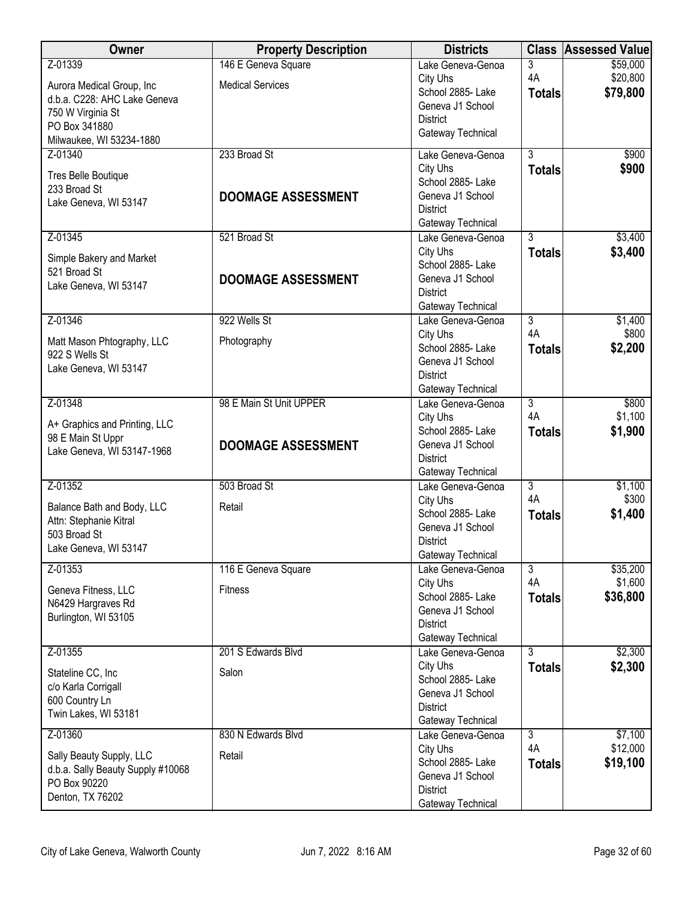| <b>Owner</b>                                    | <b>Property Description</b> | <b>Districts</b>                       |                      | <b>Class Assessed Value</b> |
|-------------------------------------------------|-----------------------------|----------------------------------------|----------------------|-----------------------------|
| Z-01339                                         | 146 E Geneva Square         | Lake Geneva-Genoa                      | 3                    | \$59,000                    |
| Aurora Medical Group, Inc                       | <b>Medical Services</b>     | City Uhs                               | 4A                   | \$20,800                    |
| d.b.a. C228: AHC Lake Geneva                    |                             | School 2885- Lake                      | <b>Totals</b>        | \$79,800                    |
| 750 W Virginia St                               |                             | Geneva J1 School<br><b>District</b>    |                      |                             |
| PO Box 341880                                   |                             | Gateway Technical                      |                      |                             |
| Milwaukee, WI 53234-1880                        |                             |                                        |                      |                             |
| Z-01340                                         | 233 Broad St                | Lake Geneva-Genoa<br>City Uhs          | $\overline{3}$       | \$900                       |
| Tres Belle Boutique                             |                             | School 2885-Lake                       | <b>Totals</b>        | \$900                       |
| 233 Broad St                                    | <b>DOOMAGE ASSESSMENT</b>   | Geneva J1 School                       |                      |                             |
| Lake Geneva, WI 53147                           |                             | <b>District</b>                        |                      |                             |
|                                                 |                             | Gateway Technical                      |                      |                             |
| Z-01345                                         | 521 Broad St                | Lake Geneva-Genoa                      | $\overline{3}$       | \$3,400                     |
| Simple Bakery and Market                        |                             | City Uhs                               | <b>Totals</b>        | \$3,400                     |
| 521 Broad St                                    |                             | School 2885- Lake<br>Geneva J1 School  |                      |                             |
| Lake Geneva, WI 53147                           | <b>DOOMAGE ASSESSMENT</b>   | <b>District</b>                        |                      |                             |
|                                                 |                             | Gateway Technical                      |                      |                             |
| Z-01346                                         | 922 Wells St                | Lake Geneva-Genoa                      | $\overline{3}$       | \$1,400                     |
| Matt Mason Phtography, LLC                      | Photography                 | City Uhs                               | 4A                   | \$800                       |
| 922 S Wells St                                  |                             | School 2885- Lake                      | <b>Totals</b>        | \$2,200                     |
| Lake Geneva, WI 53147                           |                             | Geneva J1 School                       |                      |                             |
|                                                 |                             | <b>District</b>                        |                      |                             |
| Z-01348                                         | 98 E Main St Unit UPPER     | Gateway Technical<br>Lake Geneva-Genoa | $\overline{3}$       | \$800                       |
|                                                 |                             | City Uhs                               | 4A                   | \$1,100                     |
| A+ Graphics and Printing, LLC                   |                             | School 2885- Lake                      | <b>Totals</b>        | \$1,900                     |
| 98 E Main St Uppr<br>Lake Geneva, WI 53147-1968 | <b>DOOMAGE ASSESSMENT</b>   | Geneva J1 School                       |                      |                             |
|                                                 |                             | <b>District</b>                        |                      |                             |
|                                                 |                             | Gateway Technical                      |                      |                             |
| Z-01352                                         | 503 Broad St                | Lake Geneva-Genoa<br>City Uhs          | $\overline{3}$<br>4A | \$1,100<br>\$300            |
| Balance Bath and Body, LLC                      | Retail                      | School 2885- Lake                      | <b>Totals</b>        | \$1,400                     |
| Attn: Stephanie Kitral                          |                             | Geneva J1 School                       |                      |                             |
| 503 Broad St<br>Lake Geneva, WI 53147           |                             | <b>District</b>                        |                      |                             |
|                                                 |                             | Gateway Technical                      |                      |                             |
| Z-01353                                         | 116 E Geneva Square         | Lake Geneva-Genoa                      | $\overline{3}$       | \$35,200                    |
| Geneva Fitness, LLC                             | <b>Fitness</b>              | City Uhs<br>School 2885- Lake          | 4A                   | \$1,600                     |
| N6429 Hargraves Rd                              |                             | Geneva J1 School                       | <b>Totals</b>        | \$36,800                    |
| Burlington, WI 53105                            |                             | <b>District</b>                        |                      |                             |
|                                                 |                             | Gateway Technical                      |                      |                             |
| Z-01355                                         | 201 S Edwards Blvd          | Lake Geneva-Genoa                      | $\overline{3}$       | \$2,300                     |
| Stateline CC, Inc                               | Salon                       | City Uhs                               | <b>Totals</b>        | \$2,300                     |
| c/o Karla Corrigall                             |                             | School 2885- Lake                      |                      |                             |
| 600 Country Ln                                  |                             | Geneva J1 School<br><b>District</b>    |                      |                             |
| Twin Lakes, WI 53181                            |                             | Gateway Technical                      |                      |                             |
| Z-01360                                         | 830 N Edwards Blvd          | Lake Geneva-Genoa                      | $\overline{3}$       | \$7,100                     |
| Sally Beauty Supply, LLC                        | Retail                      | City Uhs                               | 4A                   | \$12,000                    |
| d.b.a. Sally Beauty Supply #10068               |                             | School 2885- Lake                      | <b>Totals</b>        | \$19,100                    |
| PO Box 90220                                    |                             | Geneva J1 School                       |                      |                             |
| Denton, TX 76202                                |                             | <b>District</b><br>Gateway Technical   |                      |                             |
|                                                 |                             |                                        |                      |                             |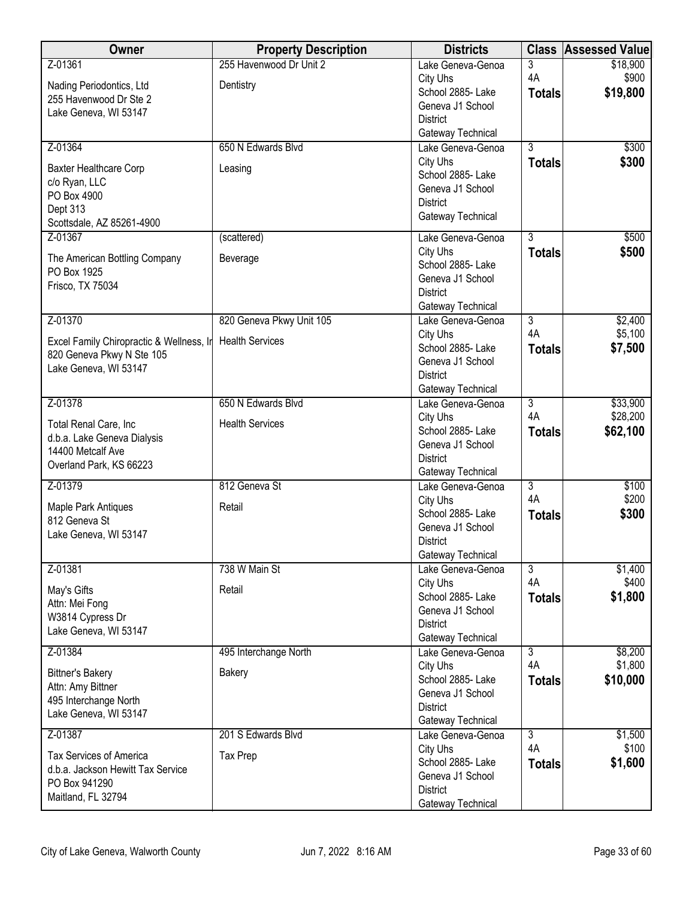| Owner                                                               | <b>Property Description</b> | <b>Districts</b>                       | <b>Class</b>   | <b>Assessed Value</b> |
|---------------------------------------------------------------------|-----------------------------|----------------------------------------|----------------|-----------------------|
| Z-01361                                                             | 255 Havenwood Dr Unit 2     | Lake Geneva-Genoa                      | 3              | \$18,900              |
| Nading Periodontics, Ltd                                            | Dentistry                   | City Uhs                               | 4A             | \$900                 |
| 255 Havenwood Dr Ste 2                                              |                             | School 2885- Lake                      | <b>Totals</b>  | \$19,800              |
| Lake Geneva, WI 53147                                               |                             | Geneva J1 School                       |                |                       |
|                                                                     |                             | <b>District</b><br>Gateway Technical   |                |                       |
| Z-01364                                                             | 650 N Edwards Blvd          | Lake Geneva-Genoa                      | $\overline{3}$ | \$300                 |
|                                                                     |                             | City Uhs                               | <b>Totals</b>  | \$300                 |
| Baxter Healthcare Corp                                              | Leasing                     | School 2885-Lake                       |                |                       |
| c/o Ryan, LLC<br>PO Box 4900                                        |                             | Geneva J1 School                       |                |                       |
| Dept 313                                                            |                             | <b>District</b>                        |                |                       |
| Scottsdale, AZ 85261-4900                                           |                             | Gateway Technical                      |                |                       |
| Z-01367                                                             | (scattered)                 | Lake Geneva-Genoa                      | $\overline{3}$ | \$500                 |
| The American Bottling Company                                       | Beverage                    | City Uhs                               | <b>Totals</b>  | \$500                 |
| PO Box 1925                                                         |                             | School 2885- Lake<br>Geneva J1 School  |                |                       |
| Frisco, TX 75034                                                    |                             | <b>District</b>                        |                |                       |
|                                                                     |                             | Gateway Technical                      |                |                       |
| Z-01370                                                             | 820 Geneva Pkwy Unit 105    | Lake Geneva-Genoa                      | $\overline{3}$ | \$2,400               |
| Excel Family Chiropractic & Wellness, In                            | <b>Health Services</b>      | City Uhs                               | 4A             | \$5,100               |
| 820 Geneva Pkwy N Ste 105                                           |                             | School 2885- Lake                      | <b>Totals</b>  | \$7,500               |
| Lake Geneva, WI 53147                                               |                             | Geneva J1 School                       |                |                       |
|                                                                     |                             | <b>District</b>                        |                |                       |
| Z-01378                                                             | 650 N Edwards Blvd          | Gateway Technical<br>Lake Geneva-Genoa | $\overline{3}$ | \$33,900              |
|                                                                     |                             | City Uhs                               | 4A             | \$28,200              |
| Total Renal Care, Inc                                               | <b>Health Services</b>      | School 2885- Lake                      | <b>Totals</b>  | \$62,100              |
| d.b.a. Lake Geneva Dialysis                                         |                             | Geneva J1 School                       |                |                       |
| 14400 Metcalf Ave<br>Overland Park, KS 66223                        |                             | <b>District</b>                        |                |                       |
|                                                                     |                             | Gateway Technical                      |                |                       |
| Z-01379                                                             | 812 Geneva St               | Lake Geneva-Genoa                      | $\overline{3}$ | \$100                 |
| Maple Park Antiques                                                 | Retail                      | City Uhs<br>School 2885- Lake          | 4A             | \$200<br>\$300        |
| 812 Geneva St                                                       |                             | Geneva J1 School                       | <b>Totals</b>  |                       |
| Lake Geneva, WI 53147                                               |                             | <b>District</b>                        |                |                       |
|                                                                     |                             | Gateway Technical                      |                |                       |
| Z-01381                                                             | 738 W Main St               | Lake Geneva-Genoa                      | $\overline{3}$ | \$1,400               |
| May's Gifts                                                         | Retail                      | City Uhs                               | 4A             | \$400                 |
| Attn: Mei Fong                                                      |                             | School 2885- Lake                      | <b>Totals</b>  | \$1,800               |
| W3814 Cypress Dr                                                    |                             | Geneva J1 School<br><b>District</b>    |                |                       |
| Lake Geneva, WI 53147                                               |                             | Gateway Technical                      |                |                       |
| Z-01384                                                             | 495 Interchange North       | Lake Geneva-Genoa                      | $\overline{3}$ | \$8,200               |
| <b>Bittner's Bakery</b>                                             | Bakery                      | City Uhs                               | 4A             | \$1,800               |
| Attn: Amy Bittner                                                   |                             | School 2885- Lake                      | <b>Totals</b>  | \$10,000              |
| 495 Interchange North                                               |                             | Geneva J1 School                       |                |                       |
| Lake Geneva, WI 53147                                               |                             | <b>District</b>                        |                |                       |
| Z-01387                                                             | 201 S Edwards Blvd          | Gateway Technical<br>Lake Geneva-Genoa | $\overline{3}$ | \$1,500               |
|                                                                     |                             | City Uhs                               | 4A             | \$100                 |
| <b>Tax Services of America</b><br>d.b.a. Jackson Hewitt Tax Service | Tax Prep                    | School 2885- Lake                      | <b>Totals</b>  | \$1,600               |
| PO Box 941290                                                       |                             | Geneva J1 School                       |                |                       |
| Maitland, FL 32794                                                  |                             | <b>District</b>                        |                |                       |
|                                                                     |                             | Gateway Technical                      |                |                       |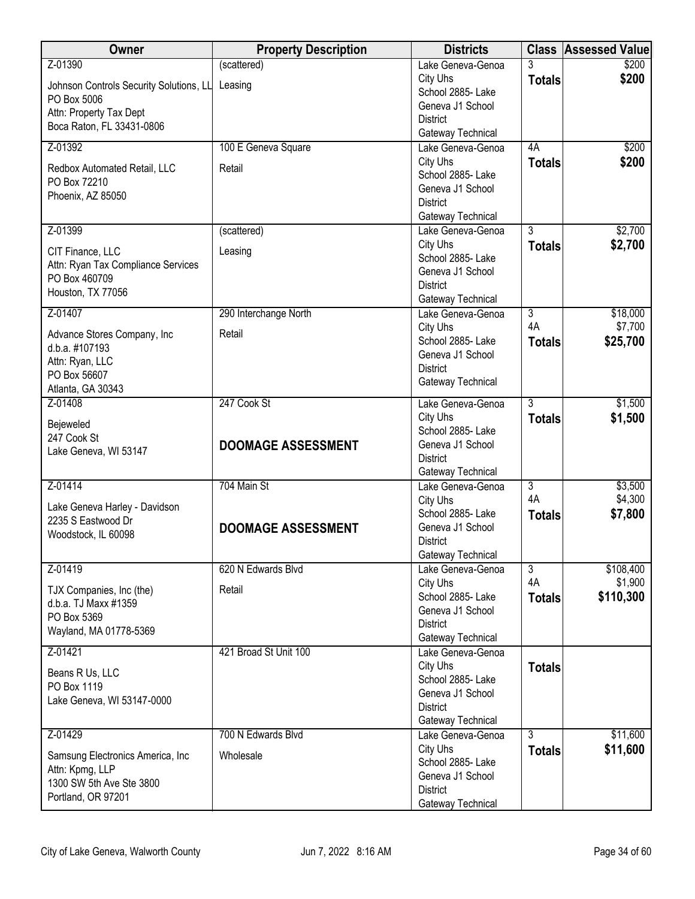| Owner                                           | <b>Property Description</b> | <b>Districts</b>                       |                | <b>Class Assessed Value</b> |
|-------------------------------------------------|-----------------------------|----------------------------------------|----------------|-----------------------------|
| Z-01390                                         | (scattered)                 | Lake Geneva-Genoa                      | 3              | \$200                       |
| Johnson Controls Security Solutions, LL Leasing |                             | City Uhs                               | <b>Totals</b>  | \$200                       |
| PO Box 5006                                     |                             | School 2885- Lake                      |                |                             |
| Attn: Property Tax Dept                         |                             | Geneva J1 School<br><b>District</b>    |                |                             |
| Boca Raton, FL 33431-0806                       |                             | Gateway Technical                      |                |                             |
| Z-01392                                         | 100 E Geneva Square         | Lake Geneva-Genoa                      | 4A             | \$200                       |
|                                                 |                             | City Uhs                               | <b>Totals</b>  | \$200                       |
| Redbox Automated Retail, LLC<br>PO Box 72210    | Retail                      | School 2885- Lake                      |                |                             |
| Phoenix, AZ 85050                               |                             | Geneva J1 School                       |                |                             |
|                                                 |                             | <b>District</b>                        |                |                             |
|                                                 |                             | Gateway Technical                      |                |                             |
| Z-01399                                         | (scattered)                 | Lake Geneva-Genoa                      | $\overline{3}$ | \$2,700                     |
| CIT Finance, LLC                                | Leasing                     | City Uhs                               | <b>Totals</b>  | \$2,700                     |
| Attn: Ryan Tax Compliance Services              |                             | School 2885- Lake<br>Geneva J1 School  |                |                             |
| PO Box 460709                                   |                             | <b>District</b>                        |                |                             |
| Houston, TX 77056                               |                             | Gateway Technical                      |                |                             |
| Z-01407                                         | 290 Interchange North       | Lake Geneva-Genoa                      | $\overline{3}$ | \$18,000                    |
|                                                 |                             | City Uhs                               | 4A             | \$7,700                     |
| Advance Stores Company, Inc<br>d.b.a. #107193   | Retail                      | School 2885- Lake                      | <b>Totals</b>  | \$25,700                    |
| Attn: Ryan, LLC                                 |                             | Geneva J1 School                       |                |                             |
| PO Box 56607                                    |                             | <b>District</b>                        |                |                             |
| Atlanta, GA 30343                               |                             | Gateway Technical                      |                |                             |
| Z-01408                                         | 247 Cook St                 | Lake Geneva-Genoa                      | $\overline{3}$ | \$1,500                     |
| Bejeweled                                       |                             | City Uhs                               | <b>Totals</b>  | \$1,500                     |
| 247 Cook St                                     |                             | School 2885- Lake                      |                |                             |
| Lake Geneva, WI 53147                           | <b>DOOMAGE ASSESSMENT</b>   | Geneva J1 School                       |                |                             |
|                                                 |                             | <b>District</b>                        |                |                             |
| Z-01414                                         | 704 Main St                 | Gateway Technical<br>Lake Geneva-Genoa | 3              | \$3,500                     |
|                                                 |                             | City Uhs                               | 4A             | \$4,300                     |
| Lake Geneva Harley - Davidson                   |                             | School 2885- Lake                      | <b>Totals</b>  | \$7,800                     |
| 2235 S Eastwood Dr                              | <b>DOOMAGE ASSESSMENT</b>   | Geneva J1 School                       |                |                             |
| Woodstock, IL 60098                             |                             | <b>District</b>                        |                |                             |
|                                                 |                             | Gateway Technical                      |                |                             |
| Z-01419                                         | 620 N Edwards Blvd          | Lake Geneva-Genoa                      | $\overline{3}$ | \$108,400                   |
| TJX Companies, Inc (the)                        | Retail                      | City Uhs                               | 4A             | \$1,900                     |
| d.b.a. TJ Maxx #1359                            |                             | School 2885- Lake<br>Geneva J1 School  | <b>Totals</b>  | \$110,300                   |
| PO Box 5369                                     |                             | <b>District</b>                        |                |                             |
| Wayland, MA 01778-5369                          |                             | Gateway Technical                      |                |                             |
| Z-01421                                         | 421 Broad St Unit 100       | Lake Geneva-Genoa                      |                |                             |
|                                                 |                             | City Uhs                               | <b>Totals</b>  |                             |
| Beans R Us, LLC<br>PO Box 1119                  |                             | School 2885-Lake                       |                |                             |
| Lake Geneva, WI 53147-0000                      |                             | Geneva J1 School                       |                |                             |
|                                                 |                             | <b>District</b>                        |                |                             |
|                                                 |                             | Gateway Technical                      |                |                             |
| Z-01429                                         | 700 N Edwards Blvd          | Lake Geneva-Genoa                      | $\overline{3}$ | \$11,600                    |
| Samsung Electronics America, Inc                | Wholesale                   | City Uhs<br>School 2885- Lake          | <b>Totals</b>  | \$11,600                    |
| Attn: Kpmg, LLP                                 |                             | Geneva J1 School                       |                |                             |
| 1300 SW 5th Ave Ste 3800                        |                             | <b>District</b>                        |                |                             |
| Portland, OR 97201                              |                             | Gateway Technical                      |                |                             |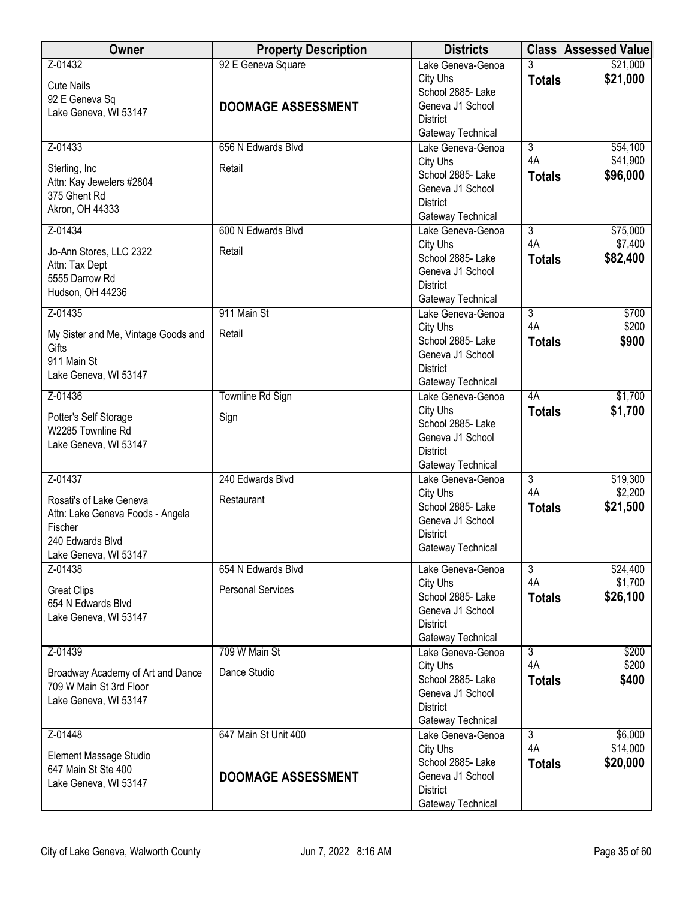| <b>Owner</b>                                                                                                        | <b>Property Description</b>                     | <b>Districts</b>                                                                                               |                      | <b>Class Assessed Value</b> |
|---------------------------------------------------------------------------------------------------------------------|-------------------------------------------------|----------------------------------------------------------------------------------------------------------------|----------------------|-----------------------------|
| Z-01432<br><b>Cute Nails</b><br>92 E Geneva Sq<br>Lake Geneva, WI 53147                                             | 92 E Geneva Square<br><b>DOOMAGE ASSESSMENT</b> | Lake Geneva-Genoa<br>City Uhs<br>School 2885- Lake<br>Geneva J1 School<br><b>District</b><br>Gateway Technical | 3<br><b>Totals</b>   | \$21,000<br>\$21,000        |
| Z-01433                                                                                                             | 656 N Edwards Blvd                              | Lake Geneva-Genoa<br>City Uhs                                                                                  | $\overline{3}$<br>4A | \$54,100<br>\$41,900        |
| Sterling, Inc<br>Attn: Kay Jewelers #2804<br>375 Ghent Rd<br>Akron, OH 44333                                        | Retail                                          | School 2885- Lake<br>Geneva J1 School<br><b>District</b><br>Gateway Technical                                  | <b>Totals</b>        | \$96,000                    |
| Z-01434                                                                                                             | 600 N Edwards Blvd                              | Lake Geneva-Genoa                                                                                              | $\overline{3}$<br>4A | \$75,000                    |
| Jo-Ann Stores, LLC 2322<br>Attn: Tax Dept<br>5555 Darrow Rd<br>Hudson, OH 44236                                     | Retail                                          | City Uhs<br>School 2885- Lake<br>Geneva J1 School<br><b>District</b><br>Gateway Technical                      | <b>Totals</b>        | \$7,400<br>\$82,400         |
| Z-01435                                                                                                             | 911 Main St                                     | Lake Geneva-Genoa                                                                                              | $\overline{3}$       | \$700                       |
| My Sister and Me, Vintage Goods and<br>Gifts<br>911 Main St<br>Lake Geneva, WI 53147                                | Retail                                          | City Uhs<br>School 2885- Lake<br>Geneva J1 School<br><b>District</b><br>Gateway Technical                      | 4A<br><b>Totals</b>  | \$200<br>\$900              |
| Z-01436                                                                                                             | Townline Rd Sign                                | Lake Geneva-Genoa                                                                                              | 4A                   | \$1,700                     |
| Potter's Self Storage<br>W2285 Townline Rd<br>Lake Geneva, WI 53147                                                 | Sign                                            | City Uhs<br>School 2885- Lake<br>Geneva J1 School<br><b>District</b><br>Gateway Technical                      | <b>Totals</b>        | \$1,700                     |
| Z-01437                                                                                                             | 240 Edwards Blvd                                | Lake Geneva-Genoa                                                                                              | $\overline{3}$       | \$19,300                    |
| Rosati's of Lake Geneva<br>Attn: Lake Geneva Foods - Angela<br>Fischer<br>240 Edwards Blvd<br>Lake Geneva, WI 53147 | Restaurant                                      | City Uhs<br>School 2885- Lake<br>Geneva J1 School<br><b>District</b><br>Gateway Technical                      | 4A<br><b>Totals</b>  | \$2,200<br>\$21,500         |
| Z-01438                                                                                                             | 654 N Edwards Blvd                              | Lake Geneva-Genoa                                                                                              | $\overline{3}$       | \$24,400                    |
| <b>Great Clips</b><br>654 N Edwards Blvd<br>Lake Geneva, WI 53147                                                   | <b>Personal Services</b>                        | City Uhs<br>School 2885- Lake<br>Geneva J1 School<br><b>District</b><br>Gateway Technical                      | 4A<br><b>Totals</b>  | \$1,700<br>\$26,100         |
| Z-01439                                                                                                             | 709 W Main St                                   | Lake Geneva-Genoa                                                                                              | $\overline{3}$       | \$200                       |
| Broadway Academy of Art and Dance<br>709 W Main St 3rd Floor<br>Lake Geneva, WI 53147                               | Dance Studio                                    | City Uhs<br>School 2885- Lake<br>Geneva J1 School<br><b>District</b><br>Gateway Technical                      | 4A<br><b>Totals</b>  | \$200<br>\$400              |
| Z-01448                                                                                                             | 647 Main St Unit 400                            | Lake Geneva-Genoa                                                                                              | $\overline{3}$       | \$6,000                     |
| Element Massage Studio<br>647 Main St Ste 400<br>Lake Geneva, WI 53147                                              | <b>DOOMAGE ASSESSMENT</b>                       | City Uhs<br>School 2885- Lake<br>Geneva J1 School<br><b>District</b><br>Gateway Technical                      | 4A<br><b>Totals</b>  | \$14,000<br>\$20,000        |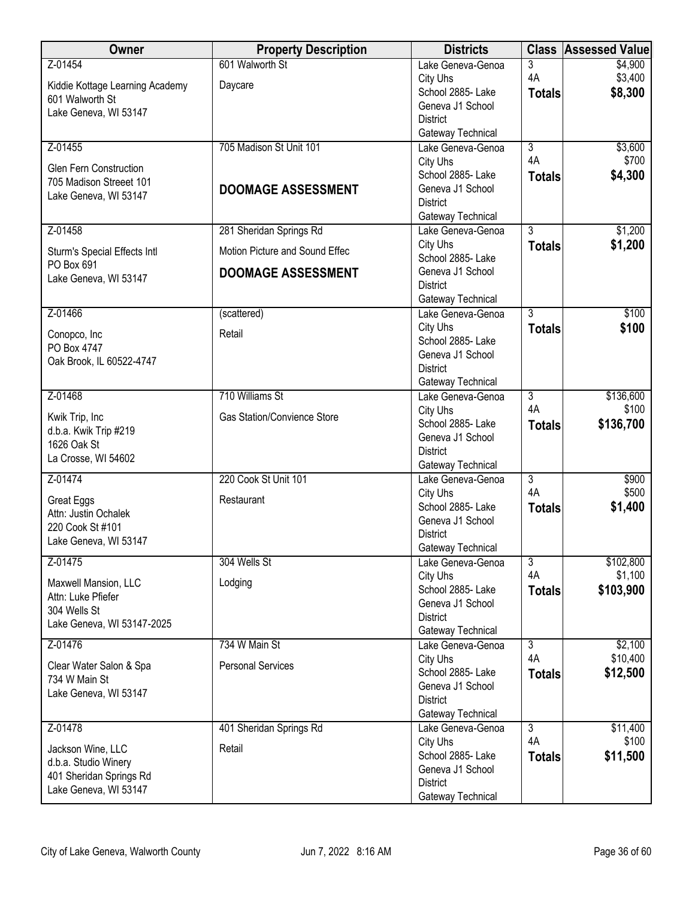| Owner                           | <b>Property Description</b>        | <b>Districts</b>                       |                      | <b>Class Assessed Value</b> |
|---------------------------------|------------------------------------|----------------------------------------|----------------------|-----------------------------|
| Z-01454                         | 601 Walworth St                    | Lake Geneva-Genoa                      | 3                    | \$4,900                     |
| Kiddie Kottage Learning Academy | Daycare                            | City Uhs                               | 4A                   | \$3,400                     |
| 601 Walworth St                 |                                    | School 2885- Lake<br>Geneva J1 School  | <b>Totals</b>        | \$8,300                     |
| Lake Geneva, WI 53147           |                                    | <b>District</b>                        |                      |                             |
|                                 |                                    | Gateway Technical                      |                      |                             |
| Z-01455                         | 705 Madison St Unit 101            | Lake Geneva-Genoa                      | $\overline{3}$       | \$3,600                     |
| Glen Fern Construction          |                                    | City Uhs                               | 4A                   | \$700                       |
| 705 Madison Streeet 101         |                                    | School 2885- Lake                      | <b>Totals</b>        | \$4,300                     |
| Lake Geneva, WI 53147           | <b>DOOMAGE ASSESSMENT</b>          | Geneva J1 School<br><b>District</b>    |                      |                             |
|                                 |                                    | Gateway Technical                      |                      |                             |
| Z-01458                         | 281 Sheridan Springs Rd            | Lake Geneva-Genoa                      | $\overline{3}$       | \$1,200                     |
| Sturm's Special Effects Intl    | Motion Picture and Sound Effec     | City Uhs                               | <b>Totals</b>        | \$1,200                     |
| PO Box 691                      |                                    | School 2885- Lake                      |                      |                             |
| Lake Geneva, WI 53147           | <b>DOOMAGE ASSESSMENT</b>          | Geneva J1 School                       |                      |                             |
|                                 |                                    | <b>District</b>                        |                      |                             |
| Z-01466                         | (scattered)                        | Gateway Technical<br>Lake Geneva-Genoa | $\overline{3}$       | \$100                       |
|                                 |                                    | City Uhs                               | <b>Totals</b>        | \$100                       |
| Conopco, Inc<br>PO Box 4747     | Retail                             | School 2885-Lake                       |                      |                             |
| Oak Brook, IL 60522-4747        |                                    | Geneva J1 School                       |                      |                             |
|                                 |                                    | <b>District</b>                        |                      |                             |
|                                 |                                    | Gateway Technical                      |                      |                             |
| Z-01468                         | 710 Williams St                    | Lake Geneva-Genoa<br>City Uhs          | $\overline{3}$<br>4A | \$136,600<br>\$100          |
| Kwik Trip, Inc                  | <b>Gas Station/Convience Store</b> | School 2885- Lake                      | <b>Totals</b>        | \$136,700                   |
| d.b.a. Kwik Trip #219           |                                    | Geneva J1 School                       |                      |                             |
| 1626 Oak St                     |                                    | <b>District</b>                        |                      |                             |
| La Crosse, WI 54602             |                                    | Gateway Technical                      |                      |                             |
| Z-01474                         | 220 Cook St Unit 101               | Lake Geneva-Genoa                      | $\overline{3}$<br>4A | \$900                       |
| Great Eggs                      | Restaurant                         | City Uhs<br>School 2885- Lake          |                      | \$500<br>\$1,400            |
| Attn: Justin Ochalek            |                                    | Geneva J1 School                       | <b>Totals</b>        |                             |
| 220 Cook St #101                |                                    | <b>District</b>                        |                      |                             |
| Lake Geneva, WI 53147           |                                    | Gateway Technical                      |                      |                             |
| Z-01475                         | 304 Wells St                       | Lake Geneva-Genoa                      | $\overline{3}$       | \$102,800                   |
| Maxwell Mansion, LLC            | Lodging                            | City Uhs                               | 4A                   | \$1,100                     |
| Attn: Luke Pfiefer              |                                    | School 2885- Lake<br>Geneva J1 School  | <b>Totals</b>        | \$103,900                   |
| 304 Wells St                    |                                    | <b>District</b>                        |                      |                             |
| Lake Geneva, WI 53147-2025      |                                    | Gateway Technical                      |                      |                             |
| Z-01476                         | 734 W Main St                      | Lake Geneva-Genoa                      | $\overline{3}$       | \$2,100                     |
| Clear Water Salon & Spa         | <b>Personal Services</b>           | City Uhs                               | 4A                   | \$10,400                    |
| 734 W Main St                   |                                    | School 2885- Lake                      | <b>Totals</b>        | \$12,500                    |
| Lake Geneva, WI 53147           |                                    | Geneva J1 School<br><b>District</b>    |                      |                             |
|                                 |                                    | Gateway Technical                      |                      |                             |
| Z-01478                         | 401 Sheridan Springs Rd            | Lake Geneva-Genoa                      | $\overline{3}$       | \$11,400                    |
| Jackson Wine, LLC               | Retail                             | City Uhs                               | 4A                   | \$100                       |
| d.b.a. Studio Winery            |                                    | School 2885- Lake                      | <b>Totals</b>        | \$11,500                    |
| 401 Sheridan Springs Rd         |                                    | Geneva J1 School                       |                      |                             |
| Lake Geneva, WI 53147           |                                    | <b>District</b><br>Gateway Technical   |                      |                             |
|                                 |                                    |                                        |                      |                             |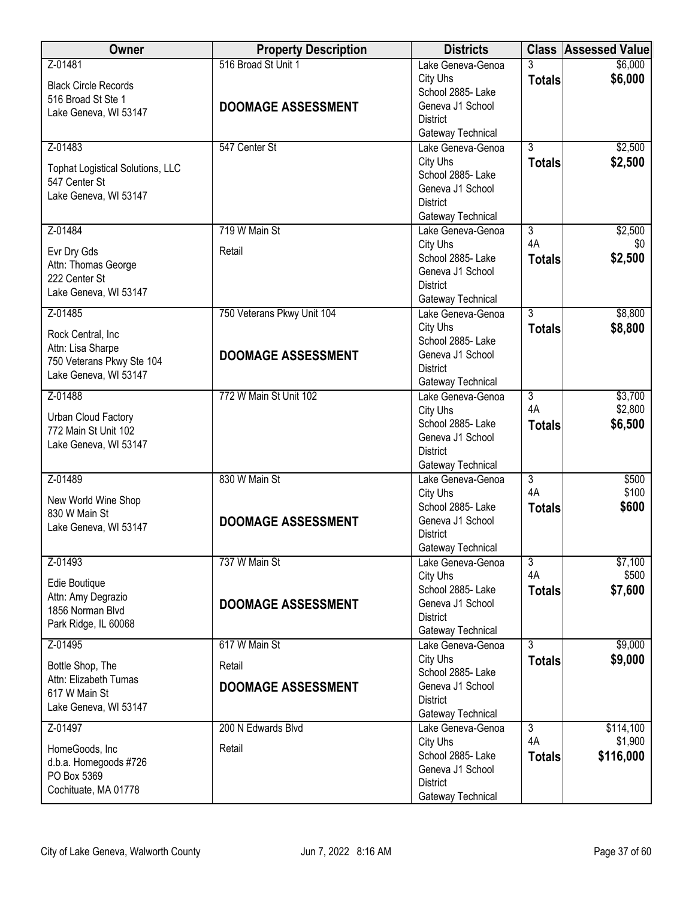| <b>Owner</b>                                             | <b>Property Description</b> | <b>Districts</b>                       |                                 | <b>Class Assessed Value</b> |
|----------------------------------------------------------|-----------------------------|----------------------------------------|---------------------------------|-----------------------------|
| Z-01481                                                  | 516 Broad St Unit 1         | Lake Geneva-Genoa<br>City Uhs          | 3<br><b>Totals</b>              | \$6,000<br>\$6,000          |
| <b>Black Circle Records</b><br>516 Broad St Ste 1        |                             | School 2885- Lake                      |                                 |                             |
| Lake Geneva, WI 53147                                    | <b>DOOMAGE ASSESSMENT</b>   | Geneva J1 School<br><b>District</b>    |                                 |                             |
|                                                          |                             | Gateway Technical                      |                                 |                             |
| Z-01483                                                  | 547 Center St               | Lake Geneva-Genoa<br>City Uhs          | $\overline{3}$<br><b>Totals</b> | \$2,500<br>\$2,500          |
| <b>Tophat Logistical Solutions, LLC</b><br>547 Center St |                             | School 2885- Lake                      |                                 |                             |
| Lake Geneva, WI 53147                                    |                             | Geneva J1 School                       |                                 |                             |
|                                                          |                             | <b>District</b><br>Gateway Technical   |                                 |                             |
| Z-01484                                                  | 719 W Main St               | Lake Geneva-Genoa                      | $\overline{3}$                  | \$2,500                     |
| Evr Dry Gds                                              | Retail                      | City Uhs                               | 4A                              | \$0                         |
| Attn: Thomas George                                      |                             | School 2885- Lake<br>Geneva J1 School  | <b>Totals</b>                   | \$2,500                     |
| 222 Center St<br>Lake Geneva, WI 53147                   |                             | <b>District</b>                        |                                 |                             |
| Z-01485                                                  | 750 Veterans Pkwy Unit 104  | Gateway Technical<br>Lake Geneva-Genoa | $\overline{3}$                  | \$8,800                     |
|                                                          |                             | City Uhs                               | <b>Totals</b>                   | \$8,800                     |
| Rock Central, Inc<br>Attn: Lisa Sharpe                   |                             | School 2885-Lake                       |                                 |                             |
| 750 Veterans Pkwy Ste 104                                | <b>DOOMAGE ASSESSMENT</b>   | Geneva J1 School<br><b>District</b>    |                                 |                             |
| Lake Geneva, WI 53147                                    |                             | Gateway Technical                      |                                 |                             |
| Z-01488                                                  | 772 W Main St Unit 102      | Lake Geneva-Genoa                      | $\overline{3}$<br>4A            | \$3,700                     |
| Urban Cloud Factory                                      |                             | City Uhs<br>School 2885- Lake          | <b>Totals</b>                   | \$2,800<br>\$6,500          |
| 772 Main St Unit 102<br>Lake Geneva, WI 53147            |                             | Geneva J1 School                       |                                 |                             |
|                                                          |                             | <b>District</b><br>Gateway Technical   |                                 |                             |
| Z-01489                                                  | 830 W Main St               | Lake Geneva-Genoa                      | $\overline{3}$                  | \$500                       |
| New World Wine Shop                                      |                             | City Uhs                               | 4A                              | \$100                       |
| 830 W Main St                                            | <b>DOOMAGE ASSESSMENT</b>   | School 2885- Lake<br>Geneva J1 School  | <b>Totals</b>                   | \$600                       |
| Lake Geneva, WI 53147                                    |                             | <b>District</b>                        |                                 |                             |
| Z-01493                                                  | 737 W Main St               | Gateway Technical                      | $\overline{3}$                  | \$7,100                     |
|                                                          |                             | Lake Geneva-Genoa<br>City Uhs          | 4A                              | \$500                       |
| Edie Boutique<br>Attn: Amy Degrazio                      |                             | School 2885- Lake                      | <b>Totals</b>                   | \$7,600                     |
| 1856 Norman Blvd                                         | <b>DOOMAGE ASSESSMENT</b>   | Geneva J1 School<br><b>District</b>    |                                 |                             |
| Park Ridge, IL 60068                                     |                             | Gateway Technical                      |                                 |                             |
| Z-01495                                                  | 617 W Main St               | Lake Geneva-Genoa                      | $\overline{3}$                  | \$9,000                     |
| Bottle Shop, The                                         | Retail                      | City Uhs<br>School 2885- Lake          | <b>Totals</b>                   | \$9,000                     |
| Attn: Elizabeth Tumas<br>617 W Main St                   | <b>DOOMAGE ASSESSMENT</b>   | Geneva J1 School                       |                                 |                             |
| Lake Geneva, WI 53147                                    |                             | <b>District</b><br>Gateway Technical   |                                 |                             |
| Z-01497                                                  | 200 N Edwards Blvd          | Lake Geneva-Genoa                      | $\overline{3}$                  | \$114,100                   |
| HomeGoods, Inc                                           | Retail                      | City Uhs                               | 4A                              | \$1,900                     |
| d.b.a. Homegoods #726                                    |                             | School 2885- Lake<br>Geneva J1 School  | <b>Totals</b>                   | \$116,000                   |
| PO Box 5369<br>Cochituate, MA 01778                      |                             | <b>District</b>                        |                                 |                             |
|                                                          |                             | Gateway Technical                      |                                 |                             |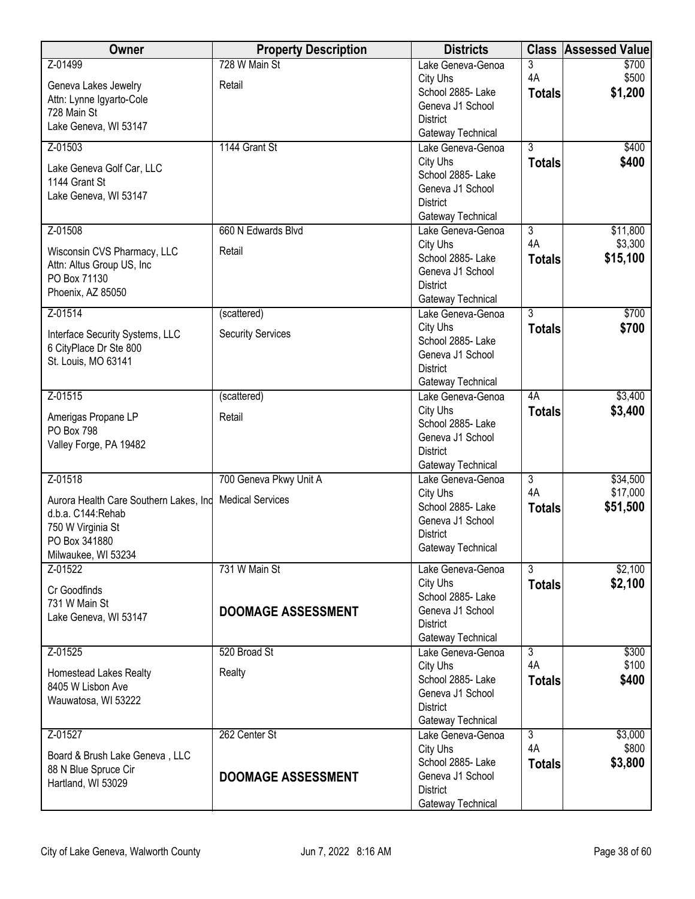| Owner                                                                        | <b>Property Description</b> | <b>Districts</b>                       |                | <b>Class Assessed Value</b> |
|------------------------------------------------------------------------------|-----------------------------|----------------------------------------|----------------|-----------------------------|
| Z-01499                                                                      | 728 W Main St               | Lake Geneva-Genoa                      | 3              | \$700                       |
| Geneva Lakes Jewelry                                                         | Retail                      | City Uhs                               | 4A             | \$500                       |
| Attn: Lynne Igyarto-Cole                                                     |                             | School 2885- Lake                      | <b>Totals</b>  | \$1,200                     |
| 728 Main St                                                                  |                             | Geneva J1 School<br><b>District</b>    |                |                             |
| Lake Geneva, WI 53147                                                        |                             | Gateway Technical                      |                |                             |
| Z-01503                                                                      | 1144 Grant St               | Lake Geneva-Genoa                      | $\overline{3}$ | \$400                       |
| Lake Geneva Golf Car, LLC                                                    |                             | City Uhs                               | <b>Totals</b>  | \$400                       |
| 1144 Grant St                                                                |                             | School 2885-Lake                       |                |                             |
| Lake Geneva, WI 53147                                                        |                             | Geneva J1 School                       |                |                             |
|                                                                              |                             | <b>District</b>                        |                |                             |
| Z-01508                                                                      | 660 N Edwards Blvd          | Gateway Technical<br>Lake Geneva-Genoa | $\overline{3}$ | \$11,800                    |
|                                                                              |                             | City Uhs                               | 4A             | \$3,300                     |
| Wisconsin CVS Pharmacy, LLC                                                  | Retail                      | School 2885- Lake                      | <b>Totals</b>  | \$15,100                    |
| Attn: Altus Group US, Inc<br>PO Box 71130                                    |                             | Geneva J1 School                       |                |                             |
| Phoenix, AZ 85050                                                            |                             | <b>District</b>                        |                |                             |
|                                                                              |                             | Gateway Technical                      |                |                             |
| Z-01514                                                                      | (scattered)                 | Lake Geneva-Genoa                      | $\overline{3}$ | \$700                       |
| Interface Security Systems, LLC                                              | <b>Security Services</b>    | City Uhs<br>School 2885-Lake           | <b>Totals</b>  | \$700                       |
| 6 CityPlace Dr Ste 800                                                       |                             | Geneva J1 School                       |                |                             |
| St. Louis, MO 63141                                                          |                             | <b>District</b>                        |                |                             |
|                                                                              |                             | Gateway Technical                      |                |                             |
| Z-01515                                                                      | (scattered)                 | Lake Geneva-Genoa                      | 4A             | \$3,400                     |
| Amerigas Propane LP                                                          | Retail                      | City Uhs                               | <b>Totals</b>  | \$3,400                     |
| PO Box 798                                                                   |                             | School 2885- Lake                      |                |                             |
| Valley Forge, PA 19482                                                       |                             | Geneva J1 School<br><b>District</b>    |                |                             |
|                                                                              |                             | Gateway Technical                      |                |                             |
| Z-01518                                                                      | 700 Geneva Pkwy Unit A      | Lake Geneva-Genoa                      | $\overline{3}$ | \$34,500                    |
|                                                                              |                             | City Uhs                               | 4A             | \$17,000                    |
| Aurora Health Care Southern Lakes, Ind Medical Services<br>d.b.a. C144:Rehab |                             | School 2885-Lake                       | <b>Totals</b>  | \$51,500                    |
| 750 W Virginia St                                                            |                             | Geneva J1 School                       |                |                             |
| PO Box 341880                                                                |                             | <b>District</b>                        |                |                             |
| Milwaukee, WI 53234                                                          |                             | Gateway Technical                      |                |                             |
| Z-01522                                                                      | 731 W Main St               | Lake Geneva-Genoa                      | $\overline{3}$ | \$2,100                     |
| Cr Goodfinds                                                                 |                             | City Uhs                               | <b>Totals</b>  | \$2,100                     |
| 731 W Main St                                                                |                             | School 2885- Lake                      |                |                             |
| Lake Geneva, WI 53147                                                        | <b>DOOMAGE ASSESSMENT</b>   | Geneva J1 School<br><b>District</b>    |                |                             |
|                                                                              |                             | Gateway Technical                      |                |                             |
| Z-01525                                                                      | 520 Broad St                | Lake Geneva-Genoa                      | $\overline{3}$ | \$300                       |
|                                                                              | Realty                      | City Uhs                               | 4A             | \$100                       |
| Homestead Lakes Realty<br>8405 W Lisbon Ave                                  |                             | School 2885- Lake                      | <b>Totals</b>  | \$400                       |
| Wauwatosa, WI 53222                                                          |                             | Geneva J1 School                       |                |                             |
|                                                                              |                             | <b>District</b><br>Gateway Technical   |                |                             |
| Z-01527                                                                      | 262 Center St               | Lake Geneva-Genoa                      | $\overline{3}$ | \$3,000                     |
|                                                                              |                             | City Uhs                               | 4A             | \$800                       |
| Board & Brush Lake Geneva, LLC                                               |                             | School 2885- Lake                      | <b>Totals</b>  | \$3,800                     |
| 88 N Blue Spruce Cir<br>Hartland, WI 53029                                   | <b>DOOMAGE ASSESSMENT</b>   | Geneva J1 School                       |                |                             |
|                                                                              |                             | <b>District</b>                        |                |                             |
|                                                                              |                             | Gateway Technical                      |                |                             |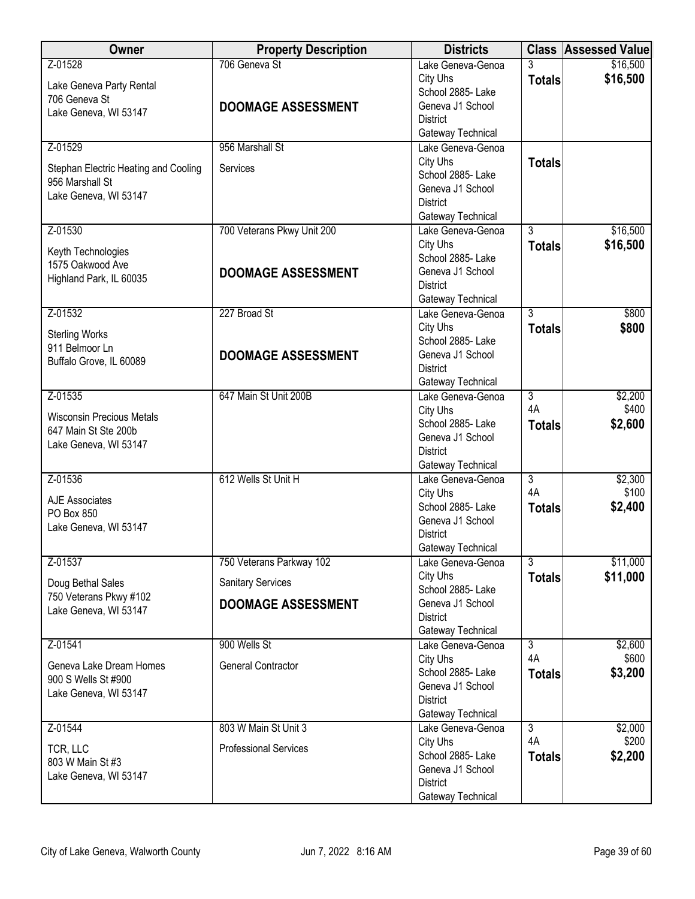| <b>Owner</b>                                                                                 | <b>Property Description</b>                                                       | <b>Districts</b>                                                                                               |                                       | <b>Class Assessed Value</b> |
|----------------------------------------------------------------------------------------------|-----------------------------------------------------------------------------------|----------------------------------------------------------------------------------------------------------------|---------------------------------------|-----------------------------|
| Z-01528<br>Lake Geneva Party Rental<br>706 Geneva St<br>Lake Geneva, WI 53147                | 706 Geneva St<br><b>DOOMAGE ASSESSMENT</b>                                        | Lake Geneva-Genoa<br>City Uhs<br>School 2885- Lake<br>Geneva J1 School<br><b>District</b>                      | 3<br><b>Totals</b>                    | \$16,500<br>\$16,500        |
|                                                                                              |                                                                                   | Gateway Technical                                                                                              |                                       |                             |
| Z-01529<br>Stephan Electric Heating and Cooling<br>956 Marshall St<br>Lake Geneva, WI 53147  | 956 Marshall St<br>Services                                                       | Lake Geneva-Genoa<br>City Uhs<br>School 2885- Lake<br>Geneva J1 School<br><b>District</b><br>Gateway Technical | <b>Totals</b>                         |                             |
| Z-01530<br>Keyth Technologies<br>1575 Oakwood Ave<br>Highland Park, IL 60035                 | 700 Veterans Pkwy Unit 200<br><b>DOOMAGE ASSESSMENT</b>                           | Lake Geneva-Genoa<br>City Uhs<br>School 2885- Lake<br>Geneva J1 School<br><b>District</b><br>Gateway Technical | $\overline{3}$<br><b>Totals</b>       | \$16,500<br>\$16,500        |
| Z-01532<br><b>Sterling Works</b><br>911 Belmoor Ln<br>Buffalo Grove, IL 60089                | 227 Broad St<br><b>DOOMAGE ASSESSMENT</b>                                         | Lake Geneva-Genoa<br>City Uhs<br>School 2885- Lake<br>Geneva J1 School<br><b>District</b><br>Gateway Technical | $\overline{3}$<br><b>Totals</b>       | \$800<br>\$800              |
| Z-01535<br><b>Wisconsin Precious Metals</b><br>647 Main St Ste 200b<br>Lake Geneva, WI 53147 | 647 Main St Unit 200B                                                             | Lake Geneva-Genoa<br>City Uhs<br>School 2885- Lake<br>Geneva J1 School<br><b>District</b><br>Gateway Technical | $\overline{3}$<br>4A<br><b>Totals</b> | \$2,200<br>\$400<br>\$2,600 |
| Z-01536<br><b>AJE Associates</b><br>PO Box 850<br>Lake Geneva, WI 53147                      | 612 Wells St Unit H                                                               | Lake Geneva-Genoa<br>City Uhs<br>School 2885- Lake<br>Geneva J1 School<br><b>District</b><br>Gateway Technical | $\overline{3}$<br>4A<br><b>Totals</b> | \$2,300<br>\$100<br>\$2,400 |
| Z-01537<br>Doug Bethal Sales<br>750 Veterans Pkwy #102<br>Lake Geneva, WI 53147              | 750 Veterans Parkway 102<br><b>Sanitary Services</b><br><b>DOOMAGE ASSESSMENT</b> | Lake Geneva-Genoa<br>City Uhs<br>School 2885- Lake<br>Geneva J1 School<br><b>District</b><br>Gateway Technical | $\overline{3}$<br><b>Totals</b>       | \$11,000<br>\$11,000        |
| Z-01541<br>Geneva Lake Dream Homes<br>900 S Wells St #900<br>Lake Geneva, WI 53147           | 900 Wells St<br><b>General Contractor</b>                                         | Lake Geneva-Genoa<br>City Uhs<br>School 2885-Lake<br>Geneva J1 School<br><b>District</b><br>Gateway Technical  | $\overline{3}$<br>4A<br><b>Totals</b> | \$2,600<br>\$600<br>\$3,200 |
| Z-01544<br>TCR, LLC<br>803 W Main St #3<br>Lake Geneva, WI 53147                             | 803 W Main St Unit 3<br><b>Professional Services</b>                              | Lake Geneva-Genoa<br>City Uhs<br>School 2885- Lake<br>Geneva J1 School<br><b>District</b><br>Gateway Technical | $\overline{3}$<br>4A<br><b>Totals</b> | \$2,000<br>\$200<br>\$2,200 |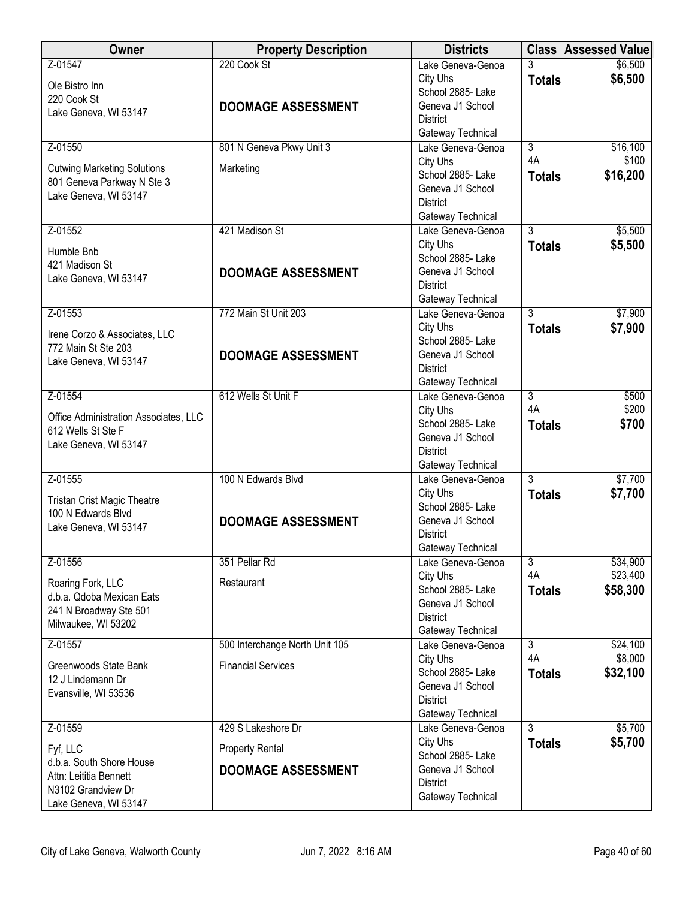| <b>Owner</b>                                                                                                  | <b>Property Description</b>                         | <b>Districts</b>                                                                                               |                     | <b>Class Assessed Value</b> |
|---------------------------------------------------------------------------------------------------------------|-----------------------------------------------------|----------------------------------------------------------------------------------------------------------------|---------------------|-----------------------------|
| Z-01547<br>Ole Bistro Inn<br>220 Cook St<br>Lake Geneva, WI 53147                                             | 220 Cook St<br><b>DOOMAGE ASSESSMENT</b>            | Lake Geneva-Genoa<br>City Uhs<br>School 2885- Lake<br>Geneva J1 School<br><b>District</b><br>Gateway Technical | 3<br><b>Totals</b>  | \$6,500<br>\$6,500          |
| Z-01550                                                                                                       | 801 N Geneva Pkwy Unit 3                            | Lake Geneva-Genoa                                                                                              | $\overline{3}$      | \$16,100                    |
| <b>Cutwing Marketing Solutions</b><br>801 Geneva Parkway N Ste 3<br>Lake Geneva, WI 53147                     | Marketing                                           | City Uhs<br>School 2885-Lake<br>Geneva J1 School<br><b>District</b><br>Gateway Technical                       | 4A<br><b>Totals</b> | \$100<br>\$16,200           |
| Z-01552                                                                                                       | 421 Madison St                                      | Lake Geneva-Genoa                                                                                              | $\overline{3}$      | \$5,500                     |
| Humble Bnb<br>421 Madison St<br>Lake Geneva, WI 53147                                                         | <b>DOOMAGE ASSESSMENT</b>                           | City Uhs<br>School 2885- Lake<br>Geneva J1 School<br><b>District</b><br>Gateway Technical                      | <b>Totals</b>       | \$5,500                     |
| Z-01553                                                                                                       | 772 Main St Unit 203                                | Lake Geneva-Genoa                                                                                              | $\overline{3}$      | \$7,900                     |
| Irene Corzo & Associates, LLC<br>772 Main St Ste 203<br>Lake Geneva, WI 53147                                 | <b>DOOMAGE ASSESSMENT</b>                           | City Uhs<br>School 2885-Lake<br>Geneva J1 School<br><b>District</b><br>Gateway Technical                       | <b>Totals</b>       | \$7,900                     |
| Z-01554                                                                                                       | 612 Wells St Unit F                                 | Lake Geneva-Genoa                                                                                              | $\overline{3}$      | \$500                       |
| Office Administration Associates, LLC<br>612 Wells St Ste F<br>Lake Geneva, WI 53147                          |                                                     | City Uhs<br>School 2885- Lake<br>Geneva J1 School<br><b>District</b><br>Gateway Technical                      | 4A<br><b>Totals</b> | \$200<br>\$700              |
| Z-01555                                                                                                       | 100 N Edwards Blvd                                  | Lake Geneva-Genoa                                                                                              | $\overline{3}$      | \$7,700                     |
| <b>Tristan Crist Magic Theatre</b><br>100 N Edwards Blvd<br>Lake Geneva, WI 53147                             | <b>DOOMAGE ASSESSMENT</b>                           | City Uhs<br>School 2885- Lake<br>Geneva J1 School<br><b>District</b><br>Gateway Technical                      | <b>Totals</b>       | \$7,700                     |
| Z-01556                                                                                                       | 351 Pellar Rd                                       | Lake Geneva-Genoa                                                                                              | $\overline{3}$      | \$34,900                    |
| Roaring Fork, LLC<br>d.b.a. Qdoba Mexican Eats<br>241 N Broadway Ste 501<br>Milwaukee, WI 53202               | Restaurant                                          | City Uhs<br>School 2885- Lake<br>Geneva J1 School<br><b>District</b><br>Gateway Technical                      | 4A<br><b>Totals</b> | \$23,400<br>\$58,300        |
| Z-01557                                                                                                       | 500 Interchange North Unit 105                      | Lake Geneva-Genoa                                                                                              | $\overline{3}$      | \$24,100                    |
| Greenwoods State Bank<br>12 J Lindemann Dr<br>Evansville, WI 53536                                            | <b>Financial Services</b>                           | City Uhs<br>School 2885-Lake<br>Geneva J1 School<br><b>District</b><br>Gateway Technical                       | 4A<br><b>Totals</b> | \$8,000<br>\$32,100         |
| Z-01559                                                                                                       | 429 S Lakeshore Dr                                  | Lake Geneva-Genoa                                                                                              | $\overline{3}$      | \$5,700                     |
| Fyf, LLC<br>d.b.a. South Shore House<br>Attn: Leititia Bennett<br>N3102 Grandview Dr<br>Lake Geneva, WI 53147 | <b>Property Rental</b><br><b>DOOMAGE ASSESSMENT</b> | City Uhs<br>School 2885- Lake<br>Geneva J1 School<br><b>District</b><br>Gateway Technical                      | <b>Totals</b>       | \$5,700                     |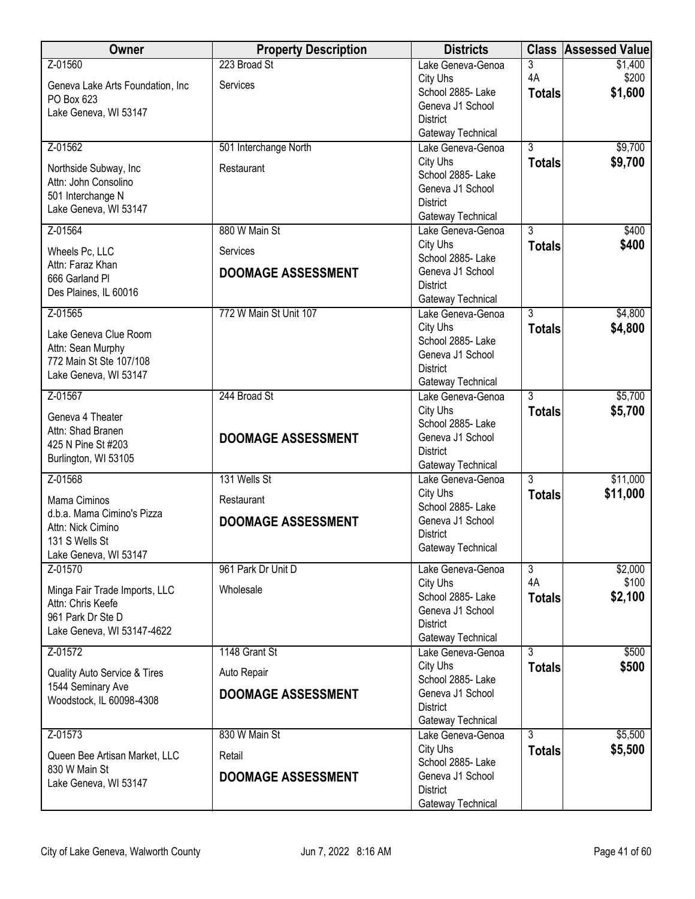| Owner                                              | <b>Property Description</b> | <b>Districts</b>                       | <b>Class</b>   | <b>Assessed Value</b> |
|----------------------------------------------------|-----------------------------|----------------------------------------|----------------|-----------------------|
| Z-01560                                            | 223 Broad St                | Lake Geneva-Genoa                      | 3              | \$1,400               |
| Geneva Lake Arts Foundation, Inc                   | Services                    | City Uhs                               | 4A             | \$200                 |
| PO Box 623                                         |                             | School 2885- Lake                      | <b>Totals</b>  | \$1,600               |
| Lake Geneva, WI 53147                              |                             | Geneva J1 School<br><b>District</b>    |                |                       |
|                                                    |                             | Gateway Technical                      |                |                       |
| Z-01562                                            | 501 Interchange North       | Lake Geneva-Genoa                      | $\overline{3}$ | \$9,700               |
|                                                    | Restaurant                  | City Uhs                               | <b>Totals</b>  | \$9,700               |
| Northside Subway, Inc.<br>Attn: John Consolino     |                             | School 2885- Lake                      |                |                       |
| 501 Interchange N                                  |                             | Geneva J1 School                       |                |                       |
| Lake Geneva, WI 53147                              |                             | <b>District</b>                        |                |                       |
| Z-01564                                            | 880 W Main St               | Gateway Technical<br>Lake Geneva-Genoa | $\overline{3}$ | \$400                 |
|                                                    |                             | City Uhs                               | <b>Totals</b>  | \$400                 |
| Wheels Pc, LLC                                     | Services                    | School 2885- Lake                      |                |                       |
| Attn: Faraz Khan<br>666 Garland Pl                 | <b>DOOMAGE ASSESSMENT</b>   | Geneva J1 School                       |                |                       |
| Des Plaines, IL 60016                              |                             | <b>District</b>                        |                |                       |
|                                                    |                             | Gateway Technical                      |                |                       |
| Z-01565                                            | 772 W Main St Unit 107      | Lake Geneva-Genoa<br>City Uhs          | $\overline{3}$ | \$4,800<br>\$4,800    |
| Lake Geneva Clue Room                              |                             | School 2885- Lake                      | <b>Totals</b>  |                       |
| Attn: Sean Murphy                                  |                             | Geneva J1 School                       |                |                       |
| 772 Main St Ste 107/108                            |                             | <b>District</b>                        |                |                       |
| Lake Geneva, WI 53147                              |                             | Gateway Technical                      |                |                       |
| Z-01567                                            | 244 Broad St                | Lake Geneva-Genoa                      | $\overline{3}$ | \$5,700               |
| Geneva 4 Theater                                   |                             | City Uhs<br>School 2885- Lake          | <b>Totals</b>  | \$5,700               |
| Attn: Shad Branen                                  | <b>DOOMAGE ASSESSMENT</b>   | Geneva J1 School                       |                |                       |
| 425 N Pine St #203                                 |                             | <b>District</b>                        |                |                       |
| Burlington, WI 53105                               |                             | Gateway Technical                      |                |                       |
| Z-01568                                            | 131 Wells St                | Lake Geneva-Genoa                      | $\overline{3}$ | \$11,000              |
| Mama Ciminos                                       | Restaurant                  | City Uhs<br>School 2885-Lake           | <b>Totals</b>  | \$11,000              |
| d.b.a. Mama Cimino's Pizza                         | <b>DOOMAGE ASSESSMENT</b>   | Geneva J1 School                       |                |                       |
| Attn: Nick Cimino                                  |                             | <b>District</b>                        |                |                       |
| 131 S Wells St<br>Lake Geneva, WI 53147            |                             | Gateway Technical                      |                |                       |
| Z-01570                                            | 961 Park Dr Unit D          | Lake Geneva-Genoa                      | $\overline{3}$ | \$2,000               |
|                                                    |                             | City Uhs                               | 4A             | \$100                 |
| Minga Fair Trade Imports, LLC<br>Attn: Chris Keefe | Wholesale                   | School 2885- Lake                      | <b>Totals</b>  | \$2,100               |
| 961 Park Dr Ste D                                  |                             | Geneva J1 School                       |                |                       |
| Lake Geneva, WI 53147-4622                         |                             | <b>District</b>                        |                |                       |
| Z-01572                                            | 1148 Grant St               | Gateway Technical                      | $\overline{3}$ | \$500                 |
|                                                    |                             | Lake Geneva-Genoa<br>City Uhs          | <b>Totals</b>  | \$500                 |
| Quality Auto Service & Tires                       | Auto Repair                 | School 2885- Lake                      |                |                       |
| 1544 Seminary Ave                                  | <b>DOOMAGE ASSESSMENT</b>   | Geneva J1 School                       |                |                       |
| Woodstock, IL 60098-4308                           |                             | <b>District</b>                        |                |                       |
|                                                    |                             | Gateway Technical                      |                |                       |
| Z-01573                                            | 830 W Main St               | Lake Geneva-Genoa                      | $\overline{3}$ | \$5,500               |
| Queen Bee Artisan Market, LLC                      | Retail                      | City Uhs<br>School 2885- Lake          | <b>Totals</b>  | \$5,500               |
| 830 W Main St                                      | <b>DOOMAGE ASSESSMENT</b>   | Geneva J1 School                       |                |                       |
| Lake Geneva, WI 53147                              |                             | <b>District</b>                        |                |                       |
|                                                    |                             | Gateway Technical                      |                |                       |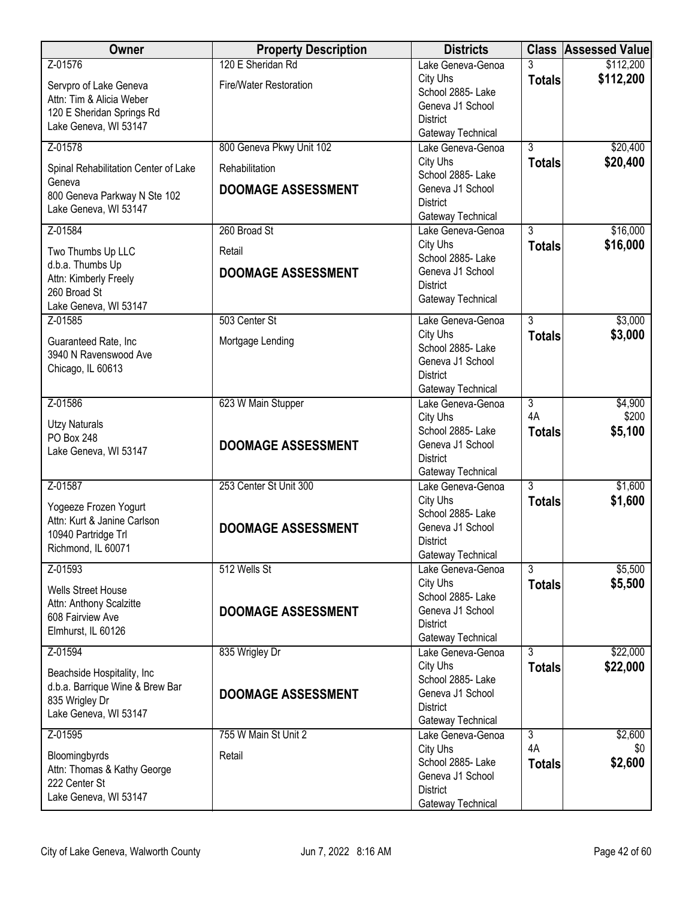| <b>Owner</b>                               | <b>Property Description</b> | <b>Districts</b>                      |                      | <b>Class Assessed Value</b> |
|--------------------------------------------|-----------------------------|---------------------------------------|----------------------|-----------------------------|
| Z-01576                                    | 120 E Sheridan Rd           | Lake Geneva-Genoa                     | 3                    | \$112,200                   |
| Servpro of Lake Geneva                     | Fire/Water Restoration      | City Uhs                              | <b>Totals</b>        | \$112,200                   |
| Attn: Tim & Alicia Weber                   |                             | School 2885- Lake<br>Geneva J1 School |                      |                             |
| 120 E Sheridan Springs Rd                  |                             | <b>District</b>                       |                      |                             |
| Lake Geneva, WI 53147                      |                             | Gateway Technical                     |                      |                             |
| Z-01578                                    | 800 Geneva Pkwy Unit 102    | Lake Geneva-Genoa                     | $\overline{3}$       | \$20,400                    |
| Spinal Rehabilitation Center of Lake       | Rehabilitation              | City Uhs                              | <b>Totals</b>        | \$20,400                    |
| Geneva                                     |                             | School 2885-Lake                      |                      |                             |
| 800 Geneva Parkway N Ste 102               | <b>DOOMAGE ASSESSMENT</b>   | Geneva J1 School<br><b>District</b>   |                      |                             |
| Lake Geneva, WI 53147                      |                             | Gateway Technical                     |                      |                             |
| Z-01584                                    | 260 Broad St                | Lake Geneva-Genoa                     | $\overline{3}$       | \$16,000                    |
| Two Thumbs Up LLC                          | Retail                      | City Uhs                              | <b>Totals</b>        | \$16,000                    |
| d.b.a. Thumbs Up                           |                             | School 2885- Lake                     |                      |                             |
| Attn: Kimberly Freely                      | <b>DOOMAGE ASSESSMENT</b>   | Geneva J1 School<br><b>District</b>   |                      |                             |
| 260 Broad St                               |                             | Gateway Technical                     |                      |                             |
| Lake Geneva, WI 53147<br>Z-01585           | 503 Center St               | Lake Geneva-Genoa                     | $\overline{3}$       | \$3,000                     |
|                                            |                             | City Uhs                              | <b>Totals</b>        | \$3,000                     |
| Guaranteed Rate, Inc                       | Mortgage Lending            | School 2885- Lake                     |                      |                             |
| 3940 N Ravenswood Ave<br>Chicago, IL 60613 |                             | Geneva J1 School                      |                      |                             |
|                                            |                             | <b>District</b>                       |                      |                             |
|                                            |                             | Gateway Technical                     |                      |                             |
| Z-01586                                    | 623 W Main Stupper          | Lake Geneva-Genoa<br>City Uhs         | $\overline{3}$<br>4A | \$4,900<br>\$200            |
| <b>Utzy Naturals</b>                       |                             | School 2885-Lake                      | <b>Totals</b>        | \$5,100                     |
| PO Box 248<br>Lake Geneva, WI 53147        | <b>DOOMAGE ASSESSMENT</b>   | Geneva J1 School                      |                      |                             |
|                                            |                             | <b>District</b>                       |                      |                             |
|                                            |                             | Gateway Technical                     |                      |                             |
| Z-01587                                    | 253 Center St Unit 300      | Lake Geneva-Genoa<br>City Uhs         | $\overline{3}$       | \$1,600<br>\$1,600          |
| Yogeeze Frozen Yogurt                      |                             | School 2885- Lake                     | <b>Totals</b>        |                             |
| Attn: Kurt & Janine Carlson                | <b>DOOMAGE ASSESSMENT</b>   | Geneva J1 School                      |                      |                             |
| 10940 Partridge Trl<br>Richmond, IL 60071  |                             | <b>District</b>                       |                      |                             |
|                                            |                             | Gateway Technical                     |                      |                             |
| Z-01593                                    | 512 Wells St                | Lake Geneva-Genoa<br>City Uhs         | 3                    | \$5,500<br>\$5,500          |
| <b>Wells Street House</b>                  |                             | School 2885- Lake                     | <b>Totals</b>        |                             |
| Attn: Anthony Scalzitte                    | <b>DOOMAGE ASSESSMENT</b>   | Geneva J1 School                      |                      |                             |
| 608 Fairview Ave<br>Elmhurst, IL 60126     |                             | <b>District</b>                       |                      |                             |
|                                            |                             | Gateway Technical                     |                      |                             |
| Z-01594                                    | 835 Wrigley Dr              | Lake Geneva-Genoa<br>City Uhs         | $\overline{3}$       | \$22,000                    |
| Beachside Hospitality, Inc.                |                             | School 2885- Lake                     | <b>Totals</b>        | \$22,000                    |
| d.b.a. Barrique Wine & Brew Bar            | <b>DOOMAGE ASSESSMENT</b>   | Geneva J1 School                      |                      |                             |
| 835 Wrigley Dr<br>Lake Geneva, WI 53147    |                             | <b>District</b>                       |                      |                             |
|                                            |                             | Gateway Technical                     |                      |                             |
| Z-01595                                    | 755 W Main St Unit 2        | Lake Geneva-Genoa<br>City Uhs         | $\overline{3}$<br>4A | \$2,600<br>\$0              |
| Bloomingbyrds                              | Retail                      | School 2885- Lake                     | <b>Totals</b>        | \$2,600                     |
| Attn: Thomas & Kathy George                |                             | Geneva J1 School                      |                      |                             |
| 222 Center St<br>Lake Geneva, WI 53147     |                             | <b>District</b>                       |                      |                             |
|                                            |                             | Gateway Technical                     |                      |                             |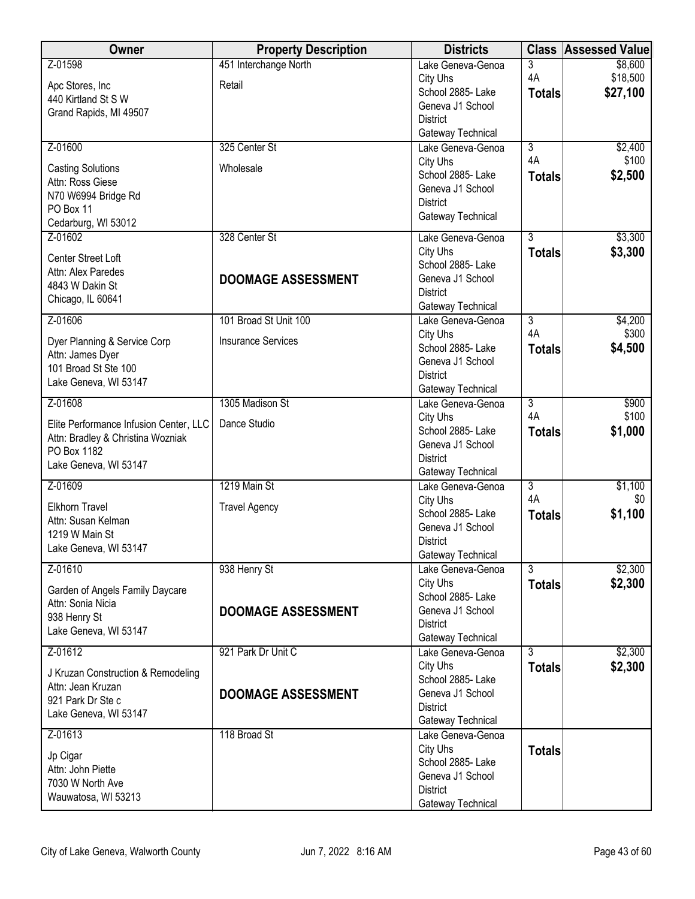| Owner                                                                       | <b>Property Description</b> | <b>Districts</b>                       |                | <b>Class Assessed Value</b> |
|-----------------------------------------------------------------------------|-----------------------------|----------------------------------------|----------------|-----------------------------|
| Z-01598                                                                     | 451 Interchange North       | Lake Geneva-Genoa                      | 3              | \$8,600                     |
| Apc Stores, Inc.                                                            | Retail                      | City Uhs                               | 4A             | \$18,500                    |
| 440 Kirtland St S W                                                         |                             | School 2885- Lake<br>Geneva J1 School  | <b>Totals</b>  | \$27,100                    |
| Grand Rapids, MI 49507                                                      |                             | <b>District</b>                        |                |                             |
|                                                                             |                             | Gateway Technical                      |                |                             |
| Z-01600                                                                     | 325 Center St               | Lake Geneva-Genoa                      | $\overline{3}$ | \$2,400                     |
| <b>Casting Solutions</b>                                                    | Wholesale                   | City Uhs                               | 4A             | \$100                       |
| Attn: Ross Giese                                                            |                             | School 2885- Lake                      | <b>Totals</b>  | \$2,500                     |
| N70 W6994 Bridge Rd                                                         |                             | Geneva J1 School                       |                |                             |
| PO Box 11                                                                   |                             | <b>District</b><br>Gateway Technical   |                |                             |
| Cedarburg, WI 53012                                                         |                             |                                        |                |                             |
| Z-01602                                                                     | 328 Center St               | Lake Geneva-Genoa                      | $\overline{3}$ | \$3,300                     |
| Center Street Loft                                                          |                             | City Uhs<br>School 2885- Lake          | <b>Totals</b>  | \$3,300                     |
| Attn: Alex Paredes                                                          | <b>DOOMAGE ASSESSMENT</b>   | Geneva J1 School                       |                |                             |
| 4843 W Dakin St                                                             |                             | <b>District</b>                        |                |                             |
| Chicago, IL 60641                                                           |                             | Gateway Technical                      |                |                             |
| Z-01606                                                                     | 101 Broad St Unit 100       | Lake Geneva-Genoa                      | $\overline{3}$ | \$4,200                     |
| Dyer Planning & Service Corp                                                | <b>Insurance Services</b>   | City Uhs                               | 4A             | \$300                       |
| Attn: James Dyer                                                            |                             | School 2885- Lake                      | <b>Totals</b>  | \$4,500                     |
| 101 Broad St Ste 100                                                        |                             | Geneva J1 School                       |                |                             |
| Lake Geneva, WI 53147                                                       |                             | <b>District</b><br>Gateway Technical   |                |                             |
| Z-01608                                                                     | 1305 Madison St             | Lake Geneva-Genoa                      | $\overline{3}$ | \$900                       |
|                                                                             | Dance Studio                | City Uhs                               | 4A             | \$100                       |
| Elite Performance Infusion Center, LLC<br>Attn: Bradley & Christina Wozniak |                             | School 2885- Lake                      | <b>Totals</b>  | \$1,000                     |
| PO Box 1182                                                                 |                             | Geneva J1 School                       |                |                             |
| Lake Geneva, WI 53147                                                       |                             | <b>District</b>                        |                |                             |
| Z-01609                                                                     | 1219 Main St                | Gateway Technical<br>Lake Geneva-Genoa | $\overline{3}$ | \$1,100                     |
|                                                                             |                             | City Uhs                               | 4A             | \$0                         |
| <b>Elkhorn Travel</b>                                                       | <b>Travel Agency</b>        | School 2885-Lake                       | <b>Totals</b>  | \$1,100                     |
| Attn: Susan Kelman<br>1219 W Main St                                        |                             | Geneva J1 School                       |                |                             |
| Lake Geneva, WI 53147                                                       |                             | <b>District</b>                        |                |                             |
|                                                                             |                             | Gateway Technical                      |                |                             |
| Z-01610                                                                     | 938 Henry St                | Lake Geneva-Genoa                      | 3              | \$2,300                     |
| Garden of Angels Family Daycare                                             |                             | City Uhs<br>School 2885- Lake          | <b>Totals</b>  | \$2,300                     |
| Attn: Sonia Nicia                                                           | <b>DOOMAGE ASSESSMENT</b>   | Geneva J1 School                       |                |                             |
| 938 Henry St                                                                |                             | <b>District</b>                        |                |                             |
| Lake Geneva, WI 53147                                                       |                             | Gateway Technical                      |                |                             |
| Z-01612                                                                     | 921 Park Dr Unit C          | Lake Geneva-Genoa                      | $\overline{3}$ | \$2,300                     |
| J Kruzan Construction & Remodeling                                          |                             | City Uhs                               | <b>Totals</b>  | \$2,300                     |
| Attn: Jean Kruzan                                                           |                             | School 2885- Lake<br>Geneva J1 School  |                |                             |
| 921 Park Dr Ste c                                                           | <b>DOOMAGE ASSESSMENT</b>   | <b>District</b>                        |                |                             |
| Lake Geneva, WI 53147                                                       |                             | Gateway Technical                      |                |                             |
| Z-01613                                                                     | 118 Broad St                | Lake Geneva-Genoa                      |                |                             |
| Jp Cigar                                                                    |                             | City Uhs                               | <b>Totals</b>  |                             |
| Attn: John Piette                                                           |                             | School 2885- Lake                      |                |                             |
| 7030 W North Ave                                                            |                             | Geneva J1 School                       |                |                             |
| Wauwatosa, WI 53213                                                         |                             | <b>District</b><br>Gateway Technical   |                |                             |
|                                                                             |                             |                                        |                |                             |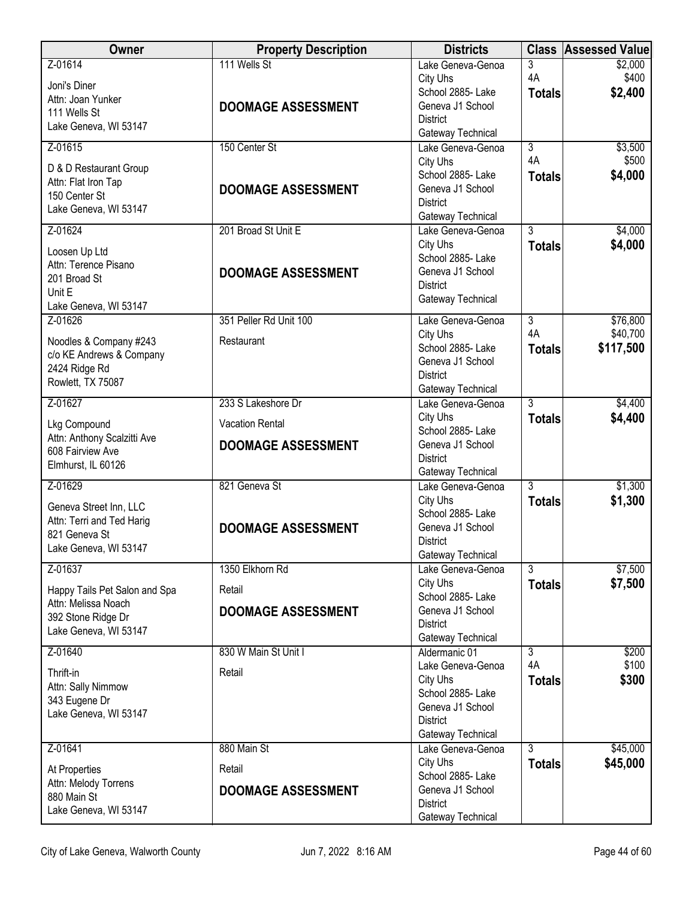| <b>Owner</b>                                                                                  | <b>Property Description</b>               | <b>Districts</b>                                                                          |                          | <b>Class Assessed Value</b> |
|-----------------------------------------------------------------------------------------------|-------------------------------------------|-------------------------------------------------------------------------------------------|--------------------------|-----------------------------|
| Z-01614<br>Joni's Diner<br>Attn: Joan Yunker<br>111 Wells St                                  | 111 Wells St<br><b>DOOMAGE ASSESSMENT</b> | Lake Geneva-Genoa<br>City Uhs<br>School 2885- Lake<br>Geneva J1 School<br><b>District</b> | 3<br>4A<br><b>Totals</b> | \$2,000<br>\$400<br>\$2,400 |
| Lake Geneva, WI 53147                                                                         |                                           | Gateway Technical                                                                         |                          |                             |
| Z-01615                                                                                       | 150 Center St                             | Lake Geneva-Genoa<br>City Uhs                                                             | $\overline{3}$<br>4A     | \$3,500<br>\$500            |
| D & D Restaurant Group<br>Attn: Flat Iron Tap<br>150 Center St<br>Lake Geneva, WI 53147       | <b>DOOMAGE ASSESSMENT</b>                 | School 2885- Lake<br>Geneva J1 School<br><b>District</b><br>Gateway Technical             | <b>Totals</b>            | \$4,000                     |
| Z-01624                                                                                       | 201 Broad St Unit E                       | Lake Geneva-Genoa                                                                         | $\overline{3}$           | \$4,000                     |
| Loosen Up Ltd<br>Attn: Terence Pisano<br>201 Broad St<br>Unit E<br>Lake Geneva, WI 53147      | <b>DOOMAGE ASSESSMENT</b>                 | City Uhs<br>School 2885- Lake<br>Geneva J1 School<br><b>District</b><br>Gateway Technical | <b>Totals</b>            | \$4,000                     |
| Z-01626                                                                                       | 351 Peller Rd Unit 100                    | Lake Geneva-Genoa                                                                         | $\overline{3}$           | \$76,800                    |
| Noodles & Company #243<br>c/o KE Andrews & Company<br>2424 Ridge Rd<br>Rowlett, TX 75087      | Restaurant                                | City Uhs<br>School 2885- Lake<br>Geneva J1 School<br><b>District</b><br>Gateway Technical | 4A<br><b>Totals</b>      | \$40,700<br>\$117,500       |
| Z-01627                                                                                       | 233 S Lakeshore Dr                        | Lake Geneva-Genoa                                                                         | $\overline{3}$           | \$4,400                     |
| Lkg Compound<br>Attn: Anthony Scalzitti Ave                                                   | <b>Vacation Rental</b>                    | City Uhs<br>School 2885- Lake<br>Geneva J1 School                                         | <b>Totals</b>            | \$4,400                     |
| 608 Fairview Ave<br>Elmhurst, IL 60126                                                        | <b>DOOMAGE ASSESSMENT</b>                 | <b>District</b><br>Gateway Technical                                                      |                          |                             |
| Z-01629                                                                                       | 821 Geneva St                             | Lake Geneva-Genoa                                                                         | 3                        | \$1,300                     |
| Geneva Street Inn, LLC<br>Attn: Terri and Ted Harig<br>821 Geneva St<br>Lake Geneva, WI 53147 | <b>DOOMAGE ASSESSMENT</b>                 | City Uhs<br>School 2885- Lake<br>Geneva J1 School<br><b>District</b><br>Gateway Technical | <b>Totals</b>            | \$1,300                     |
| Z-01637                                                                                       | 1350 Elkhorn Rd                           | Lake Geneva-Genoa                                                                         | $\overline{3}$           | \$7,500                     |
| Happy Tails Pet Salon and Spa                                                                 | Retail                                    | City Uhs<br>School 2885- Lake                                                             | <b>Totals</b>            | \$7,500                     |
| Attn: Melissa Noach<br>392 Stone Ridge Dr<br>Lake Geneva, WI 53147                            | <b>DOOMAGE ASSESSMENT</b>                 | Geneva J1 School<br><b>District</b>                                                       |                          |                             |
| Z-01640                                                                                       | 830 W Main St Unit I                      | Gateway Technical<br>Aldermanic 01                                                        | $\overline{3}$           | \$200                       |
| Thrift-in                                                                                     | Retail                                    | Lake Geneva-Genoa                                                                         | 4A                       | \$100                       |
| Attn: Sally Nimmow                                                                            |                                           | City Uhs<br>School 2885- Lake                                                             | <b>Totals</b>            | \$300                       |
| 343 Eugene Dr                                                                                 |                                           | Geneva J1 School                                                                          |                          |                             |
| Lake Geneva, WI 53147                                                                         |                                           | <b>District</b>                                                                           |                          |                             |
| Z-01641                                                                                       | 880 Main St                               | Gateway Technical<br>Lake Geneva-Genoa                                                    | $\overline{3}$           | \$45,000                    |
| At Properties                                                                                 | Retail                                    | City Uhs                                                                                  | <b>Totals</b>            | \$45,000                    |
| Attn: Melody Torrens                                                                          |                                           | School 2885- Lake                                                                         |                          |                             |
| 880 Main St                                                                                   | <b>DOOMAGE ASSESSMENT</b>                 | Geneva J1 School<br><b>District</b>                                                       |                          |                             |
| Lake Geneva, WI 53147                                                                         |                                           | Gateway Technical                                                                         |                          |                             |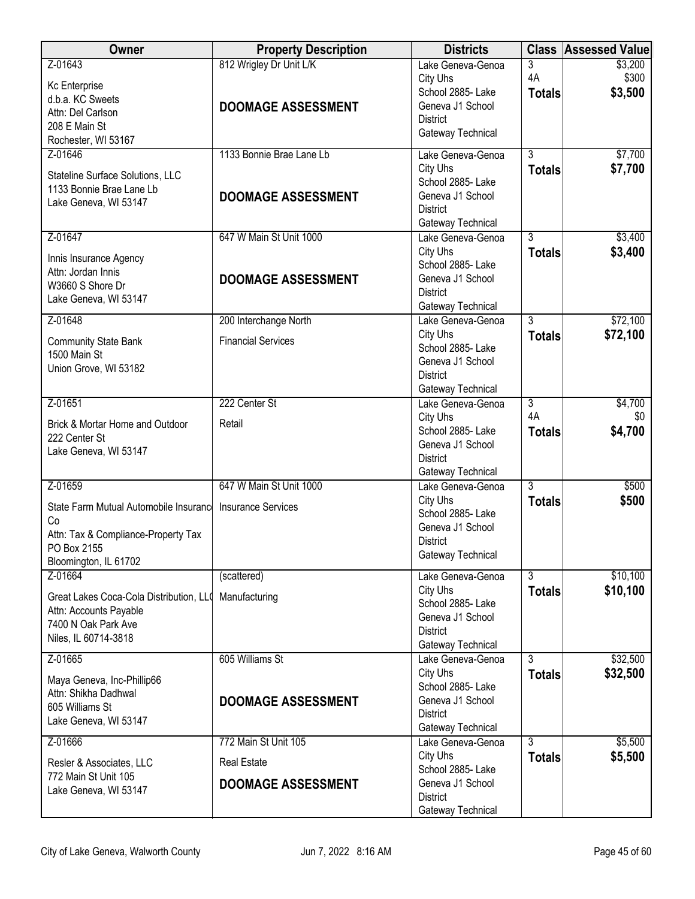| Owner                                              | <b>Property Description</b> | <b>Districts</b>                       |                | <b>Class Assessed Value</b> |
|----------------------------------------------------|-----------------------------|----------------------------------------|----------------|-----------------------------|
| Z-01643                                            | 812 Wrigley Dr Unit L/K     | Lake Geneva-Genoa                      | 3              | \$3,200                     |
| Kc Enterprise                                      |                             | City Uhs                               | 4A             | \$300                       |
| d.b.a. KC Sweets                                   |                             | School 2885- Lake                      | <b>Totals</b>  | \$3,500                     |
| Attn: Del Carlson                                  | <b>DOOMAGE ASSESSMENT</b>   | Geneva J1 School<br><b>District</b>    |                |                             |
| 208 E Main St                                      |                             | Gateway Technical                      |                |                             |
| Rochester, WI 53167                                |                             |                                        |                |                             |
| Z-01646                                            | 1133 Bonnie Brae Lane Lb    | Lake Geneva-Genoa                      | 3              | \$7,700                     |
| Stateline Surface Solutions, LLC                   |                             | City Uhs                               | <b>Totals</b>  | \$7,700                     |
| 1133 Bonnie Brae Lane Lb                           |                             | School 2885-Lake                       |                |                             |
| Lake Geneva, WI 53147                              | <b>DOOMAGE ASSESSMENT</b>   | Geneva J1 School<br><b>District</b>    |                |                             |
|                                                    |                             | Gateway Technical                      |                |                             |
| Z-01647                                            | 647 W Main St Unit 1000     | Lake Geneva-Genoa                      | $\overline{3}$ | \$3,400                     |
|                                                    |                             | City Uhs                               | <b>Totals</b>  | \$3,400                     |
| Innis Insurance Agency                             |                             | School 2885- Lake                      |                |                             |
| Attn: Jordan Innis<br>W3660 S Shore Dr             | <b>DOOMAGE ASSESSMENT</b>   | Geneva J1 School                       |                |                             |
| Lake Geneva, WI 53147                              |                             | <b>District</b>                        |                |                             |
|                                                    |                             | Gateway Technical                      |                |                             |
| Z-01648                                            | 200 Interchange North       | Lake Geneva-Genoa                      | $\overline{3}$ | \$72,100                    |
| <b>Community State Bank</b>                        | <b>Financial Services</b>   | City Uhs                               | <b>Totals</b>  | \$72,100                    |
| 1500 Main St                                       |                             | School 2885- Lake<br>Geneva J1 School  |                |                             |
| Union Grove, WI 53182                              |                             | <b>District</b>                        |                |                             |
|                                                    |                             | Gateway Technical                      |                |                             |
| Z-01651                                            | 222 Center St               | Lake Geneva-Genoa                      | $\overline{3}$ | \$4,700                     |
| Brick & Mortar Home and Outdoor                    | Retail                      | City Uhs                               | 4A             | \$0                         |
| 222 Center St                                      |                             | School 2885- Lake                      | <b>Totals</b>  | \$4,700                     |
| Lake Geneva, WI 53147                              |                             | Geneva J1 School                       |                |                             |
|                                                    |                             | <b>District</b>                        |                |                             |
| Z-01659                                            | 647 W Main St Unit 1000     | Gateway Technical<br>Lake Geneva-Genoa | 3              | \$500                       |
|                                                    |                             | City Uhs                               | <b>Totals</b>  | \$500                       |
| State Farm Mutual Automobile Insurance             | <b>Insurance Services</b>   | School 2885- Lake                      |                |                             |
| Co                                                 |                             | Geneva J1 School                       |                |                             |
| Attn: Tax & Compliance-Property Tax<br>PO Box 2155 |                             | <b>District</b>                        |                |                             |
| Bloomington, IL 61702                              |                             | Gateway Technical                      |                |                             |
| Z-01664                                            | (scattered)                 | Lake Geneva-Genoa                      | 3              | \$10,100                    |
|                                                    |                             | City Uhs                               | <b>Totals</b>  | \$10,100                    |
| Great Lakes Coca-Cola Distribution, LLO            | Manufacturing               | School 2885- Lake                      |                |                             |
| Attn: Accounts Payable<br>7400 N Oak Park Ave      |                             | Geneva J1 School                       |                |                             |
| Niles, IL 60714-3818                               |                             | <b>District</b>                        |                |                             |
|                                                    |                             | Gateway Technical                      |                |                             |
| Z-01665                                            | 605 Williams St             | Lake Geneva-Genoa                      | 3              | \$32,500                    |
| Maya Geneva, Inc-Phillip66                         |                             | City Uhs<br>School 2885- Lake          | <b>Totals</b>  | \$32,500                    |
| Attn: Shikha Dadhwal                               | <b>DOOMAGE ASSESSMENT</b>   | Geneva J1 School                       |                |                             |
| 605 Williams St                                    |                             | <b>District</b>                        |                |                             |
| Lake Geneva, WI 53147                              |                             | Gateway Technical                      |                |                             |
| Z-01666                                            | 772 Main St Unit 105        | Lake Geneva-Genoa                      | $\overline{3}$ | \$5,500                     |
| Resler & Associates, LLC                           | <b>Real Estate</b>          | City Uhs                               | <b>Totals</b>  | \$5,500                     |
| 772 Main St Unit 105                               |                             | School 2885- Lake                      |                |                             |
| Lake Geneva, WI 53147                              | <b>DOOMAGE ASSESSMENT</b>   | Geneva J1 School<br><b>District</b>    |                |                             |
|                                                    |                             | Gateway Technical                      |                |                             |
|                                                    |                             |                                        |                |                             |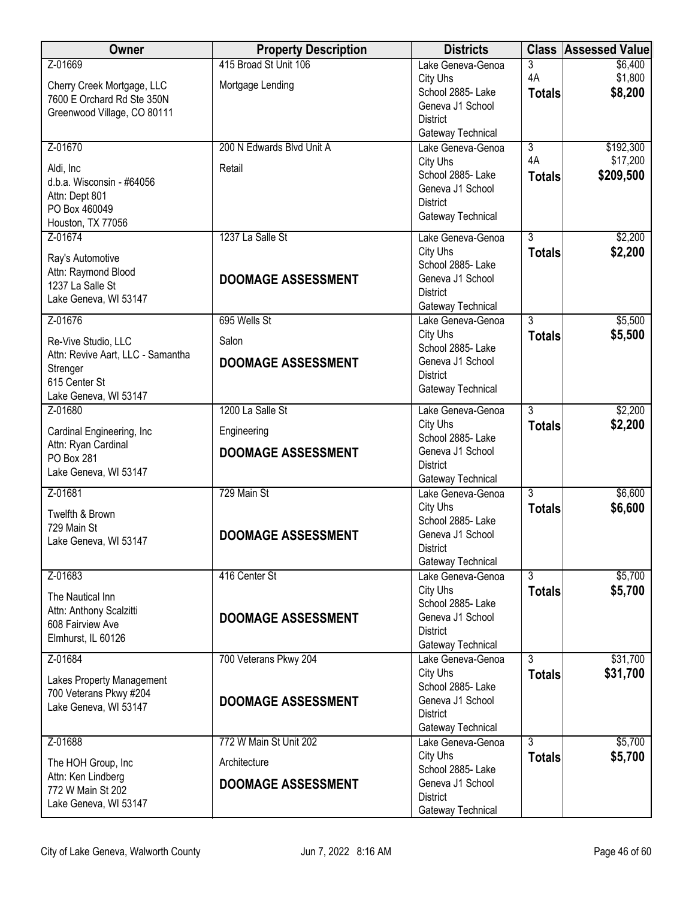| Owner                                                    | <b>Property Description</b> | <b>Districts</b>                       |                | <b>Class Assessed Value</b> |
|----------------------------------------------------------|-----------------------------|----------------------------------------|----------------|-----------------------------|
| Z-01669                                                  | 415 Broad St Unit 106       | Lake Geneva-Genoa                      | 3              | \$6,400                     |
| Cherry Creek Mortgage, LLC                               | Mortgage Lending            | City Uhs<br>School 2885- Lake          | 4A             | \$1,800                     |
| 7600 E Orchard Rd Ste 350N                               |                             | Geneva J1 School                       | <b>Totals</b>  | \$8,200                     |
| Greenwood Village, CO 80111                              |                             | <b>District</b>                        |                |                             |
|                                                          |                             | Gateway Technical                      |                |                             |
| Z-01670                                                  | 200 N Edwards Blvd Unit A   | Lake Geneva-Genoa                      | $\overline{3}$ | \$192,300                   |
| Aldi, Inc                                                | Retail                      | City Uhs                               | 4A             | \$17,200                    |
| d.b.a. Wisconsin - #64056                                |                             | School 2885-Lake<br>Geneva J1 School   | <b>Totals</b>  | \$209,500                   |
| Attn: Dept 801                                           |                             | <b>District</b>                        |                |                             |
| PO Box 460049<br>Houston, TX 77056                       |                             | Gateway Technical                      |                |                             |
| Z-01674                                                  | 1237 La Salle St            | Lake Geneva-Genoa                      | $\overline{3}$ | \$2,200                     |
|                                                          |                             | City Uhs                               | <b>Totals</b>  | \$2,200                     |
| Ray's Automotive<br>Attn: Raymond Blood                  |                             | School 2885- Lake                      |                |                             |
| 1237 La Salle St                                         | <b>DOOMAGE ASSESSMENT</b>   | Geneva J1 School                       |                |                             |
| Lake Geneva, WI 53147                                    |                             | <b>District</b><br>Gateway Technical   |                |                             |
| Z-01676                                                  | 695 Wells St                | Lake Geneva-Genoa                      | $\overline{3}$ | \$5,500                     |
|                                                          | Salon                       | City Uhs                               | <b>Totals</b>  | \$5,500                     |
| Re-Vive Studio, LLC<br>Attn: Revive Aart, LLC - Samantha |                             | School 2885- Lake                      |                |                             |
| Strenger                                                 | <b>DOOMAGE ASSESSMENT</b>   | Geneva J1 School                       |                |                             |
| 615 Center St                                            |                             | <b>District</b><br>Gateway Technical   |                |                             |
| Lake Geneva, WI 53147                                    |                             |                                        |                |                             |
| Z-01680                                                  | 1200 La Salle St            | Lake Geneva-Genoa<br>City Uhs          | $\overline{3}$ | \$2,200                     |
| Cardinal Engineering, Inc                                | Engineering                 | School 2885- Lake                      | <b>Totals</b>  | \$2,200                     |
| Attn: Ryan Cardinal<br><b>PO Box 281</b>                 | <b>DOOMAGE ASSESSMENT</b>   | Geneva J1 School                       |                |                             |
| Lake Geneva, WI 53147                                    |                             | <b>District</b>                        |                |                             |
| Z-01681                                                  | 729 Main St                 | Gateway Technical<br>Lake Geneva-Genoa | $\overline{3}$ | \$6,600                     |
|                                                          |                             | City Uhs                               | <b>Totals</b>  | \$6,600                     |
| Twelfth & Brown<br>729 Main St                           |                             | School 2885- Lake                      |                |                             |
| Lake Geneva, WI 53147                                    | <b>DOOMAGE ASSESSMENT</b>   | Geneva J1 School                       |                |                             |
|                                                          |                             | District                               |                |                             |
| Z-01683                                                  | 416 Center St               | Gateway Technical<br>Lake Geneva-Genoa | $\overline{3}$ | \$5,700                     |
|                                                          |                             | City Uhs                               | <b>Totals</b>  | \$5,700                     |
| The Nautical Inn<br>Attn: Anthony Scalzitti              |                             | School 2885-Lake                       |                |                             |
| 608 Fairview Ave                                         | <b>DOOMAGE ASSESSMENT</b>   | Geneva J1 School                       |                |                             |
| Elmhurst, IL 60126                                       |                             | <b>District</b><br>Gateway Technical   |                |                             |
| Z-01684                                                  | 700 Veterans Pkwy 204       | Lake Geneva-Genoa                      | 3              | \$31,700                    |
| Lakes Property Management                                |                             | City Uhs                               | <b>Totals</b>  | \$31,700                    |
| 700 Veterans Pkwy #204                                   |                             | School 2885-Lake                       |                |                             |
| Lake Geneva, WI 53147                                    | <b>DOOMAGE ASSESSMENT</b>   | Geneva J1 School<br><b>District</b>    |                |                             |
|                                                          |                             | Gateway Technical                      |                |                             |
| Z-01688                                                  | 772 W Main St Unit 202      | Lake Geneva-Genoa                      | $\overline{3}$ | \$5,700                     |
| The HOH Group, Inc                                       | Architecture                | City Uhs<br>School 2885- Lake          | <b>Totals</b>  | \$5,700                     |
| Attn: Ken Lindberg                                       | <b>DOOMAGE ASSESSMENT</b>   | Geneva J1 School                       |                |                             |
| 772 W Main St 202                                        |                             | <b>District</b>                        |                |                             |
| Lake Geneva, WI 53147                                    |                             | Gateway Technical                      |                |                             |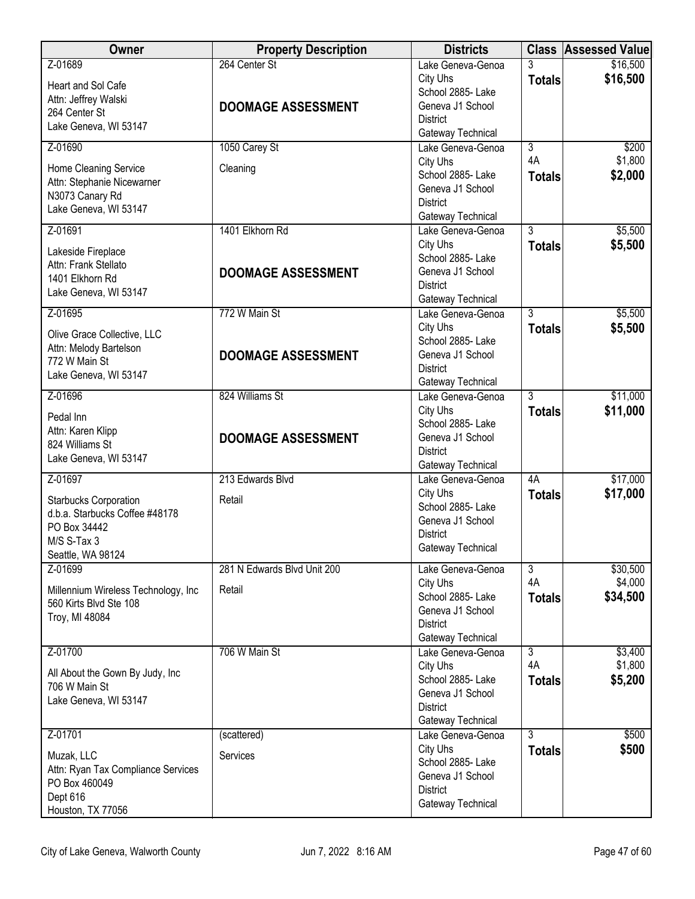| <b>Owner</b>                                                                                                       | <b>Property Description</b> | <b>Districts</b>                                                                          |                     | <b>Class Assessed Value</b> |
|--------------------------------------------------------------------------------------------------------------------|-----------------------------|-------------------------------------------------------------------------------------------|---------------------|-----------------------------|
| Z-01689<br>Heart and Sol Cafe<br>Attn: Jeffrey Walski                                                              | 264 Center St               | Lake Geneva-Genoa<br>City Uhs<br>School 2885- Lake                                        | 3<br><b>Totals</b>  | \$16,500<br>\$16,500        |
| 264 Center St<br>Lake Geneva, WI 53147                                                                             | <b>DOOMAGE ASSESSMENT</b>   | Geneva J1 School<br><b>District</b><br>Gateway Technical                                  |                     |                             |
| Z-01690                                                                                                            | 1050 Carey St               | Lake Geneva-Genoa                                                                         | $\overline{3}$      | \$200                       |
| Home Cleaning Service<br>Attn: Stephanie Nicewarner<br>N3073 Canary Rd<br>Lake Geneva, WI 53147                    | Cleaning                    | City Uhs<br>School 2885-Lake<br>Geneva J1 School<br><b>District</b><br>Gateway Technical  | 4A<br><b>Totals</b> | \$1,800<br>\$2,000          |
| Z-01691                                                                                                            | 1401 Elkhorn Rd             | Lake Geneva-Genoa                                                                         | $\overline{3}$      | \$5,500                     |
| Lakeside Fireplace<br>Attn: Frank Stellato<br>1401 Elkhorn Rd<br>Lake Geneva, WI 53147                             | <b>DOOMAGE ASSESSMENT</b>   | City Uhs<br>School 2885- Lake<br>Geneva J1 School<br><b>District</b><br>Gateway Technical | <b>Totals</b>       | \$5,500                     |
| Z-01695                                                                                                            | 772 W Main St               | Lake Geneva-Genoa                                                                         | $\overline{3}$      | \$5,500                     |
| Olive Grace Collective, LLC<br>Attn: Melody Bartelson<br>772 W Main St                                             | <b>DOOMAGE ASSESSMENT</b>   | City Uhs<br>School 2885- Lake<br>Geneva J1 School<br><b>District</b>                      | <b>Totals</b>       | \$5,500                     |
| Lake Geneva, WI 53147                                                                                              |                             | Gateway Technical                                                                         |                     |                             |
| Z-01696                                                                                                            | 824 Williams St             | Lake Geneva-Genoa                                                                         | $\overline{3}$      | \$11,000                    |
| Pedal Inn<br>Attn: Karen Klipp<br>824 Williams St<br>Lake Geneva, WI 53147                                         | <b>DOOMAGE ASSESSMENT</b>   | City Uhs<br>School 2885- Lake<br>Geneva J1 School<br><b>District</b><br>Gateway Technical | <b>Totals</b>       | \$11,000                    |
| Z-01697                                                                                                            | 213 Edwards Blvd            | Lake Geneva-Genoa                                                                         | 4A                  | \$17,000                    |
| <b>Starbucks Corporation</b><br>d.b.a. Starbucks Coffee #48178<br>PO Box 34442<br>M/S S-Tax 3<br>Seattle, WA 98124 | Retail                      | City Uhs<br>School 2885-Lake<br>Geneva J1 School<br><b>District</b><br>Gateway Technical  | <b>Totals</b>       | \$17,000                    |
| Z-01699                                                                                                            | 281 N Edwards Blvd Unit 200 | Lake Geneva-Genoa                                                                         | $\overline{3}$      | \$30,500                    |
| Millennium Wireless Technology, Inc<br>560 Kirts Blvd Ste 108<br>Troy, MI 48084                                    | Retail                      | City Uhs<br>School 2885- Lake<br>Geneva J1 School<br><b>District</b><br>Gateway Technical | 4A<br><b>Totals</b> | \$4,000<br>\$34,500         |
| Z-01700                                                                                                            | 706 W Main St               | Lake Geneva-Genoa                                                                         | $\overline{3}$      | \$3,400                     |
| All About the Gown By Judy, Inc.<br>706 W Main St<br>Lake Geneva, WI 53147                                         |                             | City Uhs<br>School 2885-Lake<br>Geneva J1 School<br><b>District</b><br>Gateway Technical  | 4A<br><b>Totals</b> | \$1,800<br>\$5,200          |
| Z-01701                                                                                                            | (scattered)                 | Lake Geneva-Genoa                                                                         | $\overline{3}$      | \$500                       |
| Muzak, LLC<br>Attn: Ryan Tax Compliance Services<br>PO Box 460049<br>Dept 616<br>Houston, TX 77056                 | Services                    | City Uhs<br>School 2885-Lake<br>Geneva J1 School<br><b>District</b><br>Gateway Technical  | <b>Totals</b>       | \$500                       |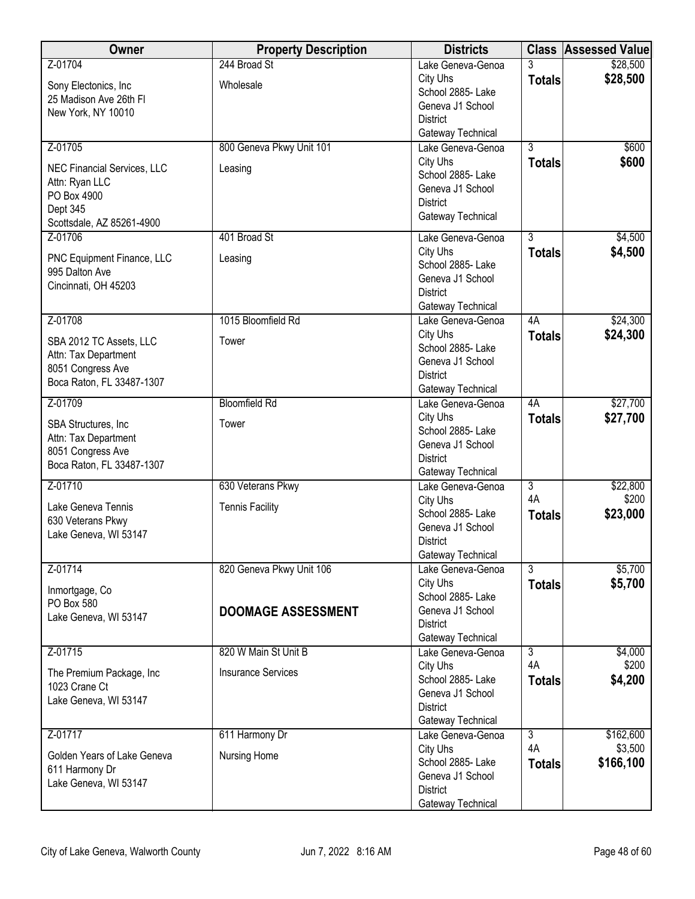| Owner                                          | <b>Property Description</b> | <b>Districts</b>                       |                                 | <b>Class Assessed Value</b> |
|------------------------------------------------|-----------------------------|----------------------------------------|---------------------------------|-----------------------------|
| Z-01704                                        | 244 Broad St                | Lake Geneva-Genoa                      | 3                               | \$28,500                    |
| Sony Electonics, Inc.                          | Wholesale                   | City Uhs<br>School 2885- Lake          | <b>Totals</b>                   | \$28,500                    |
| 25 Madison Ave 26th FI                         |                             | Geneva J1 School                       |                                 |                             |
| New York, NY 10010                             |                             | <b>District</b>                        |                                 |                             |
|                                                |                             | Gateway Technical                      |                                 |                             |
| Z-01705                                        | 800 Geneva Pkwy Unit 101    | Lake Geneva-Genoa                      | $\overline{3}$                  | \$600                       |
| <b>NEC Financial Services, LLC</b>             | Leasing                     | City Uhs<br>School 2885-Lake           | <b>Totals</b>                   | \$600                       |
| Attn: Ryan LLC                                 |                             | Geneva J1 School                       |                                 |                             |
| PO Box 4900<br>Dept 345                        |                             | <b>District</b>                        |                                 |                             |
| Scottsdale, AZ 85261-4900                      |                             | Gateway Technical                      |                                 |                             |
| Z-01706                                        | 401 Broad St                | Lake Geneva-Genoa                      | $\overline{3}$                  | \$4,500                     |
| PNC Equipment Finance, LLC                     | Leasing                     | City Uhs                               | <b>Totals</b>                   | \$4,500                     |
| 995 Dalton Ave                                 |                             | School 2885- Lake<br>Geneva J1 School  |                                 |                             |
| Cincinnati, OH 45203                           |                             | <b>District</b>                        |                                 |                             |
|                                                |                             | Gateway Technical                      |                                 |                             |
| Z-01708                                        | 1015 Bloomfield Rd          | Lake Geneva-Genoa                      | 4A                              | \$24,300                    |
| SBA 2012 TC Assets, LLC                        | Tower                       | City Uhs                               | <b>Totals</b>                   | \$24,300                    |
| Attn: Tax Department                           |                             | School 2885- Lake<br>Geneva J1 School  |                                 |                             |
| 8051 Congress Ave                              |                             | <b>District</b>                        |                                 |                             |
| Boca Raton, FL 33487-1307                      |                             | Gateway Technical                      |                                 |                             |
| Z-01709                                        | <b>Bloomfield Rd</b>        | Lake Geneva-Genoa                      | 4A                              | \$27,700                    |
| SBA Structures, Inc                            | Tower                       | City Uhs<br>School 2885- Lake          | <b>Totals</b>                   | \$27,700                    |
| Attn: Tax Department                           |                             | Geneva J1 School                       |                                 |                             |
| 8051 Congress Ave<br>Boca Raton, FL 33487-1307 |                             | <b>District</b>                        |                                 |                             |
|                                                |                             | Gateway Technical                      |                                 |                             |
| Z-01710                                        | 630 Veterans Pkwy           | Lake Geneva-Genoa<br>City Uhs          | $\overline{3}$<br>4A            | \$22,800<br>\$200           |
| Lake Geneva Tennis                             | <b>Tennis Facility</b>      | School 2885- Lake                      | <b>Totals</b>                   | \$23,000                    |
| 630 Veterans Pkwy                              |                             | Geneva J1 School                       |                                 |                             |
| Lake Geneva, WI 53147                          |                             | <b>District</b>                        |                                 |                             |
|                                                |                             | Gateway Technical                      |                                 |                             |
| Z-01714                                        | 820 Geneva Pkwy Unit 106    | Lake Geneva-Genoa<br>City Uhs          | $\overline{3}$<br><b>Totals</b> | \$5,700<br>\$5,700          |
| Inmortgage, Co                                 |                             | School 2885- Lake                      |                                 |                             |
| PO Box 580<br>Lake Geneva, WI 53147            | <b>DOOMAGE ASSESSMENT</b>   | Geneva J1 School                       |                                 |                             |
|                                                |                             | <b>District</b>                        |                                 |                             |
| Z-01715                                        | 820 W Main St Unit B        | Gateway Technical<br>Lake Geneva-Genoa | $\overline{3}$                  | \$4,000                     |
|                                                |                             | City Uhs                               | 4A                              | \$200                       |
| The Premium Package, Inc<br>1023 Crane Ct      | <b>Insurance Services</b>   | School 2885- Lake                      | <b>Totals</b>                   | \$4,200                     |
| Lake Geneva, WI 53147                          |                             | Geneva J1 School                       |                                 |                             |
|                                                |                             | <b>District</b><br>Gateway Technical   |                                 |                             |
| Z-01717                                        | 611 Harmony Dr              | Lake Geneva-Genoa                      | $\overline{3}$                  | \$162,600                   |
| Golden Years of Lake Geneva                    | Nursing Home                | City Uhs                               | 4A                              | \$3,500                     |
| 611 Harmony Dr                                 |                             | School 2885- Lake                      | <b>Totals</b>                   | \$166,100                   |
| Lake Geneva, WI 53147                          |                             | Geneva J1 School<br><b>District</b>    |                                 |                             |
|                                                |                             | Gateway Technical                      |                                 |                             |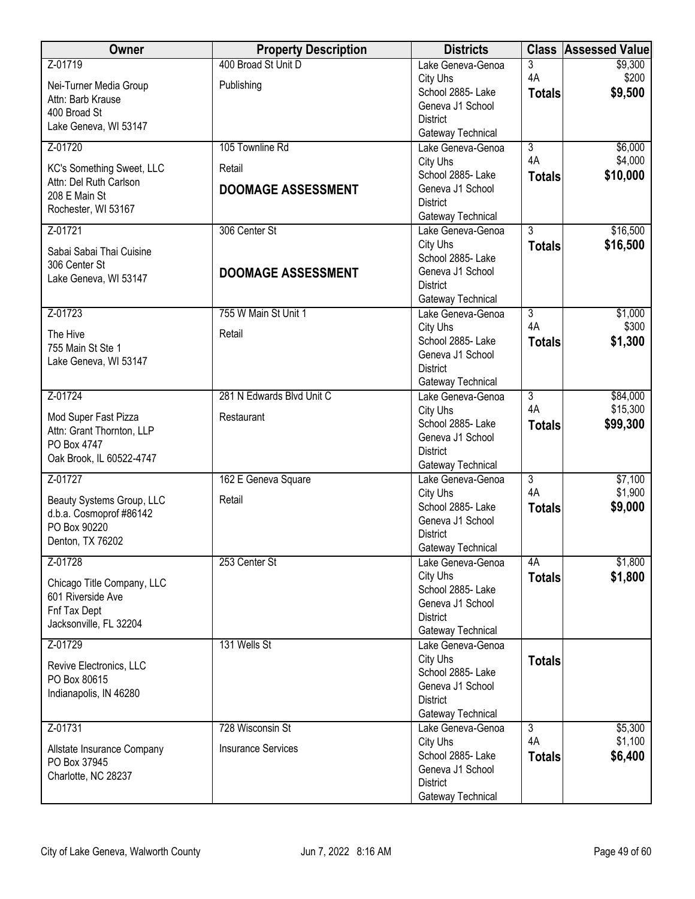| Owner                      | <b>Property Description</b> | <b>Districts</b>                       |                | <b>Class Assessed Value</b> |
|----------------------------|-----------------------------|----------------------------------------|----------------|-----------------------------|
| Z-01719                    | 400 Broad St Unit D         | Lake Geneva-Genoa                      | 3              | \$9,300                     |
| Nei-Turner Media Group     | Publishing                  | City Uhs                               | 4A             | \$200                       |
| Attn: Barb Krause          |                             | School 2885- Lake                      | <b>Totals</b>  | \$9,500                     |
| 400 Broad St               |                             | Geneva J1 School                       |                |                             |
| Lake Geneva, WI 53147      |                             | <b>District</b>                        |                |                             |
| Z-01720                    | 105 Townline Rd             | Gateway Technical<br>Lake Geneva-Genoa | $\overline{3}$ | \$6,000                     |
|                            |                             | City Uhs                               | 4A             | \$4,000                     |
| KC's Something Sweet, LLC  | Retail                      | School 2885- Lake                      | <b>Totals</b>  | \$10,000                    |
| Attn: Del Ruth Carlson     | <b>DOOMAGE ASSESSMENT</b>   | Geneva J1 School                       |                |                             |
| 208 E Main St              |                             | <b>District</b>                        |                |                             |
| Rochester, WI 53167        |                             | Gateway Technical                      |                |                             |
| Z-01721                    | 306 Center St               | Lake Geneva-Genoa                      | $\overline{3}$ | \$16,500                    |
| Sabai Sabai Thai Cuisine   |                             | City Uhs                               | <b>Totals</b>  | \$16,500                    |
| 306 Center St              |                             | School 2885- Lake                      |                |                             |
| Lake Geneva, WI 53147      | <b>DOOMAGE ASSESSMENT</b>   | Geneva J1 School                       |                |                             |
|                            |                             | <b>District</b>                        |                |                             |
|                            | 755 W Main St Unit 1        | Gateway Technical                      | $\overline{3}$ |                             |
| Z-01723                    |                             | Lake Geneva-Genoa<br>City Uhs          | 4A             | \$1,000<br>\$300            |
| The Hive                   | Retail                      | School 2885-Lake                       | <b>Totals</b>  | \$1,300                     |
| 755 Main St Ste 1          |                             | Geneva J1 School                       |                |                             |
| Lake Geneva, WI 53147      |                             | <b>District</b>                        |                |                             |
|                            |                             | Gateway Technical                      |                |                             |
| Z-01724                    | 281 N Edwards Blvd Unit C   | Lake Geneva-Genoa                      | $\overline{3}$ | \$84,000                    |
| Mod Super Fast Pizza       | Restaurant                  | City Uhs                               | 4A             | \$15,300                    |
| Attn: Grant Thornton, LLP  |                             | School 2885- Lake                      | <b>Totals</b>  | \$99,300                    |
| PO Box 4747                |                             | Geneva J1 School                       |                |                             |
| Oak Brook, IL 60522-4747   |                             | <b>District</b>                        |                |                             |
| Z-01727                    | 162 E Geneva Square         | Gateway Technical<br>Lake Geneva-Genoa | $\overline{3}$ | \$7,100                     |
|                            |                             | City Uhs                               | 4A             | \$1,900                     |
| Beauty Systems Group, LLC  | Retail                      | School 2885- Lake                      | <b>Totals</b>  | \$9,000                     |
| d.b.a. Cosmoprof #86142    |                             | Geneva J1 School                       |                |                             |
| PO Box 90220               |                             | <b>District</b>                        |                |                             |
| Denton, TX 76202           |                             | Gateway Technical                      |                |                             |
| Z-01728                    | 253 Center St               | Lake Geneva-Genoa                      | 4A             | \$1,800                     |
| Chicago Title Company, LLC |                             | City Uhs                               | <b>Totals</b>  | \$1,800                     |
| 601 Riverside Ave          |                             | School 2885- Lake                      |                |                             |
| Fnf Tax Dept               |                             | Geneva J1 School                       |                |                             |
| Jacksonville, FL 32204     |                             | <b>District</b><br>Gateway Technical   |                |                             |
| Z-01729                    | 131 Wells St                | Lake Geneva-Genoa                      |                |                             |
|                            |                             | City Uhs                               | <b>Totals</b>  |                             |
| Revive Electronics, LLC    |                             | School 2885- Lake                      |                |                             |
| PO Box 80615               |                             | Geneva J1 School                       |                |                             |
| Indianapolis, IN 46280     |                             | <b>District</b>                        |                |                             |
|                            |                             | Gateway Technical                      |                |                             |
| Z-01731                    | 728 Wisconsin St            | Lake Geneva-Genoa                      | $\overline{3}$ | \$5,300                     |
| Allstate Insurance Company | <b>Insurance Services</b>   | City Uhs                               | 4A             | \$1,100                     |
| PO Box 37945               |                             | School 2885- Lake                      | <b>Totals</b>  | \$6,400                     |
| Charlotte, NC 28237        |                             | Geneva J1 School                       |                |                             |
|                            |                             | <b>District</b><br>Gateway Technical   |                |                             |
|                            |                             |                                        |                |                             |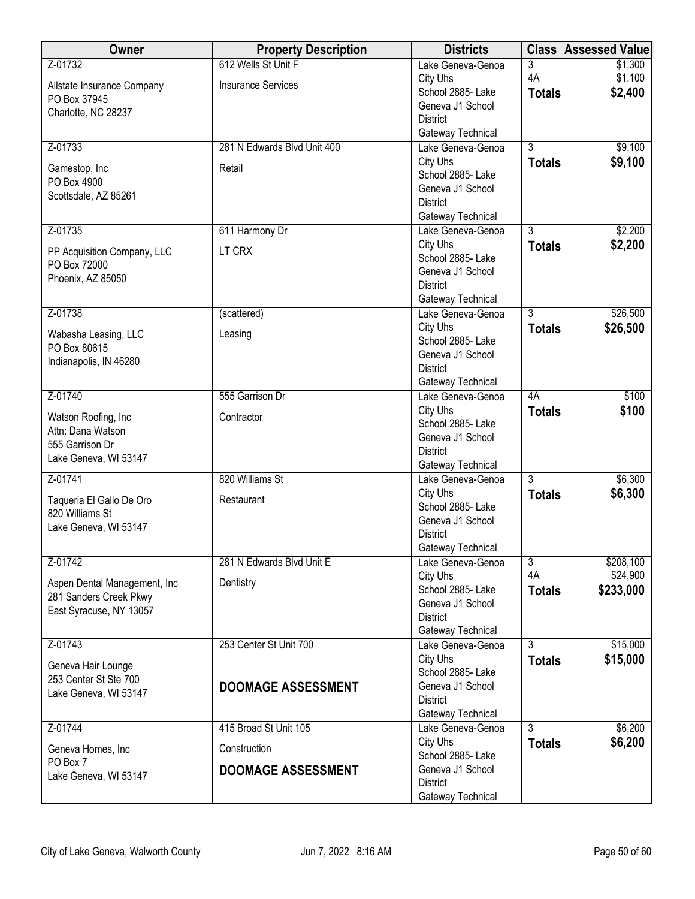| Owner                                                  | <b>Property Description</b> | <b>Districts</b>                       | <b>Class</b>   | <b>Assessed Value</b> |
|--------------------------------------------------------|-----------------------------|----------------------------------------|----------------|-----------------------|
| Z-01732                                                | 612 Wells St Unit F         | Lake Geneva-Genoa                      | 3              | \$1,300               |
| Allstate Insurance Company                             | <b>Insurance Services</b>   | City Uhs                               | 4A             | \$1,100               |
| PO Box 37945                                           |                             | School 2885- Lake                      | <b>Totals</b>  | \$2,400               |
| Charlotte, NC 28237                                    |                             | Geneva J1 School                       |                |                       |
|                                                        |                             | <b>District</b>                        |                |                       |
| Z-01733                                                | 281 N Edwards Blvd Unit 400 | Gateway Technical<br>Lake Geneva-Genoa | $\overline{3}$ | \$9,100               |
|                                                        |                             | City Uhs                               | <b>Totals</b>  | \$9,100               |
| Gamestop, Inc                                          | Retail                      | School 2885- Lake                      |                |                       |
| PO Box 4900                                            |                             | Geneva J1 School                       |                |                       |
| Scottsdale, AZ 85261                                   |                             | <b>District</b>                        |                |                       |
|                                                        |                             | Gateway Technical                      |                |                       |
| Z-01735                                                | 611 Harmony Dr              | Lake Geneva-Genoa                      | $\overline{3}$ | \$2,200               |
| PP Acquisition Company, LLC                            | LT CRX                      | City Uhs                               | <b>Totals</b>  | \$2,200               |
| PO Box 72000                                           |                             | School 2885- Lake<br>Geneva J1 School  |                |                       |
| Phoenix, AZ 85050                                      |                             | <b>District</b>                        |                |                       |
|                                                        |                             | Gateway Technical                      |                |                       |
| Z-01738                                                | (scattered)                 | Lake Geneva-Genoa                      | $\overline{3}$ | \$26,500              |
|                                                        |                             | City Uhs                               | <b>Totals</b>  | \$26,500              |
| Wabasha Leasing, LLC<br>PO Box 80615                   | Leasing                     | School 2885- Lake                      |                |                       |
| Indianapolis, IN 46280                                 |                             | Geneva J1 School                       |                |                       |
|                                                        |                             | <b>District</b>                        |                |                       |
|                                                        |                             | Gateway Technical                      |                |                       |
| Z-01740                                                | 555 Garrison Dr             | Lake Geneva-Genoa<br>City Uhs          | 4A             | \$100<br>\$100        |
| Watson Roofing, Inc                                    | Contractor                  | School 2885- Lake                      | <b>Totals</b>  |                       |
| Attn: Dana Watson                                      |                             | Geneva J1 School                       |                |                       |
| 555 Garrison Dr                                        |                             | <b>District</b>                        |                |                       |
| Lake Geneva, WI 53147                                  |                             | Gateway Technical                      |                |                       |
| Z-01741                                                | 820 Williams St             | Lake Geneva-Genoa                      | $\overline{3}$ | \$6,300               |
| Taqueria El Gallo De Oro                               | Restaurant                  | City Uhs                               | <b>Totals</b>  | \$6,300               |
| 820 Williams St                                        |                             | School 2885- Lake                      |                |                       |
| Lake Geneva, WI 53147                                  |                             | Geneva J1 School<br><b>District</b>    |                |                       |
|                                                        |                             | Gateway Technical                      |                |                       |
| Z-01742                                                | 281 N Edwards Blvd Unit E   | Lake Geneva-Genoa                      | $\overline{3}$ | \$208,100             |
|                                                        |                             | City Uhs                               | 4A             | \$24,900              |
| Aspen Dental Management, Inc<br>281 Sanders Creek Pkwy | Dentistry                   | School 2885- Lake                      | <b>Totals</b>  | \$233,000             |
| East Syracuse, NY 13057                                |                             | Geneva J1 School                       |                |                       |
|                                                        |                             | <b>District</b>                        |                |                       |
|                                                        |                             | Gateway Technical                      |                |                       |
| Z-01743                                                | 253 Center St Unit 700      | Lake Geneva-Genoa<br>City Uhs          | $\overline{3}$ | \$15,000              |
| Geneva Hair Lounge                                     |                             | School 2885-Lake                       | <b>Totals</b>  | \$15,000              |
| 253 Center St Ste 700                                  | <b>DOOMAGE ASSESSMENT</b>   | Geneva J1 School                       |                |                       |
| Lake Geneva, WI 53147                                  |                             | <b>District</b>                        |                |                       |
|                                                        |                             | Gateway Technical                      |                |                       |
| Z-01744                                                | 415 Broad St Unit 105       | Lake Geneva-Genoa                      | $\overline{3}$ | \$6,200               |
| Geneva Homes, Inc                                      | Construction                | City Uhs                               | <b>Totals</b>  | \$6,200               |
| PO Box 7                                               |                             | School 2885- Lake                      |                |                       |
| Lake Geneva, WI 53147                                  | <b>DOOMAGE ASSESSMENT</b>   | Geneva J1 School<br><b>District</b>    |                |                       |
|                                                        |                             | Gateway Technical                      |                |                       |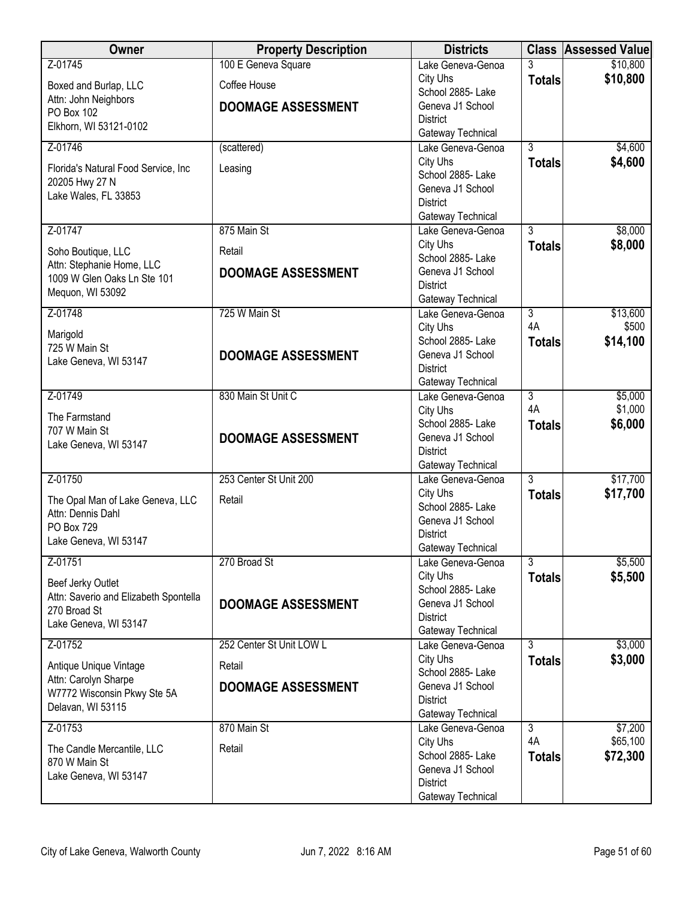| Owner                                                  | <b>Property Description</b> | <b>Districts</b>                       |                      | <b>Class Assessed Value</b> |
|--------------------------------------------------------|-----------------------------|----------------------------------------|----------------------|-----------------------------|
| Z-01745                                                | 100 E Geneva Square         | Lake Geneva-Genoa                      | 3                    | \$10,800                    |
| Boxed and Burlap, LLC                                  | Coffee House                | City Uhs                               | <b>Totals</b>        | \$10,800                    |
| Attn: John Neighbors                                   |                             | School 2885- Lake                      |                      |                             |
| PO Box 102                                             | <b>DOOMAGE ASSESSMENT</b>   | Geneva J1 School<br><b>District</b>    |                      |                             |
| Elkhorn, WI 53121-0102                                 |                             | Gateway Technical                      |                      |                             |
| Z-01746                                                | (scattered)                 | Lake Geneva-Genoa                      | $\overline{3}$       | \$4,600                     |
|                                                        | Leasing                     | City Uhs                               | <b>Totals</b>        | \$4,600                     |
| Florida's Natural Food Service, Inc.<br>20205 Hwy 27 N |                             | School 2885-Lake                       |                      |                             |
| Lake Wales, FL 33853                                   |                             | Geneva J1 School                       |                      |                             |
|                                                        |                             | <b>District</b><br>Gateway Technical   |                      |                             |
| Z-01747                                                | 875 Main St                 | Lake Geneva-Genoa                      | $\overline{3}$       | \$8,000                     |
|                                                        |                             | City Uhs                               | <b>Totals</b>        | \$8,000                     |
| Soho Boutique, LLC<br>Attn: Stephanie Home, LLC        | Retail                      | School 2885- Lake                      |                      |                             |
| 1009 W Glen Oaks Ln Ste 101                            | <b>DOOMAGE ASSESSMENT</b>   | Geneva J1 School                       |                      |                             |
| Mequon, WI 53092                                       |                             | <b>District</b>                        |                      |                             |
| Z-01748                                                | 725 W Main St               | Gateway Technical<br>Lake Geneva-Genoa | 3                    | \$13,600                    |
|                                                        |                             | City Uhs                               | 4A                   | \$500                       |
| Marigold                                               |                             | School 2885-Lake                       | <b>Totals</b>        | \$14,100                    |
| 725 W Main St                                          | <b>DOOMAGE ASSESSMENT</b>   | Geneva J1 School                       |                      |                             |
| Lake Geneva, WI 53147                                  |                             | <b>District</b>                        |                      |                             |
|                                                        |                             | Gateway Technical                      |                      |                             |
| Z-01749                                                | 830 Main St Unit C          | Lake Geneva-Genoa                      | $\overline{3}$<br>4A | \$5,000                     |
| The Farmstand                                          |                             | City Uhs<br>School 2885- Lake          | <b>Totals</b>        | \$1,000<br>\$6,000          |
| 707 W Main St                                          | <b>DOOMAGE ASSESSMENT</b>   | Geneva J1 School                       |                      |                             |
| Lake Geneva, WI 53147                                  |                             | <b>District</b>                        |                      |                             |
|                                                        |                             | Gateway Technical                      |                      |                             |
| Z-01750                                                | 253 Center St Unit 200      | Lake Geneva-Genoa                      | $\overline{3}$       | \$17,700                    |
| The Opal Man of Lake Geneva, LLC                       | Retail                      | City Uhs<br>School 2885- Lake          | <b>Totals</b>        | \$17,700                    |
| Attn: Dennis Dahl                                      |                             | Geneva J1 School                       |                      |                             |
| PO Box 729                                             |                             | <b>District</b>                        |                      |                             |
| Lake Geneva, WI 53147                                  |                             | Gateway Technical                      |                      |                             |
| Z-01751                                                | 270 Broad St                | Lake Geneva-Genoa                      | 3                    | \$5,500                     |
| Beef Jerky Outlet                                      |                             | City Uhs                               | <b>Totals</b>        | \$5,500                     |
| Attn: Saverio and Elizabeth Spontella                  |                             | School 2885- Lake<br>Geneva J1 School  |                      |                             |
| 270 Broad St                                           | <b>DOOMAGE ASSESSMENT</b>   | <b>District</b>                        |                      |                             |
| Lake Geneva, WI 53147                                  |                             | Gateway Technical                      |                      |                             |
| Z-01752                                                | 252 Center St Unit LOW L    | Lake Geneva-Genoa                      | $\overline{3}$       | \$3,000                     |
| Antique Unique Vintage                                 | Retail                      | City Uhs                               | <b>Totals</b>        | \$3,000                     |
| Attn: Carolyn Sharpe                                   |                             | School 2885- Lake                      |                      |                             |
| W7772 Wisconsin Pkwy Ste 5A                            | <b>DOOMAGE ASSESSMENT</b>   | Geneva J1 School<br><b>District</b>    |                      |                             |
| Delavan, WI 53115                                      |                             | Gateway Technical                      |                      |                             |
| Z-01753                                                | 870 Main St                 | Lake Geneva-Genoa                      | $\overline{3}$       | \$7,200                     |
|                                                        | Retail                      | City Uhs                               | 4A                   | \$65,100                    |
| The Candle Mercantile, LLC<br>870 W Main St            |                             | School 2885- Lake                      | <b>Totals</b>        | \$72,300                    |
| Lake Geneva, WI 53147                                  |                             | Geneva J1 School                       |                      |                             |
|                                                        |                             | <b>District</b><br>Gateway Technical   |                      |                             |
|                                                        |                             |                                        |                      |                             |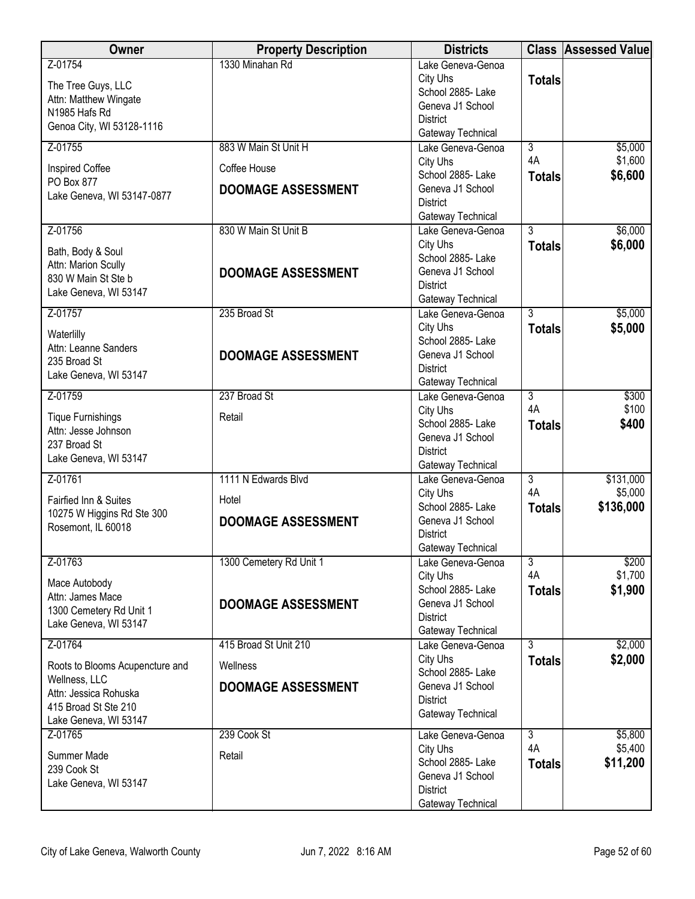| Owner                                            | <b>Property Description</b> | <b>Districts</b>                       |                | <b>Class Assessed Value</b> |
|--------------------------------------------------|-----------------------------|----------------------------------------|----------------|-----------------------------|
| Z-01754                                          | 1330 Minahan Rd             | Lake Geneva-Genoa                      |                |                             |
| The Tree Guys, LLC                               |                             | City Uhs                               | <b>Totals</b>  |                             |
| Attn: Matthew Wingate                            |                             | School 2885- Lake<br>Geneva J1 School  |                |                             |
| N1985 Hafs Rd                                    |                             | <b>District</b>                        |                |                             |
| Genoa City, WI 53128-1116                        |                             | Gateway Technical                      |                |                             |
| Z-01755                                          | 883 W Main St Unit H        | Lake Geneva-Genoa                      | $\overline{3}$ | \$5,000                     |
| Inspired Coffee                                  | Coffee House                | City Uhs                               | 4A             | \$1,600                     |
| PO Box 877                                       | <b>DOOMAGE ASSESSMENT</b>   | School 2885-Lake<br>Geneva J1 School   | <b>Totals</b>  | \$6,600                     |
| Lake Geneva, WI 53147-0877                       |                             | <b>District</b>                        |                |                             |
|                                                  |                             | Gateway Technical                      |                |                             |
| Z-01756                                          | 830 W Main St Unit B        | Lake Geneva-Genoa                      | $\overline{3}$ | \$6,000                     |
| Bath, Body & Soul                                |                             | City Uhs                               | <b>Totals</b>  | \$6,000                     |
| Attn: Marion Scully                              |                             | School 2885- Lake                      |                |                             |
| 830 W Main St Ste b                              | <b>DOOMAGE ASSESSMENT</b>   | Geneva J1 School<br><b>District</b>    |                |                             |
| Lake Geneva, WI 53147                            |                             | Gateway Technical                      |                |                             |
| Z-01757                                          | 235 Broad St                | Lake Geneva-Genoa                      | 3              | \$5,000                     |
| Waterlilly                                       |                             | City Uhs                               | <b>Totals</b>  | \$5,000                     |
| Attn: Leanne Sanders                             |                             | School 2885- Lake                      |                |                             |
| 235 Broad St                                     | <b>DOOMAGE ASSESSMENT</b>   | Geneva J1 School                       |                |                             |
| Lake Geneva, WI 53147                            |                             | <b>District</b><br>Gateway Technical   |                |                             |
| Z-01759                                          | 237 Broad St                | Lake Geneva-Genoa                      | $\overline{3}$ | \$300                       |
|                                                  |                             | City Uhs                               | 4A             | \$100                       |
| <b>Tique Furnishings</b><br>Attn: Jesse Johnson  | Retail                      | School 2885- Lake                      | <b>Totals</b>  | \$400                       |
| 237 Broad St                                     |                             | Geneva J1 School                       |                |                             |
| Lake Geneva, WI 53147                            |                             | <b>District</b>                        |                |                             |
| Z-01761                                          | 1111 N Edwards Blvd         | Gateway Technical<br>Lake Geneva-Genoa | $\overline{3}$ | \$131,000                   |
|                                                  |                             | City Uhs                               | 4A             | \$5,000                     |
| Fairfied Inn & Suites                            | Hotel                       | School 2885- Lake                      | <b>Totals</b>  | \$136,000                   |
| 10275 W Higgins Rd Ste 300<br>Rosemont, IL 60018 | <b>DOOMAGE ASSESSMENT</b>   | Geneva J1 School                       |                |                             |
|                                                  |                             | <b>District</b>                        |                |                             |
| Z-01763                                          | 1300 Cemetery Rd Unit 1     | Gateway Technical<br>Lake Geneva-Genoa | 3              | \$200                       |
|                                                  |                             | City Uhs                               | 4A             | \$1,700                     |
| Mace Autobody                                    |                             | School 2885- Lake                      | <b>Totals</b>  | \$1,900                     |
| Attn: James Mace<br>1300 Cemetery Rd Unit 1      | <b>DOOMAGE ASSESSMENT</b>   | Geneva J1 School                       |                |                             |
| Lake Geneva, WI 53147                            |                             | <b>District</b>                        |                |                             |
|                                                  |                             | Gateway Technical                      |                |                             |
| Z-01764                                          | 415 Broad St Unit 210       | Lake Geneva-Genoa<br>City Uhs          | 3              | \$2,000<br>\$2,000          |
| Roots to Blooms Acupencture and                  | Wellness                    | School 2885-Lake                       | <b>Totals</b>  |                             |
| Wellness, LLC                                    | <b>DOOMAGE ASSESSMENT</b>   | Geneva J1 School                       |                |                             |
| Attn: Jessica Rohuska<br>415 Broad St Ste 210    |                             | <b>District</b>                        |                |                             |
| Lake Geneva, WI 53147                            |                             | Gateway Technical                      |                |                             |
| Z-01765                                          | 239 Cook St                 | Lake Geneva-Genoa                      | $\overline{3}$ | \$5,800                     |
| Summer Made                                      | Retail                      | City Uhs                               | 4A             | \$5,400                     |
| 239 Cook St                                      |                             | School 2885- Lake                      | <b>Totals</b>  | \$11,200                    |
| Lake Geneva, WI 53147                            |                             | Geneva J1 School                       |                |                             |
|                                                  |                             | <b>District</b><br>Gateway Technical   |                |                             |
|                                                  |                             |                                        |                |                             |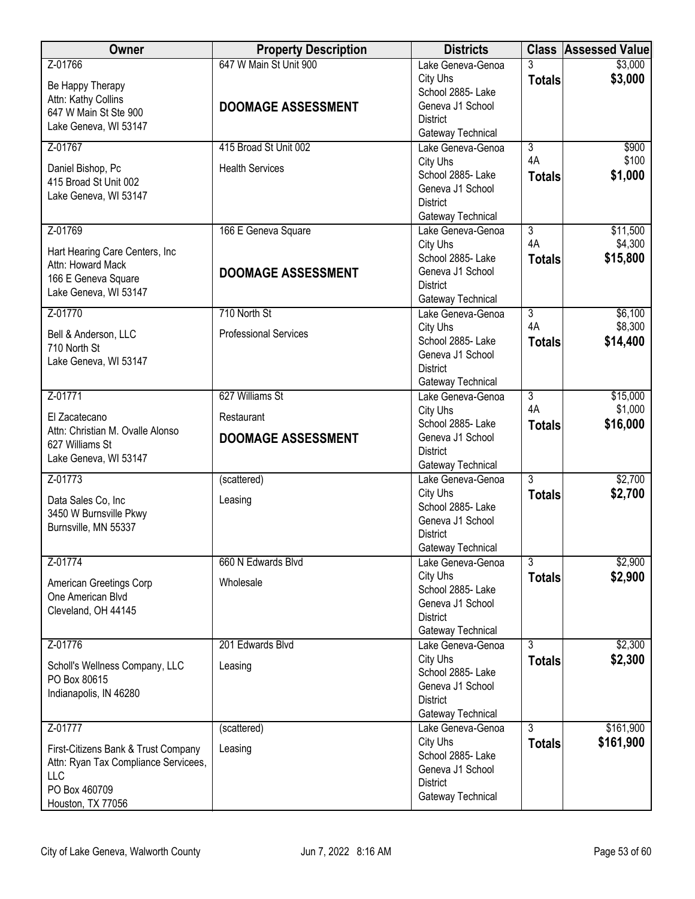| <b>Owner</b>                                                                                                             | <b>Property Description</b>                         | <b>Districts</b>                                                                                               |                      | <b>Class Assessed Value</b> |
|--------------------------------------------------------------------------------------------------------------------------|-----------------------------------------------------|----------------------------------------------------------------------------------------------------------------|----------------------|-----------------------------|
| Z-01766<br>Be Happy Therapy<br>Attn: Kathy Collins<br>647 W Main St Ste 900<br>Lake Geneva, WI 53147                     | 647 W Main St Unit 900<br><b>DOOMAGE ASSESSMENT</b> | Lake Geneva-Genoa<br>City Uhs<br>School 2885- Lake<br>Geneva J1 School<br><b>District</b><br>Gateway Technical | 3<br><b>Totals</b>   | \$3,000<br>\$3,000          |
| Z-01767                                                                                                                  | 415 Broad St Unit 002                               | Lake Geneva-Genoa                                                                                              | $\overline{3}$       | \$900                       |
| Daniel Bishop, Pc<br>415 Broad St Unit 002<br>Lake Geneva, WI 53147                                                      | <b>Health Services</b>                              | City Uhs<br>School 2885- Lake<br>Geneva J1 School<br><b>District</b><br>Gateway Technical                      | 4A<br><b>Totals</b>  | \$100<br>\$1,000            |
| Z-01769                                                                                                                  | 166 E Geneva Square                                 | Lake Geneva-Genoa                                                                                              | $\overline{3}$       | \$11,500                    |
| Hart Hearing Care Centers, Inc<br>Attn: Howard Mack<br>166 E Geneva Square<br>Lake Geneva, WI 53147                      | <b>DOOMAGE ASSESSMENT</b>                           | City Uhs<br>School 2885-Lake<br>Geneva J1 School<br><b>District</b><br>Gateway Technical                       | 4A<br><b>Totals</b>  | \$4,300<br>\$15,800         |
| Z-01770                                                                                                                  | 710 North St                                        | Lake Geneva-Genoa                                                                                              | $\overline{3}$       | \$6,100                     |
| Bell & Anderson, LLC<br>710 North St<br>Lake Geneva, WI 53147                                                            | <b>Professional Services</b>                        | City Uhs<br>School 2885- Lake<br>Geneva J1 School<br><b>District</b><br>Gateway Technical                      | 4A<br><b>Totals</b>  | \$8,300<br>\$14,400         |
| Z-01771                                                                                                                  | 627 Williams St                                     | Lake Geneva-Genoa                                                                                              | $\overline{3}$<br>4A | \$15,000                    |
| El Zacatecano<br>Attn: Christian M. Ovalle Alonso<br>627 Williams St<br>Lake Geneva, WI 53147                            | Restaurant<br><b>DOOMAGE ASSESSMENT</b>             | City Uhs<br>School 2885- Lake<br>Geneva J1 School<br><b>District</b><br>Gateway Technical                      | <b>Totals</b>        | \$1,000<br>\$16,000         |
| Z-01773                                                                                                                  | (scattered)                                         | Lake Geneva-Genoa                                                                                              | $\overline{3}$       | \$2,700                     |
| Data Sales Co, Inc<br>3450 W Burnsville Pkwy<br>Burnsville, MN 55337                                                     | Leasing                                             | City Uhs<br>School 2885- Lake<br>Geneva J1 School<br><b>District</b><br>Gateway Technical                      | <b>Totals</b>        | \$2,700                     |
| Z-01774                                                                                                                  | 660 N Edwards Blvd                                  | Lake Geneva-Genoa                                                                                              | $\overline{3}$       | \$2,900                     |
| American Greetings Corp<br>One American Blvd<br>Cleveland, OH 44145                                                      | Wholesale                                           | City Uhs<br>School 2885- Lake<br>Geneva J1 School<br><b>District</b><br>Gateway Technical                      | <b>Totals</b>        | \$2,900                     |
| Z-01776                                                                                                                  | 201 Edwards Blvd                                    | Lake Geneva-Genoa                                                                                              | $\overline{3}$       | \$2,300                     |
| Scholl's Wellness Company, LLC<br>PO Box 80615<br>Indianapolis, IN 46280                                                 | Leasing                                             | City Uhs<br>School 2885-Lake<br>Geneva J1 School<br><b>District</b><br>Gateway Technical                       | <b>Totals</b>        | \$2,300                     |
| Z-01777                                                                                                                  | (scattered)                                         | Lake Geneva-Genoa                                                                                              | $\overline{3}$       | \$161,900                   |
| First-Citizens Bank & Trust Company<br>Attn: Ryan Tax Compliance Servicees,<br>LLC<br>PO Box 460709<br>Houston, TX 77056 | Leasing                                             | City Uhs<br>School 2885- Lake<br>Geneva J1 School<br><b>District</b><br>Gateway Technical                      | <b>Totals</b>        | \$161,900                   |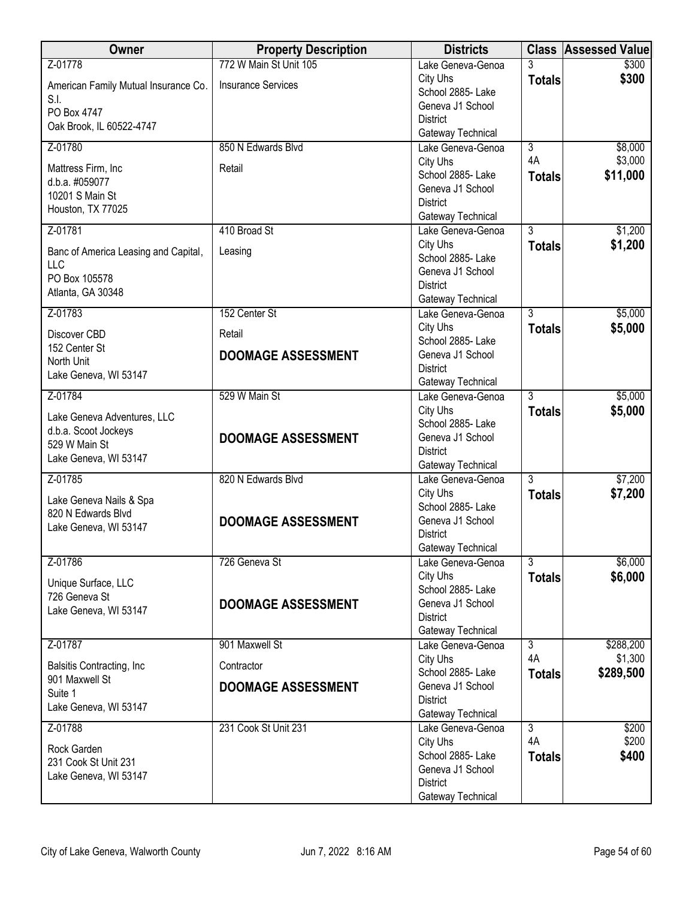| Owner                                       | <b>Property Description</b> | <b>Districts</b>                       |                                 | <b>Class Assessed Value</b> |
|---------------------------------------------|-----------------------------|----------------------------------------|---------------------------------|-----------------------------|
| Z-01778                                     | 772 W Main St Unit 105      | Lake Geneva-Genoa                      |                                 | \$300                       |
| American Family Mutual Insurance Co.        | <b>Insurance Services</b>   | City Uhs<br>School 2885- Lake          | <b>Totals</b>                   | \$300                       |
| S.I.                                        |                             | Geneva J1 School                       |                                 |                             |
| PO Box 4747                                 |                             | <b>District</b>                        |                                 |                             |
| Oak Brook, IL 60522-4747                    |                             | Gateway Technical                      |                                 |                             |
| Z-01780                                     | 850 N Edwards Blvd          | Lake Geneva-Genoa                      | $\overline{3}$                  | \$8,000                     |
| Mattress Firm, Inc.                         | Retail                      | City Uhs<br>School 2885- Lake          | 4A                              | \$3,000<br>\$11,000         |
| d.b.a. #059077                              |                             | Geneva J1 School                       | <b>Totals</b>                   |                             |
| 10201 S Main St                             |                             | <b>District</b>                        |                                 |                             |
| Houston, TX 77025                           |                             | Gateway Technical                      |                                 |                             |
| Z-01781                                     | 410 Broad St                | Lake Geneva-Genoa                      | $\overline{3}$                  | \$1,200                     |
| Banc of America Leasing and Capital,        | Leasing                     | City Uhs<br>School 2885- Lake          | <b>Totals</b>                   | \$1,200                     |
| LLC                                         |                             | Geneva J1 School                       |                                 |                             |
| PO Box 105578                               |                             | <b>District</b>                        |                                 |                             |
| Atlanta, GA 30348                           |                             | Gateway Technical                      |                                 |                             |
| Z-01783                                     | 152 Center St               | Lake Geneva-Genoa                      | $\overline{3}$                  | \$5,000                     |
| Discover CBD                                | Retail                      | City Uhs<br>School 2885- Lake          | <b>Totals</b>                   | \$5,000                     |
| 152 Center St                               | <b>DOOMAGE ASSESSMENT</b>   | Geneva J1 School                       |                                 |                             |
| North Unit<br>Lake Geneva, WI 53147         |                             | <b>District</b>                        |                                 |                             |
|                                             |                             | Gateway Technical                      |                                 |                             |
| Z-01784                                     | 529 W Main St               | Lake Geneva-Genoa                      | $\overline{3}$                  | \$5,000                     |
| Lake Geneva Adventures, LLC                 |                             | City Uhs<br>School 2885- Lake          | <b>Totals</b>                   | \$5,000                     |
| d.b.a. Scoot Jockeys                        | <b>DOOMAGE ASSESSMENT</b>   | Geneva J1 School                       |                                 |                             |
| 529 W Main St<br>Lake Geneva, WI 53147      |                             | <b>District</b>                        |                                 |                             |
|                                             |                             | Gateway Technical                      |                                 |                             |
| Z-01785                                     | 820 N Edwards Blvd          | Lake Geneva-Genoa<br>City Uhs          | $\overline{3}$                  | \$7,200<br>\$7,200          |
| Lake Geneva Nails & Spa                     |                             | School 2885- Lake                      | <b>Totals</b>                   |                             |
| 820 N Edwards Blvd<br>Lake Geneva, WI 53147 | <b>DOOMAGE ASSESSMENT</b>   | Geneva J1 School                       |                                 |                             |
|                                             |                             | <b>District</b>                        |                                 |                             |
|                                             |                             | Gateway Technical                      |                                 |                             |
| Z-01786                                     | 726 Geneva St               | Lake Geneva-Genoa<br>City Uhs          | $\overline{3}$<br><b>Totals</b> | \$6,000<br>\$6,000          |
| Unique Surface, LLC                         |                             | School 2885- Lake                      |                                 |                             |
| 726 Geneva St<br>Lake Geneva, WI 53147      | <b>DOOMAGE ASSESSMENT</b>   | Geneva J1 School                       |                                 |                             |
|                                             |                             | <b>District</b>                        |                                 |                             |
| Z-01787                                     | 901 Maxwell St              | Gateway Technical<br>Lake Geneva-Genoa | $\overline{3}$                  | \$288,200                   |
|                                             |                             | City Uhs                               | 4A                              | \$1,300                     |
| Balsitis Contracting, Inc.                  | Contractor                  | School 2885- Lake                      | <b>Totals</b>                   | \$289,500                   |
| 901 Maxwell St<br>Suite 1                   | <b>DOOMAGE ASSESSMENT</b>   | Geneva J1 School                       |                                 |                             |
| Lake Geneva, WI 53147                       |                             | <b>District</b>                        |                                 |                             |
| Z-01788                                     | 231 Cook St Unit 231        | Gateway Technical<br>Lake Geneva-Genoa | $\overline{3}$                  | \$200                       |
|                                             |                             | City Uhs                               | 4A                              | \$200                       |
| Rock Garden<br>231 Cook St Unit 231         |                             | School 2885- Lake                      | <b>Totals</b>                   | \$400                       |
| Lake Geneva, WI 53147                       |                             | Geneva J1 School                       |                                 |                             |
|                                             |                             | <b>District</b><br>Gateway Technical   |                                 |                             |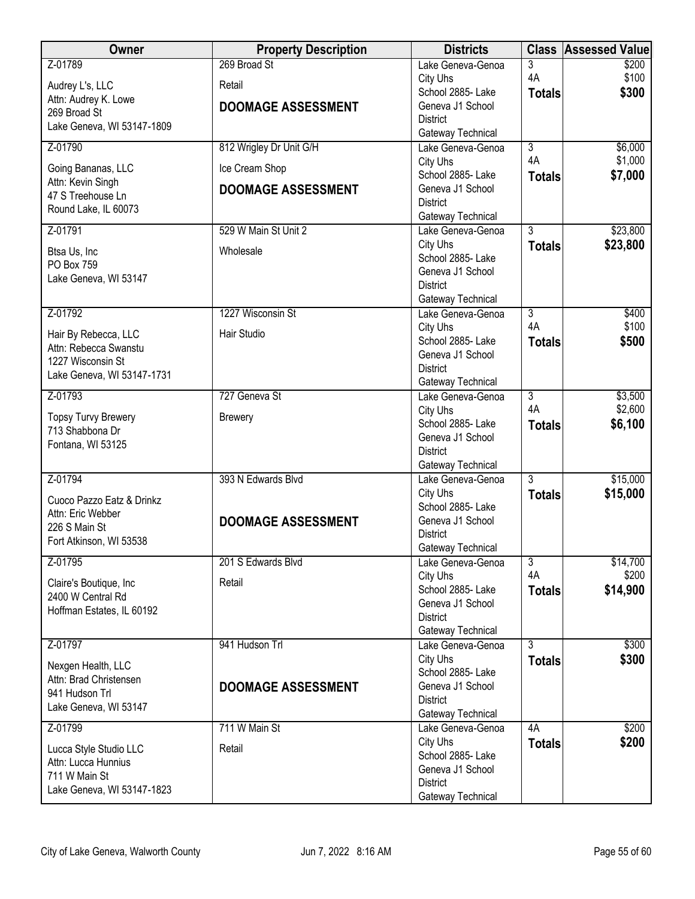| Owner                                         | <b>Property Description</b> | <b>Districts</b>                       |                      | <b>Class Assessed Value</b> |
|-----------------------------------------------|-----------------------------|----------------------------------------|----------------------|-----------------------------|
| Z-01789                                       | 269 Broad St                | Lake Geneva-Genoa                      | 3                    | \$200                       |
| Audrey L's, LLC                               | Retail                      | City Uhs                               | 4A                   | \$100                       |
| Attn: Audrey K. Lowe                          |                             | School 2885- Lake<br>Geneva J1 School  | <b>Totals</b>        | \$300                       |
| 269 Broad St                                  | <b>DOOMAGE ASSESSMENT</b>   | <b>District</b>                        |                      |                             |
| Lake Geneva, WI 53147-1809                    |                             | Gateway Technical                      |                      |                             |
| Z-01790                                       | 812 Wrigley Dr Unit G/H     | Lake Geneva-Genoa                      | $\overline{3}$       | \$6,000                     |
| Going Bananas, LLC                            | Ice Cream Shop              | City Uhs                               | 4A                   | \$1,000                     |
| Attn: Kevin Singh                             |                             | School 2885-Lake                       | <b>Totals</b>        | \$7,000                     |
| 47 S Treehouse Ln                             | <b>DOOMAGE ASSESSMENT</b>   | Geneva J1 School                       |                      |                             |
| Round Lake, IL 60073                          |                             | <b>District</b>                        |                      |                             |
| Z-01791                                       | 529 W Main St Unit 2        | Gateway Technical<br>Lake Geneva-Genoa | $\overline{3}$       | \$23,800                    |
|                                               |                             | City Uhs                               | <b>Totals</b>        | \$23,800                    |
| Btsa Us, Inc                                  | Wholesale                   | School 2885- Lake                      |                      |                             |
| PO Box 759                                    |                             | Geneva J1 School                       |                      |                             |
| Lake Geneva, WI 53147                         |                             | <b>District</b>                        |                      |                             |
|                                               |                             | Gateway Technical                      |                      |                             |
| Z-01792                                       | 1227 Wisconsin St           | Lake Geneva-Genoa                      | $\overline{3}$       | \$400                       |
| Hair By Rebecca, LLC                          | Hair Studio                 | City Uhs                               | 4A                   | \$100                       |
| Attn: Rebecca Swanstu                         |                             | School 2885- Lake<br>Geneva J1 School  | <b>Totals</b>        | \$500                       |
| 1227 Wisconsin St                             |                             | <b>District</b>                        |                      |                             |
| Lake Geneva, WI 53147-1731                    |                             | Gateway Technical                      |                      |                             |
| Z-01793                                       | 727 Geneva St               | Lake Geneva-Genoa                      | $\overline{3}$       | \$3,500                     |
|                                               |                             | City Uhs                               | 4A                   | \$2,600                     |
| <b>Topsy Turvy Brewery</b><br>713 Shabbona Dr | <b>Brewery</b>              | School 2885- Lake                      | <b>Totals</b>        | \$6,100                     |
| Fontana, WI 53125                             |                             | Geneva J1 School                       |                      |                             |
|                                               |                             | <b>District</b>                        |                      |                             |
| Z-01794                                       | 393 N Edwards Blvd          | Gateway Technical<br>Lake Geneva-Genoa | $\overline{3}$       | \$15,000                    |
|                                               |                             | City Uhs                               | <b>Totals</b>        | \$15,000                    |
| Cuoco Pazzo Eatz & Drinkz                     |                             | School 2885- Lake                      |                      |                             |
| Attn: Eric Webber<br>226 S Main St            | <b>DOOMAGE ASSESSMENT</b>   | Geneva J1 School                       |                      |                             |
| Fort Atkinson, WI 53538                       |                             | <b>District</b>                        |                      |                             |
|                                               |                             | Gateway Technical                      |                      |                             |
| Z-01795                                       | 201 S Edwards Blvd          | Lake Geneva-Genoa                      | $\overline{3}$<br>4A | \$14,700<br>\$200           |
| Claire's Boutique, Inc.                       | Retail                      | City Uhs<br>School 2885- Lake          | <b>Totals</b>        | \$14,900                    |
| 2400 W Central Rd                             |                             | Geneva J1 School                       |                      |                             |
| Hoffman Estates, IL 60192                     |                             | <b>District</b>                        |                      |                             |
|                                               |                             | Gateway Technical                      |                      |                             |
| Z-01797                                       | 941 Hudson Trl              | Lake Geneva-Genoa                      | $\overline{3}$       | \$300                       |
| Nexgen Health, LLC                            |                             | City Uhs                               | <b>Totals</b>        | \$300                       |
| Attn: Brad Christensen                        |                             | School 2885- Lake                      |                      |                             |
| 941 Hudson Trl                                | <b>DOOMAGE ASSESSMENT</b>   | Geneva J1 School<br><b>District</b>    |                      |                             |
| Lake Geneva, WI 53147                         |                             | Gateway Technical                      |                      |                             |
| Z-01799                                       | 711 W Main St               | Lake Geneva-Genoa                      | 4A                   | \$200                       |
|                                               |                             | City Uhs                               | <b>Totals</b>        | \$200                       |
| Lucca Style Studio LLC<br>Attn: Lucca Hunnius | Retail                      | School 2885- Lake                      |                      |                             |
| 711 W Main St                                 |                             | Geneva J1 School                       |                      |                             |
| Lake Geneva, WI 53147-1823                    |                             | <b>District</b>                        |                      |                             |
|                                               |                             | Gateway Technical                      |                      |                             |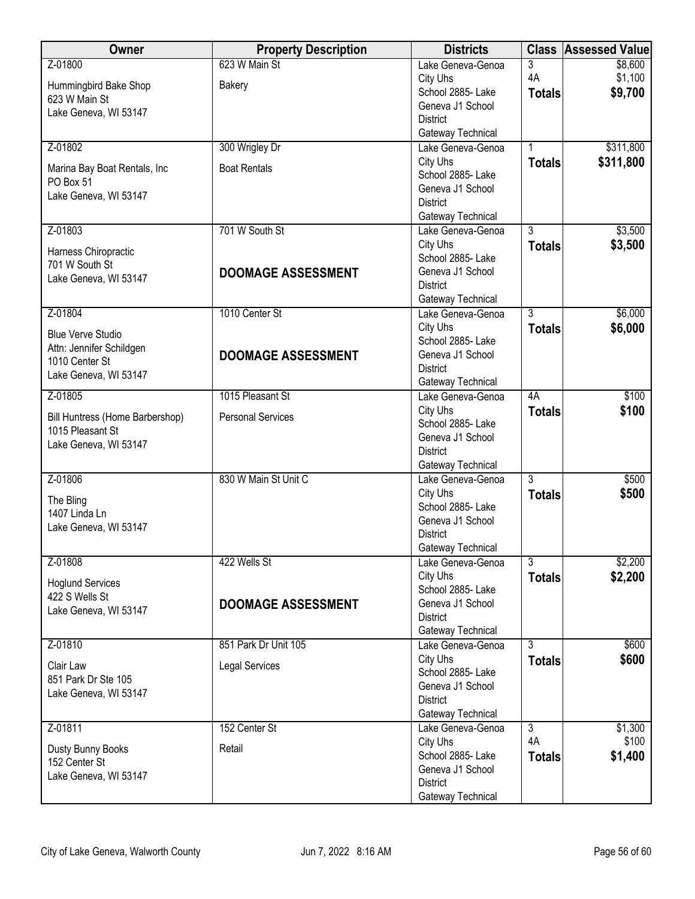| Owner                                               | <b>Property Description</b> | <b>Districts</b>                       | <b>Class</b>   | <b>Assessed Value</b> |
|-----------------------------------------------------|-----------------------------|----------------------------------------|----------------|-----------------------|
| Z-01800                                             | 623 W Main St               | Lake Geneva-Genoa                      | 3              | \$8,600               |
| Hummingbird Bake Shop                               | Bakery                      | City Uhs                               | 4A             | \$1,100               |
| 623 W Main St                                       |                             | School 2885- Lake                      | <b>Totals</b>  | \$9,700               |
| Lake Geneva, WI 53147                               |                             | Geneva J1 School                       |                |                       |
|                                                     |                             | <b>District</b><br>Gateway Technical   |                |                       |
| Z-01802                                             | 300 Wrigley Dr              | Lake Geneva-Genoa                      |                | \$311,800             |
|                                                     |                             | City Uhs                               | <b>Totals</b>  | \$311,800             |
| Marina Bay Boat Rentals, Inc<br>PO Box 51           | <b>Boat Rentals</b>         | School 2885-Lake                       |                |                       |
| Lake Geneva, WI 53147                               |                             | Geneva J1 School                       |                |                       |
|                                                     |                             | <b>District</b>                        |                |                       |
|                                                     |                             | Gateway Technical                      |                |                       |
| Z-01803                                             | 701 W South St              | Lake Geneva-Genoa<br>City Uhs          | $\overline{3}$ | \$3,500<br>\$3,500    |
| Harness Chiropractic                                |                             | School 2885- Lake                      | <b>Totals</b>  |                       |
| 701 W South St                                      | <b>DOOMAGE ASSESSMENT</b>   | Geneva J1 School                       |                |                       |
| Lake Geneva, WI 53147                               |                             | <b>District</b>                        |                |                       |
|                                                     |                             | Gateway Technical                      |                |                       |
| Z-01804                                             | 1010 Center St              | Lake Geneva-Genoa                      | $\overline{3}$ | \$6,000               |
| <b>Blue Verve Studio</b>                            |                             | City Uhs                               | <b>Totals</b>  | \$6,000               |
| Attn: Jennifer Schildgen                            |                             | School 2885- Lake<br>Geneva J1 School  |                |                       |
| 1010 Center St                                      | <b>DOOMAGE ASSESSMENT</b>   | <b>District</b>                        |                |                       |
| Lake Geneva, WI 53147                               |                             | Gateway Technical                      |                |                       |
| Z-01805                                             | 1015 Pleasant St            | Lake Geneva-Genoa                      | 4A             | \$100                 |
|                                                     | <b>Personal Services</b>    | City Uhs                               | <b>Totals</b>  | \$100                 |
| Bill Huntress (Home Barbershop)<br>1015 Pleasant St |                             | School 2885- Lake                      |                |                       |
| Lake Geneva, WI 53147                               |                             | Geneva J1 School                       |                |                       |
|                                                     |                             | <b>District</b>                        |                |                       |
| Z-01806                                             | 830 W Main St Unit C        | Gateway Technical<br>Lake Geneva-Genoa | $\overline{3}$ | \$500                 |
|                                                     |                             | City Uhs                               | <b>Totals</b>  | \$500                 |
| The Bling                                           |                             | School 2885- Lake                      |                |                       |
| 1407 Linda Ln<br>Lake Geneva, WI 53147              |                             | Geneva J1 School                       |                |                       |
|                                                     |                             | <b>District</b>                        |                |                       |
|                                                     |                             | Gateway Technical                      |                |                       |
| Z-01808                                             | 422 Wells St                | Lake Geneva-Genoa<br>City Uhs          | $\overline{3}$ | \$2,200               |
| <b>Hoglund Services</b>                             |                             | School 2885- Lake                      | <b>Totals</b>  | \$2,200               |
| 422 S Wells St                                      | <b>DOOMAGE ASSESSMENT</b>   | Geneva J1 School                       |                |                       |
| Lake Geneva, WI 53147                               |                             | <b>District</b>                        |                |                       |
|                                                     |                             | Gateway Technical                      |                |                       |
| Z-01810                                             | 851 Park Dr Unit 105        | Lake Geneva-Genoa                      | $\overline{3}$ | \$600                 |
| Clair Law                                           | <b>Legal Services</b>       | City Uhs                               | <b>Totals</b>  | \$600                 |
| 851 Park Dr Ste 105                                 |                             | School 2885-Lake<br>Geneva J1 School   |                |                       |
| Lake Geneva, WI 53147                               |                             | <b>District</b>                        |                |                       |
|                                                     |                             | Gateway Technical                      |                |                       |
| Z-01811                                             | 152 Center St               | Lake Geneva-Genoa                      | $\overline{3}$ | \$1,300               |
| Dusty Bunny Books                                   | Retail                      | City Uhs                               | 4A             | \$100                 |
| 152 Center St                                       |                             | School 2885- Lake                      | <b>Totals</b>  | \$1,400               |
| Lake Geneva, WI 53147                               |                             | Geneva J1 School                       |                |                       |
|                                                     |                             | <b>District</b><br>Gateway Technical   |                |                       |
|                                                     |                             |                                        |                |                       |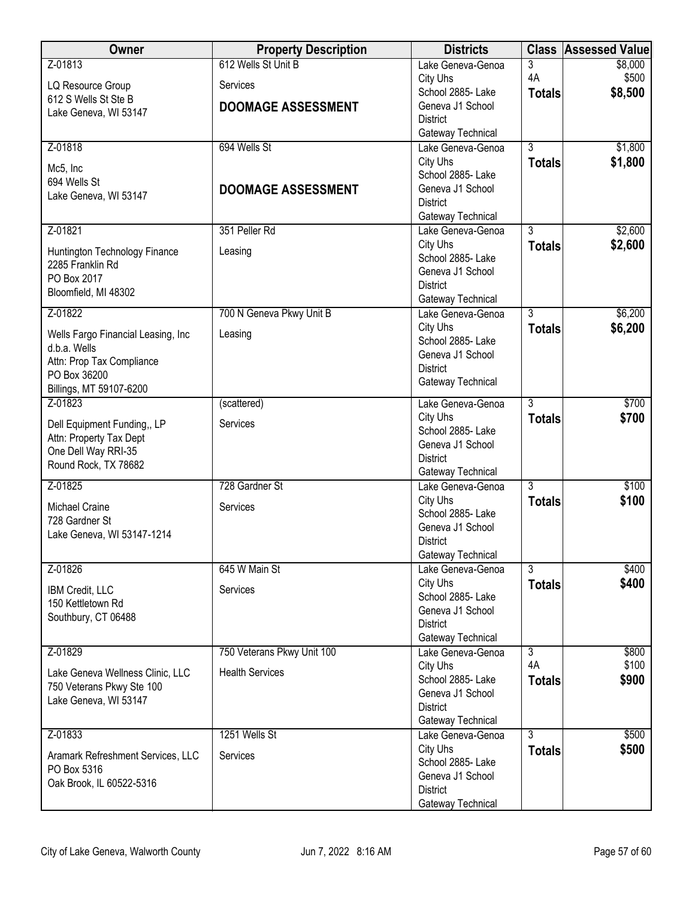| <b>Owner</b>                         | <b>Property Description</b> | <b>Districts</b>                       |                | <b>Class Assessed Value</b> |
|--------------------------------------|-----------------------------|----------------------------------------|----------------|-----------------------------|
| Z-01813                              | 612 Wells St Unit B         | Lake Geneva-Genoa                      | 3              | \$8,000                     |
| LQ Resource Group                    | Services                    | City Uhs                               | 4A             | \$500                       |
| 612 S Wells St Ste B                 | <b>DOOMAGE ASSESSMENT</b>   | School 2885- Lake<br>Geneva J1 School  | <b>Totals</b>  | \$8,500                     |
| Lake Geneva, WI 53147                |                             | <b>District</b>                        |                |                             |
|                                      |                             | Gateway Technical                      |                |                             |
| Z-01818                              | 694 Wells St                | Lake Geneva-Genoa                      | $\overline{3}$ | \$1,800                     |
| Mc5, Inc                             |                             | City Uhs                               | <b>Totals</b>  | \$1,800                     |
| 694 Wells St                         |                             | School 2885-Lake                       |                |                             |
| Lake Geneva, WI 53147                | <b>DOOMAGE ASSESSMENT</b>   | Geneva J1 School                       |                |                             |
|                                      |                             | <b>District</b>                        |                |                             |
| Z-01821                              | 351 Peller Rd               | Gateway Technical<br>Lake Geneva-Genoa | $\overline{3}$ | \$2,600                     |
|                                      |                             | City Uhs                               | <b>Totals</b>  | \$2,600                     |
| Huntington Technology Finance        | Leasing                     | School 2885- Lake                      |                |                             |
| 2285 Franklin Rd                     |                             | Geneva J1 School                       |                |                             |
| PO Box 2017<br>Bloomfield, MI 48302  |                             | <b>District</b>                        |                |                             |
|                                      |                             | Gateway Technical                      |                |                             |
| Z-01822                              | 700 N Geneva Pkwy Unit B    | Lake Geneva-Genoa                      | $\overline{3}$ | \$6,200                     |
| Wells Fargo Financial Leasing, Inc   | Leasing                     | City Uhs                               | <b>Totals</b>  | \$6,200                     |
| d.b.a. Wells                         |                             | School 2885- Lake<br>Geneva J1 School  |                |                             |
| Attn: Prop Tax Compliance            |                             | <b>District</b>                        |                |                             |
| PO Box 36200                         |                             | Gateway Technical                      |                |                             |
| Billings, MT 59107-6200              |                             |                                        |                |                             |
| Z-01823                              | (scattered)                 | Lake Geneva-Genoa                      | $\overline{3}$ | \$700                       |
| Dell Equipment Funding,, LP          | Services                    | City Uhs<br>School 2885- Lake          | <b>Totals</b>  | \$700                       |
| Attn: Property Tax Dept              |                             | Geneva J1 School                       |                |                             |
| One Dell Way RRI-35                  |                             | <b>District</b>                        |                |                             |
| Round Rock, TX 78682                 |                             | Gateway Technical                      |                |                             |
| Z-01825                              | 728 Gardner St              | Lake Geneva-Genoa                      | 3              | \$100                       |
| Michael Craine                       | Services                    | City Uhs                               | <b>Totals</b>  | \$100                       |
| 728 Gardner St                       |                             | School 2885- Lake                      |                |                             |
| Lake Geneva, WI 53147-1214           |                             | Geneva J1 School<br><b>District</b>    |                |                             |
|                                      |                             | Gateway Technical                      |                |                             |
| Z-01826                              | 645 W Main St               | Lake Geneva-Genoa                      | $\overline{3}$ | \$400                       |
|                                      |                             | City Uhs                               | <b>Totals</b>  | \$400                       |
| IBM Credit, LLC<br>150 Kettletown Rd | Services                    | School 2885- Lake                      |                |                             |
| Southbury, CT 06488                  |                             | Geneva J1 School                       |                |                             |
|                                      |                             | <b>District</b>                        |                |                             |
| Z-01829                              | 750 Veterans Pkwy Unit 100  | Gateway Technical<br>Lake Geneva-Genoa | $\overline{3}$ | \$800                       |
|                                      |                             | City Uhs                               | 4A             | \$100                       |
| Lake Geneva Wellness Clinic, LLC     | <b>Health Services</b>      | School 2885- Lake                      | <b>Totals</b>  | \$900                       |
| 750 Veterans Pkwy Ste 100            |                             | Geneva J1 School                       |                |                             |
| Lake Geneva, WI 53147                |                             | <b>District</b>                        |                |                             |
|                                      |                             | Gateway Technical                      |                |                             |
| Z-01833                              | 1251 Wells St               | Lake Geneva-Genoa                      | $\overline{3}$ | \$500                       |
| Aramark Refreshment Services, LLC    | Services                    | City Uhs                               | <b>Totals</b>  | \$500                       |
| PO Box 5316                          |                             | School 2885- Lake<br>Geneva J1 School  |                |                             |
| Oak Brook, IL 60522-5316             |                             | <b>District</b>                        |                |                             |
|                                      |                             | Gateway Technical                      |                |                             |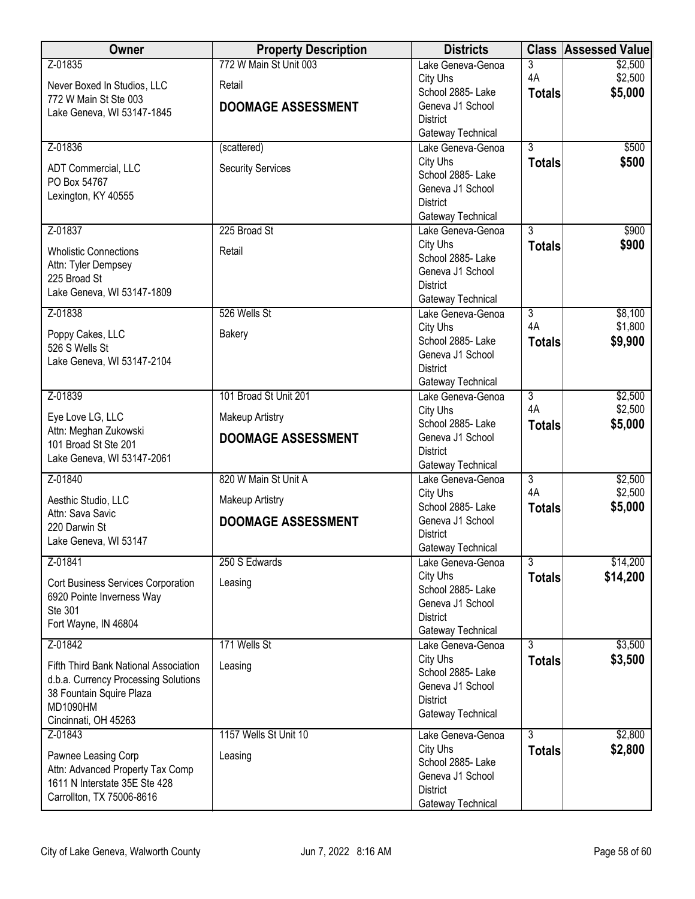| Z-01835<br>772 W Main St Unit 003<br>3<br>\$2,500<br>Lake Geneva-Genoa<br>4A<br>\$2,500<br>City Uhs<br>Never Boxed In Studios, LLC<br>Retail<br>\$5,000<br>School 2885- Lake<br><b>Totals</b><br>772 W Main St Ste 003<br>Geneva J1 School<br><b>DOOMAGE ASSESSMENT</b><br>Lake Geneva, WI 53147-1845<br><b>District</b><br>Gateway Technical<br>Z-01836<br>$\overline{3}$<br>\$500<br>(scattered)<br>Lake Geneva-Genoa<br>City Uhs<br>\$500<br><b>Totals</b><br><b>Security Services</b><br>ADT Commercial, LLC<br>School 2885- Lake<br>PO Box 54767<br>Geneva J1 School<br>Lexington, KY 40555<br><b>District</b><br>Gateway Technical<br>225 Broad St<br>$\overline{3}$<br>Z-01837<br>\$900<br>Lake Geneva-Genoa |
|---------------------------------------------------------------------------------------------------------------------------------------------------------------------------------------------------------------------------------------------------------------------------------------------------------------------------------------------------------------------------------------------------------------------------------------------------------------------------------------------------------------------------------------------------------------------------------------------------------------------------------------------------------------------------------------------------------------------|
|                                                                                                                                                                                                                                                                                                                                                                                                                                                                                                                                                                                                                                                                                                                     |
|                                                                                                                                                                                                                                                                                                                                                                                                                                                                                                                                                                                                                                                                                                                     |
|                                                                                                                                                                                                                                                                                                                                                                                                                                                                                                                                                                                                                                                                                                                     |
|                                                                                                                                                                                                                                                                                                                                                                                                                                                                                                                                                                                                                                                                                                                     |
|                                                                                                                                                                                                                                                                                                                                                                                                                                                                                                                                                                                                                                                                                                                     |
|                                                                                                                                                                                                                                                                                                                                                                                                                                                                                                                                                                                                                                                                                                                     |
|                                                                                                                                                                                                                                                                                                                                                                                                                                                                                                                                                                                                                                                                                                                     |
|                                                                                                                                                                                                                                                                                                                                                                                                                                                                                                                                                                                                                                                                                                                     |
|                                                                                                                                                                                                                                                                                                                                                                                                                                                                                                                                                                                                                                                                                                                     |
|                                                                                                                                                                                                                                                                                                                                                                                                                                                                                                                                                                                                                                                                                                                     |
|                                                                                                                                                                                                                                                                                                                                                                                                                                                                                                                                                                                                                                                                                                                     |
| City Uhs<br>\$900<br><b>Totals</b><br>Retail<br><b>Wholistic Connections</b>                                                                                                                                                                                                                                                                                                                                                                                                                                                                                                                                                                                                                                        |
| School 2885- Lake<br>Attn: Tyler Dempsey<br>Geneva J1 School                                                                                                                                                                                                                                                                                                                                                                                                                                                                                                                                                                                                                                                        |
| 225 Broad St<br><b>District</b>                                                                                                                                                                                                                                                                                                                                                                                                                                                                                                                                                                                                                                                                                     |
| Lake Geneva, WI 53147-1809<br>Gateway Technical                                                                                                                                                                                                                                                                                                                                                                                                                                                                                                                                                                                                                                                                     |
| Z-01838<br>526 Wells St<br>$\overline{3}$<br>\$8,100<br>Lake Geneva-Genoa                                                                                                                                                                                                                                                                                                                                                                                                                                                                                                                                                                                                                                           |
| 4A<br>\$1,800<br>City Uhs<br>Poppy Cakes, LLC<br>Bakery                                                                                                                                                                                                                                                                                                                                                                                                                                                                                                                                                                                                                                                             |
| School 2885- Lake<br>\$9,900<br><b>Totals</b><br>526 S Wells St<br>Geneva J1 School                                                                                                                                                                                                                                                                                                                                                                                                                                                                                                                                                                                                                                 |
| Lake Geneva, WI 53147-2104<br><b>District</b>                                                                                                                                                                                                                                                                                                                                                                                                                                                                                                                                                                                                                                                                       |
| Gateway Technical                                                                                                                                                                                                                                                                                                                                                                                                                                                                                                                                                                                                                                                                                                   |
| 101 Broad St Unit 201<br>Z-01839<br>$\overline{3}$<br>\$2,500<br>Lake Geneva-Genoa                                                                                                                                                                                                                                                                                                                                                                                                                                                                                                                                                                                                                                  |
| 4A<br>\$2,500<br>City Uhs<br>Eye Love LG, LLC<br><b>Makeup Artistry</b>                                                                                                                                                                                                                                                                                                                                                                                                                                                                                                                                                                                                                                             |
| School 2885- Lake<br>\$5,000<br><b>Totals</b><br>Attn: Meghan Zukowski<br>Geneva J1 School                                                                                                                                                                                                                                                                                                                                                                                                                                                                                                                                                                                                                          |
| <b>DOOMAGE ASSESSMENT</b><br>101 Broad St Ste 201<br><b>District</b>                                                                                                                                                                                                                                                                                                                                                                                                                                                                                                                                                                                                                                                |
| Lake Geneva, WI 53147-2061<br>Gateway Technical                                                                                                                                                                                                                                                                                                                                                                                                                                                                                                                                                                                                                                                                     |
| Z-01840<br>820 W Main St Unit A<br>$\overline{3}$<br>\$2,500<br>Lake Geneva-Genoa                                                                                                                                                                                                                                                                                                                                                                                                                                                                                                                                                                                                                                   |
| 4A<br>\$2,500<br>City Uhs<br>Makeup Artistry<br>Aesthic Studio, LLC<br>School 2885- Lake<br>\$5,000                                                                                                                                                                                                                                                                                                                                                                                                                                                                                                                                                                                                                 |
| <b>Totals</b><br>Attn: Sava Savic<br>Geneva J1 School<br><b>DOOMAGE ASSESSMENT</b>                                                                                                                                                                                                                                                                                                                                                                                                                                                                                                                                                                                                                                  |
| 220 Darwin St<br><b>District</b>                                                                                                                                                                                                                                                                                                                                                                                                                                                                                                                                                                                                                                                                                    |
| Lake Geneva, WI 53147<br>Gateway Technical                                                                                                                                                                                                                                                                                                                                                                                                                                                                                                                                                                                                                                                                          |
| $\overline{3}$<br>\$14,200<br>Z-01841<br>250 S Edwards<br>Lake Geneva-Genoa                                                                                                                                                                                                                                                                                                                                                                                                                                                                                                                                                                                                                                         |
| City Uhs<br>\$14,200<br><b>Totals</b><br>Leasing<br>Cort Business Services Corporation<br>School 2885- Lake                                                                                                                                                                                                                                                                                                                                                                                                                                                                                                                                                                                                         |
| 6920 Pointe Inverness Way<br>Geneva J1 School                                                                                                                                                                                                                                                                                                                                                                                                                                                                                                                                                                                                                                                                       |
| Ste 301<br><b>District</b><br>Fort Wayne, IN 46804                                                                                                                                                                                                                                                                                                                                                                                                                                                                                                                                                                                                                                                                  |
| Gateway Technical                                                                                                                                                                                                                                                                                                                                                                                                                                                                                                                                                                                                                                                                                                   |
| 171 Wells St<br>\$3,500<br>Z-01842<br>3<br>Lake Geneva-Genoa                                                                                                                                                                                                                                                                                                                                                                                                                                                                                                                                                                                                                                                        |
| City Uhs<br>\$3,500<br><b>Totals</b><br>Fifth Third Bank National Association<br>Leasing<br>School 2885- Lake                                                                                                                                                                                                                                                                                                                                                                                                                                                                                                                                                                                                       |
| d.b.a. Currency Processing Solutions<br>Geneva J1 School                                                                                                                                                                                                                                                                                                                                                                                                                                                                                                                                                                                                                                                            |
| 38 Fountain Squire Plaza<br><b>District</b><br>MD1090HM                                                                                                                                                                                                                                                                                                                                                                                                                                                                                                                                                                                                                                                             |
| Gateway Technical<br>Cincinnati, OH 45263                                                                                                                                                                                                                                                                                                                                                                                                                                                                                                                                                                                                                                                                           |
| $\overline{3}$<br>Z-01843<br>1157 Wells St Unit 10<br>\$2,800<br>Lake Geneva-Genoa                                                                                                                                                                                                                                                                                                                                                                                                                                                                                                                                                                                                                                  |
| \$2,800<br>City Uhs<br><b>Totals</b><br>Pawnee Leasing Corp<br>Leasing                                                                                                                                                                                                                                                                                                                                                                                                                                                                                                                                                                                                                                              |
| School 2885- Lake<br>Attn: Advanced Property Tax Comp                                                                                                                                                                                                                                                                                                                                                                                                                                                                                                                                                                                                                                                               |
| Geneva J1 School<br>1611 N Interstate 35E Ste 428<br><b>District</b>                                                                                                                                                                                                                                                                                                                                                                                                                                                                                                                                                                                                                                                |
| Carrollton, TX 75006-8616<br>Gateway Technical                                                                                                                                                                                                                                                                                                                                                                                                                                                                                                                                                                                                                                                                      |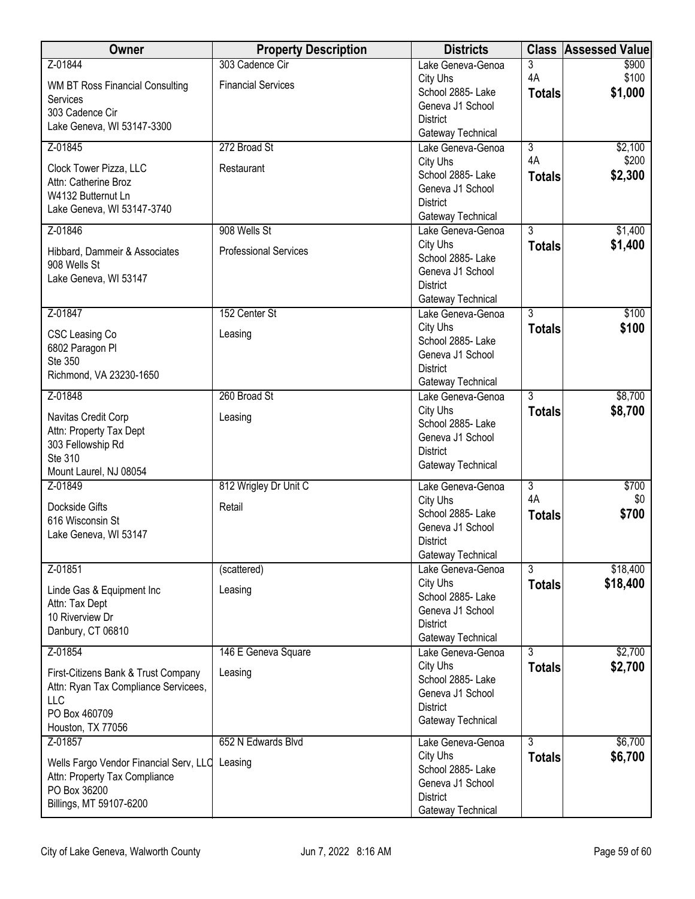| Owner                                  | <b>Property Description</b>  | <b>Districts</b>                      | <b>Class</b>   | <b>Assessed Value</b> |
|----------------------------------------|------------------------------|---------------------------------------|----------------|-----------------------|
| Z-01844                                | 303 Cadence Cir              | Lake Geneva-Genoa                     | 3              | \$900                 |
| WM BT Ross Financial Consulting        | <b>Financial Services</b>    | City Uhs                              | 4A             | \$100                 |
| Services                               |                              | School 2885- Lake<br>Geneva J1 School | <b>Totals</b>  | \$1,000               |
| 303 Cadence Cir                        |                              | <b>District</b>                       |                |                       |
| Lake Geneva, WI 53147-3300             |                              | Gateway Technical                     |                |                       |
| Z-01845                                | 272 Broad St                 | Lake Geneva-Genoa                     | $\overline{3}$ | \$2,100               |
| Clock Tower Pizza, LLC                 | Restaurant                   | City Uhs                              | 4A             | \$200                 |
| Attn: Catherine Broz                   |                              | School 2885-Lake                      | <b>Totals</b>  | \$2,300               |
| W4132 Butternut Ln                     |                              | Geneva J1 School                      |                |                       |
| Lake Geneva, WI 53147-3740             |                              | <b>District</b><br>Gateway Technical  |                |                       |
| Z-01846                                | 908 Wells St                 | Lake Geneva-Genoa                     | $\overline{3}$ | \$1,400               |
|                                        |                              | City Uhs                              | <b>Totals</b>  | \$1,400               |
| Hibbard, Dammeir & Associates          | <b>Professional Services</b> | School 2885- Lake                     |                |                       |
| 908 Wells St<br>Lake Geneva, WI 53147  |                              | Geneva J1 School                      |                |                       |
|                                        |                              | <b>District</b>                       |                |                       |
|                                        |                              | Gateway Technical                     |                |                       |
| Z-01847                                | 152 Center St                | Lake Geneva-Genoa                     | $\overline{3}$ | \$100                 |
| CSC Leasing Co                         | Leasing                      | City Uhs<br>School 2885- Lake         | <b>Totals</b>  | \$100                 |
| 6802 Paragon Pl                        |                              | Geneva J1 School                      |                |                       |
| Ste 350                                |                              | <b>District</b>                       |                |                       |
| Richmond, VA 23230-1650                |                              | Gateway Technical                     |                |                       |
| Z-01848                                | 260 Broad St                 | Lake Geneva-Genoa                     | $\overline{3}$ | \$8,700               |
| Navitas Credit Corp                    | Leasing                      | City Uhs                              | <b>Totals</b>  | \$8,700               |
| Attn: Property Tax Dept                |                              | School 2885- Lake                     |                |                       |
| 303 Fellowship Rd                      |                              | Geneva J1 School<br><b>District</b>   |                |                       |
| Ste 310                                |                              | Gateway Technical                     |                |                       |
| Mount Laurel, NJ 08054                 |                              |                                       |                |                       |
| Z-01849                                | 812 Wrigley Dr Unit C        | Lake Geneva-Genoa                     | 3<br>4A        | \$700<br>\$0          |
| Dockside Gifts                         | Retail                       | City Uhs<br>School 2885- Lake         | <b>Totals</b>  | \$700                 |
| 616 Wisconsin St                       |                              | Geneva J1 School                      |                |                       |
| Lake Geneva, WI 53147                  |                              | <b>District</b>                       |                |                       |
|                                        |                              | Gateway Technical                     |                |                       |
| Z-01851                                | (scattered)                  | Lake Geneva-Genoa                     | 3              | \$18,400              |
| Linde Gas & Equipment Inc              | Leasing                      | City Uhs                              | <b>Totals</b>  | \$18,400              |
| Attn: Tax Dept                         |                              | School 2885- Lake<br>Geneva J1 School |                |                       |
| 10 Riverview Dr                        |                              | <b>District</b>                       |                |                       |
| Danbury, CT 06810                      |                              | Gateway Technical                     |                |                       |
| Z-01854                                | 146 E Geneva Square          | Lake Geneva-Genoa                     | $\overline{3}$ | \$2,700               |
| First-Citizens Bank & Trust Company    | Leasing                      | City Uhs                              | <b>Totals</b>  | \$2,700               |
| Attn: Ryan Tax Compliance Servicees,   |                              | School 2885- Lake                     |                |                       |
| LLC                                    |                              | Geneva J1 School<br><b>District</b>   |                |                       |
| PO Box 460709                          |                              | Gateway Technical                     |                |                       |
| Houston, TX 77056                      |                              |                                       |                |                       |
| Z-01857                                | 652 N Edwards Blvd           | Lake Geneva-Genoa                     | $\overline{3}$ | \$6,700               |
| Wells Fargo Vendor Financial Serv, LLC | Leasing                      | City Uhs<br>School 2885- Lake         | <b>Totals</b>  | \$6,700               |
| Attn: Property Tax Compliance          |                              | Geneva J1 School                      |                |                       |
| PO Box 36200                           |                              | <b>District</b>                       |                |                       |
| Billings, MT 59107-6200                |                              | Gateway Technical                     |                |                       |